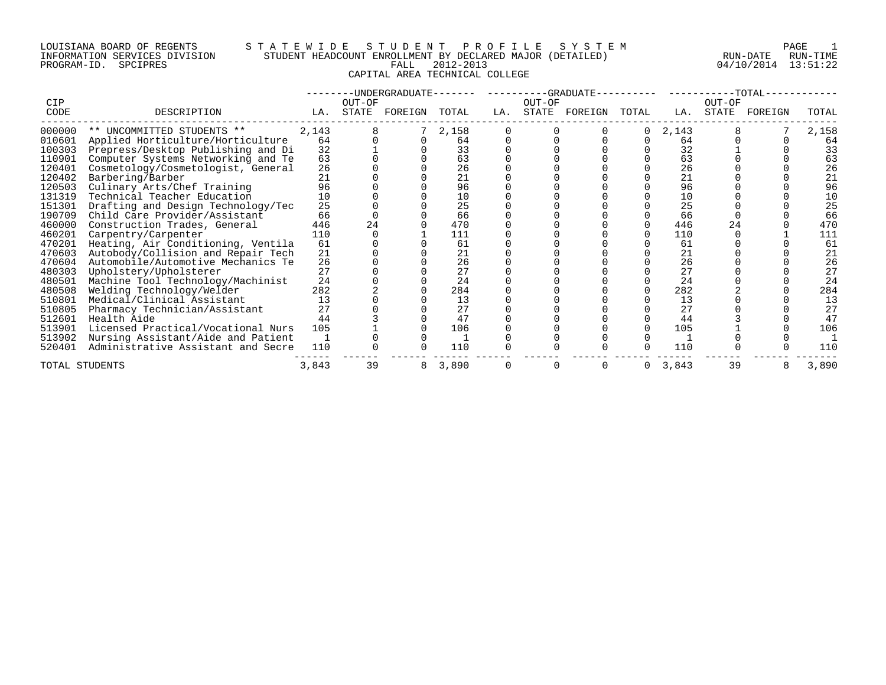# LOUISIANA BOARD OF REGENTS S T A T E W I D E S T U D E N T P R O F I L E S Y S T E M PAGE 1 INFORMATION SERVICES DIVISION STUDENT HEADCOUNT ENROLLMENT BY DECLARED MAJOR (DETAILED) RUN-DATE RUN-TIME PROGRAM-ID. SPCIPRES FALL 2012-2013 04/10/2014 13:51:22 CAPITAL AREA TECHNICAL COLLEGE

|             |                                    |       |                 | -UNDERGRADUATE------- |       |     |        | $-GRADUATE---------$ |       |       |                 | -TOTAL- |       |
|-------------|------------------------------------|-------|-----------------|-----------------------|-------|-----|--------|----------------------|-------|-------|-----------------|---------|-------|
| CIP<br>CODE | DESCRIPTION                        | LA.   | OUT-OF<br>STATE | FOREIGN               | TOTAL | LA. | OUT-OF | STATE FOREIGN        | TOTAL | LA.   | OUT-OF<br>STATE | FOREIGN | TOTAL |
| 000000      | ** UNCOMMITTED STUDENTS **         | 2,143 |                 |                       | 2,158 |     |        |                      | 0     | 2,143 |                 |         | 2,158 |
| 010601      | Applied Horticulture/Horticulture  | 64    |                 |                       | 64    |     |        |                      |       | 64    |                 |         | 64    |
| 100303      | Prepress/Desktop Publishing and Di | 32    |                 |                       | 33    |     |        |                      |       | 32    |                 |         | 33    |
| 110901      | Computer Systems Networking and Te | 63    |                 |                       | 63    |     |        |                      |       | 63    |                 |         | 63    |
| 120401      | Cosmetology/Cosmetologist, General | 26    |                 |                       | 26    |     |        |                      |       | 26    |                 |         | 26    |
| 120402      | Barbering/Barber                   | 21    |                 |                       | 21    |     |        |                      |       | 21    |                 |         | 21    |
| 120503      | Culinary Arts/Chef Training        | 96    |                 |                       | 96    |     |        |                      |       | 96    |                 |         | 96    |
| 131319      | Technical Teacher Education        | 10    |                 |                       | 10    |     |        |                      |       | 10    |                 |         | 10    |
| 151301      | Drafting and Design Technology/Tec | 25    |                 |                       | 25    |     |        |                      |       | 25    |                 |         | 25    |
| 190709      | Child Care Provider/Assistant      | 66    |                 |                       | 66    |     |        |                      |       | 66    |                 |         | 66    |
| 460000      | Construction Trades, General       | 446   | 24              |                       | 470   |     |        |                      |       | 446   |                 |         | 470   |
| 460201      | Carpentry/Carpenter                | 110   |                 |                       | 111   |     |        |                      |       | 110   |                 |         | 111   |
| 470201      | Heating, Air Conditioning, Ventila | 61    |                 |                       | 61    |     |        |                      |       | 61    |                 |         | 61    |
| 470603      | Autobody/Collision and Repair Tech | 21    |                 |                       | 21    |     |        |                      |       | 21    |                 |         | 21    |
| 470604      | Automobile/Automotive Mechanics Te | 26    |                 |                       | 26    |     |        |                      |       | 26    |                 |         | 26    |
| 480303      | Upholstery/Upholsterer             | 27    |                 |                       | 27    |     |        |                      |       | 27    |                 |         | 27    |
| 480501      | Machine Tool Technology/Machinist  | 24    |                 |                       | 24    |     |        |                      |       | 24    |                 |         | 24    |
| 480508      | Welding Technology/Welder          | 282   |                 |                       | 284   |     |        |                      |       | 282   |                 |         | 284   |
| 510801      | Medical/Clinical Assistant         | 13    |                 |                       | 13    |     |        |                      |       | 13    |                 |         | 13    |
| 510805      | Pharmacy Technician/Assistant      | 27    |                 |                       | 27    |     |        |                      |       | 27    |                 |         | 27    |
| 512601      | Health Aide                        | 44    |                 |                       | 47    |     |        |                      |       | 44    |                 |         | 47    |
| 513901      | Licensed Practical/Vocational Nurs | 105   |                 |                       | 106   |     |        |                      |       | 105   |                 |         | 106   |
| 513902      | Nursing Assistant/Aide and Patient |       |                 |                       |       |     |        |                      |       |       |                 |         |       |
| 520401      | Administrative Assistant and Secre | 110   |                 |                       | 110   |     |        |                      |       | 110   |                 |         | 110   |
|             | TOTAL STUDENTS                     | 3,843 | 39              | 8                     | 3,890 |     | 0      |                      | 0     | 3,843 | 39              | 8       | 3,890 |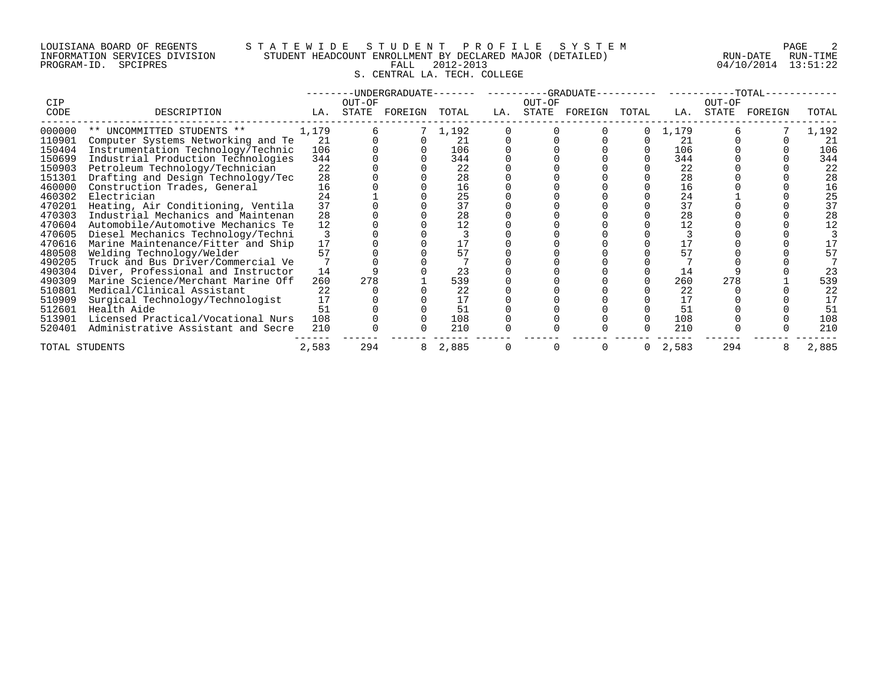PROGRAM-ID. SPCIPRES

# LOUISIANA BOARD OF REGENTS STATEWIDE STUDE STUDENT PROFILE SYSTEM PAGE 2<br>INFORMATION SERVICES DIVISION STUDENT HEADCOUNT ENROLLMENT BY DECLARED MAJOR (DETAILED) RUN-DATE RUN-TIME INFORMATION SERVICES DIVISION STUDENT HEADCOUNT ENROLLMENT BY DECLARED MAJOR (DETAILED) RUN-DATE RUN-DATE RUN-<br>PROGRAM-ID. SPCIPRES PROGRAM-ID. SPCIPRES FALL 2012-2013 FALL 2012-2013 S. CENTRAL LA. TECH. COLLEGE

|        |                                    |       |        | -UNDERGRADUATE--- |         |     |        | ----------GRADUATE-- |             |       |        | $-TOTAL-$ |       |
|--------|------------------------------------|-------|--------|-------------------|---------|-----|--------|----------------------|-------------|-------|--------|-----------|-------|
| CIP    |                                    |       | OUT-OF |                   |         |     | OUT-OF |                      |             |       | OUT-OF |           |       |
| CODE   | DESCRIPTION                        | LA.   |        | STATE FOREIGN     | TOTAL   | LA. |        | STATE FOREIGN        | TOTAL       | LA.   | STATE  | FOREIGN   | TOTAL |
| 000000 | ** UNCOMMITTED STUDENTS **         | 1,179 |        |                   | 7 1,192 |     |        |                      | 0           | 1,179 |        |           | 1,192 |
| 110901 | Computer Systems Networking and Te | 21    |        |                   | 21      |     |        |                      |             | 21    |        |           | 21    |
| 150404 | Instrumentation Technology/Technic | 106   |        |                   | 106     |     |        |                      |             | 106   |        |           | 106   |
| 150699 | Industrial Production Technologies | 344   |        |                   | 344     |     |        |                      |             | 344   |        |           | 344   |
| 150903 | Petroleum Technology/Technician    | 22    |        |                   | 22      |     |        |                      |             | 22    |        |           | 22    |
| 151301 | Drafting and Design Technology/Tec | 28    |        |                   | 28      |     |        |                      |             | 28    |        |           | 28    |
| 460000 | Construction Trades, General       | 16    |        |                   | 16      |     |        |                      |             | 16    |        |           | 16    |
| 460302 | Electrician                        | 24    |        |                   | 25      |     |        |                      |             | 24    |        |           | 25    |
| 470201 | Heating, Air Conditioning, Ventila | 37    |        |                   | 37      |     |        |                      |             | 37    |        |           | 37    |
| 470303 | Industrial Mechanics and Maintenan | 28    |        |                   | 28      |     |        |                      |             | 28    |        |           | 28    |
| 470604 | Automobile/Automotive Mechanics Te | 12    |        |                   | 12      |     |        |                      |             | 12    |        |           | 12    |
| 470605 | Diesel Mechanics Technology/Techni |       |        |                   |         |     |        |                      |             |       |        |           |       |
| 470616 | Marine Maintenance/Fitter and Ship | 17    |        |                   |         |     |        |                      |             |       |        |           |       |
| 480508 | Welding Technology/Welder          | 57    |        |                   | 57      |     |        |                      |             | 57    |        |           | 57    |
| 490205 | Truck and Bus Driver/Commercial Ve |       |        |                   |         |     |        |                      |             |       |        |           |       |
| 490304 | Diver, Professional and Instructor | 14    |        |                   | 23      |     |        |                      |             | 14    |        |           | 23    |
| 490309 | Marine Science/Merchant Marine Off | 260   | 278    |                   | 539     |     |        |                      |             | 260   | 278    |           | 539   |
| 510801 | Medical/Clinical Assistant         | 22    |        |                   | 22      |     |        |                      |             | 22    |        |           | 22    |
| 510909 | Surgical Technology/Technologist   | 17    |        |                   | 17      |     |        |                      |             | 17    |        |           | 17    |
| 512601 | Health Aide                        | 51    |        |                   | 51      |     |        |                      |             | 51    |        |           | 51    |
| 513901 | Licensed Practical/Vocational Nurs | 108   |        |                   | 108     |     |        |                      |             | 108   |        |           | 108   |
| 520401 | Administrative Assistant and Secre | 210   |        |                   | 210     |     |        |                      |             | 210   |        |           | 210   |
|        | TOTAL STUDENTS                     | 2,583 | 294    | 8                 | 2,885   |     |        |                      | $\mathbf 0$ | 2,583 | 294    | 8         | 2,885 |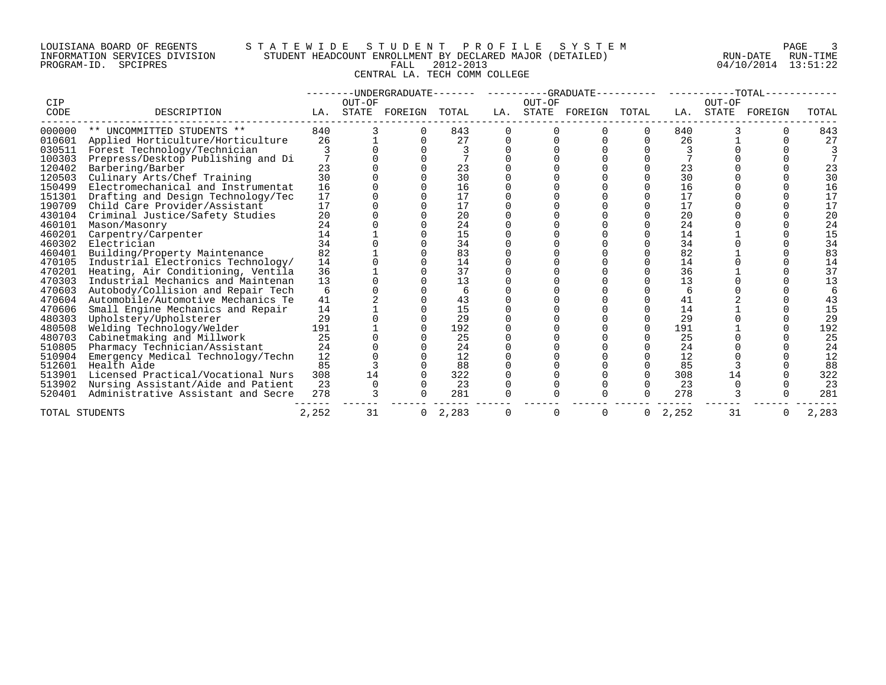# LOUISIANA BOARD OF REGENTS S T A T E W I D E S T U D E N T P R O F I L E S Y S T E M PAGE 3 INFORMATION SERVICES DIVISION STUDENT HEADCOUNT ENROLLMENT BY DECLARED MAJOR (DETAILED) RUN-DATE RUN-TIME PROGRAM-ID. SPCIPRES FALL 2012-2013 04/10/2014 13:51:22 CENTRAL LA. TECH COMM COLLEGE

| CIP            |                                    |       | OUT-OF | -UNDERGRADUATE------- |       |     | OUT-OF   | ----------GRADUATE-- |              |       | OUT-OF | $-TOTAL-$ |       |
|----------------|------------------------------------|-------|--------|-----------------------|-------|-----|----------|----------------------|--------------|-------|--------|-----------|-------|
| CODE           | DESCRIPTION                        | LA.   | STATE  | FOREIGN               | TOTAL | LA. | STATE    | FOREIGN              | TOTAL        | LA.   | STATE  | FOREIGN   | TOTAL |
| 000000         | ** UNCOMMITTED STUDENTS **         | 840   |        |                       | 843   |     |          |                      | 0            | 840   |        |           | 843   |
| 010601         | Applied Horticulture/Horticulture  | 26    |        |                       | 27    |     |          |                      |              | 26    |        |           | 27    |
| 030511         | Forest Technology/Technician       |       |        |                       |       |     |          |                      |              | 3     |        |           |       |
| 100303         | Prepress/Desktop Publishing and Di |       |        |                       |       |     |          |                      |              |       |        |           |       |
| 120402         | Barbering/Barber                   | 23    |        |                       | 23    |     |          |                      |              | 23    |        |           | 23    |
| 120503         | Culinary Arts/Chef Training        | 30    |        |                       | 30    |     |          |                      |              | 30    |        |           | 30    |
| 150499         | Electromechanical and Instrumentat | 16    |        |                       | 16    |     |          |                      |              | 16    |        |           | 16    |
| 151301         | Drafting and Design Technology/Tec | 17    |        |                       | 17    |     |          |                      |              | 17    |        |           | 17    |
| 190709         | Child Care Provider/Assistant      | 17    |        |                       | 17    |     |          |                      |              | 17    |        |           | 17    |
| 430104         | Criminal Justice/Safety Studies    | 20    |        |                       | 20    |     |          |                      |              | 20    |        |           | 20    |
| 460101         | Mason/Masonry                      | 24    |        |                       | 24    |     |          |                      |              | 24    |        |           | 24    |
| 460201         | Carpentry/Carpenter                | 14    |        |                       | 15    |     |          |                      |              | 14    |        |           | 15    |
| 460302         | Electrician                        | 34    |        |                       | 34    |     |          |                      |              | 34    |        |           | 34    |
| 460401         | Building/Property Maintenance      | 82    |        |                       | 83    |     |          |                      |              | 82    |        |           | 83    |
| 470105         | Industrial Electronics Technology/ | 14    |        |                       | 14    |     |          |                      |              | 14    |        |           | 14    |
| 470201         | Heating, Air Conditioning, Ventila | 36    |        |                       | 37    |     |          |                      |              | 36    |        |           | 37    |
| 470303         | Industrial Mechanics and Maintenan | 13    |        |                       | 13    |     |          |                      |              | 13    |        |           | 13    |
| 470603         | Autobody/Collision and Repair Tech | 6     |        |                       | 6     |     |          |                      |              | 6     |        |           |       |
| 470604         | Automobile/Automotive Mechanics Te | 41    |        |                       | 43    |     |          |                      |              | 41    |        |           | 43    |
| 470606         | Small Engine Mechanics and Repair  | 14    |        |                       | 15    |     |          |                      |              | 14    |        |           | 15    |
| 480303         | Upholstery/Upholsterer             | 29    |        |                       | 29    |     |          |                      |              | 29    |        |           | 29    |
| 480508         | Welding Technology/Welder          | 191   |        |                       | 192   |     |          |                      |              | 191   |        |           | 192   |
| 480703         | Cabinetmaking and Millwork         | 25    |        |                       | 25    |     |          |                      |              | 25    |        |           | 25    |
| 510805         | Pharmacy Technician/Assistant      | 24    |        |                       | 24    |     |          |                      |              | 24    |        |           | 24    |
| 510904         | Emergency Medical Technology/Techn | 12    |        |                       | 12    |     |          |                      |              | 12    |        |           | 12    |
| 512601         | Health Aide                        | 85    |        |                       | 88    |     |          |                      |              | 85    |        |           | 88    |
| 513901         | Licensed Practical/Vocational Nurs | 308   | 14     |                       | 322   |     |          |                      | <sup>n</sup> | 308   | 14     |           | 322   |
| 513902         | Nursing Assistant/Aide and Patient | 23    |        |                       | 23    |     |          |                      |              | 23    |        |           | 23    |
| 520401         | Administrative Assistant and Secre | 278   |        |                       | 281   |     |          |                      |              | 278   |        |           | 281   |
| TOTAL STUDENTS |                                    | 2,252 | 31     | 0                     | 2,283 | O   | $\Omega$ |                      | 0            | 2,252 | 31     |           | 2,283 |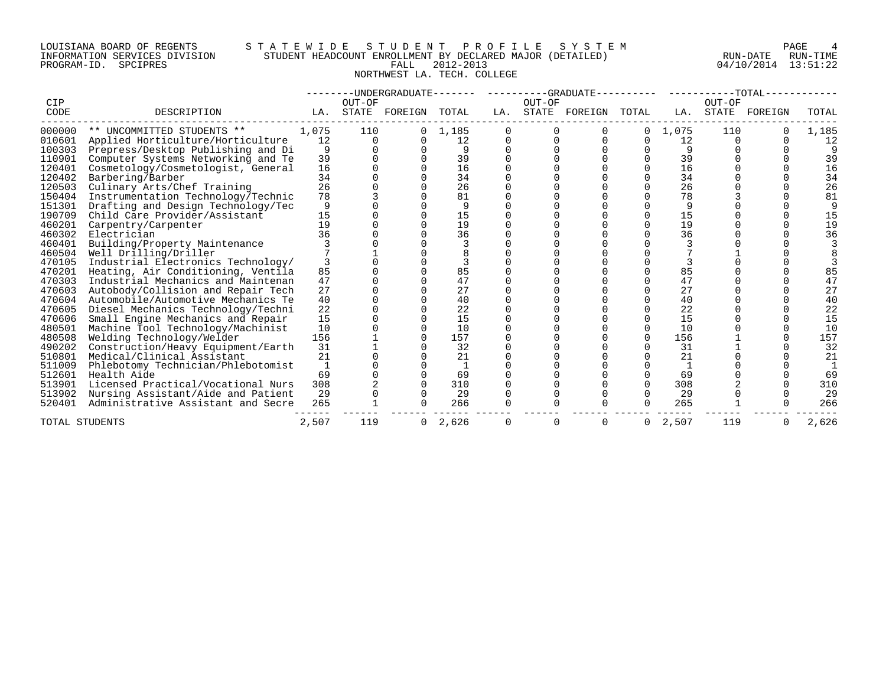# LOUISIANA BOARD OF REGENTS S T A T E W I D E S T U D E N T P R O F I L E S Y S T E M PAGE 4 INFORMATION SERVICES DIVISION STUDENT HEADCOUNT ENROLLMENT BY DECLARED MAJOR (DETAILED) RUN-DATE RUN-TIME PROGRAM-ID. SPCIPRES FALL 2012-2013 04/10/2014 13:51:22 NORTHWEST LA. TECH. COLLEGE

|                  |                                                                 |             |                 | --UNDERGRADUATE------- |             |     |              | ----------GRADUATE-- |                      |             |                 | $-TOTAL-$ |             |
|------------------|-----------------------------------------------------------------|-------------|-----------------|------------------------|-------------|-----|--------------|----------------------|----------------------|-------------|-----------------|-----------|-------------|
| CIP<br>CODE      | DESCRIPTION                                                     | LA.         | OUT-OF<br>STATE | FOREIGN                | TOTAL       | LA. | OUT-OF       | STATE FOREIGN        | TOTAL                | LA.         | OUT-OF<br>STATE | FOREIGN   | TOTAL       |
|                  |                                                                 |             |                 |                        |             |     |              |                      |                      |             |                 |           |             |
| 000000<br>010601 | ** UNCOMMITTED STUDENTS **<br>Applied Horticulture/Horticulture | 1,075<br>12 | 110<br>$\Omega$ |                        | 1,185<br>12 |     |              |                      | $\Omega$<br>$\Omega$ | 1,075<br>12 | 110             |           | 1,185<br>12 |
| 100303           | Prepress/Desktop Publishing and Di                              | 9           |                 |                        |             |     |              |                      |                      | 9           |                 |           |             |
| 110901           | Computer Systems Networking and Te                              | 39          |                 |                        | 39          |     |              |                      |                      | 39          |                 |           | 39          |
| 120401           | Cosmetology/Cosmetologist, General                              | 16          |                 |                        | 16          |     |              |                      |                      | 16          |                 |           | 16          |
| 120402           | Barbering/Barber                                                | 34          |                 |                        | 34          |     |              |                      |                      | 34          |                 |           | 34          |
| 120503           | Culinary Arts/Chef Training                                     | 26          |                 |                        | 26          |     |              |                      |                      | 26          |                 |           | 26          |
| 150404           | Instrumentation Technology/Technic                              | 78          |                 |                        | 81          |     |              |                      |                      | 78          |                 |           | 81          |
| 151301           | Drafting and Design Technology/Tec                              | 9           |                 |                        | q           |     |              |                      |                      |             |                 |           |             |
| 190709           | Child Care Provider/Assistant                                   | 15          |                 |                        | 15          |     |              |                      |                      | 15          |                 |           | 15          |
| 460201           | Carpentry/Carpenter                                             | 19          |                 |                        | 19          |     |              |                      |                      | 19          |                 |           | 19          |
| 460302           | Electrician                                                     | 36          |                 |                        | 36          |     |              |                      |                      | 36          |                 |           | 36          |
| 460401           | Building/Property Maintenance                                   |             |                 |                        |             |     |              |                      |                      |             |                 |           |             |
| 460504           | Well Drilling/Driller                                           |             |                 |                        |             |     |              |                      |                      |             |                 |           |             |
| 470105           | Industrial Electronics Technology/                              |             |                 |                        |             |     |              |                      |                      |             |                 |           |             |
| 470201           | Heating, Air Conditioning, Ventila                              | 85          |                 |                        | 85          |     |              |                      |                      | 85          |                 |           | 85          |
| 470303           | Industrial Mechanics and Maintenan                              | 47          |                 |                        | 47          |     |              |                      |                      | 47          |                 |           | 47          |
| 470603           | Autobody/Collision and Repair Tech                              | 27          |                 |                        | 27          |     |              |                      |                      | 27          |                 |           | 27          |
| 470604           | Automobile/Automotive Mechanics Te                              | 40          |                 |                        | 40          |     |              |                      |                      | 40          |                 |           | 40          |
| 470605           | Diesel Mechanics Technology/Techni                              | 22          |                 |                        | 22          |     |              |                      |                      | 22          |                 |           | 22          |
| 470606           | Small Engine Mechanics and Repair                               | 15          |                 |                        | 15          |     |              |                      |                      | 15          |                 |           | 15          |
| 480501           | Machine Tool Technology/Machinist                               | 10          |                 |                        | 10          |     |              |                      |                      | 10          |                 |           | 10          |
| 480508           | Welding Technology/Welder                                       | 156         |                 |                        | 157         |     |              |                      |                      | 156         |                 |           | 157         |
| 490202           | Construction/Heavy Equipment/Earth                              | 31          |                 |                        | 32          |     |              |                      |                      | 31          |                 |           | 32          |
| 510801           | Medical/Clinical Assistant                                      | 21          |                 |                        | 21          |     |              |                      |                      | 21          |                 |           | 21          |
| 511009           | Phlebotomy Technician/Phlebotomist                              |             |                 |                        |             |     |              |                      |                      |             |                 |           |             |
| 512601           | Health Aide                                                     | 69          |                 |                        | 69          |     |              |                      |                      | 69          |                 |           | 69          |
| 513901           | Licensed Practical/Vocational Nurs                              | 308         |                 |                        | 310         |     |              |                      |                      | 308         |                 |           | 310         |
| 513902           | Nursing Assistant/Aide and Patient                              | 29          |                 |                        | 29          |     |              |                      |                      | 29          |                 |           | 29          |
| 520401           | Administrative Assistant and Secre                              | 265         |                 |                        | 266         |     |              |                      |                      | 265         |                 |           | 266         |
| TOTAL STUDENTS   |                                                                 | 2,507       | 119             |                        | 2,626       |     | <sup>0</sup> |                      | $\Omega$             | 2,507       | 119             |           | 2,626       |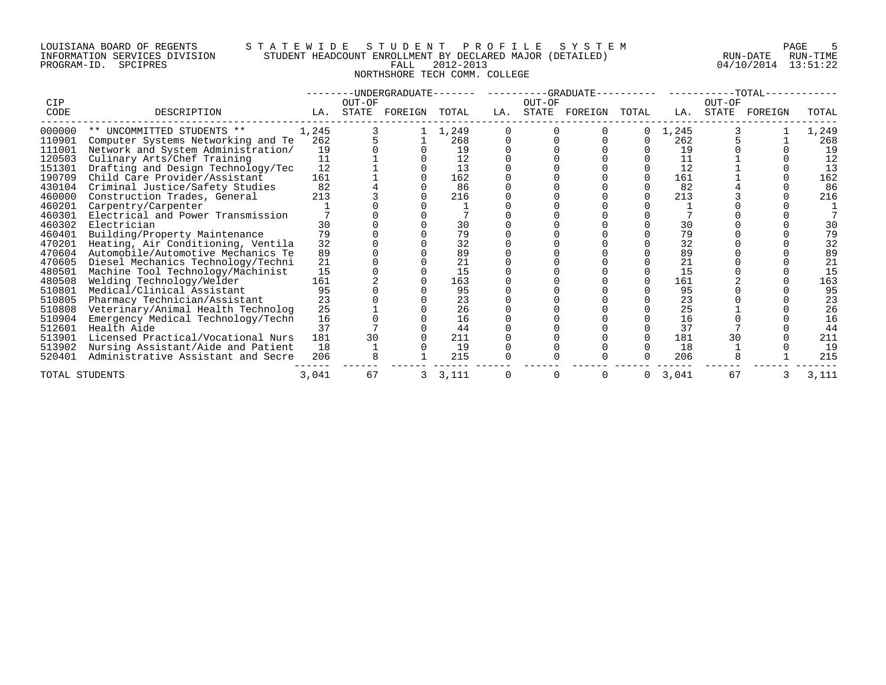# LOUISIANA BOARD OF REGENTS S T A T E W I D E S T U D E N T P R O F I L E S Y S T E M PAGE 5 INFORMATION SERVICES DIVISION STUDENT HEADCOUNT ENROLLMENT BY DECLARED MAJOR (DETAILED) RUN-DATE RUN-TIME PROGRAM-ID. SPCIPRES FALL 2012-2013 04/10/2014 13:51:22 NORTHSHORE TECH COMM. COLLEGE

| CIP            |                                    |       | OUT-OF | --------UNDERGRADUATE------- |         |     | OUT-OF | ----------GRADUATE---------- |              |       | OUT-OF | $-$ -TOTAL $-$ |       |
|----------------|------------------------------------|-------|--------|------------------------------|---------|-----|--------|------------------------------|--------------|-------|--------|----------------|-------|
| CODE           | DESCRIPTION                        | LA.   | STATE  | FOREIGN                      | TOTAL   | LA. | STATE  | FOREIGN                      | TOTAL        | LA.   | STATE  | FOREIGN        | TOTAL |
| 000000         | ** UNCOMMITTED STUDENTS **         | 1,245 |        |                              | 1,249   |     |        |                              | $\Omega$     | 1,245 |        |                | 1,249 |
| 110901         | Computer Systems Networking and Te | 262   |        |                              | 268     |     |        |                              | 0            | 262   |        |                | 268   |
| 111001         | Network and System Administration/ | 19    |        |                              | 19      |     |        |                              |              | 19    |        |                | 19    |
| 120503         | Culinary Arts/Chef Training        | 11    |        |                              | 12      |     |        |                              |              | 11    |        |                | 12    |
| 151301         | Drafting and Design Technology/Tec | 12    |        |                              | 13      |     |        |                              |              | 12    |        |                | 13    |
| 190709         | Child Care Provider/Assistant      | 161   |        |                              | 162     |     |        |                              |              | 161   |        |                | 162   |
| 430104         | Criminal Justice/Safety Studies    | 82    |        |                              | 86      |     |        |                              |              | 82    |        |                | 86    |
| 460000         | Construction Trades, General       | 213   |        |                              | 216     |     |        |                              |              | 213   |        |                | 216   |
| 460201         | Carpentry/Carpenter                |       |        |                              |         |     |        |                              |              |       |        |                |       |
| 460301         | Electrical and Power Transmission  |       |        |                              |         |     |        |                              |              |       |        |                |       |
| 460302         | Electrician                        | 30    |        |                              | 30      |     |        |                              |              | 30    |        |                | 30    |
| 460401         | Building/Property Maintenance      | 79    |        |                              | 79      |     |        |                              |              | 79    |        |                | 79    |
| 470201         | Heating, Air Conditioning, Ventila | 32    |        |                              | 32      |     |        |                              |              | 32    |        |                | 32    |
| 470604         | Automobile/Automotive Mechanics Te | 89    |        |                              | 89      |     |        |                              |              | 89    |        |                | 89    |
| 470605         | Diesel Mechanics Technology/Techni | 21    |        |                              | 21      |     |        |                              |              | 21    |        |                | 21    |
| 480501         | Machine Tool Technology/Machinist  | 15    |        |                              | 15      |     |        |                              |              | 15    |        |                | 15    |
| 480508         | Welding Technology/Welder          | 161   |        |                              | 163     |     |        |                              |              | 161   |        |                | 163   |
| 510801         | Medical/Clinical Assistant         | 95    |        |                              | 95      |     |        |                              |              | 95    |        |                | 95    |
| 510805         | Pharmacy Technician/Assistant      | 23    |        |                              | 23      |     |        |                              |              | 23    |        |                | 23    |
| 510808         | Veterinary/Animal Health Technolog | 25    |        |                              | 26      |     |        |                              |              | 25    |        |                | 26    |
| 510904         | Emergency Medical Technology/Techn | 16    |        |                              | 16      |     |        |                              |              | 16    |        |                | 16    |
| 512601         | Health Aide                        | 37    |        |                              | 44      |     |        |                              |              | 37    |        |                | 44    |
| 513901         | Licensed Practical/Vocational Nurs | 181   | 30     |                              | 211     |     |        |                              |              | 181   | 30     |                | 211   |
| 513902         | Nursing Assistant/Aide and Patient | 18    |        |                              | 19      |     |        |                              |              | 18    |        |                | 19    |
| 520401         | Administrative Assistant and Secre | 206   |        |                              | 215     |     |        |                              |              | 206   |        |                | 215   |
| TOTAL STUDENTS |                                    | 3,041 | 67     |                              | 3 3,111 |     |        |                              | $\mathbf{0}$ | 3,041 | 67     |                | 3,111 |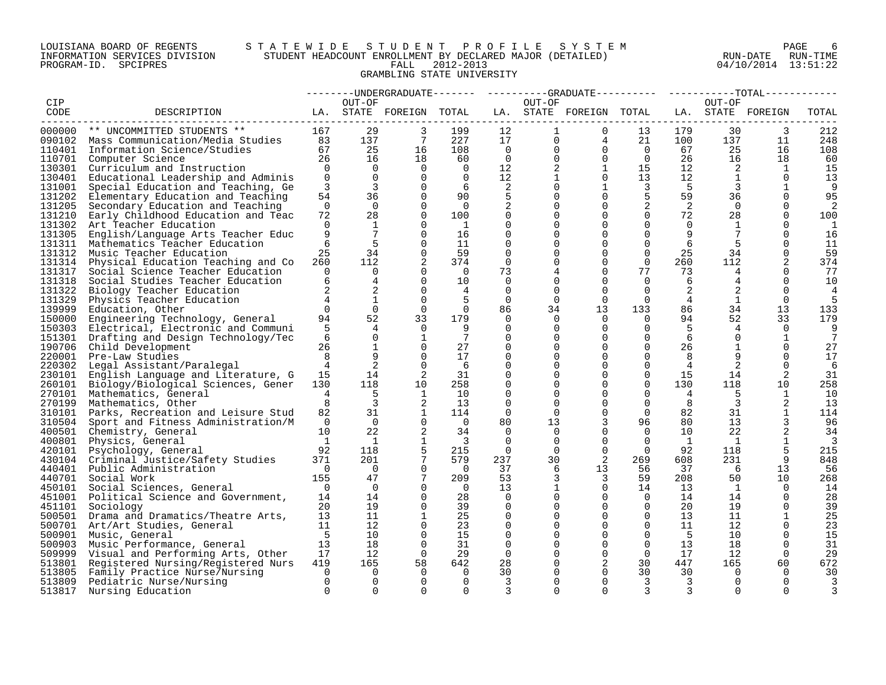# LOUISIANA BOARD OF REGENTS S T A T E W I D E S T U D E N T P R O F I L E S Y S T E M PAGE 6 INFORMATION SERVICES DIVISION STUDENT HEADCOUNT ENROLLMENT BY DECLARED MAJOR (DETAILED) RUN-DATE RUN-TIME PROGRAM-ID. SPCIPRES FALL 2012-2013 04/10/2014 13:51:22 GRAMBLING STATE UNIVERSITY

|        |                                                                                 |                 |                       |                         |                         |                      |                      | --------UNDERGRADUATE-------  ---------GRADUATE---------  ----------TOTAL------ |                      |                            |                         |                   |                |
|--------|---------------------------------------------------------------------------------|-----------------|-----------------------|-------------------------|-------------------------|----------------------|----------------------|---------------------------------------------------------------------------------|----------------------|----------------------------|-------------------------|-------------------|----------------|
| CIP    |                                                                                 |                 | OUT-OF                |                         |                         |                      | OUT-OF               |                                                                                 |                      |                            | OUT-OF                  |                   |                |
| CODE   | DESCRIPTION                                                                     |                 |                       | LA. STATE FOREIGN TOTAL |                         |                      |                      | LA. STATE FOREIGN TOTAL                                                         |                      |                            |                         | LA. STATE FOREIGN | TOTAL          |
|        | ----------------------------                                                    |                 |                       |                         |                         |                      |                      |                                                                                 |                      |                            | ------------------      |                   |                |
| 000000 | ** UNCOMMITTED STUDENTS **                                                      | 167             | 29                    | 3                       | 199                     | 12                   | $\mathbf{1}$         | $\Omega$                                                                        | 13                   | 179                        | 30                      | 3                 | 212            |
|        | 090102 Mass Communication/Media Studies 83                                      |                 | 137                   | $7\phantom{.0}$         | 227                     | 17                   | $\overline{0}$       | $4\overline{ }$                                                                 | 21                   | 100                        | 137                     | 11                | 248            |
|        | 110401 Information Science/Studies                                              | 67              | 25                    | 16                      | 108                     | $\overline{0}$       | $\mathbf{0}$         | $\mathbf{0}$                                                                    | $\overline{0}$       | 67                         | 25                      | 16                | 108            |
| 110701 | Computer Science                                                                | 26              | 16                    | 18                      | 60                      | $\overline{0}$       | $\overline{0}$       | $\overline{0}$                                                                  | $\overline{0}$       | 26                         | 16                      | 18                | 60             |
|        | 130301 Curriculum and Instruction                                               | $\overline{0}$  | $\Omega$              | $\Omega$                | $\overline{0}$          | 12 <sup>°</sup>      | $\overline{2}$       | $\mathbf{1}$                                                                    | 15                   | 12 <sup>°</sup>            | $\overline{2}$          | 1                 | 15             |
| 130401 | Educational Leadership and Adminis                                              | $\overline{0}$  | $\Omega$              | $\Omega$                | $\Omega$                | 12 <sup>°</sup>      | $\mathbf{1}$         | $\Omega$                                                                        | 13                   | 12                         | <sup>1</sup>            | $\Omega$          | 13             |
| 131001 | Special Education and Teaching, Ge                                              | 3               | $\overline{3}$        | $\Omega$                | 6                       | 2                    |                      | $\mathbf 1$                                                                     | $\overline{3}$       | $\overline{\phantom{0}}$ 5 | $\overline{3}$          | 1                 | -9             |
| 131202 | Elementary Education and Teaching                                               | 54              | 36                    | $\Omega$                | 90                      | 5                    |                      | $\Omega$                                                                        | 5                    | 59                         | 36                      | $\Omega$          | 95             |
| 131205 | Secondary Education and Teaching                                                | $\overline{0}$  | $\overline{0}$        | $\Omega$                | $\overline{0}$          | 2                    | 0                    | $\Omega$                                                                        | 2                    | 2                          | $\overline{0}$          |                   | 2              |
| 131210 | Early Childhood Education and Teac                                              | 72              | 28                    | $\Omega$                | 100                     | $\mathbf 0$          |                      | $\Omega$                                                                        | $\Omega$             | 72                         | 28                      | $\Omega$          | 100            |
| 131302 | Art Teacher Education                                                           | $\Omega$        | $\mathbf{1}$          | $\Omega$                | $\mathbf{1}$            | $\mathbf 0$          |                      | $\Omega$                                                                        | $\Omega$             | $\Omega$                   | 1                       | $\Omega$          | 1              |
| 131305 | English/Language Arts Teacher Educ                                              | 9               | $7\phantom{.0}$       | $\Omega$                | 16                      | $\Omega$             |                      | $\Omega$                                                                        | $\Omega$             | 9                          | $7\phantom{.0}$         | $\Omega$          | 16             |
| 131311 | Mathematics Teacher Education                                                   | 6               | 5                     | $\Omega$                | 11                      | $\mathbf 0$          |                      | $\Omega$                                                                        | $\mathbf 0$          | 6                          | 5                       | $\Omega$          | 11             |
| 131312 | Music Teacher Education                                                         | 25              | 34                    | $\Omega$                | 59                      | $\mathbf 0$          |                      | $\Omega$                                                                        | $\mathbf 0$          | 25                         | 34                      | $\Omega$          | 59             |
| 131314 | Physical Education Teaching and Co                                              | 260             | 112                   | 2                       | 374                     | $\Omega$             |                      | $\Omega$                                                                        | $\Omega$             | 260                        | 112                     |                   | 374            |
| 131317 | Social Science Teacher Education                                                | $\mathbf 0$     | $\overline{0}$        | $\Omega$                | $\overline{0}$          | 73                   |                      | $\Omega$                                                                        | 77                   | 73                         | 4                       | $\Omega$          | 77             |
| 131318 | Social Studies Teacher Education                                                | 6               | $\overline{4}$        | $\Omega$                | 10                      | $\Omega$             | 0                    | $\Omega$                                                                        | $\Omega$             | -6                         | 4                       | $\Omega$          | 10             |
| 131322 | Biology Teacher Education                                                       | $\overline{2}$  | 2                     | $\mathbf 0$             | $\overline{4}$          | $\overline{0}$       | $\Omega$             | $\Omega$                                                                        | $\Omega$             | 2                          |                         | $\Omega$          | 4              |
| 131329 | Physics Teacher Education                                                       | $4\overline{ }$ | $\mathbf{1}$          | $\Omega$                |                         | $\Omega$             | $\Omega$             | $\Omega$                                                                        | $\Omega$             | $4\overline{ }$            | 1                       | $\Omega$          | 5              |
| 139999 | Education, Other                                                                | $\Omega$        | $\Omega$              | $\Omega$<br>33          | $\Omega$                | 86                   | 34                   | 13<br>$\Omega$                                                                  | 133                  | 86                         | 34                      | 13                | 133            |
| 150000 | Engineering Technology, General                                                 | 94<br>5         | 52<br>$4\overline{ }$ | $\Omega$                | 179<br>-9               | $\Omega$<br>$\Omega$ | $\Omega$<br>$\Omega$ | $\Omega$                                                                        | $\Omega$<br>$\Omega$ | 94<br>5                    | 52                      | 33<br>$\Omega$    | 179<br>9       |
| 150303 | Electrical, Electronic and Communi<br>151301 Drafting and Design Technology/Tec | 6               | $\Omega$              | 1                       | $7\phantom{.0}$         | $\Omega$             |                      | $\Omega$                                                                        | $\Omega$             | -6                         | 4<br>$\Omega$           |                   | 7              |
|        | 190706 Child Development                                                        | 26              | $\mathbf{1}$          | $\Omega$                | 27                      | 0                    |                      | 0                                                                               | 0                    | 26                         | 1                       | 0                 | 27             |
|        | 220001 Pre-Law Studies                                                          | 8               | 9                     | $\Omega$                | 17                      | $\Omega$             |                      | $\Omega$                                                                        | $\Omega$             | 8                          | 9                       |                   | 17             |
|        | 220302 Legal Assistant/Paralegal                                                | $\overline{4}$  | 2                     | $\Omega$                | -6                      | $\Omega$             |                      | $\Omega$                                                                        | $\Omega$             | 4                          | 2                       | $\Omega$          | 6              |
|        | 230101 English Language and Literature, G                                       | 15              | 14                    | 2                       | 31                      | $\Omega$             |                      | $\Omega$                                                                        | $\mathbf 0$          | 15                         | 14                      | 2                 | 31             |
|        | 260101 Biology/Biological Sciences, Gener                                       | 130             | 118                   | 10                      | 258                     | $\Omega$             |                      | $\Omega$                                                                        | $\Omega$             | 130                        | 118                     | 10                | 258            |
| 270101 | Mathematics, General                                                            | $\overline{4}$  | 5                     | $\mathbf{1}$            | 10                      | $\mathbf 0$          |                      | $\Omega$                                                                        | $\mathbf 0$          | $\overline{4}$             | -5                      | 1                 | 10             |
|        | 270199 Mathematics, Other                                                       | 8               | $\overline{3}$        | 2                       | 13                      | $\Omega$             | $\Omega$             | $\Omega$                                                                        | $\Omega$             | 8                          | $\overline{\mathbf{3}}$ | 2                 | 13             |
| 310101 | Parks, Recreation and Leisure Stud                                              | 82              | 31                    | $\mathbf{1}$            | 114                     | $\Omega$             | $\Omega$             | $\Omega$                                                                        | $\Omega$             | 82                         | 31                      | 1                 | 114            |
| 310504 | Sport and Fitness Administration/M                                              | $\overline{0}$  | $\Omega$              | $\Omega$                | $\Omega$                | 80                   | 13                   | 3                                                                               | 96                   | 80                         | 13 <sup>7</sup>         | 3                 | 96             |
|        | 400501 Chemistry, General                                                       | 10 <sup>°</sup> | 22                    | 2                       | 34                      | $\Omega$             | $\Omega$             | $\Omega$                                                                        | $\overline{0}$       | 10                         | 22                      |                   | 34             |
|        | 400801 Physics, General                                                         | $\mathbf{1}$    | 1                     | $\mathbf{1}$            | $\overline{\mathbf{3}}$ | $\Omega$             | $\Omega$             | $\Omega$                                                                        | $\overline{0}$       | $\mathbf{1}$               | $\mathbf{1}$            | 1                 | $\overline{3}$ |
|        | 420101 Psychology, General                                                      | 92              | 118                   | 5                       | 215                     | $\Omega$             | $\Omega$             | $\Omega$                                                                        | $\Omega$             | 92                         | 118                     | 5                 | 215            |
|        | 430104 Criminal Justice/Safety Studies                                          | 371             | 201                   | $7\phantom{.0}$         | 579                     | 237                  | 30                   | 2                                                                               | 269                  | 608                        | 231                     | 9                 | 848            |
|        | 440401 Public Administration                                                    | $\Omega$        | $\Omega$              | $\Omega$                | $\bigcirc$              | 37                   | 6                    | 13                                                                              | 56                   | 37                         | - 6                     | 13                | -56            |
|        | 440701 Social Work                                                              | 155             | 47                    | 7                       | 209                     | 53                   | 3                    | 3                                                                               | 59                   | 208                        | 50                      | 10                | 268            |
|        | 450101 Social Sciences, General                                                 | $\overline{0}$  | $\Omega$              | $\Omega$                | $\Omega$                | 13                   | $\mathbf{1}$         | $\Omega$                                                                        | 14                   | 13                         | $\mathbf{1}$            | $\Omega$          | 14             |
|        | 451001 Political Science and Government,                                        | 14              | 14                    | $\Omega$                | 28                      | $\mathbf 0$          | $\Omega$             | $\Omega$                                                                        | $\overline{0}$       | 14                         | 14                      | $\Omega$          | 28             |
|        | 451101 Sociology                                                                | 20              | 19                    | $\Omega$                | 39                      | 0                    |                      | $\mathbf 0$                                                                     | $\overline{0}$       | 20                         | 19                      | $\Omega$          | 39             |
|        | 500501 Drama and Dramatics/Theatre Arts,                                        | 13              | 11                    | 1                       | 25                      | 0                    |                      | $\Omega$                                                                        | $\overline{0}$       | 13                         | 11                      |                   | 25             |
|        | 500701 Art/Art Studies, General                                                 | 11              | 12                    | $\Omega$                | 23                      | $\Omega$             |                      | $\Omega$                                                                        | $\Omega$             | 11                         | 12                      | $\Omega$          | 23             |
|        | 500901 Music, General                                                           | $-5$            | 10                    | $\Omega$                | 15                      | $\Omega$             |                      | $\Omega$                                                                        | $\Omega$             | - 5                        | 10                      | $\Omega$          | 15             |
|        | 500903 Music Performance, General                                               | 13              | 18                    | $\mathbf 0$             | 31                      | $\mathbf 0$          |                      | $\mathbf 0$                                                                     | $\overline{0}$       | 13 <sup>°</sup>            | 18                      | $\Omega$          | 31             |
|        | 509999 Visual and Performing Arts, Other                                        | 17              | 12                    | $\Omega$                | 29                      | $\Omega$             |                      | $\Omega$                                                                        | $\Omega$             | 17                         | 12                      | $\Omega$          | 29             |
|        | 513801 Registered Nursing/Registered Nurs                                       | 419             | 165                   | 58                      | 642                     | 28                   |                      | 2                                                                               | 30                   | 447                        | 165                     | 60                | 672            |
| 513805 | Family Practice Nurse/Nursing                                                   | $\overline{0}$  | $\Omega$              | $\Omega$                | $\Omega$                | 30                   |                      | $\Omega$                                                                        | 30                   | 30                         | $\Omega$                | $\Omega$          | 30             |
| 513809 | Pediatric Nurse/Nursing                                                         | $\Omega$        | $\Omega$              | $\Omega$                | $\Omega$                | 3                    |                      | $\Omega$                                                                        | 3                    | 3                          | $\Omega$                | $\Omega$          |                |
| 513817 | Nursing Education                                                               | $\cap$          | $\Omega$              | $\cap$                  | $\Omega$                | 3                    | $\cap$               | $\cap$                                                                          | 3                    | 3                          | $\cap$                  |                   |                |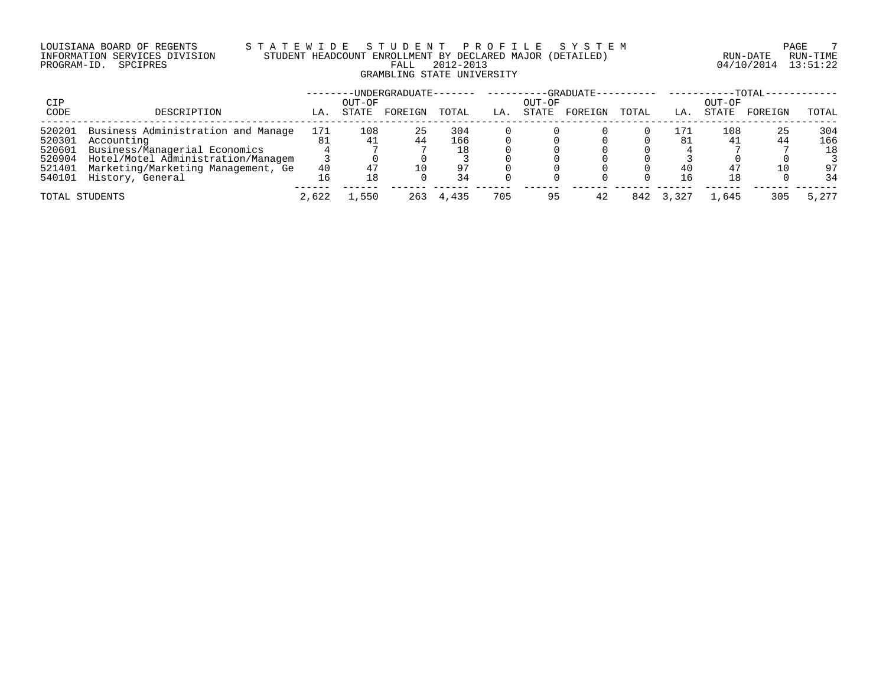# LOUISIANA BOARD OF REGENTS S T A T E W I D E S T U D E N T P R O F I L E S Y S T E M PAGE 7 INFORMATION SERVICES DIVISION STUDENT HEADCOUNT ENROLLMENT BY DECLARED MAJOR (DETAILED) RUN-DATE RUN-TIME PROGRAM-ID. SPCIPRES FALL 2012-2013 04/10/2014 13:51:22 GRAMBLING STATE UNIVERSITY

|                |                                    |       |                 | ·UNDERGRADUATE- |       |     |                 | -GRADUATE-- |       |       |                 | $-TOTAL-$ |       |
|----------------|------------------------------------|-------|-----------------|-----------------|-------|-----|-----------------|-------------|-------|-------|-----------------|-----------|-------|
| CIP<br>CODE    | DESCRIPTION                        | LA.   | OUT-OF<br>STATE | FOREIGN         | TOTAL | LA. | OUT-OF<br>STATE | FOREIGN     | TOTAL | LA.   | OUT-OF<br>STATE | FOREIGN   | TOTAL |
| 520201         | Business Administration and Manage | 171   | 108             | 25              | 304   |     |                 |             |       | 171   | 108             | 25        | 304   |
| 520301         | Accounting                         |       | 41              | 44              | 166   |     |                 |             |       | 81    | 41              | 44        | 166   |
| 520601         | Business/Managerial Economics      |       |                 |                 | 18    |     |                 |             |       |       |                 |           | 18    |
| 520904         | Hotel/Motel Administration/Managem |       |                 |                 |       |     |                 |             |       |       |                 |           |       |
| 521401         | Marketing/Marketing Management, Ge | 40    |                 | 10              | 97    |     |                 |             |       | 40    | 47              | 10        | 97    |
| 540101         | History, General                   |       | 18              |                 | 34    |     |                 |             |       |       | 18              |           | 34    |
| TOTAL STUDENTS |                                    | 2,622 | .,550           | 263             | 4,435 | 705 | 95              | 42          | 842   | 3,327 | 1,645           | 305       | 5,277 |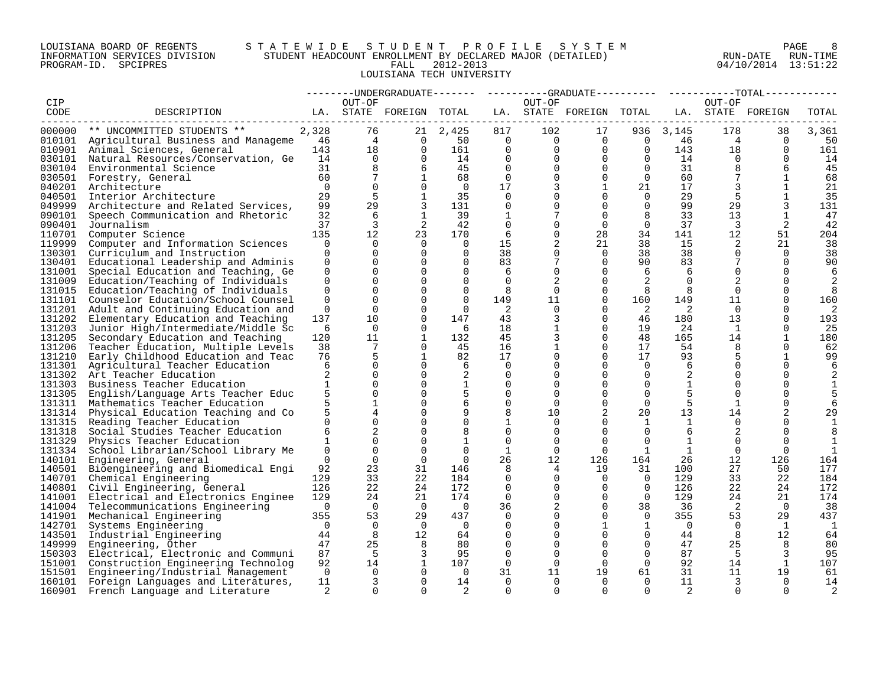# LOUISIANA BOARD OF REGENTS S T A T E W I D E S T U D E N T P R O F I L E S Y S T E M PAGE 8 INFORMATION SERVICES DIVISION STUDENT HEADCOUNT ENROLLMENT BY DECLARED MAJOR (DETAILED) RUN-DATE RUN-TIME PROGRAM-ID. SPCIPRES FALL 2012-2013 04/10/2014 13:51:22 LOUISIANA TECH UNIVERSITY

|        |                                                                                                                                                    |                |                 |                         |                |                |                | --------UNDERGRADUATE------- ---------GRADUATE---------- ----------TOTAL----- |                |                |                 |                 |                |
|--------|----------------------------------------------------------------------------------------------------------------------------------------------------|----------------|-----------------|-------------------------|----------------|----------------|----------------|-------------------------------------------------------------------------------|----------------|----------------|-----------------|-----------------|----------------|
| CIP    |                                                                                                                                                    |                | OUT-OF          |                         |                |                | OUT-OF         |                                                                               |                |                | OUT-OF          |                 |                |
| CODE   | DESCRIPTION                                                                                                                                        |                |                 | LA. STATE FOREIGN TOTAL |                |                |                | LA. STATE FOREIGN TOTAL LA. STATE FOREIGN                                     |                |                |                 |                 | TOTAL          |
|        | 000000 ** UNCOMMITTED STUDENTS ** 2,328 (0 4 4 0 10101 Agricultural Business and Manageme 46 4 0 10101 Agricultural Business and Manageme 143 18 0 |                |                 |                         |                |                |                |                                                                               |                |                |                 |                 |                |
|        |                                                                                                                                                    |                |                 |                         | 21 2,425       | 817            |                | 102<br>17                                                                     |                | 936 3,145      | 178             | 38              | 3,361          |
|        |                                                                                                                                                    |                |                 |                         | 50             | $\overline{0}$ |                | $\overline{0}$ $\overline{0}$                                                 |                | $0 \t 46$      | $4\overline{4}$ | $\Omega$        | 50             |
|        |                                                                                                                                                    |                |                 |                         | 161            | $\overline{0}$ | $\Omega$       | $\overline{0}$                                                                | $\overline{0}$ | 143            | 18              | $\Omega$        | 161            |
|        | 030101 Natural Resources/Conservation, Ge 14                                                                                                       |                | $\overline{0}$  | $\Omega$                | 14             | $\overline{0}$ | $\Omega$       | $\overline{0}$                                                                | $\overline{0}$ | 14             | $\overline{0}$  | $\Omega$        | 14             |
|        | 030104 Environmental Science                                                                                                                       | 31             | 8               | 6                       | 45             | $\overline{0}$ | $\Omega$       | $\overline{0}$                                                                | $\overline{0}$ | 31             | 8               | 6               | 45             |
|        | 030501 Forestry, General                                                                                                                           | 60             | $7\phantom{.0}$ | $\mathbf{1}$            | 68             | $\Omega$       | $\Omega$       | $\overline{0}$                                                                | $\overline{0}$ | 60             | $7\phantom{.0}$ | 1               | 68             |
|        | 040201 Architecture                                                                                                                                | $\Omega$       | $\Omega$        | $\Omega$                | $\Omega$       | 17             | 3              | $\mathbf{1}$                                                                  | 21             | 17             | 3               | 1               | 21             |
|        | 040501 Interior Architecture                                                                                                                       | 29             | 5               | 1                       | 35             | $\Omega$       | $\Omega$       | $\Omega$                                                                      | $\Omega$       | 29             | 5               | $\overline{1}$  | 35             |
|        | 049999 Architecture and Related Services,                                                                                                          | 99             | 29              | 3                       | 131            | 0              | $\Omega$       | $\overline{0}$                                                                | $\overline{0}$ | 99             | 29              | 3               | 131            |
| 090101 | Speech Communication and Rhetoric                                                                                                                  | 32             | 6               | 1                       | 39             |                |                | $\Omega$                                                                      | 8              | 33             | 13              | 1               | 47             |
| 090401 | Journalism                                                                                                                                         | 37             | $\overline{3}$  | 2                       | 42             | $\mathbf 0$    | 0              | $\Omega$                                                                      | $\overline{0}$ | 37             | $\overline{3}$  | 2               | 42             |
| 110701 | Computer Science                                                                                                                                   | 135            | 12              | 23                      | 170            | 6              | $\Omega$       | 28                                                                            | 34             | 141            | 12              | 51              | 204            |
|        | 119999 Computer and Information Sciences                                                                                                           | $\Omega$       | $\Omega$        | $\Omega$                | $\Omega$       | 15             |                | 21                                                                            | 38             | 15             | 2               | 21              | 38             |
| 130301 | Curriculum and Instruction                                                                                                                         | $\Omega$       | $\Omega$        | $\Omega$                | $\Omega$       | 38             | $\Omega$       | $\Omega$                                                                      | 38             | 38             | $\Omega$        | $\Omega$        | 38             |
|        | 130401 Educational Leadership and Adminis                                                                                                          | 0              | $\Omega$        | $\Omega$                | $\Omega$       | 83             |                | $\Omega$                                                                      | 90             | 83             |                 | $\Omega$        | 90             |
| 131001 | Special Education and Teaching, Ge                                                                                                                 | $\mathbf{0}$   | $\Omega$        | $\Omega$                | $\Omega$       | 6              | $\Omega$       | $\Omega$                                                                      | 6              | 6              | $\Omega$        | $\Omega$        | 6              |
| 131009 | Education/Teaching of Individuals                                                                                                                  | $\Omega$       | $\Omega$        | $\Omega$                | $\Omega$       | $\Omega$       | 2              | $\Omega$                                                                      | 2              | $\Omega$       | 2               | $\Omega$        | 2              |
|        | 131015 Education/Teaching of Individuals                                                                                                           | $\Omega$       | $\Omega$        | $\Omega$                | $\Omega$       | 8              | $\Omega$       | $\Omega$                                                                      | 8              | 8              | $\Omega$        | $\Omega$        | 8              |
| 131101 | Counselor Education/School Counsel                                                                                                                 | $\Omega$       | $\Omega$        | $\Omega$                | $\Omega$       | 149            | 11             | $\Omega$                                                                      | 160            | 149            | 11              | $\Omega$        | 160            |
| 131201 | Adult and Continuing Education and                                                                                                                 | $\Omega$       | $\Omega$        | $\Omega$                | $\Omega$       | - 2            | $\Omega$       | $\Omega$                                                                      | $\overline{2}$ | -2             | $\Omega$        | $\Omega$        | 2              |
| 131202 | Elementary Education and Teaching                                                                                                                  | 137            | 10              | $\Omega$                | 147            | 43             | 3              | $\Omega$                                                                      | 46             | 180            | 13 <sup>°</sup> | $\Omega$        | 193            |
| 131203 | Junior High/Intermediate/Middle Sc                                                                                                                 | 6              | $\overline{0}$  | $\Omega$                | - 6            | 18             |                | 0                                                                             | 19             | 24             | $\mathbf{1}$    | $\Omega$        | -25            |
| 131205 | Secondary Education and Teaching                                                                                                                   | 120            | 11              | $\mathbf{1}$            | 132            | 45             |                | $\Omega$                                                                      | 48             | 165            | 14              | $\overline{1}$  | 180            |
| 131206 | Teacher Education, Multiple Levels                                                                                                                 | 38             | 7               | $\Omega$                | 45             | 16             |                | $\Omega$                                                                      | 17             | 54             | 8               | $\Omega$        | 62             |
|        | 131210 Early Childhood Education and Teac                                                                                                          | 76             | 5               | $\mathbf{1}$            | 82             | 17             | $\Omega$       | $\Omega$                                                                      | 17             | 93             | 5               | $\overline{1}$  | 99             |
| 131301 | Agricultural Teacher Education                                                                                                                     | 6              | $\Omega$        | $\Omega$                | 6              | $\Omega$       | $\Omega$       | $\Omega$                                                                      | $\Omega$       | 6              | $\Omega$        | $\Omega$        | 6              |
|        | 131302 Art Teacher Education                                                                                                                       | 2              | $\Omega$        | $\Omega$                | 2              | 0              | $\Omega$       | $\Omega$                                                                      | $\overline{0}$ | 2              |                 | $\Omega$        | 2              |
| 131303 | Business Teacher Education                                                                                                                         | $\mathbf{1}$   | $\Omega$        | $\Omega$                |                | $\Omega$       | $\Omega$       | $\Omega$                                                                      | $\Omega$       | $\mathbf{1}$   | $\Omega$        |                 | 1              |
| 131305 | English/Language Arts Teacher Educ                                                                                                                 | 5              | $\mathbf 0$     | $\Omega$                |                | $\mathbf 0$    | $\Omega$       | $\Omega$                                                                      | $\Omega$       | 5              | $\Omega$        | $\Omega$        | 5              |
|        | 131311 Mathematics Teacher Education                                                                                                               |                | $\mathbf{1}$    | $\Omega$                |                | $\Omega$       | $\Omega$       | $\Omega$                                                                      | $\Omega$       | 5              | $\overline{1}$  | $\Omega$        | 6              |
|        | 131314 Physical Education Teaching and Co                                                                                                          | 5              |                 | $\Omega$                |                | 8              | 10             | 2                                                                             | 20             | 13             | 14              | 2               | 29             |
|        | 131315 Reading Teacher Education                                                                                                                   | $\cap$         | $\Omega$        | $\Omega$                | $\Omega$       | $\mathbf{1}$   | $\Omega$       | $\Omega$                                                                      | 1              | <sup>1</sup>   | $\Omega$        | $\Omega$        | $\overline{1}$ |
| 131318 | Social Studies Teacher Education                                                                                                                   | 6              | 2               | $\Omega$                |                | $\mathbf 0$    | $\Omega$       | $\Omega$                                                                      | $\Omega$       | 6              | 2               | $\Omega$        | 8              |
| 131329 | Physics Teacher Education                                                                                                                          | $\mathbf{1}$   | $\Omega$        | $\Omega$                | 1              | $\Omega$       | $\Omega$       | $\Omega$                                                                      | $\Omega$       | 1              | $\Omega$        | $\Omega$        | 1              |
| 131334 | School Librarian/School Library Me                                                                                                                 | $\Omega$       | $\Omega$        | $\Omega$                | $\Omega$       | <sup>1</sup>   | $\Omega$       | $\Omega$                                                                      | $\mathbf{1}$   | $\mathbf{1}$   | $\Omega$        | $\Omega$        | 1              |
|        | 140101 Engineering, General                                                                                                                        | $\Omega$       | $\mathbf 0$     | $\Omega$                | $\overline{0}$ | 26             | 12             | 126                                                                           | 164            | 26             | 12              | 126             | 164            |
| 140501 | Bioengineering and Biomedical Engi                                                                                                                 | 92             | 23              | 31                      | 146            | 8              | 4              | 19                                                                            | 31             | 100            | 27              | 50              | 177            |
|        | 140701 Chemical Engineering                                                                                                                        | 129            | 33              | 22                      | 184            | $\Omega$       | $\Omega$       | $\overline{0}$                                                                | $\overline{0}$ | 129            | 33              | 22              | 184            |
|        | 140801 Civil Engineering, General                                                                                                                  | 126            | 22              | 24                      | 172            | $\Omega$       | $\Omega$       | $\overline{0}$                                                                | $\overline{0}$ | 126            | 22              | 24              | 172            |
| 141001 | Electrical and Electronics Enginee                                                                                                                 | 129            | 24              | 21                      | 174            | $\Omega$       | $\Omega$       | $\Omega$                                                                      | $\overline{0}$ | 129            | 24              | 21              | 174            |
|        | 141004 Telecommunications Engineering                                                                                                              | $\overline{0}$ | $\Omega$        | $\overline{0}$          | $\overline{0}$ | 36             | $\overline{2}$ | $\Omega$                                                                      | 38             | - 36           | $\overline{2}$  | $\bigcirc$      | 38             |
|        | 141901 Mechanical Engineering                                                                                                                      | 355            | 53              | 29                      | 437            | $\Omega$       | $\Omega$       | $\Omega$                                                                      | $\overline{0}$ | 355            | 53              | 29              | 437            |
| 142701 | Systems Engineering                                                                                                                                | $\bigcap$      | $\Omega$        | $\bigcap$               | $\bigcap$      | $\Omega$       | $\cap$         | $\mathbf 1$                                                                   | 1              | $\overline{0}$ | $\Omega$        | $\overline{1}$  | - 1            |
| 143501 | Industrial Engineering                                                                                                                             | 44             | 8               | 12                      | 64             | $\Omega$       | $\Omega$       | $\Omega$                                                                      | $\Omega$       | 44             | 8               | 12 <sup>°</sup> | 64             |
| 149999 | Engineering, Other                                                                                                                                 | 47             | 25              | 8                       | 80             | 0              | $\Omega$       | 0                                                                             | $\overline{0}$ | 47             | 25              | 8               | 80             |
|        | 150303 Electrical, Electronic and Communi                                                                                                          | 87             | - 5             |                         | 95             | $\Omega$       | $\Omega$       | $\Omega$                                                                      | $\Omega$       | 87             | - 5             | 3               | 95             |
|        | 151001 Construction Engineering Technolog                                                                                                          | 92             | 14              | $\mathbf{1}$            | 107            | $\mathbf 0$    | $\Omega$       | $\Omega$                                                                      | $\overline{0}$ | 92             | 14              | 1               | 107            |
| 151501 | Engineering/Industrial Management                                                                                                                  | $\Omega$       | $\Omega$        | $\Omega$                | $\bigcap$      | 31             | 11             | 19                                                                            | 61             | 31             | 11              | 19              | 61             |
| 160101 | Foreign Languages and Literatures,                                                                                                                 | 11             | $\overline{3}$  | $\Omega$                | 14             | $\Omega$       | $\Omega$       | $\Omega$                                                                      | $\Omega$       | 11             | 3               | $\Omega$        | 14             |
| 160901 | French Language and Literature                                                                                                                     | 2              | $\cap$          | $\cap$                  | 2              | $\cap$         | $\cap$         | $\cap$                                                                        | $\cap$         | $\overline{2}$ | $\cap$          | $\cap$          | 2              |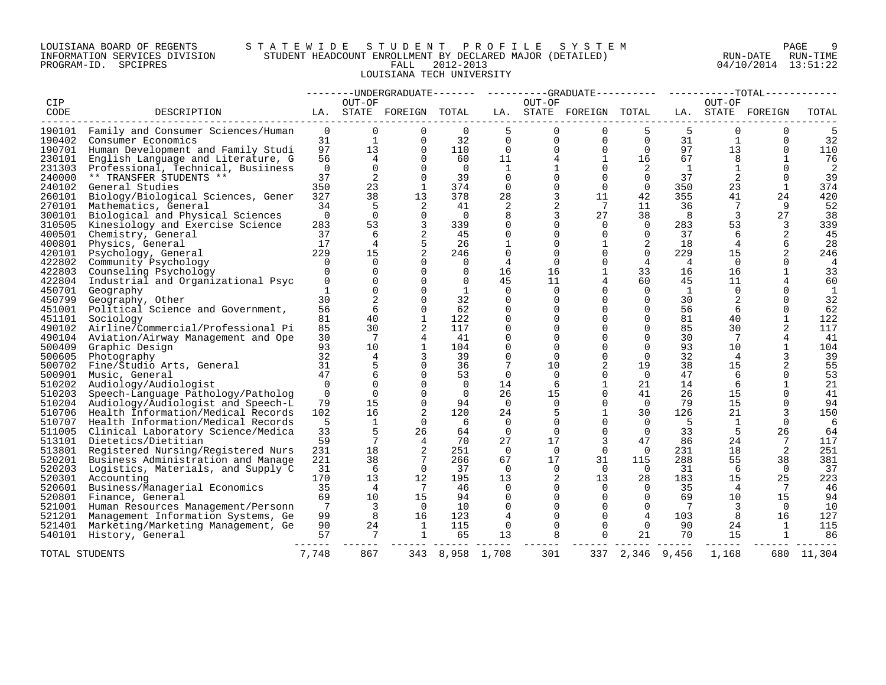## LOUISIANA BOARD OF REGENTS S T A T E W I D E S T U D E N T P R O F I L E S Y S T E M PAGE 9 INFORMATION SERVICES DIVISION STUDENT HEADCOUNT ENROLLMENT BY DECLARED MAJOR (DETAILED) RUN-DATE RUN-TIME PROGRAM-ID. SPCIPRES FALL 2012-2013 04/10/2014 13:51:22 LOUISIANA TECH UNIVERSITY

|        |                                           |          |                 |                         |          |                |              |                         |                | -------- --------- |              | $---TOTAL------$  |                |
|--------|-------------------------------------------|----------|-----------------|-------------------------|----------|----------------|--------------|-------------------------|----------------|--------------------|--------------|-------------------|----------------|
| CIP    |                                           |          | OUT-OF          |                         |          |                | OUT-OF       |                         |                |                    | OUT-OF       |                   |                |
| CODE   | DESCRIPTION                               |          |                 | LA. STATE FOREIGN TOTAL |          |                |              | LA. STATE FOREIGN TOTAL |                |                    |              | LA. STATE FOREIGN | TOTAL          |
| 190101 | Family and Consumer Sciences/Human        | $\Omega$ | $\Omega$        | 0                       | $\Omega$ | 5              | $\Omega$     | $\Omega$                | 5              | 5                  | $\Omega$     | $\Omega$          | 5              |
| 190402 | Consumer Economics                        | 31       | 1               | $\Omega$                | 32       | $\Omega$       | $\Omega$     | $\Omega$                | $\Omega$       | 31                 | 1            | $\Omega$          | 32             |
| 190701 | Human Development and Family Studi        | 97       | 13              | $\Omega$                | 110      | $\Omega$       | $\Omega$     | 0                       | $\Omega$       | 97                 | 13           | $\Omega$          | 110            |
| 230101 | English Language and Literature, G        | 56       | 4               | $\Omega$                | 60       | 11             | 4            | 1                       | 16             | 67                 | 8            | $\mathbf{1}$      | 76             |
| 231303 | Professional, Technical, Busiiness        | $\Omega$ | $\Omega$        | 0                       | - 0      | $\mathbf{1}$   |              | $\Omega$                | 2              | <sup>1</sup>       | $\mathbf{1}$ | $\Omega$          | 2              |
| 240000 | ** TRANSFER STUDENTS **                   | 37       | 2               | $\Omega$                | 39       | $\Omega$       | $\Omega$     | $\Omega$                | $\Omega$       | 37                 | 2            | $\Omega$          | 39             |
| 240102 | General Studies                           | 350      | 23              | 1                       | 374      | $\Omega$       | $\Omega$     | $\Omega$                | $\Omega$       | 350                | 23           | 1                 | 374            |
| 260101 | Biology/Biological Sciences, Gener        | 327      | 38              | 13                      | 378      | 28             | 3            | 11                      | 42             | 355                | 41           | 24                | 420            |
| 270101 | Mathematics, General                      | 34       | 5               | 2                       | 41       | 2              | 2            | 7                       | 11             | 36                 | 7            | 9                 | 52             |
| 300101 | Biological and Physical Sciences          | $\Omega$ | $\Omega$        | $\Omega$                | - 0      | 8              | 3            | 27                      | 38             | 8                  | 3            | 27                | 38             |
| 310505 | Kinesiology and Exercise Science          | 283      | 53              | 3                       | 339      | $\Omega$       | $\Omega$     | $\Omega$                | $\Omega$       | 283                | 53           | 3                 | 339            |
| 400501 | Chemistry, General                        | 37       | 6               | 2                       | 45       | 0              | 0            | $\Omega$                | $\Omega$       | 37                 | 6            | 2                 | 45             |
| 400801 | Physics, General                          | 17       | $\overline{4}$  |                         | 26       |                | $\Omega$     |                         | 2              | 18                 | 4            | 6                 | 28             |
| 420101 | Psychology, General                       | 229      | 15              |                         | 246      | 0              | $\Omega$     | $\Omega$                | $\Omega$       | 229                | 15           |                   | 246            |
| 422802 | Community Psychology                      | $\Omega$ | $\Omega$        | $\Omega$                | $\Omega$ | $\overline{4}$ | $\Omega$     | $\Omega$                | $\overline{4}$ | $\overline{4}$     | $\Omega$     | $\Omega$          | $\overline{4}$ |
| 422803 | Counseling Psychology                     | $\Omega$ | $\Omega$        | $\Omega$                | $\Omega$ | 16             | 16           |                         | 33             | 16                 | 16           |                   | 33             |
| 422804 | Industrial and Organizational Psyc        | $\Omega$ | $\Omega$        | $\Omega$                | $\Omega$ | 45             | 11           | 4                       | 60             | 45                 | 11           |                   | 60             |
| 450701 | Geography                                 | 1        | $\Omega$        | $\Omega$                | 1        | $\Omega$       | $\Omega$     | $\Omega$                | $\Omega$       | <sup>1</sup>       | $\Omega$     | $\Omega$          | 1              |
| 450799 | Geography, Other                          | 30       |                 | $\Omega$                | 32       | $\Omega$       | $\Omega$     | $\Omega$                | $\Omega$       | 30                 | 2            | $\Omega$          | 32             |
| 451001 | Political Science and Government,         | 56       | 6               | $\Omega$                | 62       | $\Omega$       | $\Omega$     | $\Omega$                | $\Omega$       | 56                 | 6            | $\Omega$          | 62             |
| 451101 | Sociology                                 | 81       | 40              | 1                       | 122      | $\Omega$       | <sup>0</sup> | $\Omega$                | $\Omega$       | 81                 | 40           |                   | 122            |
| 490102 | Airline/Commercial/Professional Pi        | 85       | 30              | 2                       | 117      | $\Omega$       | $\Omega$     | $\Omega$                | $\Omega$       | 85                 | 30           |                   | 117            |
| 490104 | Aviation/Airway Management and Ope        | 30       | 7               | 4                       | 41       | $\Omega$       | $\Omega$     | $\Omega$                | $\Omega$       | 30                 |              |                   | 41             |
| 500409 | Graphic Design                            | 93       | 10 <sup>°</sup> | $\mathbf{1}$            | 104      | $\Omega$       | $\Omega$     | $\Omega$                | $\Omega$       | 93                 | 10           | $\mathbf{1}$      | 104            |
| 500605 | Photography                               | 32       | 4               | 3                       | 39       | $\Omega$       | $\Omega$     | $\Omega$                | $\Omega$       | 32                 | 4            |                   | 39             |
| 500702 | Fine/Studio Arts, General                 | 31       | 5               | $\Omega$                | 36       |                | 10           | 2                       | 19             | 38                 | 15           | 2                 | 55             |
| 500901 | Music, General                            | 47       |                 | $\Omega$                | 53       | $\Omega$       | 0            | $\Omega$                | $\Omega$       | 47                 | 6            | $\Omega$          | 53             |
| 510202 | Audiology/Audiologist                     | $\Omega$ | $\Omega$        | $\Omega$                | $\Omega$ | 14             | 6            |                         | 21             | 14                 | 6            |                   | 21             |
| 510203 | Speech-Language Pathology/Patholog        | $\Omega$ | $\Omega$        | $\Omega$                | $\Omega$ | 26             | 15           | $\Omega$                | 41             | 26                 | 15           | $\Omega$          | 41             |
| 510204 | Audiology/Audiologist and Speech-L        | 79       | 15              | $\Omega$                | 94       | $\Omega$       | $\Omega$     | $\Omega$                | $\Omega$       | 79                 | 15           | $\Omega$          | 94             |
| 510706 | Health Information/Medical Records        | 102      | 16              | 2                       | 120      | 24             | 5            |                         | 30             | 126                | 21           |                   | 150            |
| 510707 | Health Information/Medical Records        | 5        | 1               | $\Omega$                | 6        | 0              | 0            | $\Omega$                | $\Omega$       | 5                  | 1            | $\Omega$          | 6              |
|        | 511005 Clinical Laboratory Science/Medica | 33       | 5               | 26                      | 64       | $\Omega$       | $\Omega$     | $\Omega$                | $\Omega$       | 33                 | 5            | 26                | 64             |
| 513101 | Dietetics/Dietitian                       | 59       | 7               | 4                       | 70       | 27             | 17           | 3                       | 47             | 86                 | 24           |                   | 117            |
|        | 513801 Registered Nursing/Registered Nurs | 231      | 18              | 2                       | 251      | $\Omega$       | $\Omega$     | $\Omega$                | $\Omega$       | 231                | 18           | 2                 | 251            |
| 520201 | Business Administration and Manage        | 221      | 38              |                         | 266      | 67             | 17           | 31                      | 115            | 288                | 55           | 38                | 381            |
| 520203 | Logistics, Materials, and Supply C        | 31       | 6               | $\Omega$                | 37       | $\Omega$       | $\Omega$     | $\Omega$                | $\Omega$       | 31                 | 6            | $\Omega$          | 37             |
| 520301 | Accounting                                | 170      | 13              | 12                      | 195      | 13             | 2            | 13                      | 28             | 183                | 15           | 25                | 223            |
| 520601 | Business/Managerial Economics             | 35       | 4               | -7                      | 46       | $\Omega$       | 0            | 0                       | $\Omega$       | 35                 | 4            |                   | 46             |
| 520801 | Finance, General                          | 69       | 10              | 15                      | 94       | $\Omega$       | $\Omega$     | $\Omega$                | $\Omega$       | 69                 | 10           | 15                | 94             |
| 521001 | Human Resources Management/Personn        | 7        | 3               | $\Omega$                | 10       | $\Omega$       | 0            | $\Omega$                | $\Omega$       | 7                  | 3            | $\Omega$          | 10             |
| 521201 | Management Information Systems, Ge        | 99       | 8               | 16                      | 123      | 4              | $\Omega$     | $\Omega$                | 4              | 103                | 8            | 16                | 127            |
| 521401 | Marketing/Marketing Management, Ge        | 90       | 24              | 1                       | 115      | 0              | 0            | 0                       | 0              | 90                 | 24           | 1                 | 115            |
| 540101 | History, General                          | 57       | 7               | 1                       | 65       | 13             | 8            | $\Omega$                | 21             | 70                 | 15           | 1                 | 86             |
|        |                                           |          |                 |                         |          |                |              |                         |                |                    |              |                   |                |
|        | TOTAL STUDENTS                            | 7,748    | 867             | 343                     |          | 8,958 1,708    | 301          | 337                     | 2,346          | 9,456              | 1,168        |                   | 680 11,304     |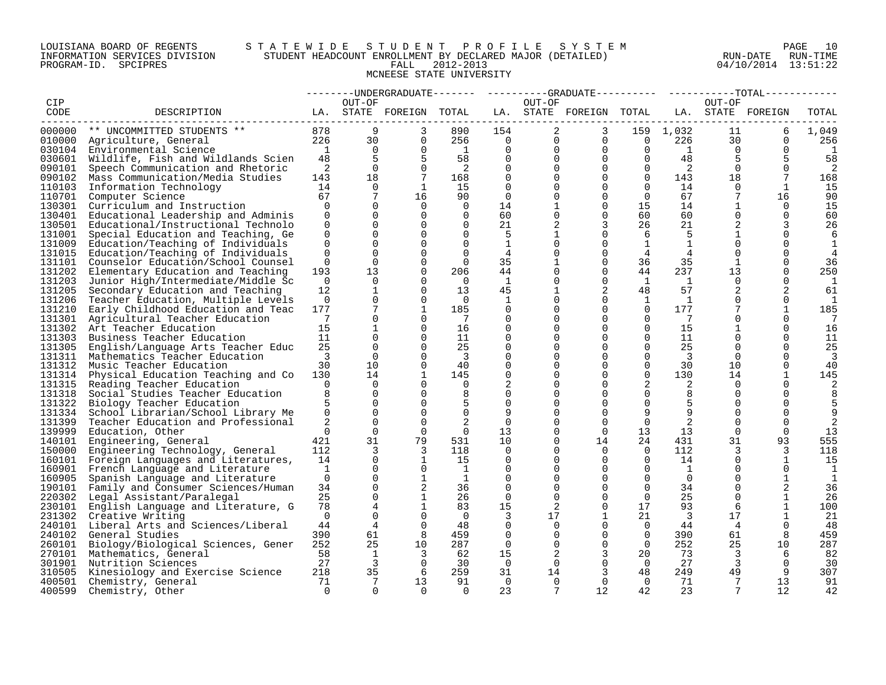# LOUISIANA BOARD OF REGENTS S T A T E W I D E S T U D E N T P R O F I L E S Y S T E M PAGE 10 INFORMATION SERVICES DIVISION STUDENT HEADCOUNT ENROLLMENT BY DECLARED MAJOR (DETAILED) RUN-DATE RUN-TIME PROGRAM-ID. SPCIPRES FALL 2012-2013 04/10/2014 13:51:22 MCNEESE STATE UNIVERSITY

|        |                                           |                |                 |                         |                |                |                 | ---UNDERGRADUATE-------    ---------GRADUATE---------    ----------TOTAL----- |                          |                 |              |                   |             |
|--------|-------------------------------------------|----------------|-----------------|-------------------------|----------------|----------------|-----------------|-------------------------------------------------------------------------------|--------------------------|-----------------|--------------|-------------------|-------------|
| CIP    |                                           |                | OUT-OF          |                         |                |                | OUT-OF          |                                                                               |                          |                 | OUT-OF       |                   |             |
| CODE   | DESCRIPTION                               |                |                 | LA. STATE FOREIGN TOTAL |                |                |                 | LA. STATE FOREIGN TOTAL                                                       |                          |                 |              | LA. STATE FOREIGN | TOTAL       |
|        |                                           |                | 9               |                         |                |                |                 |                                                                               |                          |                 |              |                   |             |
| 000000 | ** UNCOMMITTED STUDENTS **                | 878            |                 | 3                       | 890            | 154            | $\overline{2}$  | 3                                                                             |                          | 159 1,032       | 11           | 6                 | 1,049       |
|        | 010000 Agriculture, General               | 226            | 30              | $\mathbf 0$             | 256            | $\overline{0}$ | $\overline{0}$  | $\overline{0}$                                                                | $\overline{\phantom{0}}$ | 226             | 30           | $\Omega$          | 256         |
|        | 030104 Environmental Science              | $\overline{1}$ | $\Omega$        | $\Omega$                | $\overline{1}$ | $\Omega$       | $\Omega$        | $\Omega$                                                                      | $\overline{0}$           | $\mathbf{1}$    | $\Omega$     | $\Omega$          | -1          |
|        | 030601 Wildlife, Fish and Wildlands Scien | 48             | 5               | 5                       | 58             | $\mathbf 0$    | $\Omega$        | $\overline{0}$                                                                | $\Omega$                 | 48              | 5            | 5                 | 58          |
| 090101 | Speech Communication and Rhetoric         | 2              | $\Omega$        | $\mathbf 0$             | $\overline{2}$ | $\Omega$       |                 | $\mathbf 0$                                                                   | $\overline{0}$           | $\overline{2}$  | $\Omega$     | $\Omega$          | 2           |
| 090102 | Mass Communication/Media Studies          | 143            | 18              | $7\phantom{.0}$         | 168            | $\Omega$       | $\Omega$        | $\Omega$                                                                      | $\overline{0}$           | 143             | 18           | 7                 | 168         |
| 110103 | Information Technology                    | 14             | $\overline{0}$  | $\mathbf{1}$            | 15             | $\Omega$       |                 | $\Omega$                                                                      | $\Omega$                 | 14              | $\Omega$     | $\overline{1}$    | 15          |
|        | 110701 Computer Science                   | 67             | $7\overline{ }$ | 16                      | 90             | $\overline{0}$ |                 | $\Omega$                                                                      | $\overline{0}$           | 67              |              | 16                | 90          |
| 130301 | Curriculum and Instruction                | $\Omega$       | $\Omega$        | $\Omega$                | $\Omega$       | 14             |                 | $\Omega$                                                                      | 15                       | 14              |              | $\Omega$          | 15          |
| 130401 | Educational Leadership and Adminis        | $\Omega$       | $\Omega$        | $\Omega$                | $\Omega$       | 60             |                 | $\Omega$                                                                      | 60                       | 60              | $\Omega$     | $\Omega$          | 60          |
| 130501 | Educational/Instructional Technolo        | $\Omega$       | $\Omega$        | $\Omega$                | $\Omega$       | 21             | 2               | 3                                                                             | 26                       | 21              |              | 3                 | 26          |
| 131001 | Special Education and Teaching, Ge        | $\Omega$       | $\Omega$        | $\Omega$                | $\Omega$       | -5             |                 | $\Omega$                                                                      | 6                        | -5              |              | $\Omega$          | 6           |
| 131009 | Education/Teaching of Individuals         | $\Omega$       | $\Omega$        | $\Omega$                | $\Omega$       | $\mathbf{1}$   |                 | $\Omega$                                                                      | $\mathbf{1}$             | $\mathbf{1}$    | $\Omega$     | $\Omega$          | 1           |
| 131015 | Education/Teaching of Individuals         | $\Omega$       | $\mathbf 0$     | $\Omega$                | $\Omega$       | 4              | 0               | $\Omega$                                                                      | 4                        | 4               | $\Omega$     | $\Omega$          |             |
| 131101 | Counselor Education/School Counsel        | $\Omega$       | $\Omega$        | $\Omega$                | $\Omega$       | 35             |                 | $\Omega$                                                                      | 36                       | 35              | $\mathbf{1}$ | $\Omega$          | 36          |
| 131202 | Elementary Education and Teaching         | 193            | 13              | $\Omega$                | 206            | 44             | 0               | $\Omega$                                                                      | 44                       | 237             | 13           | $\Omega$          | 250         |
| 131203 | Junior High/Intermediate/Middle Sc        | $\Omega$       | $\Omega$        | $\Omega$                | $\cap$         | <sup>1</sup>   | 0               | $\Omega$                                                                      | 1                        | $\overline{1}$  | $\Omega$     | $\Omega$          | 1           |
| 131205 | Secondary Education and Teaching          | 12             | $\mathbf{1}$    | $\mathbf 0$             | 13             | 45             |                 | 2                                                                             | 48                       | 57              | 2            | 2                 | 61          |
| 131206 | Teacher Education, Multiple Levels        | $\Omega$       | $\mathbf 0$     | $\Omega$                | $\overline{0}$ | 1              |                 | $\Omega$                                                                      | 1                        | <sup>-1</sup>   | $\Omega$     | $\Omega$          | -1          |
| 131210 | Early Childhood Education and Teac        | 177            |                 | $\mathbf 1$             | 185            | $\mathbf 0$    |                 | $\Omega$                                                                      | $\Omega$                 | 177             |              |                   | 185         |
| 131301 | Agricultural Teacher Education            | 7              | $\Omega$        | $\Omega$                | - 7            | $\Omega$       |                 | $\Omega$                                                                      | $\Omega$                 | $7\phantom{.0}$ | $\Omega$     | $\Omega$          | 7           |
| 131302 | Art Teacher Education                     | 15             | $\mathbf{1}$    | $\Omega$                | 16             | $\Omega$       |                 | $\Omega$                                                                      | $\Omega$                 | 15              | $\mathbf{1}$ | $\Omega$          | 16          |
| 131303 | Business Teacher Education                | 11             | $\Omega$        | $\Omega$                | 11             | $\Omega$       |                 | $\Omega$                                                                      | $\Omega$                 | 11              |              | $\Omega$          | 11          |
| 131305 | English/Language Arts Teacher Educ        | 25             | 0               | $\Omega$                | 25             | 0              |                 | $\Omega$                                                                      | $\mathbf 0$              | 25              | $\Omega$     | $\Omega$          | 25          |
| 131311 | Mathematics Teacher Education             | 3              | $\Omega$        | $\Omega$                | - 3            | $\Omega$       |                 | $\Omega$                                                                      | $\Omega$                 | $\overline{3}$  | $\Omega$     | $\Omega$          | 3           |
| 131312 | Music Teacher Education                   | 30             | 10 <sup>°</sup> | $\Omega$                | 40             | $\Omega$       |                 | $\Omega$                                                                      | $\Omega$                 | 30              | 10           | $\Omega$          | 40          |
| 131314 | Physical Education Teaching and Co        | 130            | 14              | $\mathbf{1}$            | 145            | $\mathbf 0$    | 0               | $\Omega$                                                                      | $\Omega$                 | 130             | 14           |                   | 145         |
| 131315 | Reading Teacher Education                 | $\Omega$       | $\Omega$        | $\Omega$                | $\Omega$       | 2              |                 | $\Omega$                                                                      | 2                        | 2               | $\Omega$     |                   | 2           |
| 131318 | Social Studies Teacher Education          | 8              | $\overline{0}$  | $\Omega$                | 8              | 0              |                 | $\Omega$                                                                      | $\mathbf 0$              | 8               | 0            | $\Omega$          |             |
| 131322 | Biology Teacher Education                 |                | $\Omega$        | $\Omega$                |                | $\Omega$       |                 | $\Omega$                                                                      | $\Omega$                 | 5               |              |                   |             |
| 131334 | School Librarian/School Library Me        | $\mathbf 0$    | $\Omega$        | $\Omega$                | $\Omega$       | 9              |                 | $\Omega$                                                                      | 9                        | 9               | $\Omega$     | $\Omega$          |             |
| 131399 | Teacher Education and Professional        | 2              | $\Omega$        | $\Omega$                | 2              | $\overline{0}$ |                 | $\Omega$                                                                      | $\Omega$                 | 2               | $\Omega$     | $\Omega$          | 2           |
| 139999 | Education, Other                          | $\Omega$       | $\Omega$        | $\Omega$                | $\Omega$       | 13             |                 | $\Omega$                                                                      | 13                       | 13              | $\Omega$     | $\Omega$          | 13          |
| 140101 | Engineering, General                      | 421            | 31              | 79                      | 531            | 10             | 0               | 14                                                                            | 24                       | 431             | 31           | 93                | 555         |
| 150000 | Engineering Technology, General           | 112            | 3               | 3                       | 118            | $\Omega$       |                 | $\Omega$                                                                      | $\overline{0}$           | 112             | 3            | 3                 | 118         |
| 160101 | Foreign Languages and Literatures,        | 14             | $\mathbf 0$     | 1                       | 15             | 0              |                 | $\Omega$                                                                      | $\Omega$                 | 14              | $\Omega$     | 1                 | 15          |
| 160901 | French Language and Literature            | <sup>1</sup>   | $\mathbf 0$     | $\Omega$                | - 1            | $\mathbf 0$    |                 | $\Omega$                                                                      | $\Omega$                 | 1               | $\Omega$     | $\Omega$          | -1          |
| 160905 | Spanish Language and Literature           | $\Omega$       | $\Omega$        | $\mathbf 1$             | 1              | $\Omega$       |                 | $\Omega$                                                                      | $\Omega$                 | $\Omega$        | $\Omega$     |                   | $\mathbf 1$ |
| 190101 | Family and Consumer Sciences/Human        | 34             | $\Omega$        | 2                       | 36             | $\Omega$       |                 | $\Omega$                                                                      | $\Omega$                 | 34              | $\Omega$     | 2                 | 36          |
| 220302 | Legal Assistant/Paralegal                 | 25             | $\Omega$        | $\mathbf{1}$            | 26             | $\Omega$       | $\Omega$        | $\Omega$                                                                      | $\Omega$                 | 25              | $\Omega$     |                   | 26          |
| 230101 | English Language and Literature, G        | 78             | 4               | 1                       | 83             | 15             | 2               | $\Omega$                                                                      | 17                       | 93              | 6            |                   | 100         |
| 231302 | Creative Writing                          | $\Omega$       | $\Omega$        | $\Omega$                | $\Omega$       | 3              | 17              |                                                                               | 21                       | $\overline{3}$  | 17           |                   | 21          |
| 240101 | Liberal Arts and Sciences/Liberal         | 44             | $\overline{4}$  | $\Omega$                | 48             | $\Omega$       | $\Omega$        | $\Omega$                                                                      | $\Omega$                 | 44              | 4            | $\Omega$          | 48          |
|        | 240102 General Studies                    | 390            | 61              | 8                       | 459            | $\Omega$       | $\Omega$        | $\Omega$                                                                      | $\Omega$                 | 390             | 61           | 8                 | 459         |
| 260101 | Biology/Biological Sciences, Gener        | 252            | 25              | 10                      | 287            | $\overline{0}$ | $\mathbf 0$     | $\mathbf 0$                                                                   | $\overline{0}$           | 252             | 25           | 10                | 287         |
| 270101 | Mathematics, General                      | 58             | 1               | 3                       | 62             | 15             | 2               | 3                                                                             | 20                       | 73              | 3            | 6                 | 82          |
| 301901 | Nutrition Sciences                        | 27             | $\overline{3}$  | $\overline{0}$          | 30             | $\overline{0}$ | $\mathbf{0}$    | $\mathbf 0$                                                                   | $\overline{0}$           | 27              | $\mathbf{3}$ | $\Omega$          | 30          |
| 310505 | Kinesiology and Exercise Science          | 218            | 35              | - 6                     | 259            | 31             | 14              | 3                                                                             | 48                       | 249             | 49           | 9                 | 307         |
|        | 400501 Chemistry, General                 | 71             | 7               | 13                      | 91             | $\Omega$       | $\Omega$        | $\Omega$                                                                      | $\Omega$                 | 71              | 7            | 13                | 91          |
| 400599 | Chemistry, Other                          | $\Omega$       | $\cap$          | $\cap$                  | $\cap$         | 23             | $7\phantom{.0}$ | 12                                                                            | 42                       | 23              |              | 12                | 42          |
|        |                                           |                |                 |                         |                |                |                 |                                                                               |                          |                 |              |                   |             |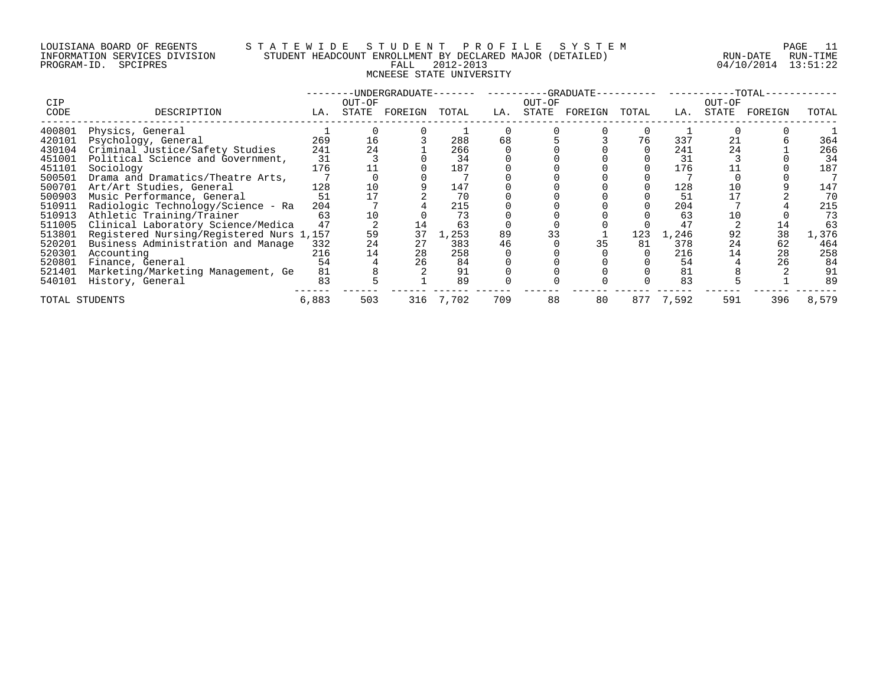# LOUISIANA BOARD OF REGENTS S T A T E W I D E S T U D E N T P R O F I L E S Y S T E M PAGE 11 INFORMATION SERVICES DIVISION STUDENT HEADCOUNT ENROLLMENT BY DECLARED MAJOR (DETAILED) RUN-DATE RUN-TIME PROGRAM-ID. SPCIPRES FALL 2012-2013 04/10/2014 13:51:22 MCNEESE STATE UNIVERSITY

|                |                                          |       |        | -UNDERGRADUATE- |       |     |        | -GRADUATE- |       |       |        | -TOTAL- |       |
|----------------|------------------------------------------|-------|--------|-----------------|-------|-----|--------|------------|-------|-------|--------|---------|-------|
| <b>CIP</b>     |                                          |       | OUT-OF |                 |       |     | OUT-OF |            |       |       | OUT-OF |         |       |
| CODE           | DESCRIPTION                              | LA.   | STATE  | FOREIGN         | TOTAL | LA. | STATE  | FOREIGN    | TOTAL | LA.   | STATE  | FOREIGN | TOTAL |
| 400801         | Physics, General                         |       |        |                 |       |     |        |            |       |       |        |         |       |
| 420101         | Psychology, General                      | 269   | 16     |                 | 288   | 68  |        |            | 76    | 337   | 21     |         | 364   |
| 430104         | Criminal Justice/Safety Studies          | 241   | 24     |                 | 266   |     |        |            |       | 241   | 24     |         | 266   |
| 451001         | Political Science and Government,        | 31    |        |                 | 34    |     |        |            |       | 31    |        |         | 34    |
| 451101         | Sociology                                | 176   |        |                 | 187   |     |        |            |       | 176   |        |         | 187   |
| 500501         | Drama and Dramatics/Theatre Arts,        |       |        |                 |       |     |        |            |       |       |        |         |       |
| 500701         | Art/Art Studies, General                 | 128   | 10     |                 | 147   |     |        |            |       | 128   |        |         | 147   |
| 500903         | Music Performance, General               | 51    |        |                 | 70    |     |        |            |       | 51    |        |         | 70    |
| 510911         | Radiologic Technology/Science - Ra       | 204   |        |                 | 215   |     |        |            |       | 204   |        |         | 215   |
| 510913         | Athletic Training/Trainer                | 63    | 10     |                 | 73    |     |        |            |       | 63    |        |         | 73    |
| 511005         | Clinical Laboratory Science/Medica       | 47    |        |                 | 63    |     |        |            |       | 47    |        |         | 63    |
| 513801         | Registered Nursing/Registered Nurs 1,157 |       | 59     | 37              | 1,253 | 89  | 33     |            | 123   | 1,246 | 92     | 38      | 1,376 |
| 520201         | Business Administration and Manage       | 332   | 24     | 27              | 383   | 46  |        | 35         | 81    | 378   | 24     | 62      | 464   |
| 520301         | Accounting                               | 216   | 14     | 28              | 258   |     |        |            |       | 216   |        | 28      | 258   |
| 520801         | Finance, General                         | 54    |        | 26              | 84    |     |        |            |       | 54    |        | 26      | 84    |
| 521401         | Marketing/Marketing Management, Ge       | 81    |        |                 | 91    |     |        |            |       | 81    |        |         | 91    |
| 540101         | History, General                         | 83    |        |                 | 89    |     |        |            |       | 83    |        |         | 89    |
| TOTAL STUDENTS |                                          | 6,883 | 503    | 316             | 7,702 | 709 | 88     | 80         | 877   | 7,592 | 591    | 396     | 8,579 |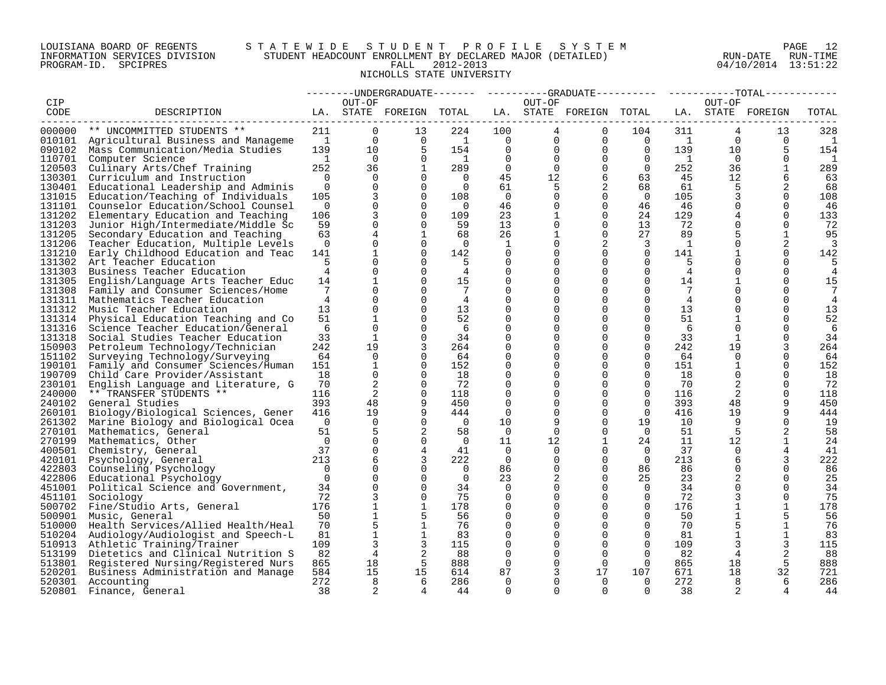# LOUISIANA BOARD OF REGENTS S T A T E W I D E S T U D E N T P R O F I L E S Y S T E M PAGE 12 INFORMATION SERVICES DIVISION STUDENT HEADCOUNT ENROLLMENT BY DECLARED MAJOR (DETAILED) RUN-DATE RUN-TIME PROGRAM-ID. SPCIPRES FALL 2012-2013 04/10/2014 13:51:22 NICHOLLS STATE UNIVERSITY

|        |                                           |                 |              |                         |                 |                |                 |                         |                |                |                 | ----UNDERGRADUATE------- ---------GRADUATE--------- ----------TOTAL------ |                          |
|--------|-------------------------------------------|-----------------|--------------|-------------------------|-----------------|----------------|-----------------|-------------------------|----------------|----------------|-----------------|---------------------------------------------------------------------------|--------------------------|
| CIP    |                                           |                 | OUT-OF       |                         |                 |                | OUT-OF          |                         |                |                | OUT-OF          |                                                                           |                          |
| CODE   | DESCRIPTION                               |                 |              | LA. STATE FOREIGN TOTAL |                 |                |                 | LA. STATE FOREIGN TOTAL |                |                |                 | LA. STATE FOREIGN                                                         | TOTAL                    |
|        |                                           |                 |              |                         |                 |                |                 |                         |                |                |                 |                                                                           |                          |
| 000000 | ** UNCOMMITTED STUDENTS **                | 211             | $\Omega$     | 13                      | 224             | 100            | $4\overline{ }$ | $\Omega$                | 104            | 311            | 4               | 13                                                                        | 328                      |
|        | 010101 Agricultural Business and Manageme | $\overline{1}$  | $\Omega$     | $\Omega$                | $\overline{1}$  | $\overline{0}$ | $\mathbf 0$     | $\mathbf 0$             | $\overline{0}$ | $\overline{1}$ | $\Omega$        | $\Omega$                                                                  | $\overline{\phantom{0}}$ |
| 090102 | Mass Communication/Media Studies          | 139             | $10^{-}$     | 5                       | 154             | $\Omega$       | $\mathbf 0$     | $\Omega$                | $\overline{0}$ | 139            | 10 <sup>°</sup> | 5                                                                         | 154                      |
| 110701 | Computer Science                          | $\mathbf{1}$    | $\Omega$     | $\Omega$                | $\overline{1}$  | $\Omega$       | $\Omega$        | $\mathbf 0$             | $\overline{0}$ | $\mathbf{1}$   | $\Omega$        | $\Omega$                                                                  | 1                        |
| 120503 | Culinary Arts/Chef Training               | 252             | 36           | $\mathbf{1}$            | 289             | $\Omega$       | $\Omega$        | $\Omega$                | $\Omega$       | 252            | 36              | $\mathbf{1}$                                                              | 289                      |
| 130301 | Curriculum and Instruction                | $\Omega$        | $\Omega$     | $\Omega$                | $\bigcap$       | 45             | 12              | 6                       | 63             | 45             | 12              | 6                                                                         | 63                       |
| 130401 | Educational Leadership and Adminis        | $\Omega$        | $\Omega$     | $\Omega$                | $\cap$          | 61             | 5               | 2                       | 68             | 61             | -5              | 2                                                                         | 68                       |
| 131015 | Education/Teaching of Individuals         | 105             | 3            | $\Omega$                | 108             | $\Omega$       | $\Omega$        | $\Omega$                | $\Omega$       | 105            | 3               | $\Omega$                                                                  | 108                      |
| 131101 | Counselor Education/School Counsel        | $\mathbf 0$     | $\mathbf 0$  | $\Omega$                | $\Omega$        | 46             | $\Omega$        | $\mathbf 0$             | 46             | 46             | $\Omega$        | $\Omega$                                                                  | 46                       |
| 131202 | Elementary Education and Teaching         | 106             | 3            | $\Omega$                | 109             | 23             |                 | $\Omega$                | 24             | 129            |                 | $\Omega$                                                                  | 133                      |
| 131203 | Junior High/Intermediate/Middle Sc        | 59              | $\Omega$     | $\Omega$                | 59              | 13             | $\Omega$        | $\Omega$                | 13             | 72             | $\Omega$        | $\Omega$                                                                  | 72                       |
| 131205 | Secondary Education and Teaching          | 63              | 4            | $\mathbf{1}$            | 68              | 26             | $\mathbf{1}$    | $\Omega$                | 27             | 89             | 5               | $\overline{1}$                                                            | 95                       |
| 131206 | Teacher Education, Multiple Levels        | $\mathbf 0$     | $\Omega$     | $\Omega$                | $\overline{0}$  | 1              | $\Omega$        | 2                       | 3              | <sup>1</sup>   | $\Omega$        | 2                                                                         | 3                        |
| 131210 | Early Childhood Education and Teac        | 141             | 1            | $\Omega$                | 142             | $\mathbf 0$    | $\Omega$        | $\mathbf 0$             | $\overline{0}$ | 141            | $\mathbf{1}$    | $\Omega$                                                                  | 142                      |
| 131302 | Art Teacher Education                     | 5               | $\Omega$     | $\Omega$                | -5              | $\Omega$       | $\Omega$        | $\Omega$                | $\Omega$       | 5              |                 | $\Omega$                                                                  | 5                        |
| 131303 | Business Teacher Education                | $\overline{4}$  | $\Omega$     | $\Omega$                | $\overline{4}$  | $\Omega$       | $\Omega$        | $\Omega$                | $\Omega$       | $\overline{4}$ | $\Omega$        | $\Omega$                                                                  | 4                        |
| 131305 | English/Language Arts Teacher Educ        | 14              | $\mathbf{1}$ | $\Omega$                | 15              | $\Omega$       | $\Omega$        | $\Omega$                | $\Omega$       | 14             | $\mathbf{1}$    | $\Omega$                                                                  | 15                       |
| 131308 | Family and Consumer Sciences/Home         | $7\overline{ }$ | $\Omega$     | $\Omega$                | $7\overline{ }$ | $\mathbf 0$    | $\Omega$        | $\Omega$                | $\mathbf 0$    | 7              |                 | $\Omega$                                                                  | 7                        |
| 131311 | Mathematics Teacher Education             | $\overline{4}$  | $\Omega$     | $\Omega$                | 4               | $\Omega$       | $\Omega$        | $\Omega$                | $\Omega$       | $\overline{4}$ | $\Omega$        | $\Omega$                                                                  | 4                        |
| 131312 | Music Teacher Education                   | 13              | $\Omega$     | $\Omega$                | 13              | $\Omega$       | $\Omega$        | $\Omega$                | $\Omega$       | 13             | $\Omega$        | $\Omega$                                                                  | 13                       |
| 131314 | Physical Education Teaching and Co        | 51              | $\mathbf{1}$ | $\Omega$                | 52              | $\Omega$       | $\Omega$        | $\Omega$                | $\Omega$       | 51             | $\mathbf{1}$    | $\Omega$                                                                  | 52                       |
| 131316 | Science Teacher Education/General         | 6               | $\Omega$     | $\Omega$                | -6              | $\Omega$       | $\Omega$        | $\Omega$                | $\Omega$       | 6              | $\Omega$        | $\Omega$                                                                  | -6                       |
| 131318 | Social Studies Teacher Education          | 33              | $\mathbf{1}$ | $\Omega$                | 34              | $\Omega$       | $\Omega$        | $\Omega$                | $\Omega$       | 33             | $\mathbf{1}$    | $\Omega$                                                                  | 34                       |
| 150903 | Petroleum Technology/Technician           | 242             | 19           | 3                       | 264             | 0              | 0               | 0                       | $\mathbf 0$    | 242            | 19              | 3                                                                         | 264                      |
| 151102 | Surveying Technology/Surveying            | 64              | $\Omega$     | $\Omega$                | 64              | $\Omega$       | $\Omega$        | $\Omega$                | $\Omega$       | 64             | $\Omega$        | $\Omega$                                                                  | 64                       |
| 190101 | Family and Consumer Sciences/Human        | 151             | $\mathbf{1}$ | $\Omega$                | 152             | $\Omega$       | $\Omega$        | $\Omega$                | $\Omega$       | 151            | 1               | $\Omega$                                                                  | 152                      |
| 190709 | Child Care Provider/Assistant             | 18              | $\mathbf{0}$ | $\Omega$                | 18              | 0              | $\Omega$        | $\Omega$                | $\Omega$       | 18             | $\Omega$        | $\Omega$                                                                  | 18                       |
| 230101 | English Language and Literature, G        | 70              | 2            | $\Omega$                | 72              | $\Omega$       | $\Omega$        | $\Omega$                | $\Omega$       | 70             | 2               | $\Omega$                                                                  | 72                       |
| 240000 | ** TRANSFER STUDENTS **                   | 116             | 2            | $\Omega$                | 118             | $\mathbf 0$    | 0               | 0                       | $\mathbf 0$    | 116            | 2               | $\Omega$                                                                  | 118                      |
| 240102 | General Studies                           | 393             | 48           | 9                       | 450             | $\Omega$       | $\Omega$        | $\Omega$                | $\Omega$       | 393            | 48              | 9                                                                         | 450                      |
| 260101 | Biology/Biological Sciences, Gener        | 416             | 19           | 9                       | 444             | $\Omega$       | $\Omega$        | $\Omega$                | $\Omega$       | 416            | 19              | 9                                                                         | 444                      |
| 261302 | Marine Biology and Biological Ocea        | $\overline{0}$  | $\Omega$     | $\Omega$                | $\cap$          | 10             | 9               | $\Omega$                | 19             | 10             | 9               | $\Omega$                                                                  | 19                       |
| 270101 | Mathematics, General                      | 51              | 5            | 2                       | 58              | $\Omega$       | $\Omega$        | $\Omega$                | $\Omega$       | 51             | $5\overline{2}$ |                                                                           | 58                       |
| 270199 | Mathematics, Other                        | $\Omega$        | $\mathbf{0}$ | $\Omega$                | $\Omega$        | 11             | 12              | $\mathbf{1}$            | 24             | 11             | 12              | $\mathbf{1}$                                                              | 24                       |
| 400501 | Chemistry, General                        | 37              | $\Omega$     | 4                       | 41              | $\Omega$       | $\Omega$        | $\Omega$                | $\Omega$       | 37             | $\Omega$        | 4                                                                         | 41                       |
| 420101 | Psychology, General                       | 213             | 6            | 3                       | 222             | 0              | $\Omega$        | $\Omega$                | $\Omega$       | 213            | 6               | 3                                                                         | 222                      |
| 422803 | Counseling Psychology                     | $\overline{0}$  | $\Omega$     | $\Omega$                | $\Omega$        | 86             | $\Omega$        | $\Omega$                | 86             | 86             | $\Omega$        | $\Omega$                                                                  | 86                       |
| 422806 | Educational Psychology                    | $\Omega$        | $\Omega$     | $\Omega$                | $\Omega$        | 23             | 2               | $\Omega$                | 25             | 23             | $\overline{2}$  | $\Omega$                                                                  | 25                       |
| 451001 | Political Science and Government,         | 34              | $\Omega$     | $\Omega$                | 34              | $\Omega$       | $\Omega$        | $\Omega$                | $\Omega$       | 34             | $\Omega$        | $\Omega$                                                                  | 34                       |
| 451101 | Sociology                                 | 72              | 3            | $\Omega$                | 75              | $\Omega$       | $\Omega$        | $\Omega$                | $\mathbf 0$    | 72             | 3               | $\Omega$                                                                  | 75                       |
|        | 500702 Fine/Studio Arts, General          | 176             | $\mathbf{1}$ | $\mathbf{1}$            | 178             | $\Omega$       | $\Omega$        | $\Omega$                | $\Omega$       | 176            | $\mathbf{1}$    | $\mathbf{1}$                                                              | 178                      |
| 500901 | Music, General                            | 50              | $\mathbf 1$  |                         | 56              | $\mathbf 0$    | 0               | 0                       | $\Omega$       | 50             | $\mathbf{1}$    | 5                                                                         | 56                       |
| 510000 | Health Services/Allied Health/Heal        | 70              | 5            | 1                       | 76              | $\Omega$       | $\Omega$        | $\Omega$                | $\Omega$       | 70             | 5               | $\mathbf{1}$                                                              | 76                       |
| 510204 | Audiology/Audiologist and Speech-L        | 81              | $\mathbf{1}$ | $\mathbf{1}$            | 83              | $\Omega$       | $\Omega$        | $\Omega$                | $\Omega$       | 81             | $\mathbf{1}$    | 1                                                                         | 83                       |
| 510913 | Athletic Training/Trainer                 | 109             | 3            | 3                       | 115             | $\mathbf 0$    | $\Omega$        | $\mathbf 0$             | $\mathbf 0$    | 109            |                 | 3                                                                         | 115                      |
|        | 513199 Dietetics and Clinical Nutrition S | 82              | 4            | 2                       | 88              | $\Omega$       | $\Omega$        | $\Omega$                | $\Omega$       | 82             | 4               | 2                                                                         | 88                       |
| 513801 | Registered Nursing/Registered Nurs        | 865             | 18           | -5                      | 888             | 0              | $\Omega$        | $\Omega$                | $\Omega$       | 865            | 18              | -5                                                                        | 888                      |
| 520201 | Business Administration and Manage        | 584             | 15           | 15                      | 614             | 87             | 3               | 17                      | 107            | 671            | 18              | 32                                                                        | 721                      |
|        | 520301 Accounting                         | 272             | 8            | 6                       | 286             | $\Omega$       | $\Omega$        | $\Omega$                | $\Omega$       | 272            | 8               | 6                                                                         | 286                      |
| 520801 | Finance, General                          | 38              | 2            |                         | 44              | $\Omega$       | $\Omega$        | $\cap$                  | $\cap$         | 38             | 2               |                                                                           | 44                       |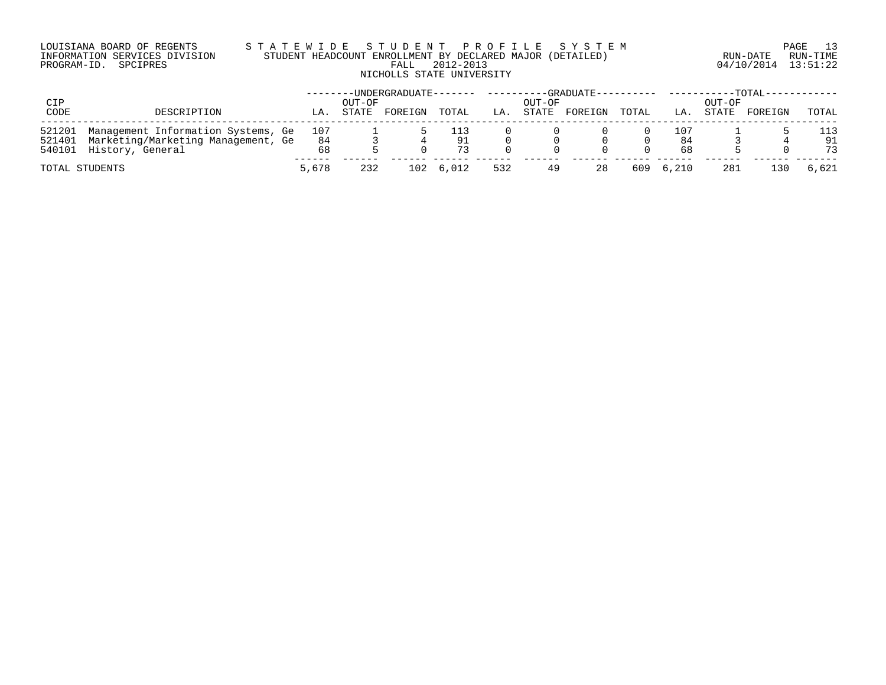# LOUISIANA BOARD OF REGENTS S T A T E W I D E S T U D E N T P R O F I L E S Y S T E M PAGE 13 INFORMATION SERVICES DIVISION STUDENT HEADCOUNT ENROLLMENT BY DECLARED MAJOR (DETAILED) RUN-DATE RUN-TIME PROGRAM-ID. SPCIPRES FALL 2012-2013 04/10/2014 13:51:22 NICHOLLS STATE UNIVERSITY

| CIP            |                                                                                 |           | OUT-OF | -UNDERGRADUATE------- |       |     | OUT-OF | $-GRADUATE---$ |       |            | OUT-OF | $-$ TOTAL $ -$ |       |
|----------------|---------------------------------------------------------------------------------|-----------|--------|-----------------------|-------|-----|--------|----------------|-------|------------|--------|----------------|-------|
| CODE           | DESCRIPTION                                                                     | LA.       | STATE  | FOREIGN               | TOTAL | LA. | STATE  | FOREIGN        | TOTAL | LA.        | STATE  | FOREIGN        | TOTAL |
| 521201         | Management Information Systems, Ge<br>521401 Marketing/Marketing Management, Ge | 107<br>84 |        |                       | 91    |     |        |                |       | 107<br>-84 |        |                | 91    |
|                | 540101 History, General                                                         | 68        |        |                       | 73    |     |        |                |       | 68         |        |                | 73    |
| TOTAL STUDENTS |                                                                                 | 5,678     | 232    | 102                   | 6,012 | 532 | 49     | 28             | 609   | 6,210      | 281    | 30ء            | 6,621 |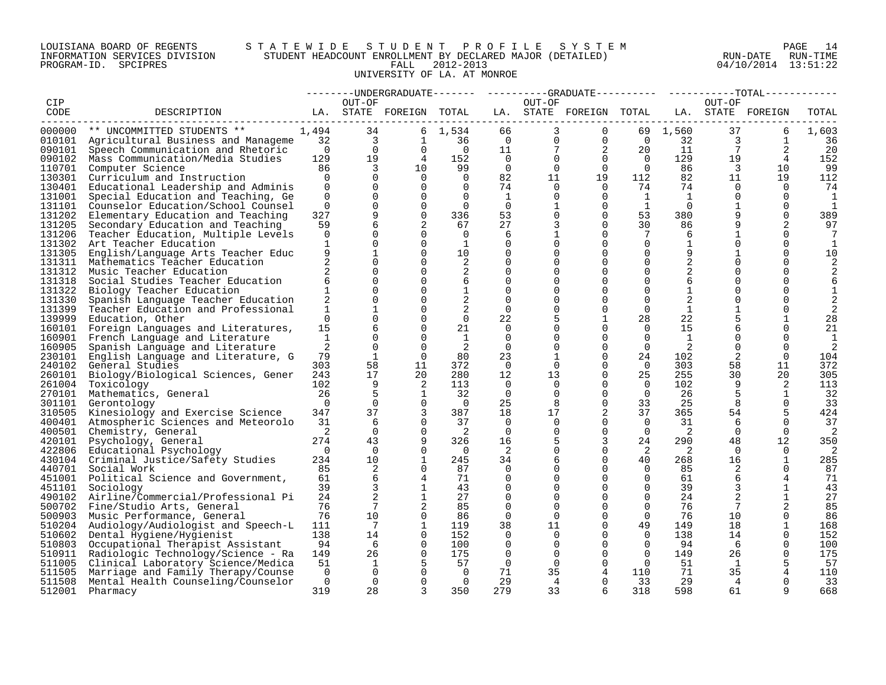# LOUISIANA BOARD OF REGENTS S T A T E W I D E S T U D E N T P R O F I L E S Y S T E M PAGE 14 INFORMATION SERVICES DIVISION STUDENT HEADCOUNT ENROLLMENT BY DECLARED MAJOR (DETAILED) RUN-DATE RUN-TIME PROGRAM-ID. SPCIPRES FALL 2012-2013 04/10/2014 13:51:22 UNIVERSITY OF LA. AT MONROE

|                  |                                                                          |                |                          |                         |                |                         |                      | --------UNDERGRADUATE-------  ---------GRADUATE----------  ----------TOTAL----- |                      |                |                 |                   |              |
|------------------|--------------------------------------------------------------------------|----------------|--------------------------|-------------------------|----------------|-------------------------|----------------------|---------------------------------------------------------------------------------|----------------------|----------------|-----------------|-------------------|--------------|
| CIP              |                                                                          |                | OUT-OF                   |                         |                |                         | OUT-OF               |                                                                                 |                      |                | OUT-OF          |                   |              |
| CODE             | DESCRIPTION                                                              |                |                          | LA. STATE FOREIGN TOTAL |                |                         |                      | LA. STATE FOREIGN TOTAL                                                         |                      |                |                 | LA. STATE FOREIGN | TOTAL        |
|                  |                                                                          |                |                          |                         |                |                         |                      |                                                                                 |                      |                |                 |                   |              |
| 000000           | ** UNCOMMITTED STUDENTS **                                               | 1,494          | 34                       |                         | 6 1,534        | 66                      | 3                    | $\mathbf{0}$                                                                    |                      | 69 1,560       | 37              | 6                 | 1,603        |
|                  | 010101 Agricultural Business and Manageme                                | 32             | $\overline{\phantom{a}}$ | 1                       | 36             | $\overline{0}$          | $\Omega$             | $\mathbf 0$                                                                     | $\overline{0}$       | 32             | 3               | $\mathbf{1}$      | 36           |
| 090101           | Speech Communication and Rhetoric                                        | $\overline{0}$ | $\overline{0}$           | $\Omega$                | $\overline{0}$ | 11                      | 7                    | 2                                                                               | 20                   | 11             | $7\overline{ }$ | 2                 | 20           |
|                  | 090102 Mass Communication/Media Studies                                  | 129            | 19                       | $\overline{4}$          | 152            | $\overline{0}$          | $\Omega$             | $\Omega$                                                                        | $\Omega$             | 129            | 19              | $\overline{4}$    | 152          |
| 110701           | Computer Science                                                         | 86             | $\overline{3}$           | 10 <sup>°</sup>         | 99             | $\overline{0}$          | $\mathbf 0$          | $\mathbf 0$                                                                     | $\overline{0}$       | 86             | $\overline{3}$  | 10                | 99           |
| 130301           | Curriculum and Instruction                                               | $\Omega$       | $\Omega$                 | $\Omega$                | $\Omega$       | 82                      | 11                   | 19                                                                              | 112                  | 82             | 11              | 19                | 112          |
| 130401           | Educational Leadership and Adminis                                       | $\Omega$       | $\Omega$                 | $\Omega$                | $\Omega$       | 74                      | $\Omega$             | $\Omega$                                                                        | 74                   | 74             | $\Omega$        | $\Omega$          | 74           |
| 131001           | Special Education and Teaching, Ge                                       | $\Omega$       | $\Omega$                 | $\Omega$                | $\Omega$       | 1                       | $\Omega$             | $\Omega$                                                                        | 1                    | $\overline{1}$ | $\Omega$        | $\Omega$          | 1            |
| 131101           | Counselor Education/School Counsel                                       | $\mathbf 0$    | $\mathbf{0}$             | $\mathbf 0$             | $\Omega$       | $\overline{0}$          |                      | $\mathbf 0$                                                                     | $\mathbf{1}$         | $\overline{0}$ | $\mathbf{1}$    | $\Omega$          | 1            |
| 131202           | Elementary Education and Teaching                                        | 327            | 9                        | $\mathbf 0$             | 336            | 53                      | $\Omega$             | $\mathbf 0$                                                                     | 53                   | 380            |                 | $\Omega$          | 389          |
| 131205           | Secondary Education and Teaching                                         | 59             | 6                        |                         | 67             | 27                      | 3                    | $\mathbf 0$                                                                     | 30                   | 86             |                 |                   | 97           |
| 131206           | Teacher Education, Multiple Levels                                       | $\Omega$       | $\Omega$                 | $\Omega$                | $\Omega$       | 6                       |                      | $\Omega$                                                                        | 7                    | 6              | $\mathbf{1}$    | $\Omega$          | 7            |
|                  | 131302 Art Teacher Education                                             | $\mathbf{1}$   | $\Omega$                 | $\Omega$                | 1              | $\mathbf 0$             | $\Omega$             | $\Omega$                                                                        | $\mathbf 0$          | $\mathbf{1}$   | $\Omega$        | $\Omega$          | $\mathbf{1}$ |
| 131305           | English/Language Arts Teacher Educ                                       | 9              | 1                        | $\Omega$                | 10             | 0                       | $\Omega$             | 0                                                                               | 0                    | 9              |                 | $\Omega$          | 10           |
| 131311           | Mathematics Teacher Education                                            |                | $\Omega$                 | $\Omega$                | 2              | $\Omega$                | $\Omega$             | $\Omega$                                                                        | $\Omega$             | 2              |                 | $\Omega$          | 2            |
| 131312           | Music Teacher Education                                                  | 2              | $\Omega$                 | $\Omega$                | 2              | $\Omega$                | $\Omega$             | $\Omega$                                                                        | $\Omega$             | 2              | $\Omega$        | $\Omega$          |              |
| 131318           | Social Studies Teacher Education                                         | 6              | $\Omega$                 | $\Omega$                | 6              | $\mathbf 0$             | $\Omega$             | $\Omega$                                                                        | $\Omega$             | 6              | $\Omega$        | $\Omega$          | 6            |
| 131322           | Biology Teacher Education                                                | $\mathbf{1}$   | $\Omega$                 | $\mathbf 0$             | 1              | 0                       | <sup>0</sup>         | $\Omega$                                                                        | 0                    | 1              | $\Omega$        | $\Omega$          | 1            |
| 131330           | Spanish Language Teacher Education                                       | $\overline{2}$ | $\mathbf 0$              | $\Omega$                | 2              | 0                       | $\Omega$             | $\Omega$                                                                        | $\Omega$             | 2              | $\Omega$        | $\Omega$          |              |
| 131399           | Teacher Education and Professional                                       | $\mathbf{1}$   |                          | $\Omega$                | 2              | $\Omega$                | $\Omega$             | $\Omega$                                                                        | $\Omega$             | 1              | $\mathbf{1}$    |                   |              |
| 139999           | Education, Other                                                         | $\Omega$       |                          | $\Omega$                | $\Omega$       | 22                      | 5                    | $\mathbf{1}$                                                                    | 28                   | 22             | 5               | $\mathbf{1}$      | 28           |
| 160101           | Foreign Languages and Literatures,                                       | 15             | 6                        | 0                       | 21             | 0                       | 0                    | $\Omega$                                                                        | 0                    | 15             | 6               | $\Omega$          | 21           |
| 160901           | French Language and Literature                                           | $\mathbf{1}$   | $\Omega$                 | $\Omega$                | 1              | 0                       | $\Omega$             | $\Omega$                                                                        | $\Omega$             | $\overline{1}$ | $\Omega$        | $\Omega$          | 1            |
| 160905           | Spanish Language and Literature                                          | 2              | $\Omega$                 | $\Omega$                | 2              | $\Omega$                | $\Omega$             | $\Omega$                                                                        | $\mathbf 0$          | 2              | $\Omega$        | $\Omega$          | 2            |
| 230101           | English Language and Literature, G                                       | 79             | $\mathbf{1}$             | $\cap$                  | 80             | 23                      |                      | $\Omega$                                                                        | 24                   | 102            | 2               | $\Omega$          | 104          |
| 240102           | General Studies                                                          | 303            | 58                       | 11                      | 372            | $\overline{0}$          | 0                    | $\Omega$                                                                        | $\overline{0}$       | 303            | 58              | 11                | 372          |
| 260101           | Biology/Biological Sciences, Gener                                       | 243            | 17                       | 20                      | 280            | 12                      | 13                   | $\mathbf 0$                                                                     | 25                   | 255            | 30              | 20                | 305          |
| 261004           | Toxicology                                                               | 102            | 9                        | 2                       | 113            | $\Omega$                | $\Omega$             | $\Omega$                                                                        | $\Omega$             | 102            | 9               | 2                 | 113          |
| 270101           | Mathematics, General                                                     | 26             | 5                        | 1                       | 32             | 0                       | $\Omega$             | $\Omega$                                                                        | $\Omega$             | 26             | 5               | 1                 | 32           |
| 301101           | Gerontology                                                              | $\Omega$       | $\Omega$                 | $\Omega$                | $\overline{0}$ | 25                      | 8                    | $\Omega$                                                                        | 33                   | 25             | 8               | $\Omega$          | 33           |
| 310505           | Kinesiology and Exercise Science                                         | 347            | 37                       | 3                       | 387            | 18                      | 17                   | 2                                                                               | 37                   | 365            | 54              | 5                 | 424          |
| 400401           | Atmospheric Sciences and Meteorolo                                       | 31             | 6                        | $\Omega$                | 37             | $\Omega$                | $\Omega$             | $\Omega$                                                                        | $\Omega$             | 31             | -6              | $\Omega$          | 37           |
| 400501           | Chemistry, General                                                       | 2              | $\Omega$                 | $\Omega$<br>9           | -2             | $\Omega$                | $\Omega$             | $\Omega$                                                                        | $\Omega$             | 2              | $\Omega$        | $\Omega$          | 2            |
| 420101           | Psychology, General                                                      | 274            | 43                       |                         | 326            | 16                      | 5                    | 3                                                                               | 24                   | 290            | 48              | 12                | 350          |
| 422806           | Educational Psychology                                                   | $\Omega$       | $\Omega$                 | $\Omega$                | $\overline{0}$ | 2                       | $\Omega$             | $\Omega$                                                                        | -2                   | 2              | $\Omega$        | $\Omega$          |              |
|                  | 430104 Criminal Justice/Safety Studies                                   | 234            | 10 <sup>°</sup>          | 1                       | 245            | 34                      | 6                    | $\Omega$<br>$\Omega$                                                            | 40<br>$\Omega$       | 268            | 16              | 1                 | 285          |
| 440701           | Social Work                                                              | 85             | 2                        | $\Omega$                | 87             | $\Omega$                | $\Omega$             |                                                                                 |                      | 85             | 2               | $\Omega$          | 87           |
|                  | 451001 Political Science and Government,                                 | 61<br>39       | 6<br>3                   | 4<br>1                  | 71             | $\Omega$                | $\Omega$<br>$\Omega$ | $\Omega$<br>$\Omega$                                                            | $\Omega$             | 61             | 6               | 1                 | 71           |
| 451101           | Sociology                                                                |                | 2                        |                         | 43             | 0                       |                      |                                                                                 | 0                    | 39             | 3               | $\mathbf{1}$      | 43<br>27     |
| 490102           | Airline/Commercial/Professional Pi                                       | 24<br>76       | $7\phantom{.0}$          | 1                       | 27<br>85       | $\mathbf 0$<br>$\Omega$ | $\Omega$<br>$\Omega$ | $\Omega$<br>$\Omega$                                                            | $\Omega$<br>$\Omega$ | 24<br>76       | 7               |                   |              |
|                  | 500702 Fine/Studio Arts, General                                         | 76             | 10                       | $\mathbf 0$             | 86             | $\mathbf 0$             | 0                    | $\Omega$                                                                        | $\mathbf 0$          | 76             | 10              | 0                 | 85           |
| 500903<br>510204 | Music Performance, General                                               | 111            | 7                        | 1                       | 119            | 38                      | 11                   | $\Omega$                                                                        | 49                   | 149            | 18              | 1                 | 86<br>168    |
| 510602           | Audiology/Audiologist and Speech-L                                       | 138            | 14                       | $\Omega$                | 152            | 0                       | 0                    | $\Omega$                                                                        | $\Omega$             | 138            | 14              | $\Omega$          |              |
| 510803           | Dental Hygiene/Hygienist                                                 | 94             | 6                        | $\Omega$                | 100            | $\Omega$                | $\Omega$             | $\Omega$                                                                        | $\Omega$             | 94             | 6               | $\Omega$          | 152<br>100   |
| 510911           | Occupational Therapist Assistant                                         | 149            | 26                       | $\Omega$                | 175            | $\Omega$                | $\Omega$             | $\Omega$                                                                        | $\Omega$             | 149            | 26              | $\Omega$          | 175          |
| 511005           | Radiologic Technology/Science - Ra<br>Clinical Laboratory Science/Medica | 51             | 1                        | 5                       | 57             | $\overline{0}$          | 0                    | $\Omega$                                                                        | $\overline{0}$       | 51             | 1               | 5                 | 57           |
| 511505           |                                                                          | $\Omega$       | $\Omega$                 | $\Omega$                | $\Omega$       | 71                      | 35                   | 4                                                                               | 110                  | 71             | 35              | 4                 | 110          |
| 511508           | Marriage and Family Therapy/Counse<br>Mental Health Counseling/Counselor | $\Omega$       | $\Omega$                 | $\Omega$                | $\Omega$       | 29                      | 4                    | $\Omega$                                                                        | 33                   | 29             | 4               | $\Omega$          | 33           |
| 512001           | Pharmacy                                                                 | 319            | 28                       | 3                       | 350            | 279                     | 33                   | 6                                                                               | 318                  | 598            | 61              | q                 | 668          |
|                  |                                                                          |                |                          |                         |                |                         |                      |                                                                                 |                      |                |                 |                   |              |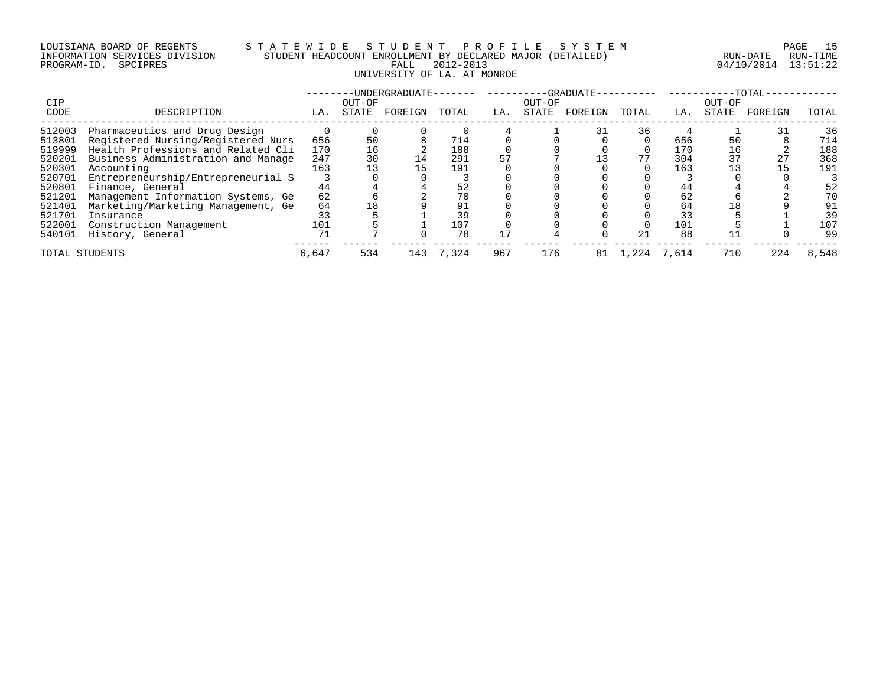# LOUISIANA BOARD OF REGENTS S T A T E W I D E S T U D E N T P R O F I L E S Y S T E M PAGE 15 INFORMATION SERVICES DIVISION STUDENT HEADCOUNT ENROLLMENT BY DECLARED MAJOR (DETAILED) RUN-DATE RUN-TIME PROGRAM-ID. SPCIPRES FALL 2012-2013 04/10/2014 13:51:22 UNIVERSITY OF LA. AT MONROE

| <b>CIP</b>     |                                    |       | OUT-OF | -UNDERGRADUATE- |       |     | OUT-OF | -GRADUATE- |       |       | OUT-OF | $-TOTAL-$ |       |
|----------------|------------------------------------|-------|--------|-----------------|-------|-----|--------|------------|-------|-------|--------|-----------|-------|
| CODE           | DESCRIPTION                        | LA.   | STATE  | FOREIGN         | TOTAL | LA. | STATE  | FOREIGN    | TOTAL | LA.   | STATE  | FOREIGN   | TOTAL |
| 512003         | Pharmaceutics and Drug Design      |       |        |                 |       |     |        | 31         | 36    |       |        |           | 36    |
| 513801         | Registered Nursing/Registered Nurs | 656   | 50     |                 | 714   |     |        |            |       | 656   | 50     |           | 714   |
| 519999         | Health Professions and Related Cli | 170   | 16     |                 | 188   |     |        |            |       | 170   | 16     |           | 188   |
| 520201         | Business Administration and Manage | 247   | 30     | 14              | 291   |     |        |            |       | 304   | 37     | 27        | 368   |
| 520301         | Accounting                         | 163   |        | 15              | 191   |     |        |            |       | 163   |        |           | 191   |
| 520701         | Entrepreneurship/Entrepreneurial S |       |        |                 |       |     |        |            |       |       |        |           |       |
| 520801         | Finance, General                   | 44    |        |                 | 52    |     |        |            |       | 44    |        |           | 52    |
| 521201         | Management Information Systems, Ge | 62    |        |                 |       |     |        |            |       | 62    |        |           | 70    |
| 521401         | Marketing/Marketing Management, Ge | 64    | 18     |                 |       |     |        |            |       | 64    |        |           | 91    |
| 521701         | Insurance                          |       |        |                 | 39    |     |        |            |       | 33    |        |           | 39    |
| 522001         | Construction Management            | 101   |        |                 | 107   |     |        |            |       | 101   |        |           | 107   |
| 540101         | History, General                   | 71    |        |                 | 78    |     |        |            | 21    | 88    |        |           | 99    |
| TOTAL STUDENTS |                                    | 6,647 | 534    | 143             | 7.324 | 967 | 176    | 81         | 1,224 | 7.614 | 710    | 224       | 8,548 |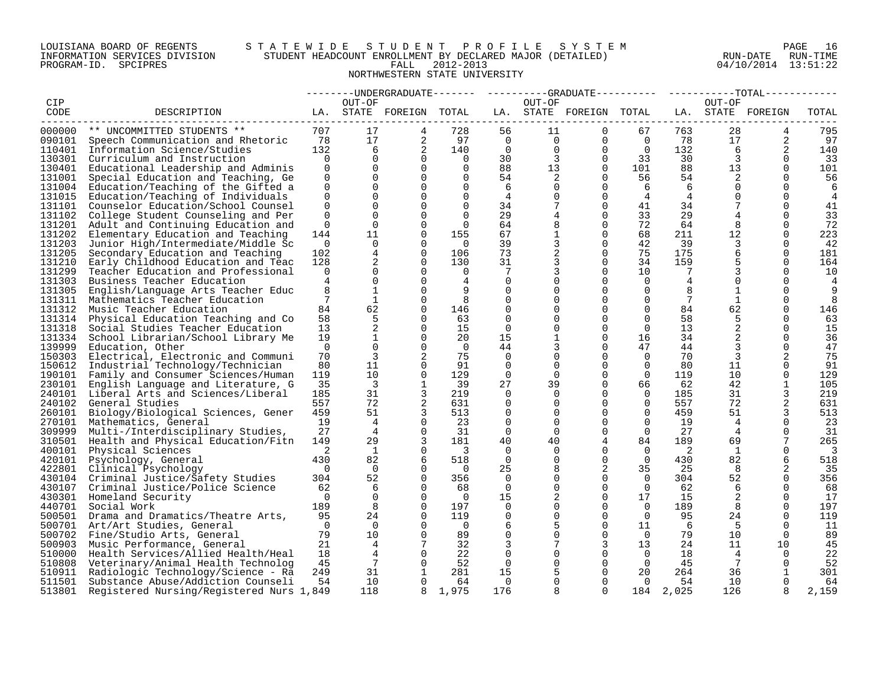# LOUISIANA BOARD OF REGENTS S T A T E W I D E S T U D E N T P R O F I L E S Y S T E M PAGE 16 INFORMATION SERVICES DIVISION STUDENT HEADCOUNT ENROLLMENT BY DECLARED MAJOR (DETAILED) RUN-DATE RUN-TIME PROGRAM-ID. SPCIPRES FALL 2012-2013 04/10/2014 13:51:22 NORTHWESTERN STATE UNIVERSITY

|        |                                                                  |                |                |                         |                         |                |                | -----UNDERGRADUATE-------  ---------GRADUATE---------  ----------TOTAL------ |                |                 |                 |                   |                |
|--------|------------------------------------------------------------------|----------------|----------------|-------------------------|-------------------------|----------------|----------------|------------------------------------------------------------------------------|----------------|-----------------|-----------------|-------------------|----------------|
| CIP    |                                                                  |                | OUT-OF         |                         |                         |                | OUT-OF         |                                                                              |                |                 | OUT-OF          |                   |                |
| CODE   | DESCRIPTION                                                      |                |                | LA. STATE FOREIGN TOTAL |                         |                |                | LA. STATE FOREIGN TOTAL                                                      |                |                 |                 | LA. STATE FOREIGN | TOTAL          |
| 000000 | ** UNCOMMITTED STUDENTS **                                       | 707            | 17             |                         | 728                     | 56             | 11             | $\Omega$                                                                     | 67             | 763             | 28              | 4                 | 795            |
|        |                                                                  | 78             | 17             | 4<br>2                  | 97                      | $\overline{0}$ | $\overline{0}$ | $\mathbf 0$                                                                  | $\overline{0}$ | 78              | 17              |                   |                |
| 090101 | Speech Communication and Rhetoric                                |                |                |                         |                         |                |                |                                                                              |                |                 |                 | 2                 | 97             |
| 110401 | Information Science/Studies                                      | 132            | 6              | 2                       | 140                     | $\Omega$       | $\mathbf{0}$   | $\Omega$                                                                     | $\overline{0}$ | 132             | 6               | 2                 | 140            |
| 130301 | Curriculum and Instruction                                       | $\Omega$       | $\mathbf 0$    | $\Omega$                | $\Omega$                | 30             | $\overline{3}$ | $\Omega$                                                                     | 33             | 30              | $\mathbf{3}$    | $\Omega$          | 33             |
| 130401 | Educational Leadership and Adminis                               | $\mathbf 0$    | $\Omega$       | $\Omega$                | $\Omega$                | 88             | 13             | $\overline{0}$                                                               | 101            | 88              | 13              | $\Omega$          | 101            |
| 131001 | Special Education and Teaching, Ge                               | $\Omega$       | $\Omega$       | $\Omega$                | $\Omega$                | 54             | 2              | $\Omega$                                                                     | 56             | 54              | 2               | $\Omega$          | 56             |
| 131004 | Education/Teaching of the Gifted a                               | $\Omega$       | $\Omega$       | $\Omega$                | $\Omega$                | 6              | $\mathbf 0$    | $\Omega$                                                                     | 6              | -6              | $\Omega$        | $\cap$            | 6              |
| 131015 | Education/Teaching of Individuals                                | $\Omega$       | $\Omega$       | $\Omega$                | $\Omega$                | 4              | 0              | $\Omega$                                                                     | $\overline{4}$ | $\overline{4}$  | $\Omega$        | $\Omega$          | $\overline{4}$ |
| 131101 | Counselor Education/School Counsel                               | 0              | $\mathbf 0$    | $\Omega$                | 0                       | 34             | $7\phantom{.}$ | $\mathbf 0$                                                                  | 41             | 34              | 7               | $\Omega$          | 41             |
| 131102 | College Student Counseling and Per                               | $\Omega$       | $\Omega$       | $\Omega$                | $\Omega$                | 29             | 4              | $\mathbf 0$                                                                  | 33             | 29              |                 | $\Omega$          | 33             |
| 131201 | Adult and Continuing Education and                               | $\Omega$       | $\Omega$       | $\Omega$                | $\Omega$                | 64             | 8              | $\Omega$                                                                     | 72             | 64              | 8               | ∩                 | 72             |
| 131202 | Elementary Education and Teaching                                | 144            | 11             | $\Omega$                | 155                     | 67             | 1              | $\Omega$                                                                     | 68             | 211             | 12              | $\cap$            | 223            |
| 131203 | Junior High/Intermediate/Middle Sc                               | $\mathbf 0$    | $\Omega$       | $\Omega$                | $\overline{0}$          | 39             | 3              | $\mathbf 0$                                                                  | 42             | 39              | 3               | $\Omega$          | 42             |
| 131205 | Secondary Education and Teaching                                 | 102            | 4              | 0                       | 106                     | 73             | 2              | $\mathbf 0$                                                                  | 75             | 175             | 6               | $\Omega$          | 181            |
| 131210 | Early Childhood Education and Teac                               | 128            | 2              | $\Omega$                | 130                     | 31             | 3              | $\Omega$                                                                     | 34             | 159             |                 | $\Omega$          | 164            |
| 131299 | Teacher Education and Professional                               | $\Omega$       | 0              | $\Omega$                | $\Omega$                | 7              | 3              | $\Omega$                                                                     | 10             | 7               | 3               | $\Omega$          | 10             |
| 131303 | Business Teacher Education                                       | 4              | $\Omega$       | $\Omega$                | 4                       | $\Omega$       | $\Omega$       | $\Omega$                                                                     | $\Omega$       | $\overline{4}$  | $\Omega$        | $\Omega$          | 4              |
| 131305 | English/Language Arts Teacher Educ                               | 8              | $\mathbf{1}$   | $\Omega$                | 9                       | $\mathbf 0$    | 0              | $\mathbf{0}$                                                                 | $\mathbf 0$    | 8               | 1               | $\Omega$          | 9              |
| 131311 | Mathematics Teacher Education                                    | $\overline{7}$ | 1              | $\Omega$                | 8                       | $\mathbf 0$    | 0              | $\Omega$                                                                     | $\Omega$       | 7               | $\mathbf{1}$    | $\Omega$          | 8              |
| 131312 | Music Teacher Education                                          | 84             | 62             | $\Omega$                | 146                     | $\mathbf 0$    | $\Omega$       | $\Omega$                                                                     | $\Omega$       | 84              | 62              | $\Omega$          | 146            |
| 131314 | Physical Education Teaching and Co                               | 58             | 5              | $\Omega$                | 63                      | $\Omega$       | $\Omega$       | $\Omega$                                                                     | $\Omega$       | 58              | 5               | $\Omega$          | 63             |
| 131318 | Social Studies Teacher Education                                 | 13             | 2              | $\Omega$                | 15                      | $\Omega$       | $\Omega$       | $\Omega$                                                                     | $\Omega$       | 13 <sup>°</sup> | 2               | $\Omega$          | 15             |
| 131334 | School Librarian/School Library Me                               | 19             | $\mathbf{1}$   | $\Omega$                | 20                      | 15             | 1              | $\Omega$                                                                     | 16             | 34              | 2               | $\Omega$          | 36             |
| 139999 | Education, Other                                                 | $\Omega$       | $\mathbf 0$    | $\Omega$                | $\overline{0}$          | 44             | 3              | $\Omega$                                                                     | 47             | 44              | 3               | $\Omega$          | 47             |
| 150303 | Electrical, Electronic and Communi                               | 70             | 3              | 2                       | 75                      | 0              | 0              | $\Omega$                                                                     | $\Omega$       | 70              | 3               |                   | 75             |
| 150612 | Industrial Technology/Technician                                 | 80             | 11             | $\Omega$                | 91                      | $\Omega$       | $\Omega$       | $\Omega$                                                                     | $\Omega$       | 80              | 11              | $\Omega$          | 91             |
| 190101 | Family and Consumer Sciences/Human                               | 119            | 10             | $\Omega$                | 129                     | $\mathbf 0$    | $\mathbf 0$    | $\Omega$                                                                     | $\overline{0}$ | 119             | 10 <sup>°</sup> | $\Omega$          | 129            |
| 230101 | English Language and Literature, G                               | 35             | 3              | 1                       | 39                      | 27             | 39             | $\Omega$                                                                     | 66             | 62              | 42              | $\mathbf{1}$      | 105            |
| 240101 | Liberal Arts and Sciences/Liberal                                | 185            | 31             | 3                       | 219                     | $\mathbf 0$    | $\mathbf 0$    | $\mathbf 0$                                                                  | $\mathbf 0$    | 185             | 31              | 3                 | 219            |
| 240102 | General Studies                                                  | 557            | 72             | 2                       | 631                     | $\Omega$       | $\mathbf 0$    | $\Omega$                                                                     | $\Omega$       | 557             | 72              | 2                 | 631            |
| 260101 | Biology/Biological Sciences, Gener                               | 459            | 51             | 3                       | 513                     | 0              | 0              | $\Omega$                                                                     | $\overline{0}$ | 459             | 51              | 3                 | 513            |
| 270101 | Mathematics, General                                             | 19             | 4              | $\Omega$                | 23                      | 0              | $\mathbf 0$    | $\Omega$                                                                     | $\Omega$       | 19              | 4               | $\Omega$          | 23             |
| 309999 | Multi-/Interdisciplinary Studies,                                | 27             | $\overline{4}$ | $\Omega$                | 31                      | $\Omega$       | $\Omega$       | $\Omega$                                                                     | $\Omega$       | 27              | $\overline{4}$  | $\Omega$          | 31             |
| 310501 | Health and Physical Education/Fitn                               | 149            | 29             | 3                       | 181                     | 40             | 40             | $\overline{4}$                                                               | 84             | 189             | 69              | 7                 | 265            |
| 400101 | Physical Sciences                                                | 2              | 1              | $\Omega$                | $\overline{\mathbf{3}}$ | $\Omega$       | $\Omega$       | $\Omega$                                                                     | $\Omega$       | 2               | 1               | $\Omega$          | 3              |
| 420101 | Psychology, General                                              | 430            | 82             | 6                       | 518                     | $\overline{0}$ | 0              | $\mathbf{0}$                                                                 | $\overline{0}$ | 430             | 82              | 6                 | 518            |
| 422801 | Clinical Psychology                                              | $\Omega$       | $\Omega$       | $\Omega$                | $\Omega$                | 25             | 8              | 2                                                                            | 35             | 25              | 8               | 2                 | 35             |
|        | 430104 Criminal Justice/Safety Studies                           | 304            | 52             | $\Omega$                | 356                     | $\Omega$       | $\Omega$       | $\Omega$                                                                     | $\overline{0}$ | 304             | 52              | $\Omega$          | 356            |
| 430107 | Criminal Justice/Police Science                                  | 62             | 6              | $\Omega$                | 68                      | $\Omega$       | $\Omega$       | $\Omega$                                                                     | $\Omega$       | 62              | 6               | $\Omega$          | 68             |
|        | 430301 Homeland Security                                         | $\Omega$       | $\mathbf 0$    | $\Omega$                | $\overline{0}$          | 15             | 2              | $\Omega$                                                                     | 17             | 15              | 2               | $\Omega$          | 17             |
| 440701 | Social Work                                                      | 189            | 8              | $\Omega$                | 197                     | 0              | $\mathbf 0$    | $\mathbf 0$                                                                  | $\overline{0}$ | 189             | 8               | $\Omega$          | 197            |
| 500501 | Drama and Dramatics/Theatre Arts,                                | 95             | 24             | $\Omega$                | 119                     | 0              | $\mathbf{0}$   | $\mathbf 0$                                                                  | $\Omega$       | 95              | 24              | $\Omega$          | 119            |
| 500701 | Art/Art Studies, General                                         | $\Omega$       | $\Omega$       | $\Omega$                | $\overline{0}$          | 6              | 5              | $\Omega$                                                                     | 11             | - 6             | .5              | $\cap$            | 11             |
| 500702 | Fine/Studio Arts, General                                        | 79             | 10             | $\Omega$                | 89                      | $\Omega$       | $\Omega$       | $\Omega$                                                                     | $\Omega$       | 79              | 10              | $\Omega$          | 89             |
| 500903 |                                                                  | 21             | 4              | 7                       | 32                      | 3              | $7\phantom{.}$ | 3                                                                            | 13             | 24              | 11              | 10                |                |
| 510000 | Music Performance, General<br>Health Services/Allied Health/Heal | 18             | 4              | $\Omega$                | 22                      | $\mathbf 0$    | $\Omega$       | $\mathbf 0$                                                                  | $\overline{0}$ | 18              | $\overline{4}$  | $\Omega$          | 45<br>22       |
| 510808 | Veterinary/Animal Health Technolog                               | 45             | 7              | $\Omega$                | 52                      | 0              | 0              | $\mathbf 0$                                                                  | $\overline{0}$ | 45              | 7               |                   | 52             |
| 510911 |                                                                  |                | 31             | 1                       |                         |                |                | $\Omega$                                                                     |                | 264             | 36              |                   |                |
| 511501 | Radiologic Technology/Science - Ra                               | 249<br>54      | 10             | $\Omega$                | 281<br>64               | 15<br>$\Omega$ | 5<br>$\Omega$  | $\Omega$                                                                     | 20<br>$\Omega$ | 54              | 10 <sup>°</sup> | $\Omega$          | 301            |
|        | Substance Abuse/Addiction Counseli                               |                |                |                         |                         |                |                | $\Omega$                                                                     |                |                 |                 |                   | 64             |
| 513801 | Registered Nursing/Registered Nurs 1,849                         |                | 118            | 8                       | 1,975                   | 176            | 8              |                                                                              |                | 184 2,025       | 126             |                   | 2,159          |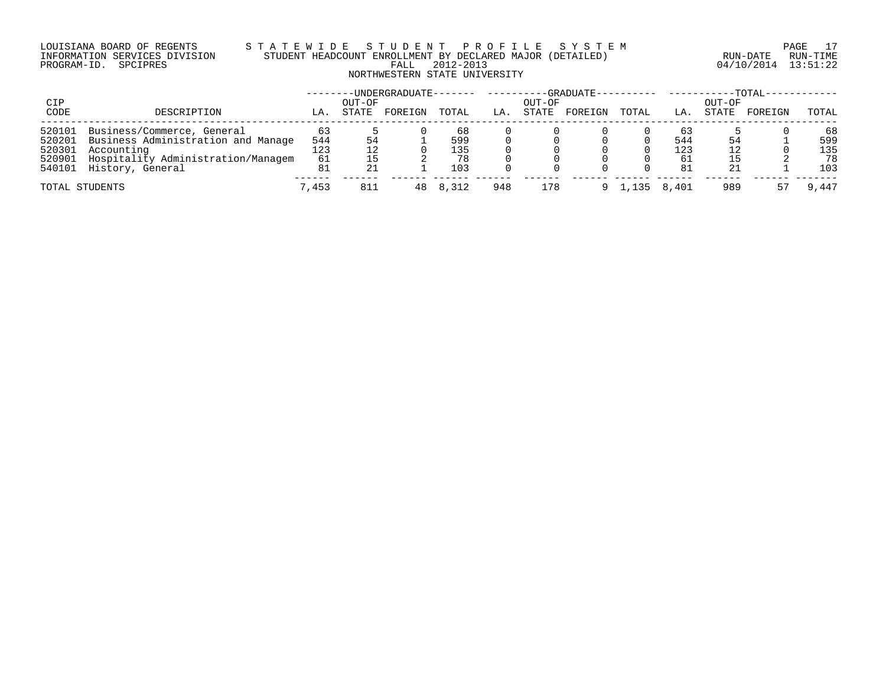# LOUISIANA BOARD OF REGENTS S T A T E W I D E S T U D E N T P R O F I L E S Y S T E M PAGE 17 INFORMATION SERVICES DIVISION STUDENT HEADCOUNT ENROLLMENT BY DECLARED MAJOR (DETAILED) RUN-DATE RUN-TIME PROGRAM-ID. SPCIPRES FALL 2012-2013 04/10/2014 13:51:22 NORTHWESTERN STATE UNIVERSITY

| CIP    |                                    |       | OUT-OF | UNDERGRADUATE- |       |     | OUT-OF | -GRADUATE-- |       |       | OUT-OF | $-TOTAL-$ |       |
|--------|------------------------------------|-------|--------|----------------|-------|-----|--------|-------------|-------|-------|--------|-----------|-------|
| CODE   | DESCRIPTION                        | LA.   | STATE  | FOREIGN        | TOTAL | LA. | STATE  | FOREIGN     | TOTAL | LA.   | STATE  | FOREIGN   | TOTAL |
| 520101 | Business/Commerce, General         | 63    |        |                | 68    |     |        |             |       | 63    |        |           | 68    |
| 520201 | Business Administration and Manage | 544   | 54     |                | 599   |     |        |             |       | 544   | 54     |           | 599   |
| 520301 | Accounting                         | 123   |        |                | l 35  |     |        |             |       | 123   |        |           | 135   |
| 520901 | Hospitality Administration/Managem | 61    |        |                | 78    |     |        |             |       | -61   |        |           | 78    |
|        | 540101 History, General            | 81    |        |                | 103   |     |        |             |       | 81    | 21     |           | 103   |
|        | TOTAL STUDENTS                     | 7,453 | 811    | 48             | 8.312 | 948 | 178    |             | .135  | 8,401 | 989    |           | 9,447 |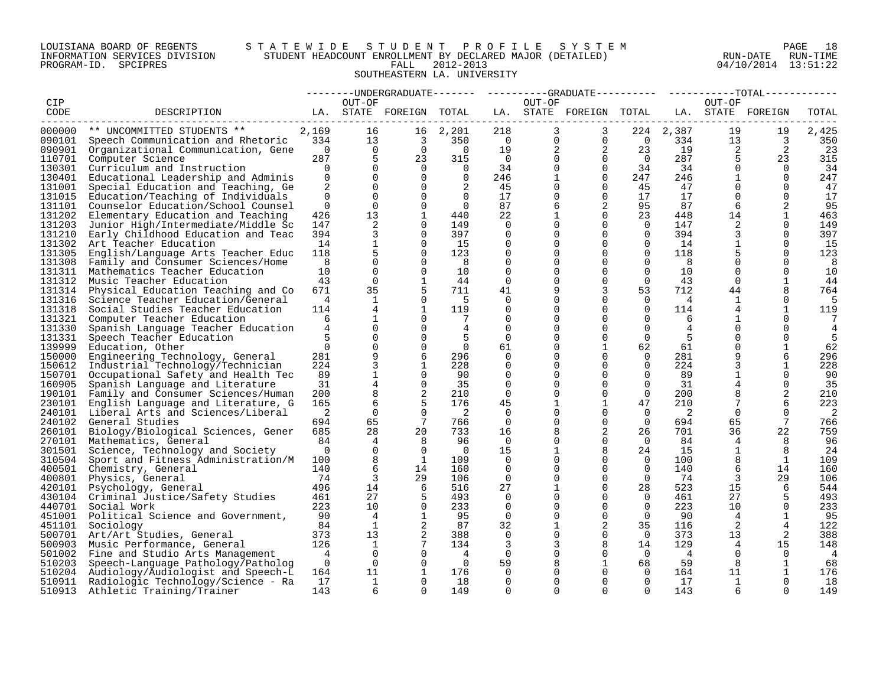# LOUISIANA BOARD OF REGENTS S T A T E W I D E S T U D E N T P R O F I L E S Y S T E M PAGE 18 INFORMATION SERVICES DIVISION STUDENT HEADCOUNT ENROLLMENT BY DECLARED MAJOR (DETAILED) RUN-DATE RUN-TIME PROGRAM-ID. SPCIPRES FALL 2012-2013 04/10/2014 13:51:22 SOUTHEASTERN LA. UNIVERSITY

| OUT-OF<br>OUT-OF<br>CIP<br>OUT-OF<br>LA. STATE FOREIGN TOTAL<br>LA. STATE FOREIGN TOTAL<br>LA. STATE FOREIGN<br>CODE<br>DESCRIPTION<br>TOTAL<br>2,169<br>3<br>2,387<br>19<br>000000<br>** UNCOMMITTED STUDENTS **<br>16<br>16 2,201<br>218<br>3<br>224<br>19<br>2,425<br>13<br>$\overline{0}$<br>334<br>$\overline{\mathbf{3}}$<br>$\overline{0}$<br>$\overline{0}$<br>$\overline{0}$<br>334<br>13<br>$\overline{3}$<br>350<br>090101<br>Speech Communication and Rhetoric<br>350<br>2<br>19<br>090901<br>Organizational Communication, Gene<br>$\Omega$<br>$\Omega$<br>$\Omega$<br>$\overline{0}$<br>19<br>2<br>23<br>2<br>2<br>-23<br>5<br>287<br>23<br>315<br>287<br>5<br>110701<br>$\bigcap$<br>$\Omega$<br>$\Omega$<br>$\bigcap$<br>23<br>315<br>Computer Science<br>$\Omega$<br>130301<br>$\Omega$<br>$\Omega$<br>$\Omega$<br>34<br>34<br>34<br>34<br>Curriculum and Instruction<br>$\Omega$<br>$\Omega$<br>$\Omega$<br>$\Omega$<br>$\mathbf 0$<br>$\mathbf 0$<br>$\Omega$<br>$\mathbf 0$<br>130401<br>Educational Leadership and Adminis<br>$\Omega$<br>246<br>247<br>246<br>1<br>$\Omega$<br>247<br>1<br>2<br>131001<br>$\Omega$<br>$\Omega$<br>45<br>$\Omega$<br>45<br>47<br>$\Omega$<br>$\Omega$<br>47<br>Special Education and Teaching, Ge<br>$\Omega$<br>131015<br>Education/Teaching of Individuals<br>$\Omega$<br>$\Omega$<br>$\Omega$<br>$\Omega$<br>17<br>17<br>17<br>$\Omega$<br>$\Omega$<br>17<br>0<br>131101<br>$\Omega$<br>$\Omega$<br>2<br>95<br>87<br>Counselor Education/School Counsel<br>$\Omega$<br>$\Omega$<br>87<br>6<br>6<br>2<br>95<br>131202<br>13<br>$\mathbf{1}$<br>22<br>$\Omega$<br>23<br>448<br>14<br>$\mathbf{1}$<br>463<br>Elementary Education and Teaching<br>426<br>440<br>131203<br>147<br>2<br>149<br>2<br>149<br>Junior High/Intermediate/Middle Sc<br>$\Omega$<br>0<br>0<br>$\Omega$<br>$\overline{0}$<br>147<br>$\Omega$<br>3<br>3<br>131210<br>394<br>$\Omega$<br>397<br>$\Omega$<br>$\Omega$<br>$\Omega$<br>394<br>$\Omega$<br>397<br>Early Childhood Education and Teac<br>0<br>131302<br>14<br>$\mathbf 1$<br>15<br>$\Omega$<br>15<br>Art Teacher Education<br>$\Omega$<br>$\mathbf 0$<br>$\Omega$<br>$\mathbf 0$<br>14<br>$\mathbf 1$<br>$\Omega$<br>5<br>131305<br>123<br>$\Omega$<br>118<br>5<br>123<br>English/Language Arts Teacher Educ<br>118<br>$\Omega$<br>0<br>0<br>$\Omega$<br>$\Omega$<br>$\Omega$<br>131308<br>8<br>$\Omega$<br>$\mathbf 0$<br>$\Omega$<br>$\Omega$<br>8<br>$\Omega$<br>$\Omega$<br>Family and Consumer Sciences/Home<br>8<br>8<br>131311<br>Mathematics Teacher Education<br>10<br>$\Omega$<br>$\Omega$<br>10<br>$\Omega$<br>$\Omega$<br>$\Omega$<br>10<br>$\Omega$<br>$\Omega$<br>10<br>131312<br>$\Omega$<br>$\Omega$<br>43<br>$\mathbf{1}$<br>44<br>$\mathbf 0$<br>$\Omega$<br>$\Omega$<br>$\Omega$<br>Music Teacher Education<br>43<br>1<br>44<br>35<br>5<br>3<br>131314<br>671<br>711<br>53<br>712<br>8<br>Physical Education Teaching and Co<br>41<br>44<br>764<br>131316<br>Science Teacher Education/General<br>4<br>1<br>$\Omega$<br>- 5<br>0<br>0<br>$\Omega$<br>$\mathbf{0}$<br>4<br>$\Omega$<br>1<br>$\overline{4}$<br>131318<br>Social Studies Teacher Education<br>$\mathbf{1}$<br>$\Omega$<br>$\Omega$<br>$\Omega$<br>4<br>114<br>119<br>114<br>119<br>131321<br>Computer Teacher Education<br>$\Omega$<br>$\Omega$<br>$\Omega$<br>$\Omega$<br>6<br>1<br>$\Omega$<br>0<br>-6<br>1<br>7<br>131330<br>$\Omega$<br>$\overline{4}$<br>$\Omega$<br>$\Omega$<br>$\Omega$<br>$\Omega$<br>$\Omega$<br>Spanish Language Teacher Education<br>4<br>4<br>$\Omega$<br>4<br>$\Omega$<br>131331<br>5<br>$\Omega$<br>.5<br>$\Omega$<br>$\Omega$<br>$\Omega$<br>-5<br>$\Omega$<br>$\Omega$<br>5<br>Speech Teacher Education<br>$\Omega$<br>$\mathbf 0$<br>139999<br>$\Omega$<br>61<br>62<br>$\Omega$<br>1<br>62<br>Education, Other<br>$\Omega$<br>1<br>61<br>0<br>9<br>6<br>296<br>9<br>150000<br>Engineering Technology, General<br>281<br>$\Omega$<br>$\Omega$<br>$\Omega$<br>281<br>6<br>296<br>150612<br>224<br>3<br>228<br>224<br>3<br>228<br>Industrial Technology/Technician<br>1<br>0<br>$\Omega$<br>$\Omega$<br>1<br>0<br>$\mathbf{1}$<br>150701<br>89<br>$\Omega$<br>89<br>Occupational Safety and Health Tec<br>$\Omega$<br>90<br>0<br>0<br>$\Omega$<br>1<br>$\Omega$<br>-90<br>4<br>160905<br>31<br>$\Omega$<br>35<br>$\Omega$<br>$\Omega$<br>31<br>$\Omega$<br>35<br>Spanish Language and Literature<br>$\Omega$<br>8<br>2<br>2<br>190101<br>Family and Consumer Sciences/Human<br>200<br>210<br>$\Omega$<br>$\Omega$<br>$\Omega$<br>200<br>8<br>210<br>0<br>6<br>5<br>223<br>230101<br>English Language and Literature, G<br>165<br>176<br>45<br>47<br>210<br>6<br>240101<br>2<br>$\Omega$<br>$\Omega$<br>$\overline{2}$<br>$\Omega$<br>2<br>$\Omega$<br>2<br>Liberal Arts and Sciences/Liberal<br>$\Omega$<br>$\Omega$<br>$\Omega$<br>$7\phantom{.0}$<br>766<br>240102<br>65<br>$\Omega$<br>$\overline{0}$<br>694<br>65<br>7<br>766<br>General Studies<br>694<br>0<br>0<br>28<br>20<br>2<br>22<br>759<br>260101<br>685<br>733<br>26<br>701<br>36<br>Biology/Biological Sciences, Gener<br>16<br>270101<br>Mathematics, General<br>84<br>4<br>8<br>96<br>$\mathbf 0$<br>$\mathbf 0$<br>84<br>96<br>0<br>$\Omega$<br>4<br>8<br>$\Omega$<br>301501<br>$\Omega$<br>8<br>24<br>15<br>$\mathbf{1}$<br>24<br>Science, Technology and Society<br>$\Omega$<br>$\Omega$<br>15<br>8<br>8<br>310504<br>1<br>$\Omega$<br>$\Omega$<br>8<br>109<br>Sport and Fitness Administration/M<br>100<br>109<br>0<br>100<br>1<br>6<br>400501<br>140<br>14<br>160<br>$\Omega$<br>140<br>6<br>14<br>160<br>Chemistry, General<br>$\Omega$<br>0<br>$\Omega$<br>$\overline{3}$<br>400801<br>74<br>29<br>$\Omega$<br>74<br>3<br>29<br>106<br>106<br>$\mathbf 0$<br>$\Omega$<br>Physics, General<br>496<br>516<br>$\Omega$<br>523<br>15<br>544<br>420101<br>14<br>6<br>27<br>28<br>6<br>Psychology, General<br>1<br>27<br>27<br>430104<br>Criminal Justice/Safety Studies<br>461<br>5<br>493<br>$\Omega$<br>$\Omega$<br>$\Omega$<br>461<br>5<br>493<br>0<br>10<br>440701<br>223<br>$\Omega$<br>233<br>$\Omega$<br>223<br>10 <sup>°</sup><br>$\Omega$<br>233<br>Social Work<br>$\Omega$<br>0<br>$\Omega$<br>451001<br>90<br>$\mathbf 0$<br>95<br>Political Science and Government,<br>4<br>95<br>$\mathbf 0$<br>0<br>$\overline{0}$<br>90<br>$\overline{4}$<br>1<br>1<br>2<br>451101<br>$\mathbf{1}$<br>2<br>87<br>2<br>122<br>Sociology<br>84<br>32<br>35<br>116<br>4<br>2<br>500701<br>373<br>13<br>388<br>$\Omega$<br>$\Omega$<br>373<br>13<br>2<br>388<br>Art/Art Studies, General<br>$\Omega$<br>500903<br>126<br>1<br>7<br>134<br>3<br>8<br>14<br>129<br>15<br>148<br>Music Performance, General<br>3<br>4<br>$\Omega$<br>501002 Fine and Studio Arts Management<br>$\overline{4}$<br>$\Omega$<br>$\Omega$<br>$\Omega$<br>$\Omega$<br>$\overline{4}$<br>$\Omega$<br>$\Omega$<br>$\overline{4}$<br>- 4<br>510203<br>$\overline{0}$<br>$\overline{0}$<br>$\overline{0}$<br>$\overline{0}$<br>59<br>1<br>68<br>59<br>8<br>1<br>68<br>Speech-Language Pathology/Patholog<br>8<br>510204<br>11<br>176<br>176<br>Audiology/Audiologist and Speech-L<br>164<br>1<br>$\Omega$<br>$\Omega$<br>$\Omega$<br>164<br>11<br>1<br>510911<br>17<br>1<br>18<br>$\Omega$<br>17<br>1<br>18<br>Radiologic Technology/Science - Ra<br>$\Omega$<br>$\Omega$<br>$\Omega$<br>$\Omega$<br>$\Omega$<br>510913<br>Athletic Training/Trainer<br>143<br>6<br>$\cap$<br>149<br>$\cap$<br>$\cap$<br>$\cap$<br>$\Omega$<br>143<br>149<br>6<br>$\cap$ |  |  |  |  |  |  | --------UNDERGRADUATE------- ---------GRADUATE--------- ----------TOTAL-------- |  |
|---------------------------------------------------------------------------------------------------------------------------------------------------------------------------------------------------------------------------------------------------------------------------------------------------------------------------------------------------------------------------------------------------------------------------------------------------------------------------------------------------------------------------------------------------------------------------------------------------------------------------------------------------------------------------------------------------------------------------------------------------------------------------------------------------------------------------------------------------------------------------------------------------------------------------------------------------------------------------------------------------------------------------------------------------------------------------------------------------------------------------------------------------------------------------------------------------------------------------------------------------------------------------------------------------------------------------------------------------------------------------------------------------------------------------------------------------------------------------------------------------------------------------------------------------------------------------------------------------------------------------------------------------------------------------------------------------------------------------------------------------------------------------------------------------------------------------------------------------------------------------------------------------------------------------------------------------------------------------------------------------------------------------------------------------------------------------------------------------------------------------------------------------------------------------------------------------------------------------------------------------------------------------------------------------------------------------------------------------------------------------------------------------------------------------------------------------------------------------------------------------------------------------------------------------------------------------------------------------------------------------------------------------------------------------------------------------------------------------------------------------------------------------------------------------------------------------------------------------------------------------------------------------------------------------------------------------------------------------------------------------------------------------------------------------------------------------------------------------------------------------------------------------------------------------------------------------------------------------------------------------------------------------------------------------------------------------------------------------------------------------------------------------------------------------------------------------------------------------------------------------------------------------------------------------------------------------------------------------------------------------------------------------------------------------------------------------------------------------------------------------------------------------------------------------------------------------------------------------------------------------------------------------------------------------------------------------------------------------------------------------------------------------------------------------------------------------------------------------------------------------------------------------------------------------------------------------------------------------------------------------------------------------------------------------------------------------------------------------------------------------------------------------------------------------------------------------------------------------------------------------------------------------------------------------------------------------------------------------------------------------------------------------------------------------------------------------------------------------------------------------------------------------------------------------------------------------------------------------------------------------------------------------------------------------------------------------------------------------------------------------------------------------------------------------------------------------------------------------------------------------------------------------------------------------------------------------------------------------------------------------------------------------------------------------------------------------------------------------------------------------------------------------------------------------------------------------------------------------------------------------------------------------------------------------------------------------------------------------------------------------------------------------------------------------------------------------------------------------------------------------------------------------------------------------------------------------------------------------------------------------------------------------------------------------------------------------------------------------------------------------------------------------------------------------------------------------------------------------------------------------------------------------------------------------------------------------------------------------------------------------------------------------------------------------------------------------------------------------------------------------------------------------------------------------------------------------------------------------------------------------------------------------------------------------------------------------------------------------------------------------------------------------------------------------------------------------------------------------------------------------------------------------------------------------------------------------------------------------------------------------------------------------------------------------------------------------------------------------------------------------------------------------------------------------------------------------------------------------------------------------------------------------------------------------------------------------------------------------------------------------------------------------------------------------------------------------------------------------------------------------------------------------------------------------------------------------------------------------------------------|--|--|--|--|--|--|---------------------------------------------------------------------------------|--|
|                                                                                                                                                                                                                                                                                                                                                                                                                                                                                                                                                                                                                                                                                                                                                                                                                                                                                                                                                                                                                                                                                                                                                                                                                                                                                                                                                                                                                                                                                                                                                                                                                                                                                                                                                                                                                                                                                                                                                                                                                                                                                                                                                                                                                                                                                                                                                                                                                                                                                                                                                                                                                                                                                                                                                                                                                                                                                                                                                                                                                                                                                                                                                                                                                                                                                                                                                                                                                                                                                                                                                                                                                                                                                                                                                                                                                                                                                                                                                                                                                                                                                                                                                                                                                                                                                                                                                                                                                                                                                                                                                                                                                                                                                                                                                                                                                                                                                                                                                                                                                                                                                                                                                                                                                                                                                                                                                                                                                                                                                                                                                                                                                                                                                                                                                                                                                                                                                                                                                                                                                                                                                                                                                                                                                                                                                                                                                                                                                                                                                                                                                                                                                                                                                                                                                                                                                                                                                                                                                                                                                                                                                                                                                                                                                                                                                                                                                                                                                                                                                             |  |  |  |  |  |  |                                                                                 |  |
|                                                                                                                                                                                                                                                                                                                                                                                                                                                                                                                                                                                                                                                                                                                                                                                                                                                                                                                                                                                                                                                                                                                                                                                                                                                                                                                                                                                                                                                                                                                                                                                                                                                                                                                                                                                                                                                                                                                                                                                                                                                                                                                                                                                                                                                                                                                                                                                                                                                                                                                                                                                                                                                                                                                                                                                                                                                                                                                                                                                                                                                                                                                                                                                                                                                                                                                                                                                                                                                                                                                                                                                                                                                                                                                                                                                                                                                                                                                                                                                                                                                                                                                                                                                                                                                                                                                                                                                                                                                                                                                                                                                                                                                                                                                                                                                                                                                                                                                                                                                                                                                                                                                                                                                                                                                                                                                                                                                                                                                                                                                                                                                                                                                                                                                                                                                                                                                                                                                                                                                                                                                                                                                                                                                                                                                                                                                                                                                                                                                                                                                                                                                                                                                                                                                                                                                                                                                                                                                                                                                                                                                                                                                                                                                                                                                                                                                                                                                                                                                                                             |  |  |  |  |  |  |                                                                                 |  |
|                                                                                                                                                                                                                                                                                                                                                                                                                                                                                                                                                                                                                                                                                                                                                                                                                                                                                                                                                                                                                                                                                                                                                                                                                                                                                                                                                                                                                                                                                                                                                                                                                                                                                                                                                                                                                                                                                                                                                                                                                                                                                                                                                                                                                                                                                                                                                                                                                                                                                                                                                                                                                                                                                                                                                                                                                                                                                                                                                                                                                                                                                                                                                                                                                                                                                                                                                                                                                                                                                                                                                                                                                                                                                                                                                                                                                                                                                                                                                                                                                                                                                                                                                                                                                                                                                                                                                                                                                                                                                                                                                                                                                                                                                                                                                                                                                                                                                                                                                                                                                                                                                                                                                                                                                                                                                                                                                                                                                                                                                                                                                                                                                                                                                                                                                                                                                                                                                                                                                                                                                                                                                                                                                                                                                                                                                                                                                                                                                                                                                                                                                                                                                                                                                                                                                                                                                                                                                                                                                                                                                                                                                                                                                                                                                                                                                                                                                                                                                                                                                             |  |  |  |  |  |  |                                                                                 |  |
|                                                                                                                                                                                                                                                                                                                                                                                                                                                                                                                                                                                                                                                                                                                                                                                                                                                                                                                                                                                                                                                                                                                                                                                                                                                                                                                                                                                                                                                                                                                                                                                                                                                                                                                                                                                                                                                                                                                                                                                                                                                                                                                                                                                                                                                                                                                                                                                                                                                                                                                                                                                                                                                                                                                                                                                                                                                                                                                                                                                                                                                                                                                                                                                                                                                                                                                                                                                                                                                                                                                                                                                                                                                                                                                                                                                                                                                                                                                                                                                                                                                                                                                                                                                                                                                                                                                                                                                                                                                                                                                                                                                                                                                                                                                                                                                                                                                                                                                                                                                                                                                                                                                                                                                                                                                                                                                                                                                                                                                                                                                                                                                                                                                                                                                                                                                                                                                                                                                                                                                                                                                                                                                                                                                                                                                                                                                                                                                                                                                                                                                                                                                                                                                                                                                                                                                                                                                                                                                                                                                                                                                                                                                                                                                                                                                                                                                                                                                                                                                                                             |  |  |  |  |  |  |                                                                                 |  |
|                                                                                                                                                                                                                                                                                                                                                                                                                                                                                                                                                                                                                                                                                                                                                                                                                                                                                                                                                                                                                                                                                                                                                                                                                                                                                                                                                                                                                                                                                                                                                                                                                                                                                                                                                                                                                                                                                                                                                                                                                                                                                                                                                                                                                                                                                                                                                                                                                                                                                                                                                                                                                                                                                                                                                                                                                                                                                                                                                                                                                                                                                                                                                                                                                                                                                                                                                                                                                                                                                                                                                                                                                                                                                                                                                                                                                                                                                                                                                                                                                                                                                                                                                                                                                                                                                                                                                                                                                                                                                                                                                                                                                                                                                                                                                                                                                                                                                                                                                                                                                                                                                                                                                                                                                                                                                                                                                                                                                                                                                                                                                                                                                                                                                                                                                                                                                                                                                                                                                                                                                                                                                                                                                                                                                                                                                                                                                                                                                                                                                                                                                                                                                                                                                                                                                                                                                                                                                                                                                                                                                                                                                                                                                                                                                                                                                                                                                                                                                                                                                             |  |  |  |  |  |  |                                                                                 |  |
|                                                                                                                                                                                                                                                                                                                                                                                                                                                                                                                                                                                                                                                                                                                                                                                                                                                                                                                                                                                                                                                                                                                                                                                                                                                                                                                                                                                                                                                                                                                                                                                                                                                                                                                                                                                                                                                                                                                                                                                                                                                                                                                                                                                                                                                                                                                                                                                                                                                                                                                                                                                                                                                                                                                                                                                                                                                                                                                                                                                                                                                                                                                                                                                                                                                                                                                                                                                                                                                                                                                                                                                                                                                                                                                                                                                                                                                                                                                                                                                                                                                                                                                                                                                                                                                                                                                                                                                                                                                                                                                                                                                                                                                                                                                                                                                                                                                                                                                                                                                                                                                                                                                                                                                                                                                                                                                                                                                                                                                                                                                                                                                                                                                                                                                                                                                                                                                                                                                                                                                                                                                                                                                                                                                                                                                                                                                                                                                                                                                                                                                                                                                                                                                                                                                                                                                                                                                                                                                                                                                                                                                                                                                                                                                                                                                                                                                                                                                                                                                                                             |  |  |  |  |  |  |                                                                                 |  |
|                                                                                                                                                                                                                                                                                                                                                                                                                                                                                                                                                                                                                                                                                                                                                                                                                                                                                                                                                                                                                                                                                                                                                                                                                                                                                                                                                                                                                                                                                                                                                                                                                                                                                                                                                                                                                                                                                                                                                                                                                                                                                                                                                                                                                                                                                                                                                                                                                                                                                                                                                                                                                                                                                                                                                                                                                                                                                                                                                                                                                                                                                                                                                                                                                                                                                                                                                                                                                                                                                                                                                                                                                                                                                                                                                                                                                                                                                                                                                                                                                                                                                                                                                                                                                                                                                                                                                                                                                                                                                                                                                                                                                                                                                                                                                                                                                                                                                                                                                                                                                                                                                                                                                                                                                                                                                                                                                                                                                                                                                                                                                                                                                                                                                                                                                                                                                                                                                                                                                                                                                                                                                                                                                                                                                                                                                                                                                                                                                                                                                                                                                                                                                                                                                                                                                                                                                                                                                                                                                                                                                                                                                                                                                                                                                                                                                                                                                                                                                                                                                             |  |  |  |  |  |  |                                                                                 |  |
|                                                                                                                                                                                                                                                                                                                                                                                                                                                                                                                                                                                                                                                                                                                                                                                                                                                                                                                                                                                                                                                                                                                                                                                                                                                                                                                                                                                                                                                                                                                                                                                                                                                                                                                                                                                                                                                                                                                                                                                                                                                                                                                                                                                                                                                                                                                                                                                                                                                                                                                                                                                                                                                                                                                                                                                                                                                                                                                                                                                                                                                                                                                                                                                                                                                                                                                                                                                                                                                                                                                                                                                                                                                                                                                                                                                                                                                                                                                                                                                                                                                                                                                                                                                                                                                                                                                                                                                                                                                                                                                                                                                                                                                                                                                                                                                                                                                                                                                                                                                                                                                                                                                                                                                                                                                                                                                                                                                                                                                                                                                                                                                                                                                                                                                                                                                                                                                                                                                                                                                                                                                                                                                                                                                                                                                                                                                                                                                                                                                                                                                                                                                                                                                                                                                                                                                                                                                                                                                                                                                                                                                                                                                                                                                                                                                                                                                                                                                                                                                                                             |  |  |  |  |  |  |                                                                                 |  |
|                                                                                                                                                                                                                                                                                                                                                                                                                                                                                                                                                                                                                                                                                                                                                                                                                                                                                                                                                                                                                                                                                                                                                                                                                                                                                                                                                                                                                                                                                                                                                                                                                                                                                                                                                                                                                                                                                                                                                                                                                                                                                                                                                                                                                                                                                                                                                                                                                                                                                                                                                                                                                                                                                                                                                                                                                                                                                                                                                                                                                                                                                                                                                                                                                                                                                                                                                                                                                                                                                                                                                                                                                                                                                                                                                                                                                                                                                                                                                                                                                                                                                                                                                                                                                                                                                                                                                                                                                                                                                                                                                                                                                                                                                                                                                                                                                                                                                                                                                                                                                                                                                                                                                                                                                                                                                                                                                                                                                                                                                                                                                                                                                                                                                                                                                                                                                                                                                                                                                                                                                                                                                                                                                                                                                                                                                                                                                                                                                                                                                                                                                                                                                                                                                                                                                                                                                                                                                                                                                                                                                                                                                                                                                                                                                                                                                                                                                                                                                                                                                             |  |  |  |  |  |  |                                                                                 |  |
|                                                                                                                                                                                                                                                                                                                                                                                                                                                                                                                                                                                                                                                                                                                                                                                                                                                                                                                                                                                                                                                                                                                                                                                                                                                                                                                                                                                                                                                                                                                                                                                                                                                                                                                                                                                                                                                                                                                                                                                                                                                                                                                                                                                                                                                                                                                                                                                                                                                                                                                                                                                                                                                                                                                                                                                                                                                                                                                                                                                                                                                                                                                                                                                                                                                                                                                                                                                                                                                                                                                                                                                                                                                                                                                                                                                                                                                                                                                                                                                                                                                                                                                                                                                                                                                                                                                                                                                                                                                                                                                                                                                                                                                                                                                                                                                                                                                                                                                                                                                                                                                                                                                                                                                                                                                                                                                                                                                                                                                                                                                                                                                                                                                                                                                                                                                                                                                                                                                                                                                                                                                                                                                                                                                                                                                                                                                                                                                                                                                                                                                                                                                                                                                                                                                                                                                                                                                                                                                                                                                                                                                                                                                                                                                                                                                                                                                                                                                                                                                                                             |  |  |  |  |  |  |                                                                                 |  |
|                                                                                                                                                                                                                                                                                                                                                                                                                                                                                                                                                                                                                                                                                                                                                                                                                                                                                                                                                                                                                                                                                                                                                                                                                                                                                                                                                                                                                                                                                                                                                                                                                                                                                                                                                                                                                                                                                                                                                                                                                                                                                                                                                                                                                                                                                                                                                                                                                                                                                                                                                                                                                                                                                                                                                                                                                                                                                                                                                                                                                                                                                                                                                                                                                                                                                                                                                                                                                                                                                                                                                                                                                                                                                                                                                                                                                                                                                                                                                                                                                                                                                                                                                                                                                                                                                                                                                                                                                                                                                                                                                                                                                                                                                                                                                                                                                                                                                                                                                                                                                                                                                                                                                                                                                                                                                                                                                                                                                                                                                                                                                                                                                                                                                                                                                                                                                                                                                                                                                                                                                                                                                                                                                                                                                                                                                                                                                                                                                                                                                                                                                                                                                                                                                                                                                                                                                                                                                                                                                                                                                                                                                                                                                                                                                                                                                                                                                                                                                                                                                             |  |  |  |  |  |  |                                                                                 |  |
|                                                                                                                                                                                                                                                                                                                                                                                                                                                                                                                                                                                                                                                                                                                                                                                                                                                                                                                                                                                                                                                                                                                                                                                                                                                                                                                                                                                                                                                                                                                                                                                                                                                                                                                                                                                                                                                                                                                                                                                                                                                                                                                                                                                                                                                                                                                                                                                                                                                                                                                                                                                                                                                                                                                                                                                                                                                                                                                                                                                                                                                                                                                                                                                                                                                                                                                                                                                                                                                                                                                                                                                                                                                                                                                                                                                                                                                                                                                                                                                                                                                                                                                                                                                                                                                                                                                                                                                                                                                                                                                                                                                                                                                                                                                                                                                                                                                                                                                                                                                                                                                                                                                                                                                                                                                                                                                                                                                                                                                                                                                                                                                                                                                                                                                                                                                                                                                                                                                                                                                                                                                                                                                                                                                                                                                                                                                                                                                                                                                                                                                                                                                                                                                                                                                                                                                                                                                                                                                                                                                                                                                                                                                                                                                                                                                                                                                                                                                                                                                                                             |  |  |  |  |  |  |                                                                                 |  |
|                                                                                                                                                                                                                                                                                                                                                                                                                                                                                                                                                                                                                                                                                                                                                                                                                                                                                                                                                                                                                                                                                                                                                                                                                                                                                                                                                                                                                                                                                                                                                                                                                                                                                                                                                                                                                                                                                                                                                                                                                                                                                                                                                                                                                                                                                                                                                                                                                                                                                                                                                                                                                                                                                                                                                                                                                                                                                                                                                                                                                                                                                                                                                                                                                                                                                                                                                                                                                                                                                                                                                                                                                                                                                                                                                                                                                                                                                                                                                                                                                                                                                                                                                                                                                                                                                                                                                                                                                                                                                                                                                                                                                                                                                                                                                                                                                                                                                                                                                                                                                                                                                                                                                                                                                                                                                                                                                                                                                                                                                                                                                                                                                                                                                                                                                                                                                                                                                                                                                                                                                                                                                                                                                                                                                                                                                                                                                                                                                                                                                                                                                                                                                                                                                                                                                                                                                                                                                                                                                                                                                                                                                                                                                                                                                                                                                                                                                                                                                                                                                             |  |  |  |  |  |  |                                                                                 |  |
|                                                                                                                                                                                                                                                                                                                                                                                                                                                                                                                                                                                                                                                                                                                                                                                                                                                                                                                                                                                                                                                                                                                                                                                                                                                                                                                                                                                                                                                                                                                                                                                                                                                                                                                                                                                                                                                                                                                                                                                                                                                                                                                                                                                                                                                                                                                                                                                                                                                                                                                                                                                                                                                                                                                                                                                                                                                                                                                                                                                                                                                                                                                                                                                                                                                                                                                                                                                                                                                                                                                                                                                                                                                                                                                                                                                                                                                                                                                                                                                                                                                                                                                                                                                                                                                                                                                                                                                                                                                                                                                                                                                                                                                                                                                                                                                                                                                                                                                                                                                                                                                                                                                                                                                                                                                                                                                                                                                                                                                                                                                                                                                                                                                                                                                                                                                                                                                                                                                                                                                                                                                                                                                                                                                                                                                                                                                                                                                                                                                                                                                                                                                                                                                                                                                                                                                                                                                                                                                                                                                                                                                                                                                                                                                                                                                                                                                                                                                                                                                                                             |  |  |  |  |  |  |                                                                                 |  |
|                                                                                                                                                                                                                                                                                                                                                                                                                                                                                                                                                                                                                                                                                                                                                                                                                                                                                                                                                                                                                                                                                                                                                                                                                                                                                                                                                                                                                                                                                                                                                                                                                                                                                                                                                                                                                                                                                                                                                                                                                                                                                                                                                                                                                                                                                                                                                                                                                                                                                                                                                                                                                                                                                                                                                                                                                                                                                                                                                                                                                                                                                                                                                                                                                                                                                                                                                                                                                                                                                                                                                                                                                                                                                                                                                                                                                                                                                                                                                                                                                                                                                                                                                                                                                                                                                                                                                                                                                                                                                                                                                                                                                                                                                                                                                                                                                                                                                                                                                                                                                                                                                                                                                                                                                                                                                                                                                                                                                                                                                                                                                                                                                                                                                                                                                                                                                                                                                                                                                                                                                                                                                                                                                                                                                                                                                                                                                                                                                                                                                                                                                                                                                                                                                                                                                                                                                                                                                                                                                                                                                                                                                                                                                                                                                                                                                                                                                                                                                                                                                             |  |  |  |  |  |  |                                                                                 |  |
|                                                                                                                                                                                                                                                                                                                                                                                                                                                                                                                                                                                                                                                                                                                                                                                                                                                                                                                                                                                                                                                                                                                                                                                                                                                                                                                                                                                                                                                                                                                                                                                                                                                                                                                                                                                                                                                                                                                                                                                                                                                                                                                                                                                                                                                                                                                                                                                                                                                                                                                                                                                                                                                                                                                                                                                                                                                                                                                                                                                                                                                                                                                                                                                                                                                                                                                                                                                                                                                                                                                                                                                                                                                                                                                                                                                                                                                                                                                                                                                                                                                                                                                                                                                                                                                                                                                                                                                                                                                                                                                                                                                                                                                                                                                                                                                                                                                                                                                                                                                                                                                                                                                                                                                                                                                                                                                                                                                                                                                                                                                                                                                                                                                                                                                                                                                                                                                                                                                                                                                                                                                                                                                                                                                                                                                                                                                                                                                                                                                                                                                                                                                                                                                                                                                                                                                                                                                                                                                                                                                                                                                                                                                                                                                                                                                                                                                                                                                                                                                                                             |  |  |  |  |  |  |                                                                                 |  |
|                                                                                                                                                                                                                                                                                                                                                                                                                                                                                                                                                                                                                                                                                                                                                                                                                                                                                                                                                                                                                                                                                                                                                                                                                                                                                                                                                                                                                                                                                                                                                                                                                                                                                                                                                                                                                                                                                                                                                                                                                                                                                                                                                                                                                                                                                                                                                                                                                                                                                                                                                                                                                                                                                                                                                                                                                                                                                                                                                                                                                                                                                                                                                                                                                                                                                                                                                                                                                                                                                                                                                                                                                                                                                                                                                                                                                                                                                                                                                                                                                                                                                                                                                                                                                                                                                                                                                                                                                                                                                                                                                                                                                                                                                                                                                                                                                                                                                                                                                                                                                                                                                                                                                                                                                                                                                                                                                                                                                                                                                                                                                                                                                                                                                                                                                                                                                                                                                                                                                                                                                                                                                                                                                                                                                                                                                                                                                                                                                                                                                                                                                                                                                                                                                                                                                                                                                                                                                                                                                                                                                                                                                                                                                                                                                                                                                                                                                                                                                                                                                             |  |  |  |  |  |  |                                                                                 |  |
|                                                                                                                                                                                                                                                                                                                                                                                                                                                                                                                                                                                                                                                                                                                                                                                                                                                                                                                                                                                                                                                                                                                                                                                                                                                                                                                                                                                                                                                                                                                                                                                                                                                                                                                                                                                                                                                                                                                                                                                                                                                                                                                                                                                                                                                                                                                                                                                                                                                                                                                                                                                                                                                                                                                                                                                                                                                                                                                                                                                                                                                                                                                                                                                                                                                                                                                                                                                                                                                                                                                                                                                                                                                                                                                                                                                                                                                                                                                                                                                                                                                                                                                                                                                                                                                                                                                                                                                                                                                                                                                                                                                                                                                                                                                                                                                                                                                                                                                                                                                                                                                                                                                                                                                                                                                                                                                                                                                                                                                                                                                                                                                                                                                                                                                                                                                                                                                                                                                                                                                                                                                                                                                                                                                                                                                                                                                                                                                                                                                                                                                                                                                                                                                                                                                                                                                                                                                                                                                                                                                                                                                                                                                                                                                                                                                                                                                                                                                                                                                                                             |  |  |  |  |  |  |                                                                                 |  |
|                                                                                                                                                                                                                                                                                                                                                                                                                                                                                                                                                                                                                                                                                                                                                                                                                                                                                                                                                                                                                                                                                                                                                                                                                                                                                                                                                                                                                                                                                                                                                                                                                                                                                                                                                                                                                                                                                                                                                                                                                                                                                                                                                                                                                                                                                                                                                                                                                                                                                                                                                                                                                                                                                                                                                                                                                                                                                                                                                                                                                                                                                                                                                                                                                                                                                                                                                                                                                                                                                                                                                                                                                                                                                                                                                                                                                                                                                                                                                                                                                                                                                                                                                                                                                                                                                                                                                                                                                                                                                                                                                                                                                                                                                                                                                                                                                                                                                                                                                                                                                                                                                                                                                                                                                                                                                                                                                                                                                                                                                                                                                                                                                                                                                                                                                                                                                                                                                                                                                                                                                                                                                                                                                                                                                                                                                                                                                                                                                                                                                                                                                                                                                                                                                                                                                                                                                                                                                                                                                                                                                                                                                                                                                                                                                                                                                                                                                                                                                                                                                             |  |  |  |  |  |  |                                                                                 |  |
|                                                                                                                                                                                                                                                                                                                                                                                                                                                                                                                                                                                                                                                                                                                                                                                                                                                                                                                                                                                                                                                                                                                                                                                                                                                                                                                                                                                                                                                                                                                                                                                                                                                                                                                                                                                                                                                                                                                                                                                                                                                                                                                                                                                                                                                                                                                                                                                                                                                                                                                                                                                                                                                                                                                                                                                                                                                                                                                                                                                                                                                                                                                                                                                                                                                                                                                                                                                                                                                                                                                                                                                                                                                                                                                                                                                                                                                                                                                                                                                                                                                                                                                                                                                                                                                                                                                                                                                                                                                                                                                                                                                                                                                                                                                                                                                                                                                                                                                                                                                                                                                                                                                                                                                                                                                                                                                                                                                                                                                                                                                                                                                                                                                                                                                                                                                                                                                                                                                                                                                                                                                                                                                                                                                                                                                                                                                                                                                                                                                                                                                                                                                                                                                                                                                                                                                                                                                                                                                                                                                                                                                                                                                                                                                                                                                                                                                                                                                                                                                                                             |  |  |  |  |  |  |                                                                                 |  |
|                                                                                                                                                                                                                                                                                                                                                                                                                                                                                                                                                                                                                                                                                                                                                                                                                                                                                                                                                                                                                                                                                                                                                                                                                                                                                                                                                                                                                                                                                                                                                                                                                                                                                                                                                                                                                                                                                                                                                                                                                                                                                                                                                                                                                                                                                                                                                                                                                                                                                                                                                                                                                                                                                                                                                                                                                                                                                                                                                                                                                                                                                                                                                                                                                                                                                                                                                                                                                                                                                                                                                                                                                                                                                                                                                                                                                                                                                                                                                                                                                                                                                                                                                                                                                                                                                                                                                                                                                                                                                                                                                                                                                                                                                                                                                                                                                                                                                                                                                                                                                                                                                                                                                                                                                                                                                                                                                                                                                                                                                                                                                                                                                                                                                                                                                                                                                                                                                                                                                                                                                                                                                                                                                                                                                                                                                                                                                                                                                                                                                                                                                                                                                                                                                                                                                                                                                                                                                                                                                                                                                                                                                                                                                                                                                                                                                                                                                                                                                                                                                             |  |  |  |  |  |  |                                                                                 |  |
|                                                                                                                                                                                                                                                                                                                                                                                                                                                                                                                                                                                                                                                                                                                                                                                                                                                                                                                                                                                                                                                                                                                                                                                                                                                                                                                                                                                                                                                                                                                                                                                                                                                                                                                                                                                                                                                                                                                                                                                                                                                                                                                                                                                                                                                                                                                                                                                                                                                                                                                                                                                                                                                                                                                                                                                                                                                                                                                                                                                                                                                                                                                                                                                                                                                                                                                                                                                                                                                                                                                                                                                                                                                                                                                                                                                                                                                                                                                                                                                                                                                                                                                                                                                                                                                                                                                                                                                                                                                                                                                                                                                                                                                                                                                                                                                                                                                                                                                                                                                                                                                                                                                                                                                                                                                                                                                                                                                                                                                                                                                                                                                                                                                                                                                                                                                                                                                                                                                                                                                                                                                                                                                                                                                                                                                                                                                                                                                                                                                                                                                                                                                                                                                                                                                                                                                                                                                                                                                                                                                                                                                                                                                                                                                                                                                                                                                                                                                                                                                                                             |  |  |  |  |  |  |                                                                                 |  |
|                                                                                                                                                                                                                                                                                                                                                                                                                                                                                                                                                                                                                                                                                                                                                                                                                                                                                                                                                                                                                                                                                                                                                                                                                                                                                                                                                                                                                                                                                                                                                                                                                                                                                                                                                                                                                                                                                                                                                                                                                                                                                                                                                                                                                                                                                                                                                                                                                                                                                                                                                                                                                                                                                                                                                                                                                                                                                                                                                                                                                                                                                                                                                                                                                                                                                                                                                                                                                                                                                                                                                                                                                                                                                                                                                                                                                                                                                                                                                                                                                                                                                                                                                                                                                                                                                                                                                                                                                                                                                                                                                                                                                                                                                                                                                                                                                                                                                                                                                                                                                                                                                                                                                                                                                                                                                                                                                                                                                                                                                                                                                                                                                                                                                                                                                                                                                                                                                                                                                                                                                                                                                                                                                                                                                                                                                                                                                                                                                                                                                                                                                                                                                                                                                                                                                                                                                                                                                                                                                                                                                                                                                                                                                                                                                                                                                                                                                                                                                                                                                             |  |  |  |  |  |  |                                                                                 |  |
|                                                                                                                                                                                                                                                                                                                                                                                                                                                                                                                                                                                                                                                                                                                                                                                                                                                                                                                                                                                                                                                                                                                                                                                                                                                                                                                                                                                                                                                                                                                                                                                                                                                                                                                                                                                                                                                                                                                                                                                                                                                                                                                                                                                                                                                                                                                                                                                                                                                                                                                                                                                                                                                                                                                                                                                                                                                                                                                                                                                                                                                                                                                                                                                                                                                                                                                                                                                                                                                                                                                                                                                                                                                                                                                                                                                                                                                                                                                                                                                                                                                                                                                                                                                                                                                                                                                                                                                                                                                                                                                                                                                                                                                                                                                                                                                                                                                                                                                                                                                                                                                                                                                                                                                                                                                                                                                                                                                                                                                                                                                                                                                                                                                                                                                                                                                                                                                                                                                                                                                                                                                                                                                                                                                                                                                                                                                                                                                                                                                                                                                                                                                                                                                                                                                                                                                                                                                                                                                                                                                                                                                                                                                                                                                                                                                                                                                                                                                                                                                                                             |  |  |  |  |  |  |                                                                                 |  |
|                                                                                                                                                                                                                                                                                                                                                                                                                                                                                                                                                                                                                                                                                                                                                                                                                                                                                                                                                                                                                                                                                                                                                                                                                                                                                                                                                                                                                                                                                                                                                                                                                                                                                                                                                                                                                                                                                                                                                                                                                                                                                                                                                                                                                                                                                                                                                                                                                                                                                                                                                                                                                                                                                                                                                                                                                                                                                                                                                                                                                                                                                                                                                                                                                                                                                                                                                                                                                                                                                                                                                                                                                                                                                                                                                                                                                                                                                                                                                                                                                                                                                                                                                                                                                                                                                                                                                                                                                                                                                                                                                                                                                                                                                                                                                                                                                                                                                                                                                                                                                                                                                                                                                                                                                                                                                                                                                                                                                                                                                                                                                                                                                                                                                                                                                                                                                                                                                                                                                                                                                                                                                                                                                                                                                                                                                                                                                                                                                                                                                                                                                                                                                                                                                                                                                                                                                                                                                                                                                                                                                                                                                                                                                                                                                                                                                                                                                                                                                                                                                             |  |  |  |  |  |  |                                                                                 |  |
|                                                                                                                                                                                                                                                                                                                                                                                                                                                                                                                                                                                                                                                                                                                                                                                                                                                                                                                                                                                                                                                                                                                                                                                                                                                                                                                                                                                                                                                                                                                                                                                                                                                                                                                                                                                                                                                                                                                                                                                                                                                                                                                                                                                                                                                                                                                                                                                                                                                                                                                                                                                                                                                                                                                                                                                                                                                                                                                                                                                                                                                                                                                                                                                                                                                                                                                                                                                                                                                                                                                                                                                                                                                                                                                                                                                                                                                                                                                                                                                                                                                                                                                                                                                                                                                                                                                                                                                                                                                                                                                                                                                                                                                                                                                                                                                                                                                                                                                                                                                                                                                                                                                                                                                                                                                                                                                                                                                                                                                                                                                                                                                                                                                                                                                                                                                                                                                                                                                                                                                                                                                                                                                                                                                                                                                                                                                                                                                                                                                                                                                                                                                                                                                                                                                                                                                                                                                                                                                                                                                                                                                                                                                                                                                                                                                                                                                                                                                                                                                                                             |  |  |  |  |  |  |                                                                                 |  |
|                                                                                                                                                                                                                                                                                                                                                                                                                                                                                                                                                                                                                                                                                                                                                                                                                                                                                                                                                                                                                                                                                                                                                                                                                                                                                                                                                                                                                                                                                                                                                                                                                                                                                                                                                                                                                                                                                                                                                                                                                                                                                                                                                                                                                                                                                                                                                                                                                                                                                                                                                                                                                                                                                                                                                                                                                                                                                                                                                                                                                                                                                                                                                                                                                                                                                                                                                                                                                                                                                                                                                                                                                                                                                                                                                                                                                                                                                                                                                                                                                                                                                                                                                                                                                                                                                                                                                                                                                                                                                                                                                                                                                                                                                                                                                                                                                                                                                                                                                                                                                                                                                                                                                                                                                                                                                                                                                                                                                                                                                                                                                                                                                                                                                                                                                                                                                                                                                                                                                                                                                                                                                                                                                                                                                                                                                                                                                                                                                                                                                                                                                                                                                                                                                                                                                                                                                                                                                                                                                                                                                                                                                                                                                                                                                                                                                                                                                                                                                                                                                             |  |  |  |  |  |  |                                                                                 |  |
|                                                                                                                                                                                                                                                                                                                                                                                                                                                                                                                                                                                                                                                                                                                                                                                                                                                                                                                                                                                                                                                                                                                                                                                                                                                                                                                                                                                                                                                                                                                                                                                                                                                                                                                                                                                                                                                                                                                                                                                                                                                                                                                                                                                                                                                                                                                                                                                                                                                                                                                                                                                                                                                                                                                                                                                                                                                                                                                                                                                                                                                                                                                                                                                                                                                                                                                                                                                                                                                                                                                                                                                                                                                                                                                                                                                                                                                                                                                                                                                                                                                                                                                                                                                                                                                                                                                                                                                                                                                                                                                                                                                                                                                                                                                                                                                                                                                                                                                                                                                                                                                                                                                                                                                                                                                                                                                                                                                                                                                                                                                                                                                                                                                                                                                                                                                                                                                                                                                                                                                                                                                                                                                                                                                                                                                                                                                                                                                                                                                                                                                                                                                                                                                                                                                                                                                                                                                                                                                                                                                                                                                                                                                                                                                                                                                                                                                                                                                                                                                                                             |  |  |  |  |  |  |                                                                                 |  |
|                                                                                                                                                                                                                                                                                                                                                                                                                                                                                                                                                                                                                                                                                                                                                                                                                                                                                                                                                                                                                                                                                                                                                                                                                                                                                                                                                                                                                                                                                                                                                                                                                                                                                                                                                                                                                                                                                                                                                                                                                                                                                                                                                                                                                                                                                                                                                                                                                                                                                                                                                                                                                                                                                                                                                                                                                                                                                                                                                                                                                                                                                                                                                                                                                                                                                                                                                                                                                                                                                                                                                                                                                                                                                                                                                                                                                                                                                                                                                                                                                                                                                                                                                                                                                                                                                                                                                                                                                                                                                                                                                                                                                                                                                                                                                                                                                                                                                                                                                                                                                                                                                                                                                                                                                                                                                                                                                                                                                                                                                                                                                                                                                                                                                                                                                                                                                                                                                                                                                                                                                                                                                                                                                                                                                                                                                                                                                                                                                                                                                                                                                                                                                                                                                                                                                                                                                                                                                                                                                                                                                                                                                                                                                                                                                                                                                                                                                                                                                                                                                             |  |  |  |  |  |  |                                                                                 |  |
|                                                                                                                                                                                                                                                                                                                                                                                                                                                                                                                                                                                                                                                                                                                                                                                                                                                                                                                                                                                                                                                                                                                                                                                                                                                                                                                                                                                                                                                                                                                                                                                                                                                                                                                                                                                                                                                                                                                                                                                                                                                                                                                                                                                                                                                                                                                                                                                                                                                                                                                                                                                                                                                                                                                                                                                                                                                                                                                                                                                                                                                                                                                                                                                                                                                                                                                                                                                                                                                                                                                                                                                                                                                                                                                                                                                                                                                                                                                                                                                                                                                                                                                                                                                                                                                                                                                                                                                                                                                                                                                                                                                                                                                                                                                                                                                                                                                                                                                                                                                                                                                                                                                                                                                                                                                                                                                                                                                                                                                                                                                                                                                                                                                                                                                                                                                                                                                                                                                                                                                                                                                                                                                                                                                                                                                                                                                                                                                                                                                                                                                                                                                                                                                                                                                                                                                                                                                                                                                                                                                                                                                                                                                                                                                                                                                                                                                                                                                                                                                                                             |  |  |  |  |  |  |                                                                                 |  |
|                                                                                                                                                                                                                                                                                                                                                                                                                                                                                                                                                                                                                                                                                                                                                                                                                                                                                                                                                                                                                                                                                                                                                                                                                                                                                                                                                                                                                                                                                                                                                                                                                                                                                                                                                                                                                                                                                                                                                                                                                                                                                                                                                                                                                                                                                                                                                                                                                                                                                                                                                                                                                                                                                                                                                                                                                                                                                                                                                                                                                                                                                                                                                                                                                                                                                                                                                                                                                                                                                                                                                                                                                                                                                                                                                                                                                                                                                                                                                                                                                                                                                                                                                                                                                                                                                                                                                                                                                                                                                                                                                                                                                                                                                                                                                                                                                                                                                                                                                                                                                                                                                                                                                                                                                                                                                                                                                                                                                                                                                                                                                                                                                                                                                                                                                                                                                                                                                                                                                                                                                                                                                                                                                                                                                                                                                                                                                                                                                                                                                                                                                                                                                                                                                                                                                                                                                                                                                                                                                                                                                                                                                                                                                                                                                                                                                                                                                                                                                                                                                             |  |  |  |  |  |  |                                                                                 |  |
|                                                                                                                                                                                                                                                                                                                                                                                                                                                                                                                                                                                                                                                                                                                                                                                                                                                                                                                                                                                                                                                                                                                                                                                                                                                                                                                                                                                                                                                                                                                                                                                                                                                                                                                                                                                                                                                                                                                                                                                                                                                                                                                                                                                                                                                                                                                                                                                                                                                                                                                                                                                                                                                                                                                                                                                                                                                                                                                                                                                                                                                                                                                                                                                                                                                                                                                                                                                                                                                                                                                                                                                                                                                                                                                                                                                                                                                                                                                                                                                                                                                                                                                                                                                                                                                                                                                                                                                                                                                                                                                                                                                                                                                                                                                                                                                                                                                                                                                                                                                                                                                                                                                                                                                                                                                                                                                                                                                                                                                                                                                                                                                                                                                                                                                                                                                                                                                                                                                                                                                                                                                                                                                                                                                                                                                                                                                                                                                                                                                                                                                                                                                                                                                                                                                                                                                                                                                                                                                                                                                                                                                                                                                                                                                                                                                                                                                                                                                                                                                                                             |  |  |  |  |  |  |                                                                                 |  |
|                                                                                                                                                                                                                                                                                                                                                                                                                                                                                                                                                                                                                                                                                                                                                                                                                                                                                                                                                                                                                                                                                                                                                                                                                                                                                                                                                                                                                                                                                                                                                                                                                                                                                                                                                                                                                                                                                                                                                                                                                                                                                                                                                                                                                                                                                                                                                                                                                                                                                                                                                                                                                                                                                                                                                                                                                                                                                                                                                                                                                                                                                                                                                                                                                                                                                                                                                                                                                                                                                                                                                                                                                                                                                                                                                                                                                                                                                                                                                                                                                                                                                                                                                                                                                                                                                                                                                                                                                                                                                                                                                                                                                                                                                                                                                                                                                                                                                                                                                                                                                                                                                                                                                                                                                                                                                                                                                                                                                                                                                                                                                                                                                                                                                                                                                                                                                                                                                                                                                                                                                                                                                                                                                                                                                                                                                                                                                                                                                                                                                                                                                                                                                                                                                                                                                                                                                                                                                                                                                                                                                                                                                                                                                                                                                                                                                                                                                                                                                                                                                             |  |  |  |  |  |  |                                                                                 |  |
|                                                                                                                                                                                                                                                                                                                                                                                                                                                                                                                                                                                                                                                                                                                                                                                                                                                                                                                                                                                                                                                                                                                                                                                                                                                                                                                                                                                                                                                                                                                                                                                                                                                                                                                                                                                                                                                                                                                                                                                                                                                                                                                                                                                                                                                                                                                                                                                                                                                                                                                                                                                                                                                                                                                                                                                                                                                                                                                                                                                                                                                                                                                                                                                                                                                                                                                                                                                                                                                                                                                                                                                                                                                                                                                                                                                                                                                                                                                                                                                                                                                                                                                                                                                                                                                                                                                                                                                                                                                                                                                                                                                                                                                                                                                                                                                                                                                                                                                                                                                                                                                                                                                                                                                                                                                                                                                                                                                                                                                                                                                                                                                                                                                                                                                                                                                                                                                                                                                                                                                                                                                                                                                                                                                                                                                                                                                                                                                                                                                                                                                                                                                                                                                                                                                                                                                                                                                                                                                                                                                                                                                                                                                                                                                                                                                                                                                                                                                                                                                                                             |  |  |  |  |  |  |                                                                                 |  |
|                                                                                                                                                                                                                                                                                                                                                                                                                                                                                                                                                                                                                                                                                                                                                                                                                                                                                                                                                                                                                                                                                                                                                                                                                                                                                                                                                                                                                                                                                                                                                                                                                                                                                                                                                                                                                                                                                                                                                                                                                                                                                                                                                                                                                                                                                                                                                                                                                                                                                                                                                                                                                                                                                                                                                                                                                                                                                                                                                                                                                                                                                                                                                                                                                                                                                                                                                                                                                                                                                                                                                                                                                                                                                                                                                                                                                                                                                                                                                                                                                                                                                                                                                                                                                                                                                                                                                                                                                                                                                                                                                                                                                                                                                                                                                                                                                                                                                                                                                                                                                                                                                                                                                                                                                                                                                                                                                                                                                                                                                                                                                                                                                                                                                                                                                                                                                                                                                                                                                                                                                                                                                                                                                                                                                                                                                                                                                                                                                                                                                                                                                                                                                                                                                                                                                                                                                                                                                                                                                                                                                                                                                                                                                                                                                                                                                                                                                                                                                                                                                             |  |  |  |  |  |  |                                                                                 |  |
|                                                                                                                                                                                                                                                                                                                                                                                                                                                                                                                                                                                                                                                                                                                                                                                                                                                                                                                                                                                                                                                                                                                                                                                                                                                                                                                                                                                                                                                                                                                                                                                                                                                                                                                                                                                                                                                                                                                                                                                                                                                                                                                                                                                                                                                                                                                                                                                                                                                                                                                                                                                                                                                                                                                                                                                                                                                                                                                                                                                                                                                                                                                                                                                                                                                                                                                                                                                                                                                                                                                                                                                                                                                                                                                                                                                                                                                                                                                                                                                                                                                                                                                                                                                                                                                                                                                                                                                                                                                                                                                                                                                                                                                                                                                                                                                                                                                                                                                                                                                                                                                                                                                                                                                                                                                                                                                                                                                                                                                                                                                                                                                                                                                                                                                                                                                                                                                                                                                                                                                                                                                                                                                                                                                                                                                                                                                                                                                                                                                                                                                                                                                                                                                                                                                                                                                                                                                                                                                                                                                                                                                                                                                                                                                                                                                                                                                                                                                                                                                                                             |  |  |  |  |  |  |                                                                                 |  |
|                                                                                                                                                                                                                                                                                                                                                                                                                                                                                                                                                                                                                                                                                                                                                                                                                                                                                                                                                                                                                                                                                                                                                                                                                                                                                                                                                                                                                                                                                                                                                                                                                                                                                                                                                                                                                                                                                                                                                                                                                                                                                                                                                                                                                                                                                                                                                                                                                                                                                                                                                                                                                                                                                                                                                                                                                                                                                                                                                                                                                                                                                                                                                                                                                                                                                                                                                                                                                                                                                                                                                                                                                                                                                                                                                                                                                                                                                                                                                                                                                                                                                                                                                                                                                                                                                                                                                                                                                                                                                                                                                                                                                                                                                                                                                                                                                                                                                                                                                                                                                                                                                                                                                                                                                                                                                                                                                                                                                                                                                                                                                                                                                                                                                                                                                                                                                                                                                                                                                                                                                                                                                                                                                                                                                                                                                                                                                                                                                                                                                                                                                                                                                                                                                                                                                                                                                                                                                                                                                                                                                                                                                                                                                                                                                                                                                                                                                                                                                                                                                             |  |  |  |  |  |  |                                                                                 |  |
|                                                                                                                                                                                                                                                                                                                                                                                                                                                                                                                                                                                                                                                                                                                                                                                                                                                                                                                                                                                                                                                                                                                                                                                                                                                                                                                                                                                                                                                                                                                                                                                                                                                                                                                                                                                                                                                                                                                                                                                                                                                                                                                                                                                                                                                                                                                                                                                                                                                                                                                                                                                                                                                                                                                                                                                                                                                                                                                                                                                                                                                                                                                                                                                                                                                                                                                                                                                                                                                                                                                                                                                                                                                                                                                                                                                                                                                                                                                                                                                                                                                                                                                                                                                                                                                                                                                                                                                                                                                                                                                                                                                                                                                                                                                                                                                                                                                                                                                                                                                                                                                                                                                                                                                                                                                                                                                                                                                                                                                                                                                                                                                                                                                                                                                                                                                                                                                                                                                                                                                                                                                                                                                                                                                                                                                                                                                                                                                                                                                                                                                                                                                                                                                                                                                                                                                                                                                                                                                                                                                                                                                                                                                                                                                                                                                                                                                                                                                                                                                                                             |  |  |  |  |  |  |                                                                                 |  |
|                                                                                                                                                                                                                                                                                                                                                                                                                                                                                                                                                                                                                                                                                                                                                                                                                                                                                                                                                                                                                                                                                                                                                                                                                                                                                                                                                                                                                                                                                                                                                                                                                                                                                                                                                                                                                                                                                                                                                                                                                                                                                                                                                                                                                                                                                                                                                                                                                                                                                                                                                                                                                                                                                                                                                                                                                                                                                                                                                                                                                                                                                                                                                                                                                                                                                                                                                                                                                                                                                                                                                                                                                                                                                                                                                                                                                                                                                                                                                                                                                                                                                                                                                                                                                                                                                                                                                                                                                                                                                                                                                                                                                                                                                                                                                                                                                                                                                                                                                                                                                                                                                                                                                                                                                                                                                                                                                                                                                                                                                                                                                                                                                                                                                                                                                                                                                                                                                                                                                                                                                                                                                                                                                                                                                                                                                                                                                                                                                                                                                                                                                                                                                                                                                                                                                                                                                                                                                                                                                                                                                                                                                                                                                                                                                                                                                                                                                                                                                                                                                             |  |  |  |  |  |  |                                                                                 |  |
|                                                                                                                                                                                                                                                                                                                                                                                                                                                                                                                                                                                                                                                                                                                                                                                                                                                                                                                                                                                                                                                                                                                                                                                                                                                                                                                                                                                                                                                                                                                                                                                                                                                                                                                                                                                                                                                                                                                                                                                                                                                                                                                                                                                                                                                                                                                                                                                                                                                                                                                                                                                                                                                                                                                                                                                                                                                                                                                                                                                                                                                                                                                                                                                                                                                                                                                                                                                                                                                                                                                                                                                                                                                                                                                                                                                                                                                                                                                                                                                                                                                                                                                                                                                                                                                                                                                                                                                                                                                                                                                                                                                                                                                                                                                                                                                                                                                                                                                                                                                                                                                                                                                                                                                                                                                                                                                                                                                                                                                                                                                                                                                                                                                                                                                                                                                                                                                                                                                                                                                                                                                                                                                                                                                                                                                                                                                                                                                                                                                                                                                                                                                                                                                                                                                                                                                                                                                                                                                                                                                                                                                                                                                                                                                                                                                                                                                                                                                                                                                                                             |  |  |  |  |  |  |                                                                                 |  |
|                                                                                                                                                                                                                                                                                                                                                                                                                                                                                                                                                                                                                                                                                                                                                                                                                                                                                                                                                                                                                                                                                                                                                                                                                                                                                                                                                                                                                                                                                                                                                                                                                                                                                                                                                                                                                                                                                                                                                                                                                                                                                                                                                                                                                                                                                                                                                                                                                                                                                                                                                                                                                                                                                                                                                                                                                                                                                                                                                                                                                                                                                                                                                                                                                                                                                                                                                                                                                                                                                                                                                                                                                                                                                                                                                                                                                                                                                                                                                                                                                                                                                                                                                                                                                                                                                                                                                                                                                                                                                                                                                                                                                                                                                                                                                                                                                                                                                                                                                                                                                                                                                                                                                                                                                                                                                                                                                                                                                                                                                                                                                                                                                                                                                                                                                                                                                                                                                                                                                                                                                                                                                                                                                                                                                                                                                                                                                                                                                                                                                                                                                                                                                                                                                                                                                                                                                                                                                                                                                                                                                                                                                                                                                                                                                                                                                                                                                                                                                                                                                             |  |  |  |  |  |  |                                                                                 |  |
|                                                                                                                                                                                                                                                                                                                                                                                                                                                                                                                                                                                                                                                                                                                                                                                                                                                                                                                                                                                                                                                                                                                                                                                                                                                                                                                                                                                                                                                                                                                                                                                                                                                                                                                                                                                                                                                                                                                                                                                                                                                                                                                                                                                                                                                                                                                                                                                                                                                                                                                                                                                                                                                                                                                                                                                                                                                                                                                                                                                                                                                                                                                                                                                                                                                                                                                                                                                                                                                                                                                                                                                                                                                                                                                                                                                                                                                                                                                                                                                                                                                                                                                                                                                                                                                                                                                                                                                                                                                                                                                                                                                                                                                                                                                                                                                                                                                                                                                                                                                                                                                                                                                                                                                                                                                                                                                                                                                                                                                                                                                                                                                                                                                                                                                                                                                                                                                                                                                                                                                                                                                                                                                                                                                                                                                                                                                                                                                                                                                                                                                                                                                                                                                                                                                                                                                                                                                                                                                                                                                                                                                                                                                                                                                                                                                                                                                                                                                                                                                                                             |  |  |  |  |  |  |                                                                                 |  |
|                                                                                                                                                                                                                                                                                                                                                                                                                                                                                                                                                                                                                                                                                                                                                                                                                                                                                                                                                                                                                                                                                                                                                                                                                                                                                                                                                                                                                                                                                                                                                                                                                                                                                                                                                                                                                                                                                                                                                                                                                                                                                                                                                                                                                                                                                                                                                                                                                                                                                                                                                                                                                                                                                                                                                                                                                                                                                                                                                                                                                                                                                                                                                                                                                                                                                                                                                                                                                                                                                                                                                                                                                                                                                                                                                                                                                                                                                                                                                                                                                                                                                                                                                                                                                                                                                                                                                                                                                                                                                                                                                                                                                                                                                                                                                                                                                                                                                                                                                                                                                                                                                                                                                                                                                                                                                                                                                                                                                                                                                                                                                                                                                                                                                                                                                                                                                                                                                                                                                                                                                                                                                                                                                                                                                                                                                                                                                                                                                                                                                                                                                                                                                                                                                                                                                                                                                                                                                                                                                                                                                                                                                                                                                                                                                                                                                                                                                                                                                                                                                             |  |  |  |  |  |  |                                                                                 |  |
|                                                                                                                                                                                                                                                                                                                                                                                                                                                                                                                                                                                                                                                                                                                                                                                                                                                                                                                                                                                                                                                                                                                                                                                                                                                                                                                                                                                                                                                                                                                                                                                                                                                                                                                                                                                                                                                                                                                                                                                                                                                                                                                                                                                                                                                                                                                                                                                                                                                                                                                                                                                                                                                                                                                                                                                                                                                                                                                                                                                                                                                                                                                                                                                                                                                                                                                                                                                                                                                                                                                                                                                                                                                                                                                                                                                                                                                                                                                                                                                                                                                                                                                                                                                                                                                                                                                                                                                                                                                                                                                                                                                                                                                                                                                                                                                                                                                                                                                                                                                                                                                                                                                                                                                                                                                                                                                                                                                                                                                                                                                                                                                                                                                                                                                                                                                                                                                                                                                                                                                                                                                                                                                                                                                                                                                                                                                                                                                                                                                                                                                                                                                                                                                                                                                                                                                                                                                                                                                                                                                                                                                                                                                                                                                                                                                                                                                                                                                                                                                                                             |  |  |  |  |  |  |                                                                                 |  |
|                                                                                                                                                                                                                                                                                                                                                                                                                                                                                                                                                                                                                                                                                                                                                                                                                                                                                                                                                                                                                                                                                                                                                                                                                                                                                                                                                                                                                                                                                                                                                                                                                                                                                                                                                                                                                                                                                                                                                                                                                                                                                                                                                                                                                                                                                                                                                                                                                                                                                                                                                                                                                                                                                                                                                                                                                                                                                                                                                                                                                                                                                                                                                                                                                                                                                                                                                                                                                                                                                                                                                                                                                                                                                                                                                                                                                                                                                                                                                                                                                                                                                                                                                                                                                                                                                                                                                                                                                                                                                                                                                                                                                                                                                                                                                                                                                                                                                                                                                                                                                                                                                                                                                                                                                                                                                                                                                                                                                                                                                                                                                                                                                                                                                                                                                                                                                                                                                                                                                                                                                                                                                                                                                                                                                                                                                                                                                                                                                                                                                                                                                                                                                                                                                                                                                                                                                                                                                                                                                                                                                                                                                                                                                                                                                                                                                                                                                                                                                                                                                             |  |  |  |  |  |  |                                                                                 |  |
|                                                                                                                                                                                                                                                                                                                                                                                                                                                                                                                                                                                                                                                                                                                                                                                                                                                                                                                                                                                                                                                                                                                                                                                                                                                                                                                                                                                                                                                                                                                                                                                                                                                                                                                                                                                                                                                                                                                                                                                                                                                                                                                                                                                                                                                                                                                                                                                                                                                                                                                                                                                                                                                                                                                                                                                                                                                                                                                                                                                                                                                                                                                                                                                                                                                                                                                                                                                                                                                                                                                                                                                                                                                                                                                                                                                                                                                                                                                                                                                                                                                                                                                                                                                                                                                                                                                                                                                                                                                                                                                                                                                                                                                                                                                                                                                                                                                                                                                                                                                                                                                                                                                                                                                                                                                                                                                                                                                                                                                                                                                                                                                                                                                                                                                                                                                                                                                                                                                                                                                                                                                                                                                                                                                                                                                                                                                                                                                                                                                                                                                                                                                                                                                                                                                                                                                                                                                                                                                                                                                                                                                                                                                                                                                                                                                                                                                                                                                                                                                                                             |  |  |  |  |  |  |                                                                                 |  |
|                                                                                                                                                                                                                                                                                                                                                                                                                                                                                                                                                                                                                                                                                                                                                                                                                                                                                                                                                                                                                                                                                                                                                                                                                                                                                                                                                                                                                                                                                                                                                                                                                                                                                                                                                                                                                                                                                                                                                                                                                                                                                                                                                                                                                                                                                                                                                                                                                                                                                                                                                                                                                                                                                                                                                                                                                                                                                                                                                                                                                                                                                                                                                                                                                                                                                                                                                                                                                                                                                                                                                                                                                                                                                                                                                                                                                                                                                                                                                                                                                                                                                                                                                                                                                                                                                                                                                                                                                                                                                                                                                                                                                                                                                                                                                                                                                                                                                                                                                                                                                                                                                                                                                                                                                                                                                                                                                                                                                                                                                                                                                                                                                                                                                                                                                                                                                                                                                                                                                                                                                                                                                                                                                                                                                                                                                                                                                                                                                                                                                                                                                                                                                                                                                                                                                                                                                                                                                                                                                                                                                                                                                                                                                                                                                                                                                                                                                                                                                                                                                             |  |  |  |  |  |  |                                                                                 |  |
|                                                                                                                                                                                                                                                                                                                                                                                                                                                                                                                                                                                                                                                                                                                                                                                                                                                                                                                                                                                                                                                                                                                                                                                                                                                                                                                                                                                                                                                                                                                                                                                                                                                                                                                                                                                                                                                                                                                                                                                                                                                                                                                                                                                                                                                                                                                                                                                                                                                                                                                                                                                                                                                                                                                                                                                                                                                                                                                                                                                                                                                                                                                                                                                                                                                                                                                                                                                                                                                                                                                                                                                                                                                                                                                                                                                                                                                                                                                                                                                                                                                                                                                                                                                                                                                                                                                                                                                                                                                                                                                                                                                                                                                                                                                                                                                                                                                                                                                                                                                                                                                                                                                                                                                                                                                                                                                                                                                                                                                                                                                                                                                                                                                                                                                                                                                                                                                                                                                                                                                                                                                                                                                                                                                                                                                                                                                                                                                                                                                                                                                                                                                                                                                                                                                                                                                                                                                                                                                                                                                                                                                                                                                                                                                                                                                                                                                                                                                                                                                                                             |  |  |  |  |  |  |                                                                                 |  |
|                                                                                                                                                                                                                                                                                                                                                                                                                                                                                                                                                                                                                                                                                                                                                                                                                                                                                                                                                                                                                                                                                                                                                                                                                                                                                                                                                                                                                                                                                                                                                                                                                                                                                                                                                                                                                                                                                                                                                                                                                                                                                                                                                                                                                                                                                                                                                                                                                                                                                                                                                                                                                                                                                                                                                                                                                                                                                                                                                                                                                                                                                                                                                                                                                                                                                                                                                                                                                                                                                                                                                                                                                                                                                                                                                                                                                                                                                                                                                                                                                                                                                                                                                                                                                                                                                                                                                                                                                                                                                                                                                                                                                                                                                                                                                                                                                                                                                                                                                                                                                                                                                                                                                                                                                                                                                                                                                                                                                                                                                                                                                                                                                                                                                                                                                                                                                                                                                                                                                                                                                                                                                                                                                                                                                                                                                                                                                                                                                                                                                                                                                                                                                                                                                                                                                                                                                                                                                                                                                                                                                                                                                                                                                                                                                                                                                                                                                                                                                                                                                             |  |  |  |  |  |  |                                                                                 |  |
|                                                                                                                                                                                                                                                                                                                                                                                                                                                                                                                                                                                                                                                                                                                                                                                                                                                                                                                                                                                                                                                                                                                                                                                                                                                                                                                                                                                                                                                                                                                                                                                                                                                                                                                                                                                                                                                                                                                                                                                                                                                                                                                                                                                                                                                                                                                                                                                                                                                                                                                                                                                                                                                                                                                                                                                                                                                                                                                                                                                                                                                                                                                                                                                                                                                                                                                                                                                                                                                                                                                                                                                                                                                                                                                                                                                                                                                                                                                                                                                                                                                                                                                                                                                                                                                                                                                                                                                                                                                                                                                                                                                                                                                                                                                                                                                                                                                                                                                                                                                                                                                                                                                                                                                                                                                                                                                                                                                                                                                                                                                                                                                                                                                                                                                                                                                                                                                                                                                                                                                                                                                                                                                                                                                                                                                                                                                                                                                                                                                                                                                                                                                                                                                                                                                                                                                                                                                                                                                                                                                                                                                                                                                                                                                                                                                                                                                                                                                                                                                                                             |  |  |  |  |  |  |                                                                                 |  |
|                                                                                                                                                                                                                                                                                                                                                                                                                                                                                                                                                                                                                                                                                                                                                                                                                                                                                                                                                                                                                                                                                                                                                                                                                                                                                                                                                                                                                                                                                                                                                                                                                                                                                                                                                                                                                                                                                                                                                                                                                                                                                                                                                                                                                                                                                                                                                                                                                                                                                                                                                                                                                                                                                                                                                                                                                                                                                                                                                                                                                                                                                                                                                                                                                                                                                                                                                                                                                                                                                                                                                                                                                                                                                                                                                                                                                                                                                                                                                                                                                                                                                                                                                                                                                                                                                                                                                                                                                                                                                                                                                                                                                                                                                                                                                                                                                                                                                                                                                                                                                                                                                                                                                                                                                                                                                                                                                                                                                                                                                                                                                                                                                                                                                                                                                                                                                                                                                                                                                                                                                                                                                                                                                                                                                                                                                                                                                                                                                                                                                                                                                                                                                                                                                                                                                                                                                                                                                                                                                                                                                                                                                                                                                                                                                                                                                                                                                                                                                                                                                             |  |  |  |  |  |  |                                                                                 |  |
|                                                                                                                                                                                                                                                                                                                                                                                                                                                                                                                                                                                                                                                                                                                                                                                                                                                                                                                                                                                                                                                                                                                                                                                                                                                                                                                                                                                                                                                                                                                                                                                                                                                                                                                                                                                                                                                                                                                                                                                                                                                                                                                                                                                                                                                                                                                                                                                                                                                                                                                                                                                                                                                                                                                                                                                                                                                                                                                                                                                                                                                                                                                                                                                                                                                                                                                                                                                                                                                                                                                                                                                                                                                                                                                                                                                                                                                                                                                                                                                                                                                                                                                                                                                                                                                                                                                                                                                                                                                                                                                                                                                                                                                                                                                                                                                                                                                                                                                                                                                                                                                                                                                                                                                                                                                                                                                                                                                                                                                                                                                                                                                                                                                                                                                                                                                                                                                                                                                                                                                                                                                                                                                                                                                                                                                                                                                                                                                                                                                                                                                                                                                                                                                                                                                                                                                                                                                                                                                                                                                                                                                                                                                                                                                                                                                                                                                                                                                                                                                                                             |  |  |  |  |  |  |                                                                                 |  |
|                                                                                                                                                                                                                                                                                                                                                                                                                                                                                                                                                                                                                                                                                                                                                                                                                                                                                                                                                                                                                                                                                                                                                                                                                                                                                                                                                                                                                                                                                                                                                                                                                                                                                                                                                                                                                                                                                                                                                                                                                                                                                                                                                                                                                                                                                                                                                                                                                                                                                                                                                                                                                                                                                                                                                                                                                                                                                                                                                                                                                                                                                                                                                                                                                                                                                                                                                                                                                                                                                                                                                                                                                                                                                                                                                                                                                                                                                                                                                                                                                                                                                                                                                                                                                                                                                                                                                                                                                                                                                                                                                                                                                                                                                                                                                                                                                                                                                                                                                                                                                                                                                                                                                                                                                                                                                                                                                                                                                                                                                                                                                                                                                                                                                                                                                                                                                                                                                                                                                                                                                                                                                                                                                                                                                                                                                                                                                                                                                                                                                                                                                                                                                                                                                                                                                                                                                                                                                                                                                                                                                                                                                                                                                                                                                                                                                                                                                                                                                                                                                             |  |  |  |  |  |  |                                                                                 |  |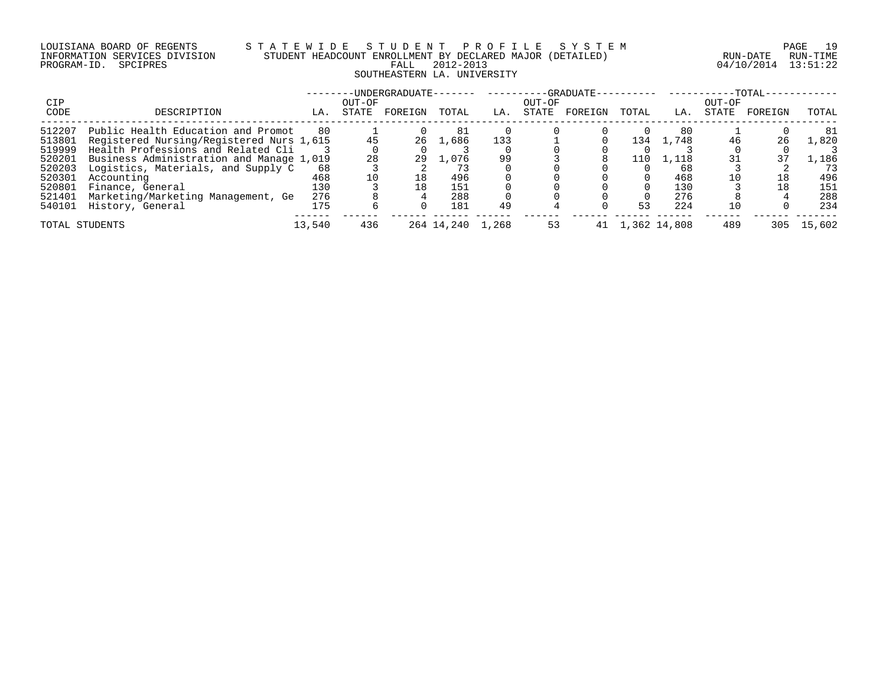# LOUISIANA BOARD OF REGENTS S T A T E W I D E S T U D E N T P R O F I L E S Y S T E M PAGE 19 INFORMATION SERVICES DIVISION STUDENT HEADCOUNT ENROLLMENT BY DECLARED MAJOR (DETAILED) RUN-DATE RUN-TIME PROGRAM-ID. SPCIPRES FALL 2012-2013 04/10/2014 13:51:22 SOUTHEASTERN LA. UNIVERSITY

|                |                                          |        |        | -UNDERGRADUATE- |                  | ________ |        | $-$ -GRADUATE $-$ |       |                 |        | $-TOTAL-$ |        |
|----------------|------------------------------------------|--------|--------|-----------------|------------------|----------|--------|-------------------|-------|-----------------|--------|-----------|--------|
| CIP            |                                          |        | OUT-OF |                 |                  |          | OUT-OF |                   |       |                 | OUT-OF |           |        |
| CODE           | DESCRIPTION                              | LA.    | STATE  | FOREIGN         | TOTAL            | LA.      | STATE  | FOREIGN           | TOTAL | LA.             | STATE  | FOREIGN   | TOTAL  |
| 512207         | Public Health Education and Promot       | 80     |        |                 | 81               |          |        |                   |       | 80              |        |           | 81     |
| 513801         | Registered Nursing/Registered Nurs 1,615 |        |        |                 | 26 1,686         | 133      |        |                   | 134   | 1,748           |        | 26        | 1,820  |
| 519999         | Health Professions and Related Cli       |        |        |                 |                  |          |        |                   |       |                 |        |           |        |
| 520201         | Business Administration and Manage 1,019 |        | 28     | 29              | 1,076            | 99       |        |                   | 110   | 1,118           |        |           | .,186  |
| 520203         | Logistics, Materials, and Supply C       | 68     |        |                 |                  |          |        |                   |       | 68              |        |           | 73     |
| 520301         | Accounting                               | 468    |        | 18              | 496              |          |        |                   |       | 468             |        | 18        | 496    |
| 520801         | Finance, General                         | 130    |        | 18              | 151              |          |        |                   |       | 130             |        | 18        | 151    |
| 521401         | Marketing/Marketing Management, Ge       | 276    |        |                 | 288              |          |        |                   |       | 276             |        |           | 288    |
| 540101         | History, General                         | 175    |        |                 | 181              | 49       |        |                   | 53    | 224             |        |           | 234    |
| TOTAL STUDENTS |                                          | 13,540 | 436    |                 | 264 14,240 1,268 |          | 53     |                   |       | 41 1,362 14,808 | 489    | 305       | 15,602 |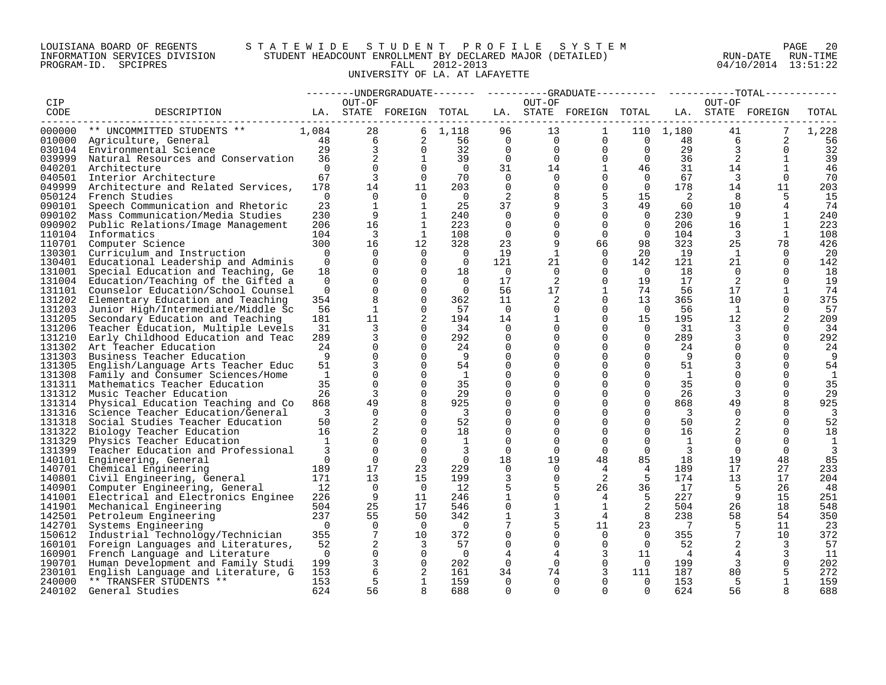# LOUISIANA BOARD OF REGENTS S T A T E W I D E S T U D E N T P R O F I L E S Y S T E M PAGE 20 INFORMATION SERVICES DIVISION STUDENT HEADCOUNT ENROLLMENT BY DECLARED MAJOR (DETAILED) RUN-DATE RUN-TIME PROGRAM-ID. SPCIPRES FALL 2012-2013 04/10/2014 13:51:22 UNIVERSITY OF LA. AT LAFAYETTE

|                  |                                                  |                 |                 |                         |                         |                      |                      | --------UNDERGRADUATE-------  ---------GRADUATE---------  ----------TOTAL------ |                            |                |                      |              |              |
|------------------|--------------------------------------------------|-----------------|-----------------|-------------------------|-------------------------|----------------------|----------------------|---------------------------------------------------------------------------------|----------------------------|----------------|----------------------|--------------|--------------|
| CIP              |                                                  |                 | OUT-OF          |                         |                         |                      | OUT-OF               |                                                                                 |                            |                | OUT-OF               |              |              |
| CODE             | DESCRIPTION                                      |                 |                 | LA. STATE FOREIGN TOTAL |                         |                      |                      | LA. STATE FOREIGN TOTAL LA. STATE FOREIGN                                       |                            |                |                      |              | TOTAL        |
| ------           |                                                  |                 |                 |                         |                         |                      |                      |                                                                                 |                            |                |                      |              |              |
| 000000           | ** UNCOMMITTED STUDENTS **                       | 1,084           | 28              |                         | 6, 1, 118               | 96                   | 13                   | 1                                                                               |                            | 110 1,180      | 41                   |              | 1,228        |
| 010000           | Agriculture, General                             | 48              | $6\overline{6}$ | $\overline{a}$          | 56                      | $\overline{0}$       | $\overline{0}$       | $\Omega$                                                                        | $\overline{0}$             | 48             | 6                    | 2            | 56           |
| 030104           | Environmental Science                            | 29              | $\overline{3}$  | $\Omega$                | 32                      | $\Omega$             | $\Omega$             | $\Omega$                                                                        | $\overline{0}$             | 29             | $\overline{3}$       | $\Omega$     | 32           |
| 039999           | Natural Resources and Conservation               | 36              | 2               | 1                       | 39                      | $\overline{0}$       | $\Omega$             | $\Omega$                                                                        | $\Omega$                   | 36             | 2                    | $\mathbf{1}$ | 39           |
| 040201           | Architecture                                     | $\Omega$<br>67  | $\Omega$<br>3   | $\Omega$                | $\overline{0}$<br>70    | 31                   | 14                   | $\mathbf{1}$                                                                    | 46                         | 31<br>67       | 14<br>$\overline{3}$ | $\mathbf{1}$ | 46           |
| 040501           | Interior Architecture                            |                 |                 | $\Omega$                |                         | $\Omega$<br>$\Omega$ | $\Omega$<br>$\Omega$ | $\Omega$<br>$\mathbf 0$                                                         | $\overline{0}$<br>$\Omega$ |                | 14                   | $\Omega$     | 70           |
| 049999           | Architecture and Related Services,               | 178<br>$\Omega$ | 14<br>$\Omega$  | 11<br>$\Omega$          | 203                     |                      |                      | 5                                                                               |                            | 178            |                      | 11           | 203          |
| 050124<br>090101 | French Studies                                   | 23              | $\mathbf{1}$    | 1                       | $\Omega$<br>25          | 2<br>37              |                      | 3                                                                               | 15                         | 2<br>60        | 8<br>10 <sup>°</sup> | 5            | 15<br>74     |
|                  | Speech Communication and Rhetoric                | 230             | 9               | 1                       |                         | $\Omega$             |                      | $\Omega$                                                                        | 49<br>$\overline{0}$       |                | -9                   |              |              |
| 090102<br>090902 | Mass Communication/Media Studies                 | 206             | 16              | $\mathbf{1}$            | 240<br>223              | $\Omega$             | 0                    | $\Omega$                                                                        | $\Omega$                   | 230<br>206     | 16                   | $\mathbf{1}$ | 240<br>223   |
| 110104           | Public Relations/Image Management<br>Informatics | 104             | 3               | <sup>1</sup>            | 108                     | $\Omega$             | $\Omega$             | $\Omega$                                                                        | $\Omega$                   | 104            | $\overline{3}$       | 1            | 108          |
| 110701           | Computer Science                                 | 300             | 16              | 12                      | 328                     | 23                   | 9                    | 66                                                                              | 98                         | 323            | 25                   | 78           | 426          |
| 130301           | Curriculum and Instruction                       | $\overline{0}$  | $\overline{0}$  | $\Omega$                | $\overline{0}$          | 19                   | 1                    | $\Omega$                                                                        | 20                         | 19             | $\mathbf{1}$         | $\Omega$     | 20           |
| 130401           | Educational Leadership and Adminis               | $\Omega$        | $\Omega$        | $\Omega$                | $\overline{0}$          | 121                  | 21                   | $\Omega$                                                                        | 142                        | 121            | 21                   | $\Omega$     | 142          |
| 131001           | Special Education and Teaching, Ge               | 18              | $\mathbf 0$     | $\Omega$                | 18                      | $\overline{0}$       | 0                    | $\Omega$                                                                        | $\Omega$                   | 18             | $\Omega$             | $\Omega$     | 18           |
| 131004           | Education/Teaching of the Gifted a               | $\Omega$        | $\Omega$        | $\Omega$                | $\overline{0}$          | 17                   | 2                    | $\Omega$                                                                        | 19                         | 17             | 2                    | $\Omega$     | 19           |
| 131101           | Counselor Education/School Counsel               | $\mathbf 0$     | $\mathbf 0$     | $\mathbf 0$             | $\overline{0}$          | 56                   | 17                   | $\mathbf{1}$                                                                    | 74                         | 56             | 17                   | 1            | 74           |
| 131202           | Elementary Education and Teaching                | 354             | 8               | $\Omega$                | 362                     | 11                   | 2                    | $\Omega$                                                                        | 13                         | 365            | 10 <sup>°</sup>      | $\Omega$     | 375          |
| 131203           | Junior High/Intermediate/Middle Sc               | 56              | 1               | $\Omega$                | 57                      | $\overline{0}$       | $\Omega$             | $\Omega$                                                                        | $\overline{0}$             | 56             | $\mathbf{1}$         | $\Omega$     | 57           |
| 131205           | Secondary Education and Teaching                 | 181             | 11              | 2                       | 194                     | 14                   | $\mathbf{1}$         | $\Omega$                                                                        | 15                         | 195            | 12                   | 2            | 209          |
| 131206           | Teacher Education, Multiple Levels               | 31              | 3               | $\Omega$                | 34                      | $\Omega$             | $\Omega$             | $\Omega$                                                                        | $\Omega$                   | 31             | 3                    | $\Omega$     | 34           |
| 131210           | Early Childhood Education and Teac               | 289             | $\overline{3}$  | $\Omega$                | 292                     | $\Omega$             | $\Omega$             | $\Omega$                                                                        | $\Omega$                   | 289            | 3                    | $\Omega$     | 292          |
| 131302           | Art Teacher Education                            | 24              | $\mathbf 0$     | $\Omega$                | 24                      | 0                    | 0                    | $\Omega$                                                                        | $\mathbf 0$                | 24             | 0                    | $\Omega$     | 24           |
| 131303           | Business Teacher Education                       | 9               | $\Omega$        | $\Omega$                | - 9                     | $\Omega$             |                      | $\Omega$                                                                        | $\Omega$                   | - 9            | $\Omega$             | $\Omega$     | 9            |
| 131305           | English/Language Arts Teacher Educ               | 51              | 3               | $\Omega$                | 54                      | $\Omega$             |                      | $\Omega$                                                                        | $\Omega$                   | 51             |                      | $\Omega$     | 54           |
| 131308           | Family and Consumer Sciences/Home                | $\mathbf{1}$    | $\Omega$        | $\Omega$                | 1                       | $\Omega$             |                      | 0                                                                               | $\Omega$                   | <sup>1</sup>   |                      | $\Omega$     | 1            |
| 131311           | Mathematics Teacher Education                    | 35              | $\Omega$        | $\Omega$                | 35                      | $\Omega$             |                      | $\Omega$                                                                        | $\Omega$                   | 35             | $\Omega$             | $\Omega$     | 35           |
| 131312           | Music Teacher Education                          | 26              | 3               | $\Omega$                | 29                      | $\mathbf 0$          |                      | $\Omega$                                                                        | 0                          | 26             | 3                    | $\mathbf 0$  | 29           |
| 131314           | Physical Education Teaching and Co               | 868             | 49              | 8                       | 925                     | $\Omega$             |                      | $\Omega$                                                                        | $\Omega$                   | 868            | 49                   | 8            | 925          |
| 131316           | Science Teacher Education/General                | $\overline{3}$  | $\Omega$        | $\Omega$                | $\overline{\mathbf{3}}$ | $\Omega$             |                      | $\Omega$                                                                        | $\Omega$                   | 3              | $\Omega$             | $\Omega$     | 3            |
| 131318           | Social Studies Teacher Education                 | 50              | 2               | $\Omega$                | 52                      | $\Omega$             |                      | 0                                                                               | $\Omega$                   | 50             | 2                    | $\Omega$     | 52           |
| 131322           | Biology Teacher Education                        | 16              | 2               | $\Omega$                | 18                      | $\Omega$             |                      | $\Omega$                                                                        | $\Omega$                   | 16             |                      | $\Omega$     | 18           |
| 131329           | Physics Teacher Education                        | $\mathbf{1}$    | $\Omega$        | $\Omega$                | 1                       | $\Omega$             | ∩                    | $\cap$                                                                          | $\Omega$                   | 1              | 0                    | $\Omega$     | $\mathbf{1}$ |
| 131399           | Teacher Education and Professional               | 3               | $\Omega$        | $\Omega$                | 3                       | $\Omega$             | $\Omega$             | $\Omega$                                                                        | $\Omega$                   | $\overline{3}$ | $\Omega$             | $\Omega$     | 3            |
| 140101           | Engineering, General                             | $\overline{0}$  | $\mathbf 0$     | $\mathbf 0$             | $\overline{0}$          | 18                   | 19                   | 48                                                                              | 85                         | 18             | 19                   | 48           | 85           |
| 140701           | Chemical Engineering                             | 189             | 17              | 23                      | 229                     | $\Omega$             | $\Omega$             | 4                                                                               | 4                          | 189            | 17                   | 27           | 233          |
|                  | 140801 Civil Engineering, General                | 171             | 13              | 15                      | 199                     | 3                    | $\Omega$             | 2                                                                               | 5                          | 174            | 13                   | 17           | 204          |
| 140901           | Computer Engineering, General                    | 12              | $\Omega$        | $\bigcap$               | 12                      | 5                    | 5                    | 26                                                                              | 36                         | 17             | -5                   | 26           | 48           |
| 141001           | Electrical and Electronics Enginee               | 226             | 9               | 11                      | 246                     | $\mathbf{1}$         | $\Omega$             | $\overline{4}$                                                                  | 5                          | 227            | 9                    | 15           | 251          |
|                  | 141901 Mechanical Engineering                    | 504             | 25              | 17                      | 546                     | $\mathbf 0$          | 1                    | $\mathbf{1}$                                                                    | 2                          | 504            | 26                   | 18           | 548          |
| 142501           | Petroleum Engineering                            | 237             | 55              | 50                      | 342                     |                      | 3                    | $\overline{4}$                                                                  | 8                          | 238            | 58                   | 54           | 350          |
| 142701           | Systems Engineering                              | $\bigcap$       | $\Omega$        | $\cap$                  | $\overline{0}$          | 7                    | 5.                   | 11                                                                              | 23                         | $\overline{7}$ | 5                    | 11           | 23           |
| 150612           | Industrial Technology/Technician                 | 355             | $7\phantom{.0}$ | 10                      | 372                     | $\Omega$             | $\Omega$             | $\Omega$                                                                        | $\Omega$                   | 355            | $7\phantom{.0}$      | 10           | 372          |
| 160101           | Foreign Languages and Literatures,               | 52              | 2               | 3                       | 57                      | $\mathbf 0$          | $\mathbf 0$          | $\mathbf 0$                                                                     | $\overline{0}$             | 52             |                      | 3            | 57           |
| 160901           | French Language and Literature                   | $\Omega$        | $\mathbf{0}$    | $\Omega$                | $\overline{0}$          | 4                    |                      | 3                                                                               | 11                         | $\overline{4}$ | 4                    |              | 11           |
| 190701           | Human Development and Family Studi               | 199             | 3               | $\mathbf 0$             | 202                     | 0                    | 0                    | $\mathbf 0$                                                                     | $\overline{0}$             | 199            | 3                    | 0            | 202          |
| 230101           | English Language and Literature, G               | 153             | 6               | 2                       | 161                     | 34                   | 74                   | 3                                                                               | 111                        | 187            | 80                   | 5            | 272          |
| 240000           | ** TRANSFER STUDENTS **                          | 153             | 5               | 1                       | 159                     | $\Omega$             | $\Omega$             | $\Omega$                                                                        | $\Omega$                   | 153            | 5                    | 1            | 159          |
| 240102           | General Studies                                  | 624             | 56              | 8                       | 688                     | $\cap$               | $\cap$               | $\cap$                                                                          | $\Omega$                   | 624            | 56                   |              | 688          |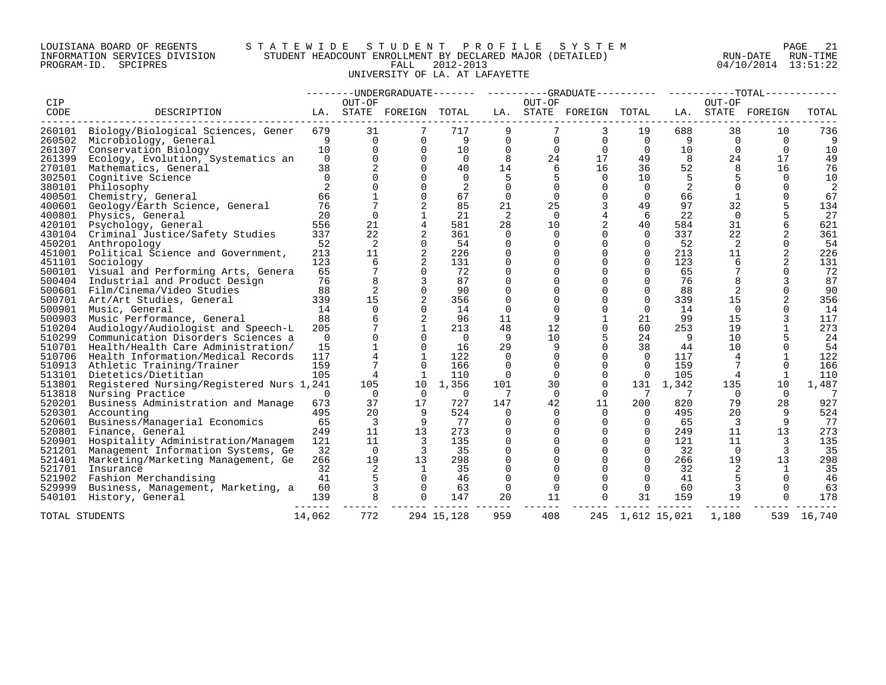# LOUISIANA BOARD OF REGENTS S T A T E W I D E S T U D E N T P R O F I L E S Y S T E M PAGE 21 INFORMATION SERVICES DIVISION STUDENT HEADCOUNT ENROLLMENT BY DECLARED MAJOR (DETAILED) RUN-DATE RUN-TIME PROGRAM-ID. SPCIPRES FALL 2012-2013 04/10/2014 13:51:22 UNIVERSITY OF LA. AT LAFAYETTE

|                |                                           |                |                |                         |                |                |                | --------UNDERGRADUATE------- ---------GRADUATE---------- -----------TOTAL----------- |             |                  |          |                   |                |
|----------------|-------------------------------------------|----------------|----------------|-------------------------|----------------|----------------|----------------|--------------------------------------------------------------------------------------|-------------|------------------|----------|-------------------|----------------|
| CIP            |                                           |                | OUT-OF         |                         |                |                | OUT-OF         |                                                                                      |             |                  | OUT-OF   |                   |                |
| CODE           | DESCRIPTION                               |                |                | LA. STATE FOREIGN TOTAL |                |                |                | LA. STATE FOREIGN TOTAL                                                              |             |                  |          | LA. STATE FOREIGN | TOTAL          |
|                | 260101 Biology/Biological Sciences, Gener | 679            | 31             |                         | 717            |                |                | 3                                                                                    | 19          | 688              | 38       | 10                | 736            |
| 260502         | Microbiology, General                     | 9              | $\Omega$       | $\Omega$                | - 9            | $\Omega$       | $\Omega$       | $\Omega$                                                                             | $\Omega$    | 9                | $\Omega$ | $\Omega$          | 9              |
| 261307         | Conservation Biology                      | 10             | $\Omega$       | $\Omega$                | 10             | $\mathbf 0$    | $\Omega$       | $\Omega$                                                                             | $\Omega$    | 10               | $\Omega$ | $\Omega$          | 10             |
| 261399         | Ecology, Evolution, Systematics an        | $\overline{0}$ | $\Omega$       | $\Omega$                | $\overline{0}$ | 8              | 24             | 17                                                                                   | 49          | 8                | 24       | 17                | 49             |
| 270101         | Mathematics, General                      | 38             | 2              | $\Omega$                | 40             | 14             | 6              | 16                                                                                   | 36          | 52               | 8        | 16                | 76             |
| 302501         | Cognitive Science                         | $\Omega$       | $\Omega$       | $\cap$                  | $\Omega$       | .5             | 5              | $\Omega$                                                                             | 10          | .5               | 5        | $\cap$            | 10             |
| 380101         | Philosophy                                | 2              | 0              | $\Omega$                | 2              | $\mathbf 0$    | 0              | $\mathbf 0$                                                                          | $\Omega$    | 2                | $\Omega$ | $\Omega$          | $\overline{2}$ |
| 400501         | Chemistry, General                        | 66             |                | $\Omega$                | 67             | $\mathbf 0$    | $\Omega$       | $\Omega$                                                                             | $\Omega$    | 66               |          | $\Omega$          | 67             |
| 400601         | Geology/Earth Science, General            | 76             |                | 2                       | 85             | 21             | 25             | $\overline{3}$                                                                       | 49          | 97               | 32       | 5                 | 134            |
| 400801         | Physics, General                          | 20             | $\Omega$       | $\mathbf{1}$            | 21             | 2              | $\Omega$       | 4                                                                                    | 6           | 22               | $\Omega$ | 5                 | 27             |
| 420101         | Psychology, General                       | 556            | 21             | 4                       | 581            | 28             | 10             | 2                                                                                    | 40          | 584              | 31       | 6                 | 621            |
| 430104         | Criminal Justice/Safety Studies           | 337            | 22             | $\overline{a}$          | 361            | 0              | $\overline{0}$ | $\Omega$                                                                             | $\Omega$    | 337              | 22       | 2                 | 361            |
| 450201         | Anthropology                              | 52             | 2              | $\Omega$                | 54             | $\mathbf 0$    | $\Omega$       | $\Omega$                                                                             | $\Omega$    | 52               | 2        | $\Omega$          | 54             |
| 451001         | Political Science and Government,         | 213            | 11             | 2                       | 226            | $\Omega$       | 0              | $\Omega$                                                                             | $\Omega$    | 213              | 11       | $\overline{2}$    | 226            |
| 451101         | Sociology                                 | 123            | 6              | 2                       | 131            | $\mathbf 0$    | 0              | $\Omega$                                                                             | $\Omega$    | 123              | 6        | 2                 | 131            |
| 500101         | Visual and Performing Arts, Genera        | 65             | 7              | $\Omega$                | 72             | 0              | 0              | $\Omega$                                                                             | $\Omega$    | 65               |          | $\Omega$          | 72             |
| 500404         | Industrial and Product Design             | 76             | 8              | 3                       | 87             | $\mathbf 0$    | 0              | $\Omega$                                                                             | 0           | 76               | 8        | 3                 | 87             |
|                | 500601 Film/Cinema/Video Studies          | 88             | 2              | $\Omega$                | 90             | $\Omega$       | $\Omega$       | $\Omega$                                                                             | $\Omega$    | 88               | 2        | $\Omega$          | 90             |
| 500701         | Art/Art Studies, General                  | 339            | 15             | 2                       | 356            | $\Omega$       | $\Omega$       | $\Omega$                                                                             | $\Omega$    | 339              | 15       | $\overline{2}$    | 356            |
| 500901         | Music, General                            | 14             | $\Omega$       | $\Omega$                | 14             | $\Omega$       | $\Omega$       | $\Omega$                                                                             | $\Omega$    | 14               | $\Omega$ | 0                 | 14             |
| 500903         | Music Performance, General                | 88             | 6              | 2                       | 96             | 11             | 9              |                                                                                      | 21          | 99               | 15       | ζ                 | 117            |
| 510204         | Audiology/Audiologist and Speech-L        | 205            |                | $\mathbf{1}$            | 213            | 48             | 12             | 0                                                                                    | 60          | 253              | 19       |                   | 273            |
| 510299         | Communication Disorders Sciences a        | $\Omega$       | $\Omega$       | $\Omega$                | $\bigcap$      | 9              | 10             | 5                                                                                    | 24          | 9                | 10       |                   | 24             |
| 510701         | Health/Health Care Administration/        | 15             |                | $\Omega$                | 16             | 29             | 9              | $\Omega$                                                                             | 38          | 44               | 10       | $\Omega$          | 54             |
| 510706         | Health Information/Medical Records        | 117            | $\overline{4}$ | $\mathbf{1}$            | 122            | $\Omega$       | 0              | $\Omega$                                                                             | $\Omega$    | 117              | 4        |                   | 122            |
|                | 510913 Athletic Training/Trainer          | 159            |                | $\Omega$                | 166            | $\mathbf 0$    | $\mathbf 0$    | $\Omega$                                                                             | $\Omega$    | 159              |          | $\Omega$          | 166            |
| 513101         | Dietetics/Dietitian                       | 105            | 4              | 1                       | 110            | 0              | 0              | $\Omega$                                                                             | $\mathbf 0$ | 105              | 4        | 1                 | 110            |
| 513801         | Registered Nursing/Registered Nurs 1,241  |                | 105            | 10                      | 1,356          | 101            | 30             | $\Omega$                                                                             |             | 131 1,342        | 135      | 10                | 1,487          |
| 513818         | Nursing Practice                          | $\Omega$       | $\Omega$       | $\Omega$                | $\Omega$       | 7              | 0              | $\Omega$                                                                             | 7           | 7                | $\Omega$ | $\Omega$          | 7              |
| 520201         | Business Administration and Manage        | 673            | 37             | 17                      | 727            | 147            | 42             | 11                                                                                   | 200         | 820              | 79       | 28                | 927            |
| 520301         | Accounting                                | 495            | 20             | 9                       | 524            | $\overline{0}$ | $\mathbf 0$    | $\Omega$                                                                             | $\Omega$    | 495              | 20       | 9                 | 524            |
| 520601         | Business/Managerial Economics             | 65             | 3              | 9                       | 77             | $\Omega$       | $\Omega$       | $\Omega$                                                                             | $\Omega$    | 65               | 3        | 9                 | 77             |
| 520801         | Finance, General                          | 249            | 11             | 13                      | 273            | $\mathbf 0$    | $\Omega$       | $\Omega$                                                                             | $\Omega$    | 249              | 11       | 13                | 273            |
| 520901         | Hospitality Administration/Managem        | 121            | 11             | $\overline{\mathbf{3}}$ | 135            | $\mathbf 0$    | 0              | $\Omega$                                                                             | $\Omega$    | 121              | 11       | 3                 | 135            |
| 521201         | Management Information Systems, Ge        | 32             | $\Omega$       | -3                      | 35             | $\mathbf 0$    | 0              | $\Omega$                                                                             | $\Omega$    | 32               | $\Omega$ | 3                 | 35             |
| 521401         | Marketing/Marketing Management, Ge        | 266            | 19             | 13                      | 298            | $\Omega$       | $\Omega$       | $\Omega$                                                                             | $\Omega$    | 266              | 19       | 13                | 298            |
| 521701         | Insurance                                 | 32             | 2              | 1                       | 35             | $\Omega$       | 0              | $\Omega$                                                                             | $\Omega$    | 32               | 2        |                   | 35             |
| 521902         | Fashion Merchandising                     | 41             | 5              | $\Omega$                | 46             | $\mathbf 0$    | $\Omega$       | $\Omega$                                                                             | $\Omega$    | 41               |          | $\Omega$          | 46             |
| 529999         | Business, Management, Marketing, a        | 60             | 3              | $\Omega$                | 63             | 0              | $\Omega$       | $\Omega$                                                                             | $\Omega$    | 60               | 3        | $\Omega$          | 63             |
| 540101         | History, General                          | 139            | 8              | $\Omega$                | 147            | 20             | 11             | $\Omega$                                                                             | 31          | 159              | 19       | $\Omega$          | 178            |
| TOTAL STUDENTS |                                           | 14,062         | 772            |                         | 294 15,128     | 959            | 408            |                                                                                      |             | 245 1,612 15,021 | 1,180    |                   | 539 16,740     |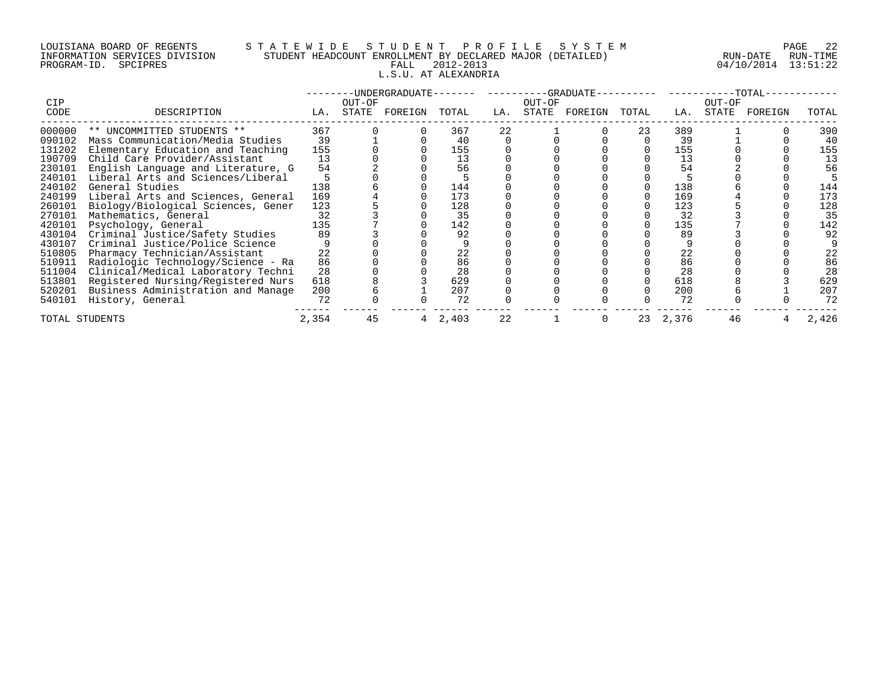# LOUISIANA BOARD OF REGENTS S T A T E W I D E S T U D E N T P R O F I L E S Y S T E M PAGE 22 INFORMATION SERVICES DIVISION STUDENT HEADCOUNT ENROLLMENT BY DECLARED MAJOR (DETAILED) RUN-DATE RUN-TIME PROGRAM-ID. SPCIPRES FALL 2012-2013 04/10/2014 13:51:22 L.S.U. AT ALEXANDRIA

|                |                                    |       |        | -UNDERGRADUATE-- |       |     |        | -GRADUATE-- |       |          |        | $-TOTAL-$ |       |
|----------------|------------------------------------|-------|--------|------------------|-------|-----|--------|-------------|-------|----------|--------|-----------|-------|
| CIP            |                                    |       | OUT-OF |                  |       |     | OUT-OF |             |       |          | OUT-OF |           |       |
| CODE           | DESCRIPTION                        | LA.   | STATE  | FOREIGN          | TOTAL | LA. | STATE  | FOREIGN     | TOTAL | LA.      | STATE  | FOREIGN   | TOTAL |
| 000000         | ** UNCOMMITTED STUDENTS **         | 367   |        |                  | 367   | 22  |        |             | 23    | 389      |        |           | 390   |
| 090102         | Mass Communication/Media Studies   | 39    |        |                  | 40    |     |        |             |       | 39       |        |           | 40    |
| 131202         | Elementary Education and Teaching  | 155   |        |                  | 155   |     |        |             |       | 155      |        |           | 155   |
| 190709         | Child Care Provider/Assistant      | 13    |        |                  | 13    |     |        |             |       | 13       |        |           | 13    |
| 230101         | English Language and Literature, G | 54    |        |                  | 56    |     |        |             |       | 54       |        |           | 56    |
| 240101         | Liberal Arts and Sciences/Liberal  |       |        |                  |       |     |        |             |       |          |        |           |       |
| 240102         | General Studies                    | 138   |        |                  | 144   |     |        |             |       | 138      |        |           | 144   |
| 240199         | Liberal Arts and Sciences, General | 169   |        |                  | 173   |     |        |             |       | 169      |        |           | 173   |
| 260101         | Biology/Biological Sciences, Gener | 123   |        |                  | 128   |     |        |             |       | 123      |        |           | 128   |
| 270101         | Mathematics, General               | 32    |        |                  | 35    |     |        |             |       | 32       |        |           | 35    |
| 420101         | Psychology, General                | 135   |        |                  | 142   |     |        |             |       | 135      |        |           | 142   |
| 430104         | Criminal Justice/Safety Studies    | 89    |        |                  | 92    |     |        |             |       | 89       |        |           | 92    |
| 430107         | Criminal Justice/Police Science    |       |        |                  |       |     |        |             |       |          |        |           |       |
| 510805         | Pharmacy Technician/Assistant      | 22    |        |                  | 22    |     |        |             |       | 22       |        |           | 22    |
| 510911         | Radiologic Technology/Science - Ra | 86    |        |                  | 86    |     |        |             |       | 86       |        |           | 86    |
| 511004         | Clinical/Medical Laboratory Techni | 28    |        |                  | 28    |     |        |             |       | 28       |        |           | 28    |
| 513801         | Registered Nursing/Registered Nurs | 618   |        |                  | 629   |     |        |             |       | 618      |        |           | 629   |
| 520201         | Business Administration and Manage | 200   |        |                  | 207   |     |        |             |       | 200      |        |           | 207   |
| 540101         | History, General                   | 72    |        |                  | 72    |     |        |             |       | 72       |        |           | 72    |
| TOTAL STUDENTS |                                    | 2,354 | 45     |                  | 2,403 | 22  |        |             |       | 23 2,376 | 46     |           | 2,426 |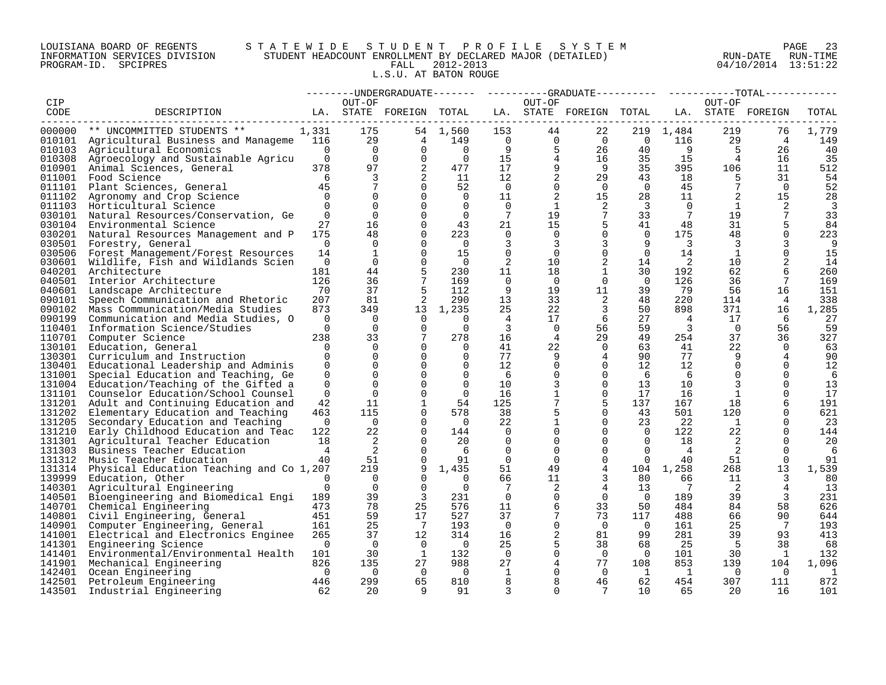# LOUISIANA BOARD OF REGENTS S T A T E W I D E S T U D E N T P R O F I L E S Y S T E M PAGE 23 INFORMATION SERVICES DIVISION STUDENT HEADCOUNT ENROLLMENT BY DECLARED MAJOR (DETAILED) RUN-DATE RUN-TIME PROGRAM-ID. SPCIPRES FALL 2012-2013 04/10/2014 13:51:22 L.S.U. AT BATON ROUGE

|                  |                                                                     |                      |                      |                         |                      |                         |                  | -----UNDERGRADUATE-------    ---------GRADUATE---------    ----------TOTAL----- |                            |                         |                 |                      |            |
|------------------|---------------------------------------------------------------------|----------------------|----------------------|-------------------------|----------------------|-------------------------|------------------|---------------------------------------------------------------------------------|----------------------------|-------------------------|-----------------|----------------------|------------|
| CIP              |                                                                     |                      | OUT-OF               |                         |                      |                         | OUT-OF           |                                                                                 |                            |                         | OUT-OF          |                      |            |
| CODE             | DESCRIPTION                                                         |                      |                      | LA. STATE FOREIGN TOTAL |                      |                         |                  | LA. STATE FOREIGN TOTAL                                                         |                            |                         |                 | LA. STATE FOREIGN    | TOTAL      |
|                  | ---------------------------                                         |                      |                      |                         |                      |                         |                  |                                                                                 |                            |                         |                 |                      |            |
| 000000           | ** UNCOMMITTED STUDENTS **                                          | 1,331                | 175                  |                         | 54 1,560             | 153                     | 44               | 22                                                                              |                            | 219 1,484               | 219             | 76                   | 1,779      |
|                  | 010101 Agricultural Business and Manageme 116                       |                      | 29                   | $\overline{4}$          | 149                  | $\overline{0}$          | $\overline{0}$   | $\overline{0}$                                                                  | $\overline{0}$             | 116                     | 29              | $\overline{4}$       | 149        |
|                  | 010103 Agricultural Economics                                       | $\Omega$             | $\overline{0}$       | $\Omega$                | $\overline{0}$       | - 9                     | 5                | 26                                                                              | 40                         | - 9                     | -5              | 26                   | 40         |
| 010308           | Agroecology and Sustainable Agricu                                  | $\overline{0}$       | $\overline{0}$       | $\Omega$                | $\overline{0}$       | 15                      | $\overline{4}$   | 16                                                                              | 35                         | 15                      | $\overline{4}$  | 16                   | 35         |
|                  | 010901 Animal Sciences, General                                     | 378                  | 97                   | 2                       | 477                  | 17                      | 9                | - 9                                                                             | 35                         | 395                     | 106             | 11                   | 512        |
| 011001           | Food Science                                                        | 6                    | 3                    | 2                       | 11                   | 12                      | 2                | 29                                                                              | 43                         | 18                      |                 | 31                   | 54         |
|                  | 011101 Plant Sciences, General                                      | 45                   | 7                    | $\Omega$                | 52                   | $\overline{0}$          | $\overline{0}$   | $\overline{0}$                                                                  | $\overline{0}$             | 45                      | $7\phantom{.0}$ | $\bigcirc$           | 52         |
|                  | 011102 Agronomy and Crop Science                                    | $\Omega$             | $\Omega$             | $\Omega$                | $\Omega$             | 11                      | 2                | 15                                                                              | 28                         | 11                      | 2               | 15                   | 28         |
| 011103           | Horticultural Science                                               | $\Omega$             | $\mathbf 0$          | $\Omega$                | $\Omega$             | $\overline{0}$          | 1                | 2                                                                               | -3                         | $\Omega$                | 1               | 2                    | 3          |
| 030101           | Natural Resources/Conservation, Ge                                  | $\Omega$             | $\Omega$             | $\Omega$                | $\Omega$             | $7\overline{ }$         | 19               | $7\phantom{.0}$                                                                 | 33                         | 7                       | 19              | 7                    | 33         |
| 030104           | Environmental Science                                               | 27                   | 16                   | $\Omega$                | 43                   | 21                      | 15               | 5                                                                               | 41                         | 48                      | 31              | 5                    | 84         |
|                  | 030201 Natural Resources Management and P                           | 175                  | 48                   | $\Omega$                | 223                  | $\Omega$                | $\Omega$         | $\Omega$                                                                        | $\Omega$                   | 175                     | 48              | $\Omega$             | 223        |
|                  | 030501 Forestry, General                                            | $\overline{0}$       | $\mathbf 0$          | $\Omega$                | $\overline{0}$       | 3                       | 3                | $\overline{3}$                                                                  | 9                          | $\overline{3}$          | $\mathbf{3}$    | 3                    | 9          |
|                  | 030506 Forest Management/Forest Resources                           | 14                   | 1                    | $\Omega$                | 15                   | 0                       | $\overline{0}$   | $\overline{0}$                                                                  | $\Omega$                   | 14                      | 1               | $\Omega$             | 15         |
| 030601           | Wildlife, Fish and Wildlands Scien                                  | $\Omega$             | $\Omega$             | $\Omega$                | $\overline{0}$       | 2                       | 10               | 2                                                                               | 14                         | $\overline{2}$          | 10 <sup>°</sup> | 2                    | 14         |
| 040201           | Architecture                                                        | 181                  | 44                   | 5                       | 230                  | 11                      | 18               | $\mathbf{1}$                                                                    | 30                         | 192                     | 62              | 6                    | 260        |
| 040501           | Interior Architecture                                               | 126                  | 36                   | $7\phantom{.0}$         | 169                  | $\Omega$                | $\Omega$         | $\Omega$                                                                        | $\overline{0}$             | 126                     | 36              | 7                    | 169        |
|                  | 040601 Landscape Architecture                                       | 70                   | 37                   | 5                       | 112                  | 9                       | 19               | 11                                                                              | 39                         | 79                      | 56              | 16                   | 151        |
| 090101           | Speech Communication and Rhetoric                                   | 207                  | 81                   | 2                       | 290                  | 13                      | 33               | 2                                                                               | 48                         | 220                     | 114             | 4                    | 338        |
| 090102           | Mass Communication/Media Studies                                    | 873                  | 349                  | 13                      | 1,235                | 25                      | 22               | $\overline{3}$                                                                  | 50                         | 898                     | 371             | 16                   | 1,285      |
| 090199           | Communication and Media Studies, O                                  | $\Omega$             | $\Omega$             | $\Omega$                | $\Omega$             | $\overline{4}$          | 17               | - 6                                                                             | 27                         | $\overline{4}$          | 17              | 6                    | 27         |
| 110401           | Information Science/Studies                                         | $\Omega$             | $\Omega$             | $\Omega$                | $\Omega$             | $\overline{\mathbf{3}}$ | $\Omega$         | 56                                                                              | 59                         | $\overline{\mathbf{3}}$ | $\overline{0}$  | 56                   | 59         |
|                  | 110701 Computer Science                                             | 238                  | 33                   | $7\phantom{.0}$         | 278                  | 16                      | 4                | 29                                                                              | 49                         | 254                     | 37              | 36                   | 327        |
| 130101           | Education, General                                                  | $\Omega$             | 0                    | $\Omega$                | $\Omega$             | 41                      | 22               | $\mathbf 0$                                                                     | 63                         | 41                      | 22              | $\Omega$             | 63         |
| 130301           | Curriculum and Instruction                                          | $\Omega$             | $\Omega$             | $\Omega$                | $\Omega$             | 77                      | 9                | 4                                                                               | 90                         | 77                      | 9               |                      | 90         |
| 130401           | Educational Leadership and Adminis                                  | $\Omega$             | $\Omega$             | $\Omega$                | $\Omega$             | $12 \overline{ }$       | $\Omega$         | $\Omega$                                                                        | 12 <sup>°</sup>            | 12                      | $\Omega$        | $\Omega$             | 12         |
| 131001           | Special Education and Teaching, Ge                                  | 0                    | $\mathbf 0$          | $\Omega$                | 0                    | 6                       | $\mathbf 0$      | $\mathbf 0$                                                                     | - 6                        | - 6                     | $\Omega$        | $\Omega$             | 6          |
|                  | 131004 Education/Teaching of the Gifted a                           | $\Omega$             | $\Omega$             | $\Omega$                | $\Omega$             | 10                      | 3                | $\Omega$                                                                        | 13                         | 10                      | 3               |                      | 13         |
| 131101           | Counselor Education/School Counsel                                  | $\mathbf 0$          | $\mathbf 0$          | $\Omega$                | $\mathbf 0$          | 16                      | 1                | $\overline{0}$                                                                  | 17                         | 16                      | $\mathbf{1}$    | $\Omega$             | 17         |
| 131201           | Adult and Continuing Education and                                  | 42                   | 11                   | 1                       | 54                   | 125                     | 7                | 5                                                                               | 137                        | 167                     | 18              | 6                    | 191        |
| 131202           | Elementary Education and Teaching                                   | 463                  | 115                  | $\Omega$                | 578                  | 38                      | 5                | $\Omega$                                                                        | 43                         | 501                     | 120             | $\Omega$             | 621        |
| 131205           | Secondary Education and Teaching                                    | $\Omega$             | $\overline{0}$       | $\Omega$                | $\bigcirc$           | 22                      | 1                | $\mathbf 0$                                                                     | 23                         | 22                      | 1               | 0                    | 23         |
| 131210           | Early Childhood Education and Teac                                  | 122                  | 22                   | $\Omega$<br>$\Omega$    | 144                  | $\Omega$                | $\Omega$         | $\Omega$<br>$\Omega$                                                            | $\overline{0}$<br>$\Omega$ | 122                     | 22              | $\Omega$<br>$\Omega$ | 144        |
| 131301           | Agricultural Teacher Education                                      | 18                   | 2                    |                         | 20                   | $\mathbf 0$             | $\mathbf 0$      |                                                                                 |                            | 18                      | 2               |                      | 20         |
| 131303           | Business Teacher Education                                          | 4                    | 2                    | $\Omega$                | - 6                  | $\Omega$                | $\Omega$         | $\Omega$                                                                        | $\Omega$                   | $\overline{4}$          | 2               |                      | -6         |
| 131312           | Music Teacher Education                                             | 40                   | 51                   | $\Omega$                | 91                   | $\overline{0}$          | $\mathbf 0$      | $\mathbf 0$                                                                     | $\overline{0}$             | 40                      | 51              | $\Omega$             | 91         |
| 131314           | Physical Education Teaching and Co 1,207                            |                      | 219                  | 9<br>$\Omega$           | 1,435                | 51                      | 49               | $\overline{4}$                                                                  |                            | 104 1,258               | 268             | 13                   | 1,539      |
| 139999<br>140301 | Education, Other                                                    | $\Omega$<br>$\Omega$ | $\Omega$<br>$\Omega$ | $\Omega$                | $\Omega$<br>$\Omega$ | 66                      | 11               | 3                                                                               | 80                         | 66<br>7                 | 11              | 3<br>$\overline{4}$  | 80         |
|                  | Agricultural Engineering                                            |                      | 39                   | $\overline{3}$          |                      | 7<br>$\Omega$           | 2<br>$\mathbf 0$ | 4<br>$\mathbf 0$                                                                | 13                         | 189                     | 2               |                      | 13         |
| 140501           | Bioengineering and Biomedical Engi<br>140701 Chemical Engineering   | 189<br>473           | 78                   | 25                      | 231<br>576           | 11                      | 6                | 33                                                                              | $\overline{0}$<br>50       | 484                     | 39<br>84        | 3<br>58              | 231<br>626 |
| 140801           |                                                                     | 451                  | 59                   | 17                      | 527                  | 37                      | 7                | 73                                                                              | 117                        | 488                     | 66              | 90                   | 644        |
| 140901           | Civil Engineering, General                                          | 161                  | 25                   | $\overline{7}$          | 193                  | $\overline{0}$          | $\mathbf 0$      | $\overline{0}$                                                                  | $\overline{0}$             | 161                     | 25              | - 7                  | 193        |
| 141001           | Computer Engineering, General<br>Electrical and Electronics Enginee | 265                  | 37                   | 12                      | 314                  | 16                      | 2                | 81                                                                              | 99                         | 281                     | 39              | 93                   | 413        |
| 141301           | Engineering Science                                                 | $\mathbf 0$          | $\overline{0}$       | $\overline{0}$          | $\overline{0}$       | 25                      | 5                | 38                                                                              | 68                         | 25                      | -5              | 38                   | 68         |
|                  | 141401 Environmental/Environmental Health                           | 101                  | 30                   | -1                      | 132                  | $\overline{0}$          | $\mathbf 0$      | $\overline{0}$                                                                  | $\Omega$                   | 101                     | 30              | -1                   | 132        |
| 141901           | Mechanical Engineering                                              | 826                  | 135                  | 27                      | 988                  | 27                      | 4                | 77                                                                              | 108                        | 853                     | 139             | 104                  | 1,096      |
|                  | 142401 Ocean Engineering                                            | $\overline{0}$       | $\Omega$             | $\Omega$                | $\overline{0}$       | 1                       | $\mathbf 0$      | $\Omega$                                                                        | $\mathbf{1}$               | 1                       | $\Omega$        | - 0                  | 1          |
| 142501           | Petroleum Engineering                                               | 446                  | 299                  | 65                      | 810                  | 8                       | 8                | 46                                                                              | 62                         | 454                     | 307             | 111                  | 872        |
| 143501           | Industrial Engineering                                              | 62                   | 20                   | Q                       | 91                   | 3                       | $\Omega$         | 7                                                                               | 10                         | 65                      | 20              | 16                   | 101        |
|                  |                                                                     |                      |                      |                         |                      |                         |                  |                                                                                 |                            |                         |                 |                      |            |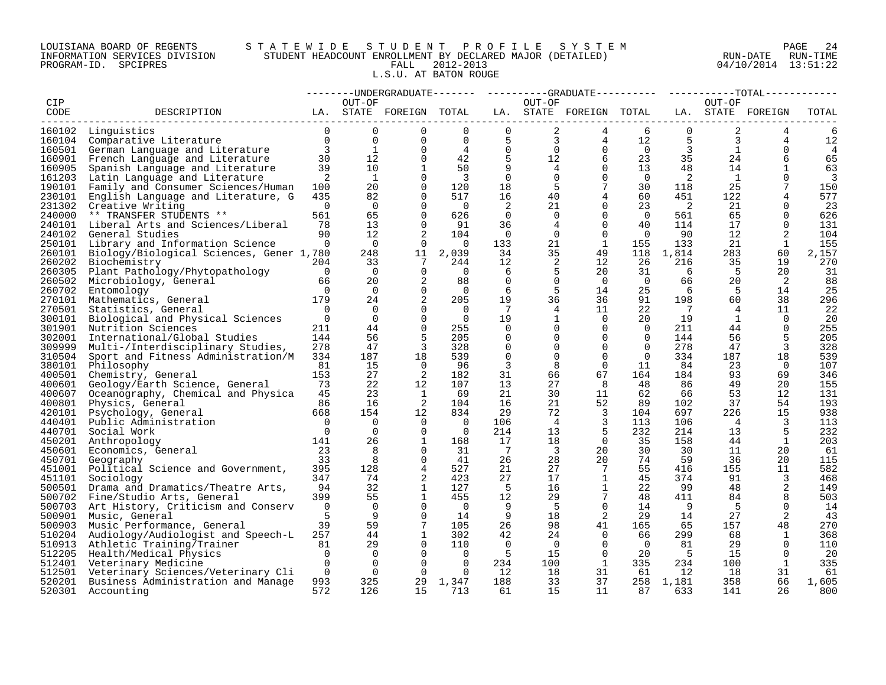# LOUISIANA BOARD OF REGENTS S T A T E W I D E S T U D E N T P R O F I L E S Y S T E M PAGE 24 INFORMATION SERVICES DIVISION STUDENT HEADCOUNT ENROLLMENT BY DECLARED MAJOR (DETAILED) RUN-DATE RUN-TIME PROGRAM-ID. SPCIPRES FALL 2012-2013 04/10/2014 13:51:22 L.S.U. AT BATON ROUGE

|                  |                                          |                          |                |                         |                |                 |                |                         |                   |          |                | --------UNDERGRADUATE-------  ---------GRADUATE---------  -----------TOTAL------------ |                         |
|------------------|------------------------------------------|--------------------------|----------------|-------------------------|----------------|-----------------|----------------|-------------------------|-------------------|----------|----------------|----------------------------------------------------------------------------------------|-------------------------|
| CIP              |                                          |                          | OUT-OF         |                         |                |                 | OUT-OF         |                         |                   |          | OUT-OF         |                                                                                        |                         |
| CODE             | DESCRIPTION                              |                          |                | LA. STATE FOREIGN TOTAL |                |                 |                | LA. STATE FOREIGN TOTAL |                   |          |                | LA. STATE FOREIGN                                                                      | TOTAL                   |
|                  |                                          |                          |                |                         |                |                 |                |                         |                   |          |                |                                                                                        |                         |
|                  | 160102 Linguistics                       | $\Omega$                 | $\Omega$       | 0                       | $\Omega$       | $\overline{0}$  | 2              | 4                       | 6                 | 0        | 2              | 4                                                                                      | 6                       |
|                  | 160104 Comparative Literature            | $\Omega$                 | $\Omega$       | $\Omega$                | $\Omega$       | 5               | 3              | 4                       | $12 \overline{ }$ | 5        | 3              | 4                                                                                      | 12                      |
|                  | 160501 German Language and Literature    | $\overline{3}$           | 1              | $\Omega$                | 4              | $\Omega$        | $\Omega$       | $\Omega$                | $\Omega$          | 3        | 1              | $\Omega$                                                                               | $\overline{4}$          |
| 160901           | French Language and Literature           | 30                       | 12             | $\Omega$                | 42             | 5               | 12             | 6                       | 23                | 35       | 24             | 6                                                                                      | 65                      |
| 160905           | Spanish Language and Literature          | 39                       | 10             | 1                       | 50             | 9               | 4              | $\Omega$                | 13                | 48       | 14             | 1                                                                                      | 63                      |
| 161203           | Latin Language and Literature            | 2                        | $\mathbf{1}$   | $\Omega$                | $\overline{3}$ | $\Omega$        | $\Omega$       | $\Omega$                | $\Omega$          | 2        | 1              | $\Omega$                                                                               | $\overline{\mathbf{3}}$ |
| 190101           | Family and Consumer Sciences/Human       | 100                      | 20             | $\Omega$                | 120            | 18              | 5              | 7                       | 30                | 118      | 25             | $7\phantom{.0}$                                                                        | 150                     |
| 230101           |                                          | 435                      | 82             | $\mathbf 0$             | 517            | 16              | 40             | 4                       | 60                | 451      | 122            | $\overline{4}$                                                                         | 577                     |
| 231302           | English Language and Literature, G       | $\Omega$                 | $\overline{0}$ | 0                       | $\overline{0}$ | -2              | 21             | 0                       | 23                | 2        | 21             | 0                                                                                      | 23                      |
| 240000           | Creative Writing                         | 561                      | 65             | $\Omega$                |                | $\Omega$        | $\Omega$       | $\Omega$                | $\overline{0}$    | 561      |                | $\Omega$                                                                               |                         |
|                  | ** TRANSFER STUDENTS **                  | 78                       | 13             |                         | 626            |                 |                |                         |                   |          | 65<br>17       |                                                                                        | 626                     |
| 240101           | Liberal Arts and Sciences/Liberal        |                          |                | $\Omega$                | 91             | 36              | 4              | $\Omega$                | 40                | 114      |                | $\Omega$                                                                               | 131                     |
| 240102           | General Studies                          | 90                       | 12             | 2                       | 104            | $\overline{0}$  | $\overline{0}$ | $\mathbf 0$             | $\mathbf 0$       | 90       | 12             | 2                                                                                      | 104                     |
| 250101           | Library and Information Science          | $\Omega$                 | $\Omega$       | $\Omega$                | $\overline{0}$ | 133             | 21             | 1                       | 155               | 133      | 21             | 1                                                                                      | 155                     |
| 260101           | Biology/Biological Sciences, Gener 1,780 |                          | 248            | 11                      | 2,039          | 34              | 35             | 49                      | 118               | 1,814    | 283            | 60                                                                                     | 2,157                   |
| 260202           | Biochemistry                             | 204                      | 33             | 7                       | 244            | 12              | 2              | 12                      | 26                | 216      | 35             | 19                                                                                     | 270                     |
|                  | 260305 Plant Pathology/Phytopathology    | $\overline{0}$           | $\overline{0}$ | $\mathbf 0$             | $\overline{0}$ | 6               | 5              | 20                      | 31                | 6        | 5              | 20                                                                                     | 31                      |
| 260502           | Microbiology, General                    | 66                       | 20             | 2                       | 88             | $\overline{0}$  | $\Omega$       | $\Omega$                | $\overline{0}$    | 66       | 20             | 2                                                                                      | 88                      |
| 260702           | Entomology                               | $\overline{0}$           | $\Omega$       | $\Omega$                | $\overline{0}$ | 6               | .5             | 14                      | 25                | 6        | 5              | 14                                                                                     | 25                      |
| 270101           | Mathematics, General                     | 179                      | 24             | 2                       | 205            | 19              | 36             | 36                      | 91                | 198      | 60             | 38                                                                                     | 296                     |
| 270501           | Statistics, General                      | $\overline{0}$           | $\Omega$       | $\Omega$                | $\overline{0}$ | $7\phantom{.0}$ | 4              | 11                      | 22                | 7        | 4              | 11                                                                                     | 22                      |
|                  | 300101 Biological and Physical Sciences  | $\overline{\phantom{0}}$ | $\Omega$       | $\mathbf 0$             | $\overline{0}$ | 19              | $\mathbf{1}$   | $\Omega$                | 20                | 19       | 1              | $\Omega$                                                                               | 20                      |
| 301901           | Nutrition Sciences                       | 211                      | 44             | $\Omega$                | 255            | $\overline{0}$  | $\Omega$       | $\Omega$                | $\overline{0}$    | 211      | 44             | $\Omega$                                                                               | 255                     |
| 302001           | International/Global Studies             | 144                      | 56             | 5                       | 205            | $\Omega$        | $\Omega$       | $\Omega$                | $\Omega$          | 144      | 56             | 5                                                                                      | 205                     |
| 309999           | Multi-/Interdisciplinary Studies,        | 278                      | 47             | $\overline{3}$          | 328            | $\overline{0}$  | $\mathbf 0$    | $\mathbf 0$             | $\mathbf 0$       | 278      | 47             | 3                                                                                      | 328                     |
| 310504           | Sport and Fitness Administration/M       | 334                      | 187            | 18                      | 539            | 0               | 0              | 0                       | $\overline{0}$    | 334      | 187            | 18                                                                                     | 539                     |
| 380101           | Philosophy                               | 81                       | 15             | $\Omega$                | 96             | 3               | 8              | $\Omega$                | 11                | 84       | 23             | $\Omega$                                                                               | 107                     |
| 400501           | Chemistry, General                       | 153                      | 27             | 2                       | 182            | 31              | 66             | 67                      | 164               | 184      | 93             | 69                                                                                     | 346                     |
| 400601           | Geology/Earth Science, General           | 73                       | 22             | 12                      | 107            | 13              | 27             | 8                       | 48                | 86       | 49             | 20                                                                                     | 155                     |
| 400607           | Oceanography, Chemical and Physica       | 45                       | 23             | 1                       | 69             | 21              | 30             | 11                      | 62                | 66       | 53             | 12                                                                                     | 131                     |
| 400801           | Physics, General                         | 86                       | 16             | 2                       | 104            | 16              | 21             | 52                      | 89                | 102      | 37             | 54                                                                                     | 193                     |
| 420101           | Psychology, General                      | 668                      | 154            | 12                      | 834            | 29              | 72             | $\overline{3}$          | 104               | 697      | 226            | 15                                                                                     | 938                     |
| 440401           | Public Administration                    | $\overline{0}$           | $\Omega$       | $\Omega$                | $\overline{0}$ | 106             | 4              | $\mathbf{3}$            | 113               | 106      | $\overline{4}$ | 3                                                                                      | 113                     |
| 440701           | Social Work                              | $\Omega$                 | $\Omega$       | $\Omega$                | $\overline{0}$ | 214             | 13             | -5                      | 232               | 214      | 13             | 5                                                                                      | 232                     |
|                  | 450201 Anthropology                      | 141                      | 26             | 1                       | 168            | 17              | 18             | $\Omega$                | 35                | 158      | 44             | <sup>1</sup>                                                                           | 203                     |
| 450601           | Economics, General                       | 23                       | 8              | $\mathbf 0$             | 31             | $\overline{7}$  | 3              | 20                      | 30                | 30       | 11             | 20                                                                                     | 61                      |
| 450701           | Geography                                | 33                       | 8              | $\Omega$                | 41             | 26              | 28             | 20                      | 74                | 59       | 36             | 20                                                                                     | 115                     |
| 451001           | Political Science and Government,        | 395                      | 128            | 4                       | 527            | 21              | 27             | 7                       | 55                | 416      | 155            | 11                                                                                     | 582                     |
| 451101           | Sociology                                | 347                      | 74             | 2                       | 423            | 27              | 17             | $\mathbf{1}$            | 45                | 374      | 91             | 3                                                                                      | 468                     |
| 500501           | Drama and Dramatics/Theatre Arts,        | 94                       | 32             | $\mathbf{1}$            | 127            | 5               | 16             | $\mathbf{1}$            | 22                | 99       | 48             | 2                                                                                      | 149                     |
|                  |                                          |                          | 55             | $\mathbf{1}$            | 455            |                 |                | $7\phantom{.0}$         |                   |          | 84             |                                                                                        |                         |
| 500702<br>500703 | Fine/Studio Arts, General                | 399<br>$\overline{0}$    | $\Omega$       | $\Omega$                | $\overline{0}$ | 12<br>-9        | 29<br>-5       | $\Omega$                | 48                | 411<br>9 | .5             | 8<br>$\Omega$                                                                          | 503                     |
|                  | Art History, Criticism and Conserv       | 5                        | 9              | $\Omega$                |                |                 |                | 2                       | 14                |          |                |                                                                                        | 14                      |
| 500901           | Music, General                           |                          |                |                         | 14             | 9               | 18             |                         | 29                | 14       | 27             | 2                                                                                      | 43                      |
| 500903           | Music Performance, General               | 39                       | 59             | $7\phantom{.0}$         | 105            | 26              | 98             | 41                      | 165               | 65       | 157            | 48                                                                                     | 270                     |
| 510204           | Audiology/Audiologist and Speech-L       | 257                      | 44             | 1                       | 302            | 42              | 24             | $\overline{0}$          | 66                | 299      | 68             | 1                                                                                      | 368                     |
| 510913           | Athletic Training/Trainer                | 81                       | 29             | $\Omega$                | 110            | $\Omega$        | $\Omega$       | $\Omega$                | $\Omega$          | 81       | 29             | $\Omega$                                                                               | 110                     |
|                  | 512205 Health/Medical Physics            | $\Omega$                 | $\Omega$       | $\Omega$                | $\Omega$       | - 5             | 15             | $\Omega$                | 20                | -5       | 15             | $\Omega$                                                                               | 20                      |
|                  | 512401 Veterinary Medicine               | $\mathbf 0$              | $\overline{0}$ | $\mathbf 0$             | $\Omega$       | 234             | 100            | $\mathbf{1}$            | 335               | 234      | 100            | $\mathbf{1}$                                                                           | 335                     |
| 512501           | Veterinary Sciences/Veterinary Cli       | $\overline{0}$           | $\overline{0}$ | $\Omega$                | $\Omega$       | 12              | 18             | 31                      | 61                | 12       | 18             | 31                                                                                     | 61                      |
| 520201           | Business Administration and Manage       | 993                      | 325            | 29                      | 1,347          | 188             | 33             | 37                      | 258               | 1,181    | 358            | 66                                                                                     | 1,605                   |
|                  | 520301 Accounting                        | 572                      | 126            | 15                      | 713            | 61              | 15             | 11                      | 87                | 633      | 141            | 26                                                                                     | 800                     |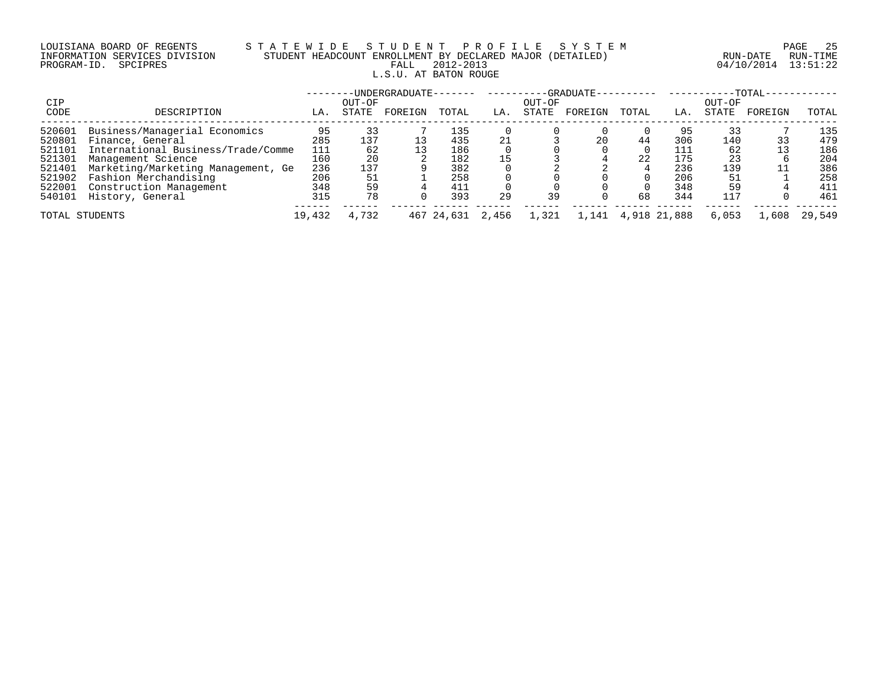# LOUISIANA BOARD OF REGENTS S T A T E W I D E S T U D E N T P R O F I L E S Y S T E M PAGE 25 INFORMATION SERVICES DIVISION STUDENT HEADCOUNT ENROLLMENT BY DECLARED MAJOR (DETAILED) RUN-DATE RUN-TIME PROGRAM-ID. SPCIPRES FALL 2012-2013 04/10/2014 13:51:22 L.S.U. AT BATON ROUGE

|                |                                    |        |        | -UNDERGRADUATE- |            |       |        | $-GRADUATE -$ |       |              |        | $-TOTAL-$ |        |
|----------------|------------------------------------|--------|--------|-----------------|------------|-------|--------|---------------|-------|--------------|--------|-----------|--------|
| <b>CIP</b>     |                                    |        | OUT-OF |                 |            |       | OUT-OF |               |       |              | OUT-OF |           |        |
| CODE           | DESCRIPTION                        | LA.    | STATE  | FOREIGN         | TOTAL      | LA.   | STATE  | FOREIGN       | TOTAL | LA.          | STATE  | FOREIGN   | TOTAL  |
| 520601         | Business/Managerial Economics      | 95     |        |                 | 135        |       |        |               |       | 95           | 33     |           | 135    |
| 520801         | Finance, General                   | 285    | 137    |                 | 435        | 21    |        | 20            | 44    | 306          | 140    |           | 479    |
| 521101         | International Business/Trade/Comme | 111    | 62     |                 | 186        |       |        |               |       | 111          | 62     |           | 186    |
| 521301         | Management Science                 | 160    | 20     |                 | 182        | 15    |        |               | 22    | 175          |        |           | 204    |
| 521401         | Marketing/Marketing Management, Ge | 236    | 137    |                 | 382        |       |        |               |       | 236          | 139    |           | 386    |
| 521902         | Fashion Merchandising              | 206    | 51     |                 | 258        |       |        |               |       | 206          | 51     |           | 258    |
| 522001         | Construction Management            | 348    | 59     |                 | 411        |       |        |               |       | 348          | 59     |           | 411    |
| 540101         | History, General                   | 315    | 78     |                 | 393        | 29    | 39     |               | 68    | 344          | 117    |           | 461    |
| TOTAL STUDENTS |                                    | 19,432 | 4,732  |                 | 467 24,631 | 2,456 | 1,321  | 1,141         |       | 4,918 21,888 | 6,053  | 1,608     | 29,549 |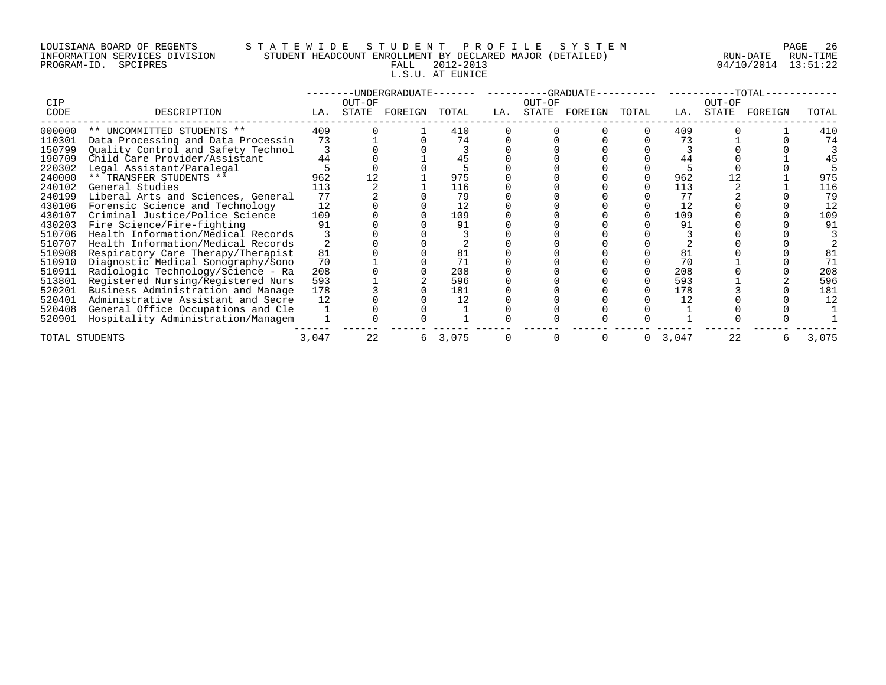# LOUISIANA BOARD OF REGENTS S T A T E W I D E S T U D E N T P R O F I L E S Y S T E M PAGE 26 INFORMATION SERVICES DIVISION STUDENT HEADCOUNT ENROLLMENT BY DECLARED MAJOR (DETAILED) RUN-DATE RUN-TIME PROGRAM-ID. SPCIPRES FALL 2012-2013 04/10/2014 13:51:22 L.S.U. AT EUNICE

|                |                                    |       |        |                     |         |     |        | --UNDERGRADUATE-------   ---------GRADUATE----------   ----------TOTAL-- |       |        |         |       |
|----------------|------------------------------------|-------|--------|---------------------|---------|-----|--------|--------------------------------------------------------------------------|-------|--------|---------|-------|
| CIP            |                                    |       | OUT-OF |                     |         |     | OUT-OF |                                                                          |       | OUT-OF |         |       |
| CODE           | DESCRIPTION                        | LA.   |        | STATE FOREIGN TOTAL |         | LA. |        | STATE FOREIGN TOTAL                                                      | LA.   | STATE  | FOREIGN | TOTAL |
| 000000         | ** UNCOMMITTED STUDENTS **         | 409   |        |                     | 410     |     |        |                                                                          | 409   |        |         | 410   |
| 110301         | Data Processing and Data Processin | 73    |        |                     | 74      |     |        |                                                                          | 73    |        |         | 74    |
| 150799         | Quality Control and Safety Technol |       |        |                     |         |     |        |                                                                          |       |        |         |       |
| 190709         | Child Care Provider/Assistant      | 44    |        |                     | 45      |     |        |                                                                          | 44    |        |         |       |
| 220302         | Legal Assistant/Paralegal          |       |        |                     |         |     |        |                                                                          |       |        |         |       |
| 240000         | ** TRANSFER STUDENTS **            | 962   |        |                     | 975     |     |        |                                                                          | 962   |        |         | 975   |
| 240102         | General Studies                    | 113   |        |                     | 116     |     |        |                                                                          | 113   |        |         | 116   |
| 240199         | Liberal Arts and Sciences, General | 77    |        |                     | 79      |     |        |                                                                          | 77    |        |         | 79    |
| 430106         | Forensic Science and Technology    | 12    |        |                     | 12      |     |        |                                                                          | 12    |        |         | 12    |
| 430107         | Criminal Justice/Police Science    | 109   |        |                     | 109     |     |        |                                                                          | 109   |        |         | 109   |
| 430203         | Fire Science/Fire-fighting         | 91    |        |                     | 91      |     |        |                                                                          | 91    |        |         | 91    |
| 510706         | Health Information/Medical Records |       |        |                     |         |     |        |                                                                          |       |        |         |       |
| 510707         | Health Information/Medical Records |       |        |                     |         |     |        |                                                                          |       |        |         |       |
| 510908         | Respiratory Care Therapy/Therapist | 81    |        |                     |         |     |        |                                                                          | 81    |        |         |       |
| 510910         | Diagnostic Medical Sonography/Sono | 70    |        |                     |         |     |        |                                                                          | 70    |        |         | 71    |
| 510911         | Radiologic Technology/Science - Ra | 208   |        |                     | 208     |     |        |                                                                          | 208   |        |         | 208   |
| 513801         | Registered Nursing/Registered Nurs | 593   |        |                     | 596     |     |        |                                                                          | 593   |        |         | 596   |
| 520201         | Business Administration and Manage | 178   |        |                     | 181     |     |        |                                                                          | 178   |        |         | 181   |
| 520401         | Administrative Assistant and Secre | 12    |        |                     | 12      |     |        |                                                                          | 12    |        |         | 12    |
| 520408         | General Office Occupations and Cle |       |        |                     |         |     |        |                                                                          |       |        |         |       |
| 520901         | Hospitality Administration/Managem |       |        |                     |         |     |        |                                                                          |       |        |         |       |
| TOTAL STUDENTS |                                    | 3,047 | 22     |                     | 6 3,075 |     |        |                                                                          | 3,047 | 22     |         | 3,075 |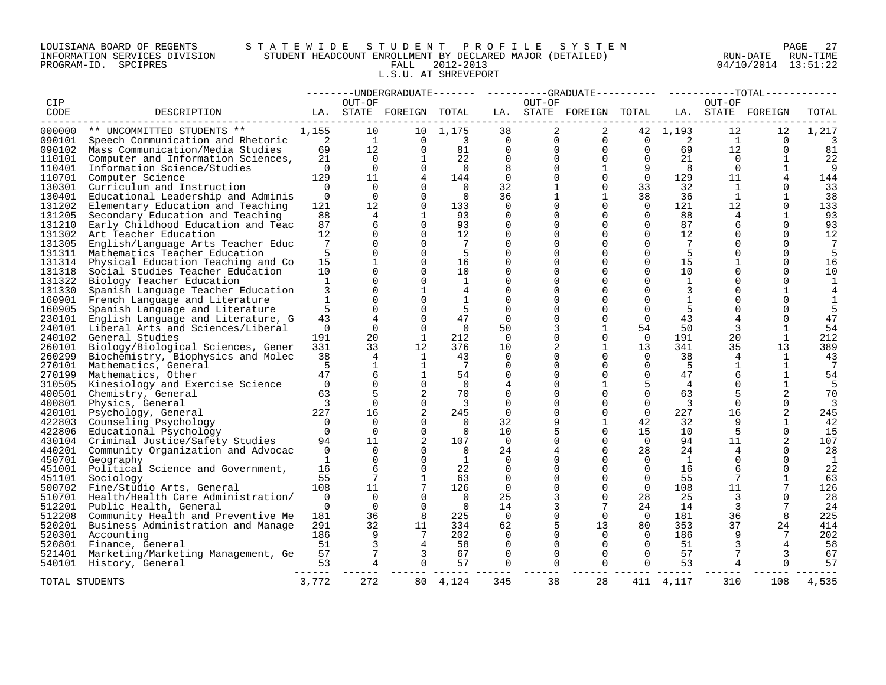# LOUISIANA BOARD OF REGENTS S T A T E W I D E S T U D E N T P R O F I L E S Y S T E M PAGE 27 INFORMATION SERVICES DIVISION STUDENT HEADCOUNT ENROLLMENT BY DECLARED MAJOR (DETAILED) RUN-DATE RUN-TIME PROGRAM-ID. SPCIPRES FALL 2012-2013 04/10/2014 13:51:22 L.S.U. AT SHREVEPORT

|            |                                            |                          |                 |                         |                            |                         |                | --------UNDERGRADUATE------- ---------GRADUATE--------- ----------TOTAL------ |                     |                |                |                 |         |
|------------|--------------------------------------------|--------------------------|-----------------|-------------------------|----------------------------|-------------------------|----------------|-------------------------------------------------------------------------------|---------------------|----------------|----------------|-----------------|---------|
| <b>CIP</b> |                                            |                          | OUT-OF          |                         |                            |                         | OUT-OF         |                                                                               |                     |                | OUT-OF         |                 |         |
| CODE       | DESCRIPTION                                |                          |                 | LA. STATE FOREIGN TOTAL |                            |                         |                | LA. STATE FOREIGN TOTAL LA. STATE FOREIGN                                     |                     |                |                |                 | TOTAL   |
| 000000     | ** UNCOMMITTED STUDENTS **                 | 1,155                    | 10              |                         | 10 1,175                   | 38                      | 2              | 2                                                                             |                     | 42 1,193       | 12             | 12              | 1,217   |
|            | 090101 Speech Communication and Rhetoric 2 |                          | $\mathbf{1}$    | $\Omega$                | $\overline{\phantom{a}}$ 3 | $\Omega$                |                | $\Omega$<br>$\Omega$                                                          | $\overline{0}$      | $\overline{2}$ | $\overline{1}$ | $\Omega$        | 3       |
|            | Mass Communication/Media Studies           | 69                       | 12              | $\overline{0}$          | 81                         | $\overline{0}$          | $\overline{0}$ |                                                                               | $0\qquad 0$         | 69             | 12             | $\Omega$        | 81      |
| 090102     |                                            |                          | $\overline{0}$  | 1                       |                            | $\mathbf 0$             | $\Omega$       | $\overline{0}$                                                                | $\overline{0}$      | 21             | $\overline{0}$ |                 |         |
| 110101     | Computer and Information Sciences,         | 21<br>$\overline{0}$     | $\overline{0}$  | $\Omega$                | 22<br>$\Omega$             |                         | $\Omega$       | $\mathbf{1}$                                                                  |                     | 8              | $\overline{0}$ |                 | 22<br>9 |
| 110401     | Information Science/Studies                |                          | 11              | $\overline{4}$          |                            | 8<br>$\Omega$           | $\Omega$       | $\mathbf 0$                                                                   | 9<br>$\overline{0}$ |                |                | $\mathbf{1}$    |         |
| 110701     | Computer Science                           | 129<br>$\overline{0}$    | $\Omega$        | $\Omega$                | 144<br>$\cap$              |                         |                | $\Omega$                                                                      |                     | 129            | 11<br>1        | 4<br>$\Omega$   | 144     |
| 130301     | Curriculum and Instruction                 |                          | $\Omega$        | $\Omega$                |                            | 32                      | $\mathbf{1}$   |                                                                               | 33                  | 32             |                |                 | 33      |
| 130401     | Educational Leadership and Adminis         | $\overline{0}$           |                 |                         | $\overline{0}$             | 36                      | $\mathbf{1}$   | $\mathbf{1}$                                                                  | 38                  | 36             | $\mathbf{1}$   | $\mathbf{1}$    | 38      |
| 131202     | Elementary Education and Teaching          | 121                      | 12              | $\Omega$                | 133                        | $\overline{0}$          | $\Omega$       | $\Omega$                                                                      | $\overline{0}$      | 121            | 12             | $\Omega$        | 133     |
| 131205     | Secondary Education and Teaching           | 88                       | 4               | 1                       | 93                         | $\Omega$                | $\Omega$       | $\Omega$                                                                      | $\Omega$            | 88             | 4              | 1               | 93      |
| 131210     | Early Childhood Education and Teac         | 87                       | 6               | $\Omega$                | 93                         | $\Omega$                | $\Omega$       | $\Omega$                                                                      | $\Omega$            | 87             | 6              | $\Omega$        | 93      |
| 131302     | Art Teacher Education                      | 12                       | $\Omega$        | $\Omega$                | 12                         | $\Omega$                | $\Omega$       | $\Omega$                                                                      | $\Omega$            | 12             | $\Omega$       | $\Omega$        | 12      |
| 131305     | English/Language Arts Teacher Educ         | $7\phantom{.0}$          | $\Omega$        | $\Omega$                | $\overline{7}$             | $\Omega$                | $\Omega$       | $\Omega$                                                                      | $\Omega$            | 7              | $\Omega$       | $\Omega$        |         |
|            | 131311 Mathematics Teacher Education       | 5                        | $\Omega$        | $\Omega$                | - 5                        | $\Omega$                | $\Omega$       | $\Omega$                                                                      | $\Omega$            | 5              | $\Omega$       | $\Omega$        | 5       |
| 131314     | Physical Education Teaching and Co         | 15                       | $\mathbf{1}$    | $\Omega$                | 16                         | $\Omega$                | $\Omega$       | $\Omega$                                                                      | $\Omega$            | 15             |                | $\Omega$        | 16      |
| 131318     | Social Studies Teacher Education           | 10                       | $\Omega$        | $\Omega$                | 10                         | $\Omega$                | $\Omega$       | $\Omega$                                                                      | $\Omega$            | 10             |                | ∩               | 10      |
| 131322     | Biology Teacher Education                  | 1                        | $\Omega$        | $\Omega$                | 1                          | $\Omega$                | $\Omega$       | $\Omega$                                                                      | $\Omega$            | $\mathbf{1}$   | $\Omega$       | $\Omega$        | 1       |
| 131330     | Spanish Language Teacher Education         | 3                        | $\Omega$        | 1                       | 4                          | $\Omega$                | $\cap$         | $\Omega$                                                                      | $\Omega$            | 3              | $\Omega$       |                 |         |
|            | 160901 French Language and Literature      | <sup>1</sup>             | $\Omega$        | $\Omega$                | 1                          | $\Omega$                |                | $\Omega$                                                                      | $\Omega$            | 1              |                |                 | 1       |
| 160905     | Spanish Language and Literature            | 5                        | $\Omega$        | $\Omega$                | 5                          | $\Omega$                | $\Omega$       | $\Omega$                                                                      | $\Omega$            | 5              | $\Omega$       |                 |         |
| 230101     | English Language and Literature, G         | 43                       | 4               | $\Omega$                | 47                         | $\Omega$                | $\Omega$       | $\Omega$                                                                      | $\Omega$            | 43             |                |                 | 47      |
| 240101     | Liberal Arts and Sciences/Liberal          | $\overline{0}$           | $\overline{0}$  | $\Omega$                | $\overline{0}$             | 50                      | 3              | $\mathbf 1$                                                                   | 54                  | 50             | 3              | 1               | 54      |
| 240102     | General Studies                            | 191                      | 20              | 1                       | 212                        | - 0                     | $\Omega$       | $\Omega$                                                                      | 0                   | 191            | 20             | $\mathbf{1}$    | 212     |
| 260101     | Biology/Biological Sciences, Gener         | 331                      | 33              | 12                      | 376                        | 10                      | 2              | $\mathbf{1}$                                                                  | 13 <sup>°</sup>     | 341            | 35             | 13              | 389     |
| 260299     | Biochemistry, Biophysics and Molec         | 38                       | 4               | $\mathbf{1}$            | 43                         | $\Omega$                | $\Omega$       | $\Omega$                                                                      | $\Omega$            | 38             | 4              | 1               | 43      |
| 270101     | Mathematics, General                       | 5                        | $\mathbf{1}$    | 1                       | $\overline{7}$             | $\Omega$                | $\Omega$       | $\Omega$                                                                      | $\Omega$            | 5              | 1              | 1               | 7       |
| 270199     | Mathematics, Other                         | 47                       | 6               | $\mathbf{1}$            | 54                         | 0                       | $\Omega$       | $\Omega$                                                                      | $\mathbf 0$         | 47             | 6              | $\mathbf{1}$    | 54      |
| 310505     | Kinesiology and Exercise Science           | $\overline{0}$           | $\Omega$        | $\Omega$                | $\Omega$                   | 4                       | $\Omega$       | 1                                                                             | 5                   | $\overline{4}$ | $\Omega$       | 1               | -5      |
| 400501     | Chemistry, General                         | 63                       | 5               | 2                       | 70                         | $\Omega$                | $\Omega$       | $\Omega$                                                                      | $\Omega$            | 63             | 5              | 2               | 70      |
| 400801     | Physics, General                           | $\overline{3}$           | $\Omega$        | $\Omega$                | $\overline{3}$             | $\Omega$                | $\Omega$       | $\Omega$                                                                      | $\Omega$            | $\overline{3}$ | $\Omega$       | $\Omega$        |         |
| 420101     | Psychology, General                        | 227                      | 16              | 2                       | 245                        | $\mathbf{0}$            | $\Omega$       | $\mathbf 0$                                                                   | $\Omega$            | 227            | 16             | 2               | 245     |
| 422803     | Counseling Psychology                      | $\overline{0}$           | $\Omega$        | $\Omega$                | $\Omega$                   | 32                      | 9              | $\mathbf 1$                                                                   | 42                  | 32             |                | 1               | 42      |
|            | 422806 Educational Psychology              | $\overline{0}$           | $\Omega$        | $\Omega$                | $\overline{0}$             | 10                      |                | $\mathbf 0$                                                                   | 15                  | 10             | 5              | $\Omega$        | 15      |
|            | 430104 Criminal Justice/Safety Studies     | 94                       | 11              | 2                       | 107                        | $\Omega$                | $\Omega$       | $\Omega$                                                                      | $\overline{0}$      | 94             | 11             | 2               | 107     |
|            | 440201 Community Organization and Advocac  | $\Omega$                 | $\Omega$        | $\Omega$                | $\cap$                     | 24                      | 4              | $\Omega$                                                                      | 28                  | 24             | $\overline{4}$ | $\cap$          | 28      |
|            | 450701 Geography                           | <sup>1</sup>             | $\Omega$        | $\Omega$                | <sup>1</sup>               | $\Omega$                | $\Omega$       | $\Omega$                                                                      | $\Omega$            | $\mathbf{1}$   | $\Omega$       | $\Omega$        | -1      |
| 451001     | Political Science and Government,          | 16                       | 6               | $\Omega$                | 22                         | 0                       | $\Omega$       | $\mathbf 0$                                                                   | $\Omega$            | 16             | 6              |                 | 22      |
| 451101     | Sociology                                  | 55                       | $7\phantom{.0}$ | $\mathbf{1}$            | 63                         | $\Omega$                | $\Omega$       | $\Omega$                                                                      | $\Omega$            | 55             | 7              |                 | 63      |
| 500702     | Fine/Studio Arts, General                  | 108                      | 11              |                         | 126                        | $\Omega$                | $\Omega$       | $\Omega$                                                                      | $\Omega$            | 108            | 11             |                 | 126     |
| 510701     | Health/Health Care Administration/         | $\Omega$                 | $\Omega$        | $\Omega$                | $\overline{0}$             | 25                      | 3              | $\Omega$                                                                      | 28                  | 25             | $\mathbf{3}$   | $\cap$          | 28      |
|            | 512201 Public Health, General              | $\Omega$                 | $\Omega$        | $\Omega$                | $\Omega$                   | 14                      | 3              | $7\overline{ }$                                                               | 24                  | 14             | $\mathbf{3}$   | $7\phantom{.0}$ | 24      |
|            | 512208 Community Health and Preventive Me  | 181                      | 36              | 8                       | 225                        | $\overline{\mathbf{0}}$ | 0              | $\overline{0}$                                                                | $\overline{0}$      | 181            | 36             | 8               | 225     |
|            | 520201 Business Administration and Manage  | 291                      | 32              | 11                      | 334                        | 62                      |                | 13                                                                            | 80                  | 353            | 37             | 24              | 414     |
| 520301     | Accounting                                 | 186                      | 9               | 7                       | 202                        | $\Omega$                | $\Omega$       | $\Omega$                                                                      | $\overline{0}$      | 186            |                | 7               | 202     |
|            | 520801 Finance, General                    | 51                       | 3               | $\overline{4}$          | 58                         | $\Omega$                | $\Omega$       | $\Omega$                                                                      | $\bigcap$           | 51             | 3              | 4               | 58      |
| 521401     | Marketing/Marketing Management, Ge         | 57                       |                 | 3                       | 67                         | $\Omega$                | $\Omega$       | $\Omega$                                                                      | $\overline{0}$      | 57             |                | 3               | 67      |
|            | 540101 History, General                    | 53                       | $\overline{4}$  | $\Omega$                | 57                         | $\Omega$                | 0              | $\Omega$                                                                      | $\overline{0}$      | 53             | 4              | $\Omega$        | 57      |
|            | TOTAL STUDENTS                             | $- - - - - - -$<br>3,772 | 272             | 80                      | 4,124                      | 345                     | 38             | 28                                                                            |                     | 411 4,117      | 310            | 108             | 4,535   |
|            |                                            |                          |                 |                         |                            |                         |                |                                                                               |                     |                |                |                 |         |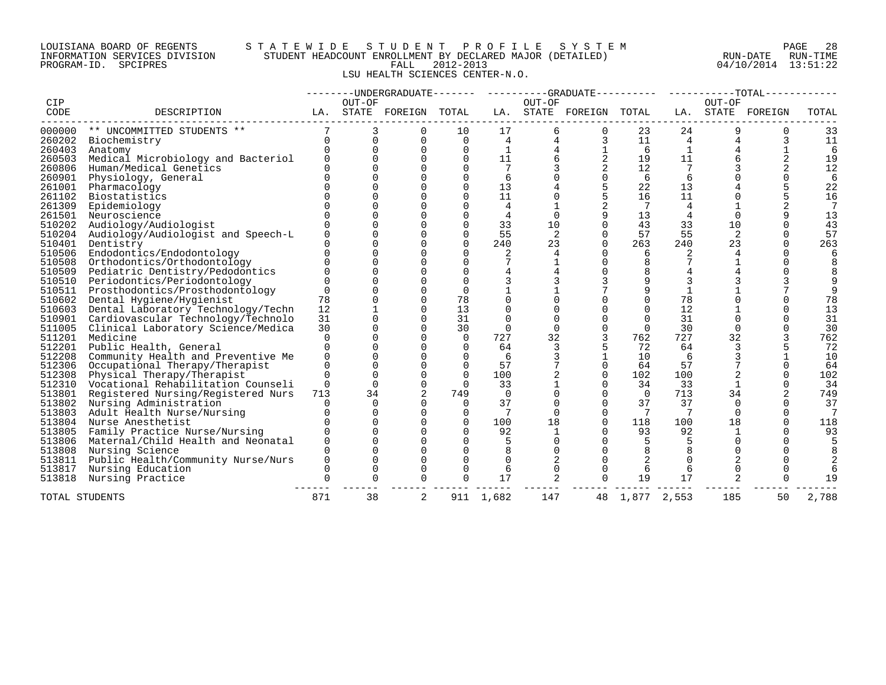# LOUISIANA BOARD OF REGENTS S T A T E W I D E S T U D E N T P R O F I L E S Y S T E M PAGE 28 INFORMATION SERVICES DIVISION STUDENT HEADCOUNT ENROLLMENT BY DECLARED MAJOR (DETAILED) RUN-DATE RUN-TIME PROGRAM-ID. SPCIPRES FALL 2012-2013 04/10/2014 13:51:22 LSU HEALTH SCIENCES CENTER-N.O.

|        |                                           |          |                      |                         |             |                |             |                         |                |     |          | --------UNDERGRADUATE------- ---------GRADUATE--------- ---------TOTAL------ |       |
|--------|-------------------------------------------|----------|----------------------|-------------------------|-------------|----------------|-------------|-------------------------|----------------|-----|----------|------------------------------------------------------------------------------|-------|
| CIP    |                                           |          | OUT-OF               |                         |             |                | OUT-OF      |                         |                |     | OUT-OF   |                                                                              |       |
| CODE   | DESCRIPTION                               |          |                      | LA. STATE FOREIGN TOTAL |             |                |             | LA. STATE FOREIGN TOTAL |                |     |          | LA. STATE FOREIGN                                                            | TOTAL |
|        | 000000 ** UNCOMMITTED STUDENTS **         |          | 3                    | $\Omega$                | 10          | 17             |             | 6<br>$\mathbf{0}$       | 23             | 24  |          |                                                                              | 33    |
| 260202 | Biochemistry                              |          | $\Omega$<br>$\Omega$ | $\Omega$                | $\Omega$    | $\overline{4}$ | 4           | 3                       | 11             | 4   |          | 3                                                                            | 11    |
| 260403 | Anatomy                                   | $\Omega$ | $\Omega$             | $\Omega$                | $\Omega$    | $\mathbf{1}$   |             | $\mathbf{1}$            | 6              |     |          |                                                                              | 6     |
| 260503 | Medical Microbiology and Bacteriol        | $\Omega$ |                      | $\Omega$                | 0           | 11             | 6           | 2                       | 19             | 11  |          |                                                                              | 19    |
| 260806 | Human/Medical Genetics                    |          | $\cap$               | $\Omega$                | $\Omega$    | 7              |             | 2                       | 12             |     |          |                                                                              | 12    |
| 260901 | Physiology, General                       | $\Omega$ | $\Omega$             | $\Omega$                | $\mathbf 0$ | 6              | 0           | $\mathbf 0$             | 6              | 6   |          |                                                                              | 6     |
| 261001 | Pharmacology                              | $\cap$   |                      | $\Omega$                | $\Omega$    | 13             |             |                         | 22             | 13  |          |                                                                              | 22    |
| 261102 | Biostatistics                             |          |                      |                         | $\Omega$    | 11             |             |                         | 16             | 11  |          |                                                                              | 16    |
| 261309 | Epidemiology                              | $\Omega$ | $\Omega$             | $\Omega$                | $\Omega$    | 4              | 1           | 2                       | 7              | 4   |          |                                                                              | 7     |
|        | 261501 Neuroscience                       | $\cap$   |                      | $\Omega$                | $\Omega$    | $\overline{4}$ | $\mathbf 0$ | 9                       | 13             | 4   |          |                                                                              | 13    |
|        | 510202 Audiology/Audiologist              |          |                      | $\Omega$                | $\Omega$    | 33             | 10          | $\Omega$                | 43             | 33  | 10       |                                                                              | 43    |
| 510204 | Audiology/Audiologist and Speech-L        | $\Omega$ | $\Omega$             | $\Omega$                | $\Omega$    | 55             | 2           | $\Omega$                | 57             | 55  | 2        |                                                                              | 57    |
| 510401 | Dentistry                                 |          |                      | $\Omega$                | $\Omega$    | 240            | 23          | $\Omega$                | 263            | 240 | 23       |                                                                              | 263   |
| 510506 | Endodontics/Endodontology                 | $\Omega$ |                      | $\Omega$                | $\Omega$    |                | 4           | $\Omega$                | 6              | 2   |          |                                                                              | 6     |
| 510508 | Orthodontics/Orthodontology               | $\cap$   | $\cap$               | $\Omega$                | $\Omega$    |                |             | $\Omega$                |                |     |          |                                                                              |       |
| 510509 | Pediatric Dentistry/Pedodontics           | $\Omega$ | $\Omega$             | $\Omega$                | $\Omega$    |                |             | $\Omega$                |                |     |          |                                                                              |       |
|        | 510510 Periodontics/Periodontology        | $\cap$   |                      | $\Omega$                | $\Omega$    |                |             |                         |                |     |          |                                                                              |       |
|        | 510511 Prosthodontics/Prosthodontology    | $\Omega$ |                      | $\Omega$                | $\Omega$    |                |             |                         | 9              |     |          |                                                                              | 9     |
| 510602 | Dental Hygiene/Hygienist                  | 78       | $\Omega$             | $\Omega$                | 78          |                |             |                         |                | 78  |          |                                                                              | 78    |
|        | 510603 Dental Laboratory Technology/Techn | 12       |                      | $\Omega$                | 13          |                |             | $\Omega$                | $\Omega$       | 12  |          |                                                                              | 13    |
| 510901 | Cardiovascular Technology/Technolo        | 31       |                      | $\Omega$                | 31          |                | $\Omega$    | $\Omega$                | $\Omega$       | 31  |          |                                                                              | 31    |
| 511005 | Clinical Laboratory Science/Medica        | 30       | $\cap$               | $\Omega$                | 30          | $\Omega$       | $\Omega$    | $\Omega$                | $\Omega$       | 30  | $\Omega$ |                                                                              | 30    |
| 511201 | Medicine                                  | $\Omega$ | 0                    | $\Omega$                | $\mathbf 0$ | 727            | 32          | 3                       | 762            | 727 | 32       |                                                                              | 762   |
| 512201 | Public Health, General                    | $\Omega$ | 0                    | $\Omega$                | $\Omega$    | 64             | 3           |                         | 72             | 64  | 3        |                                                                              | 72    |
| 512208 | Community Health and Preventive Me        | $\Omega$ | $\Omega$             | $\Omega$                | $\Omega$    | 6              |             |                         | 10             | 6   |          |                                                                              | 10    |
| 512306 | Occupational Therapy/Therapist            | $\Omega$ | $\Omega$             | $\Omega$                | $\Omega$    | 57             |             | $\mathbf 0$             | 64             | 57  |          |                                                                              | 64    |
| 512308 | Physical Therapy/Therapist                | $\Omega$ | $\Omega$             | $\Omega$                | $\Omega$    | 100            | 2           | $\Omega$                | 102            | 100 |          |                                                                              | 102   |
| 512310 | Vocational Rehabilitation Counseli        | $\Omega$ | $\Omega$             | $\Omega$                | $\Omega$    | 33             |             | $\Omega$                | 34             | 33  |          |                                                                              | 34    |
| 513801 | Registered Nursing/Registered Nurs        | 713      | 34                   | 2                       | 749         | $\Omega$       | $\Omega$    | $\Omega$                | $\overline{0}$ | 713 | 34       |                                                                              | 749   |
| 513802 | Nursing Administration                    | $\Omega$ | $\Omega$             | $\Omega$                | $\Omega$    | 37             | 0           | $\Omega$                | 37             | 37  | $\Omega$ |                                                                              | 37    |
| 513803 | Adult Health Nurse/Nursing                | $\Omega$ | $\Omega$             | $\Omega$                | $\Omega$    | 7              | $\Omega$    | $\Omega$                | -7             | 7   |          |                                                                              | 7     |
|        | 513804 Nurse Anesthetist                  | $\cap$   | $\cap$               | $\Omega$                | $\Omega$    | 100            | 18          | $\Omega$                | 118            | 100 | 18       |                                                                              | 118   |
| 513805 | Family Practice Nurse/Nursing             | $\Omega$ | $\Omega$             | $\Omega$                | $\Omega$    | 92             | 1           | $\Omega$                | 93             | 92  |          |                                                                              | 93    |
|        | 513806 Maternal/Child Health and Neonatal | $\Omega$ |                      | $\Omega$                | $\Omega$    |                | $\Omega$    | $\Omega$                | 5              |     |          |                                                                              |       |
| 513808 | Nursing Science                           |          |                      |                         | $\Omega$    |                |             |                         |                |     |          |                                                                              |       |
| 513811 | Public Health/Community Nurse/Nurs        | $\Omega$ | $\Omega$             | $\Omega$                | $\Omega$    | $\Omega$       | 2           | $\Omega$                |                |     |          |                                                                              |       |
| 513817 | Nursing Education                         | $\Omega$ | $\Omega$             | $\Omega$                | $\Omega$    | 6              | $\Omega$    | $\Omega$                |                | 6   |          |                                                                              |       |
| 513818 | Nursing Practice                          | $\Omega$ | $\Omega$             | $\Omega$                | 0           | 17             | 2           | $\Omega$                | 19             | 17  |          |                                                                              | 19    |
|        | TOTAL STUDENTS                            | 871      | 38                   | 2                       |             | 911 1,682      | 147         | 48                      | 1,877 2,553    |     | 185      | 50                                                                           | 2,788 |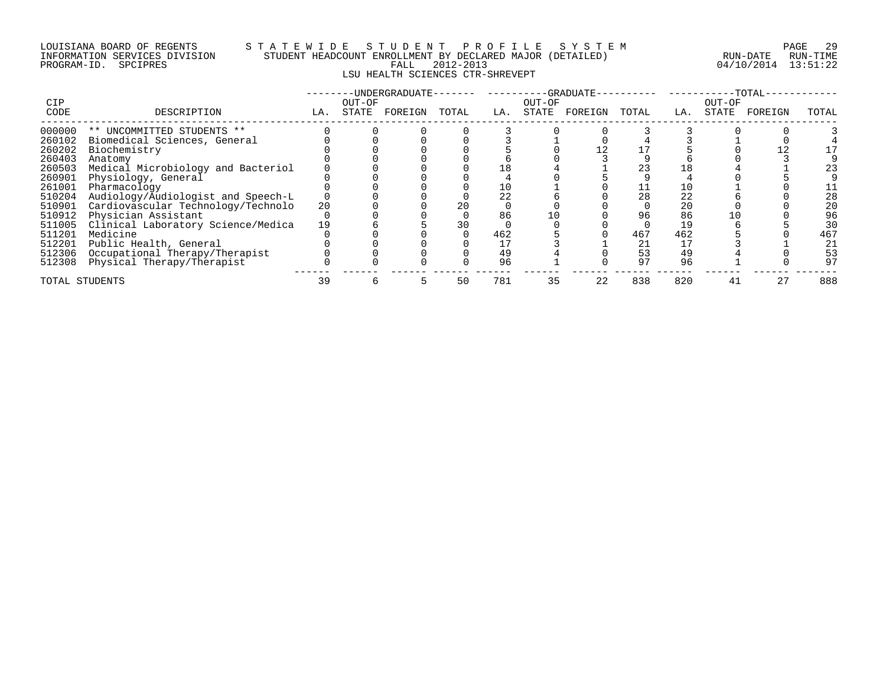# LOUISIANA BOARD OF REGENTS S T A T E W I D E S T U D E N T P R O F I L E S Y S T E M PAGE 29 INFORMATION SERVICES DIVISION STUDENT HEADCOUNT ENROLLMENT BY DECLARED MAJOR (DETAILED) RUN-DATE RUN-TIME PROGRAM-ID. SPCIPRES FALL 2012-2013 04/10/2014 13:51:22 LSU HEALTH SCIENCES CTR-SHREVEPT

| <b>CIP</b>     |                                    |     | OUT-OF | UNDERGRADUATE · |       |     | OUT-OF | -GRADUATE- |       |     | OUT-OF | -TOTAL- |       |
|----------------|------------------------------------|-----|--------|-----------------|-------|-----|--------|------------|-------|-----|--------|---------|-------|
| CODE           | DESCRIPTION                        | LA. | STATE  | FOREIGN         | TOTAL | LA. | STATE  | FOREIGN    | TOTAL | LA. | STATE  | FOREIGN | TOTAL |
| 000000         | ** UNCOMMITTED STUDENTS **         |     |        |                 |       |     |        |            |       |     |        |         |       |
| 260102         | Biomedical Sciences, General       |     |        |                 |       |     |        |            |       |     |        |         |       |
| 260202         | Biochemistry                       |     |        |                 |       |     |        |            |       |     |        |         |       |
| 260403         | Anatomy                            |     |        |                 |       |     |        |            |       |     |        |         |       |
| 260503         | Medical Microbiology and Bacteriol |     |        |                 |       |     |        |            | 23    |     |        |         | 23    |
| 260901         | Physiology, General                |     |        |                 |       |     |        |            |       |     |        |         |       |
| 261001         | Pharmacology                       |     |        |                 |       |     |        |            |       |     |        |         |       |
| 510204         | Audiology/Audiologist and Speech-L |     |        |                 |       | 22  |        |            | 28    | 22  |        |         | 28    |
| 510901         | Cardiovascular Technology/Technolo | 20  |        |                 |       |     |        |            |       | 20  |        |         | 20    |
| 510912         | Physician Assistant                |     |        |                 |       | 86  |        |            | 96    | 86  |        |         | 96    |
| 511005         | Clinical Laboratory Science/Medica | 19  |        |                 |       |     |        |            |       | 19  |        |         | 30    |
| 511201         | Medicine                           |     |        |                 |       | 462 |        |            | 467   | 462 |        |         | 467   |
| 512201         | Public Health, General             |     |        |                 |       |     |        |            | 21    |     |        |         | 21    |
| 512306         | Occupational Therapy/Therapist     |     |        |                 |       | 49  |        |            | 53    | 49  |        |         | 53    |
| 512308         | Physical Therapy/Therapist         |     |        |                 |       | 96  |        |            | 97    | 96  |        |         | 97    |
| TOTAL STUDENTS |                                    | 39  |        |                 | 50    | 781 | 35     | 22         | 838   | 820 | 41     | 27      | 888   |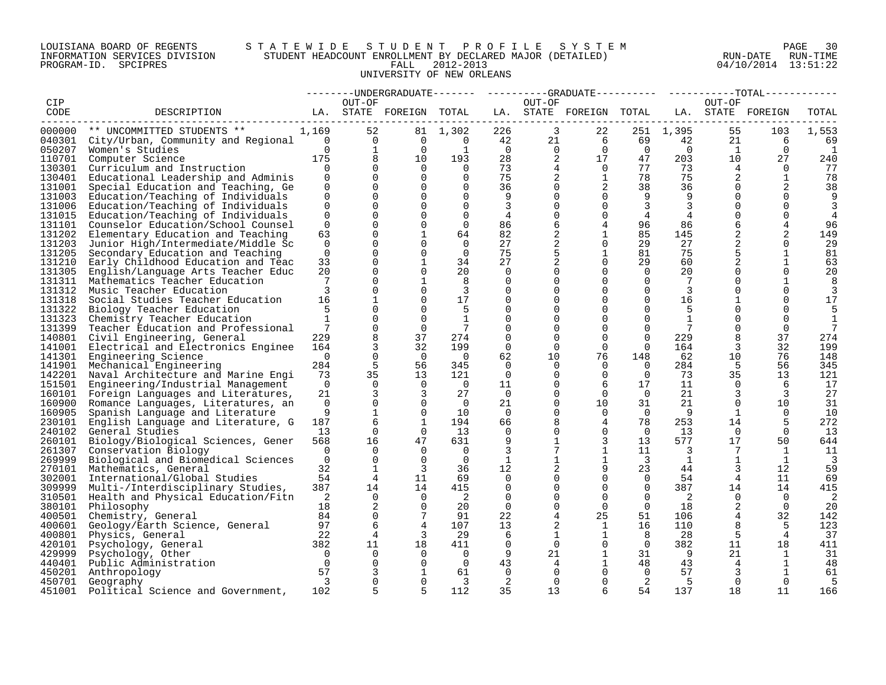# LOUISIANA BOARD OF REGENTS S T A T E W I D E S T U D E N T P R O F I L E S Y S T E M PAGE 30 INFORMATION SERVICES DIVISION STUDENT HEADCOUNT ENROLLMENT BY DECLARED MAJOR (DETAILED) RUN-DATE RUN-TIME PROGRAM-ID. SPCIPRES FALL 2012-2013 04/10/2014 13:51:22 UNIVERSITY OF NEW ORLEANS

|                  |                                                                  |                |                  |                             |                            |                |                | -----UNDERGRADUATE-------    ---------GRADUATE---------    ----------TOTAL----- |                      |                         |                            |                      |              |
|------------------|------------------------------------------------------------------|----------------|------------------|-----------------------------|----------------------------|----------------|----------------|---------------------------------------------------------------------------------|----------------------|-------------------------|----------------------------|----------------------|--------------|
| CIP              |                                                                  |                | OUT-OF           |                             |                            |                | OUT-OF         |                                                                                 |                      |                         | OUT-OF                     |                      |              |
| CODE             | DESCRIPTION                                                      |                |                  | LA. STATE FOREIGN TOTAL     |                            |                |                | LA. STATE FOREIGN TOTAL LA. STATE FOREIGN                                       |                      |                         |                            |                      | TOTAL        |
|                  | -------------------------<br>000000 ** UNCOMMITTED STUDENTS **   | 1,169          | 52               |                             |                            |                | $\overline{3}$ |                                                                                 |                      | 251 1,395               | 55                         |                      |              |
|                  | 040301 City/Urban, Community and Regional 0                      |                | $\overline{0}$   | $\overline{0}$              | 81 1,302<br>$\overline{0}$ | 226<br>42      | 21             | 22<br>$\overline{6}$                                                            |                      | 69 — 10<br>42           | 21                         | 103<br>6             | 1,553        |
|                  |                                                                  | $\Omega$       | $\mathbf{1}$     | $\overline{0}$              | 1                          | $\overline{0}$ | $\overline{0}$ | $\overline{0}$                                                                  | $\overline{0}$       |                         | $\Omega$<br>$\overline{1}$ |                      | 69<br>-1     |
| 050207<br>110701 | Women's Studies                                                  | 175            | 8                | 10                          | 193                        | 28             | 2              | 17                                                                              | 47                   | 203                     | 10                         | $\overline{0}$<br>27 | 240          |
|                  | Computer Science                                                 | $\Omega$       |                  | $\Omega$                    | $\overline{0}$             | 73             |                | $\overline{0}$                                                                  | 77                   | 73                      | 4                          | $\Omega$             | 77           |
| 130301<br>130401 | Curriculum and Instruction<br>Educational Leadership and Adminis | $\Omega$       | $\Omega$         | $\Omega$                    | $\Omega$                   | 75             | $\overline{2}$ | 1                                                                               | 78                   | 75                      | 2                          |                      | 78           |
| 131001           | Special Education and Teaching, Ge                               | $\Omega$       |                  | $\Omega$                    | $\Omega$                   | 36             | $\Omega$       | $\overline{a}$                                                                  | 38                   | 36                      |                            | 2                    | 38           |
| 131003           | Education/Teaching of Individuals                                | $\Omega$       |                  | $\Omega$                    | $\Omega$                   | 9              | $\Omega$       | $\Omega$                                                                        | 9                    | 9                       |                            | $\Omega$             | 9            |
| 131006           | Education/Teaching of Individuals                                | $\Omega$       | $\Omega$         | $\Omega$                    | $\Omega$                   | 3              | $\Omega$       | $\Omega$                                                                        | 3                    | 3                       |                            | $\Omega$             |              |
| 131015           | Education/Teaching of Individuals                                | $\Omega$       |                  | $\Omega$                    | $\Omega$                   | $\overline{4}$ |                | $\Omega$                                                                        | 4                    | 4                       |                            |                      | 4            |
| 131101           | Counselor Education/School Counsel                               | $\Omega$       |                  | $\Omega$                    | $\Omega$                   | 86             | 6              | 4                                                                               | 96                   | 86                      |                            |                      | 96           |
|                  | 131202 Elementary Education and Teaching                         | 63             | $\Omega$         | $\mathbf{1}$                | 64                         | 82             | 2              | $\mathbf{1}$                                                                    | 85                   | 145                     | 2                          | 2                    | 149          |
| 131203           | Junior High/Intermediate/Middle Sc                               | $\Omega$       |                  | $\Omega$                    | $\Omega$                   | 27             | $\overline{2}$ | $\mathbf{0}$                                                                    | 29                   | 27                      |                            | $\Omega$             | 29           |
| 131205           | Secondary Education and Teaching                                 | $\Omega$       |                  | $\Omega$                    | $\overline{0}$             | 75             | 5              | 1                                                                               | 81                   | 75                      |                            | 1                    | 81           |
| 131210           | Early Childhood Education and Teac                               | 33             |                  | 1                           | 34                         | 27             | 2              | $\Omega$                                                                        | 29                   | 60                      |                            |                      | 63           |
| 131305           | English/Language Arts Teacher Educ                               | 20             |                  | $\Omega$                    | 20                         | $\Omega$       | $\Omega$       | $\Omega$                                                                        | $\Omega$             | 20                      |                            | $\Omega$             | 20           |
| 131311           | Mathematics Teacher Education                                    | 7              |                  | $\mathbf{1}$                | 8                          | $\Omega$       | $\Omega$       | $\Omega$                                                                        | $\Omega$             | 7                       |                            |                      |              |
| 131312           | Music Teacher Education                                          | 3              |                  | $\Omega$                    | $\overline{3}$             | $\mathbf 0$    | $\Omega$       | $\Omega$                                                                        | $\mathbf 0$          | $\overline{3}$          |                            | $\Omega$             |              |
| 131318           | Social Studies Teacher Education                                 | 16             |                  | $\Omega$                    | 17                         | 0              | $\Omega$       | $\Omega$                                                                        | $\mathbf 0$          | 16                      |                            |                      | 17           |
|                  | 131322 Biology Teacher Education                                 |                |                  | $\Omega$                    |                            | $\Omega$       | $\Omega$       | $\Omega$                                                                        | $\Omega$             | -5                      |                            | $\Omega$             | 5            |
| 131323           | Chemistry Teacher Education                                      | $\mathbf{1}$   |                  | $\Omega$                    | $\overline{1}$             | $\Omega$       | $\Omega$       | $\Omega$                                                                        | $\Omega$             | $\overline{1}$          |                            | $\Omega$             | $\mathbf{1}$ |
| 131399           | Teacher Education and Professional                               | 7              | $\Omega$         | $\Omega$                    | $7\phantom{.0}$            | $\Omega$       | $\Omega$       | $\Omega$                                                                        | $\Omega$             | 7                       | $\Omega$                   | $\Omega$             | 7            |
|                  | 140801 Civil Engineering, General                                | 229            |                  | 37                          | 274                        | $\Omega$       | $\Omega$       | $\Omega$                                                                        | $\Omega$             | 229                     |                            | 37                   | 274          |
|                  | 141001 Electrical and Electronics Enginee                        | 164            |                  | 32                          | 199                        | 0              | 0              | $\mathbf 0$                                                                     | $\Omega$             | 164                     | 3                          | 32                   | 199          |
|                  | 141301 Engineering Science                                       | $\Omega$       |                  | $\overline{0}$              | $\overline{0}$             | 62             | 10             | 76                                                                              | 148                  | 62                      | 10                         | 76                   | 148          |
| 141901           | Mechanical Engineering                                           | 284            | 5                | 56                          | 345                        | $\Omega$       | $\Omega$       | $\Omega$                                                                        | $\Omega$             | 284                     | 5                          | 56                   | 345          |
| 142201           | Naval Architecture and Marine Engi                               | 73             | 35               | 13                          | 121                        | $\Omega$       | $\Omega$       | $\Omega$                                                                        | $\Omega$             | 73                      | 35                         | 13                   | 121          |
| 151501           | Engineering/Industrial Management                                | $\Omega$       | $\Omega$         | $\Omega$                    | $\bigcap$                  | 11             | $\Omega$       | 6                                                                               | 17                   | 11                      | $\Omega$                   | 6                    | 17           |
| 160101           | Foreign Languages and Literatures,                               | 21             | 3                | 3                           | 27                         | $\mathbf{0}$   | 0              | $\mathbf 0$                                                                     | $\overline{0}$       | 21                      | 3                          | 3                    | 27           |
| 160900           | Romance Languages, Literatures, an                               | $\Omega$       | $\Omega$         | $\Omega$                    | $\Omega$                   | 21             | $\Omega$       | 10                                                                              | 31                   | 21                      | $\Omega$                   | 10                   | 31           |
| 160905           | Spanish Language and Literature                                  | 9              | $\mathbf{1}$     | $\Omega$                    | 10                         | $\overline{0}$ | $\Omega$       | $\mathbf 0$                                                                     | $\overline{0}$       | - 9                     | 1                          | $\Omega$             | 10           |
| 230101           | English Language and Literature, G                               | 187            |                  | 1                           | 194                        | 66             | 8              | 4                                                                               | 78                   | 253                     | 14                         | 5                    | 272          |
| 240102           | General Studies                                                  | 13             | $\Omega$         | $\Omega$                    | 13                         | $\Omega$       | $\Omega$       | $\Omega$                                                                        | $\overline{0}$       | 13                      | $\Omega$                   | $\Omega$             | 13           |
| 260101           | Biology/Biological Sciences, Gener                               | 568            | 16               | 47                          | 631                        | 9              |                | 3                                                                               | 13                   | 577                     | 17                         | 50                   | 644          |
| 261307           | Conservation Biology                                             | $\Omega$       | $\Omega$         | $\Omega$                    | $\overline{0}$             | 3              |                | $\mathbf 1$                                                                     | 11                   | $\overline{\mathbf{3}}$ | 7                          | 1                    | 11           |
| 269999           | Biological and Biomedical Sciences                               | $\Omega$       | $\Omega$         | $\Omega$                    | $\Omega$                   | 1              |                | $\mathbf{1}$                                                                    | $\overline{3}$       | -1                      | $\mathbf{1}$               | 1                    | - 3          |
| 270101           | Mathematics, General                                             | 32             | $\mathbf{1}$     | 3                           | 36                         | 12             | 2              | 9                                                                               | 23                   | 44                      | 3                          | 12                   | 59           |
| 302001           | International/Global Studies                                     | 54             | 4                | 11                          | 69                         | $\Omega$       | $\Omega$       | $\Omega$                                                                        | $\Omega$             | 54                      | 4                          | 11                   | 69           |
| 309999           | Multi-/Interdisciplinary Studies,                                | 387            | 14               | 14                          | 415                        | $\Omega$       | $\Omega$       | $\Omega$                                                                        | $\Omega$             | 387                     | 14                         | 14                   | 415          |
| 310501           | Health and Physical Education/Fitn                               | $\overline{2}$ | $\mathbf 0$      | $\Omega$                    | $\overline{2}$             | $\mathbf 0$    | $\Omega$       | $\Omega$                                                                        | $\Omega$             | $\overline{2}$          | $\mathbf 0$                | $\Omega$             | 2            |
|                  | 380101 Philosophy                                                | 18<br>84       | 2<br>$\mathbf 0$ | $\Omega$<br>$7\phantom{.0}$ | 20<br>91                   | $\mathbf{0}$   | $\Omega$       | $\Omega$<br>25                                                                  | $\overline{0}$<br>51 | 18                      | 2                          | $\Omega$<br>32       | 20           |
| 400501           | Chemistry, General                                               | 97             | 6                | $\overline{4}$              | 107                        | 22             | 4              |                                                                                 |                      | 106<br>110              |                            |                      | 142          |
| 400601<br>400801 | Geology/Earth Science, General<br>Physics, General               | 22             | 4                | 3                           | 29                         | 13<br>6        | 2<br>1         | 1<br>$\mathbf{1}$                                                               | 16<br>8              | 28                      | 5                          | -5<br>4              | 123<br>37    |
|                  |                                                                  | 382            | 11               | 18                          | 411                        | $\mathbf{0}$   | $\overline{0}$ | $\mathbf 0$                                                                     | $\overline{0}$       | 382                     | 11                         | 18                   |              |
| 420101<br>429999 | Psychology, General<br>Psychology, Other                         | $\overline{0}$ | $\Omega$         | $\Omega$                    | $\Omega$                   | 9              | 21             |                                                                                 | 31                   | - 9                     | 21                         | 1                    | 411<br>31    |
| 440401           | Public Administration                                            | $\cap$         | $\mathbf 0$      | $\Omega$                    | $\overline{0}$             | 43             | 4              | 1                                                                               | 48                   | 43                      | 4                          |                      | 48           |
| 450201           | Anthropology                                                     | 57             | 3                | 1                           | 61                         | $\Omega$       | $\Omega$       | $\Omega$                                                                        | 0                    | 57                      | 3                          |                      | 61           |
|                  | 450701 Geography                                                 | $\overline{3}$ | $\Omega$         | $\Omega$                    | $\overline{3}$             | 2              | $\Omega$       | $\Omega$                                                                        | 2                    | -5                      | $\Omega$                   | $\Omega$             | .5           |
| 451001           | Political Science and Government,                                | 102            |                  |                             | 112                        | 35             | 13             | б.                                                                              | 54                   | 137                     | 18                         | 11                   | 166          |
|                  |                                                                  |                |                  |                             |                            |                |                |                                                                                 |                      |                         |                            |                      |              |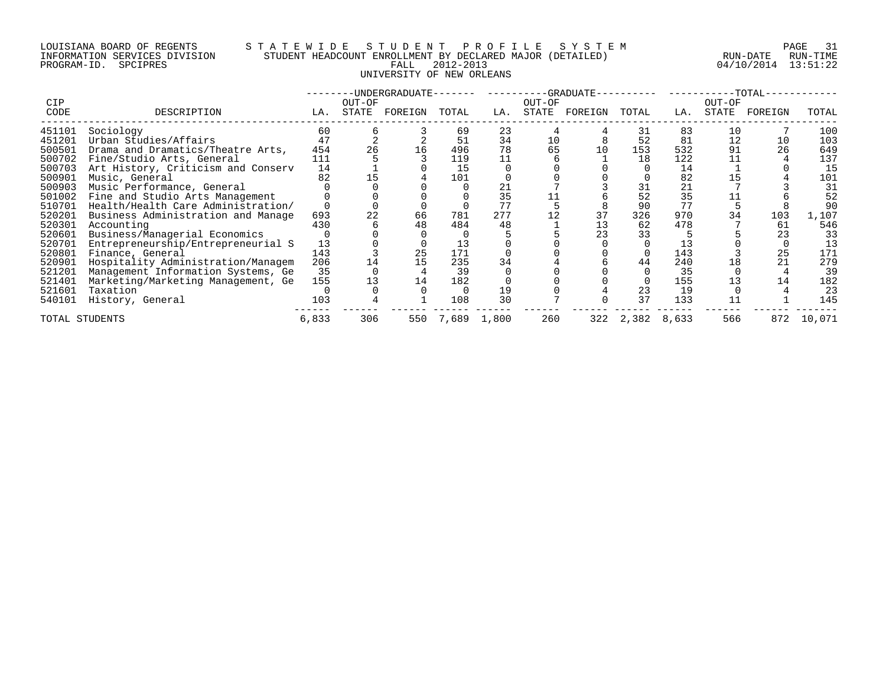# LOUISIANA BOARD OF REGENTS S T A T E W I D E S T U D E N T P R O F I L E S Y S T E M PAGE 31 INFORMATION SERVICES DIVISION STUDENT HEADCOUNT ENROLLMENT BY DECLARED MAJOR (DETAILED) RUN-DATE RUN-TIME PROGRAM-ID. SPCIPRES FALL 2012-2013 04/10/2014 13:51:22 UNIVERSITY OF NEW ORLEANS

|                |                                    |       |        | -UNDERGRADUATE-- |       |       |        | -GRADUATE- |       |       |        | $-TOTAL-$ |        |
|----------------|------------------------------------|-------|--------|------------------|-------|-------|--------|------------|-------|-------|--------|-----------|--------|
| <b>CIP</b>     |                                    |       | OUT-OF |                  |       |       | OUT-OF |            |       |       | OUT-OF |           |        |
| CODE           | DESCRIPTION                        | LA.   | STATE  | FOREIGN          | TOTAL | LA.   | STATE  | FOREIGN    | TOTAL | LA.   | STATE  | FOREIGN   | TOTAL  |
| 451101         | Sociology                          | 60    |        |                  | 69    | 23    | 4      |            | 31    | 83    | 10     |           | 100    |
| 451201         | Urban Studies/Affairs              | 47    |        |                  | 51    | 34    | 10     |            | 52    | 81    | 12     | 10        | 103    |
| 500501         | Drama and Dramatics/Theatre Arts,  | 454   |        | 16               | 496   | 78    | 65     | 10         | 153   | 532   | 91     | 26        | 649    |
| 500702         | Fine/Studio Arts, General          | 111   |        |                  | 119   |       |        |            | 18    | 122   |        |           | 137    |
| 500703         | Art History, Criticism and Conserv | 14    |        |                  | 15    |       |        |            |       | 14    |        |           | 15     |
| 500901         | Music, General                     | 82    |        |                  | 101   |       |        |            |       | 82    |        |           | 101    |
| 500903         | Music Performance, General         |       |        |                  |       |       |        |            |       | 21    |        |           | 31     |
| 501002         | Fine and Studio Arts Management    |       |        |                  |       | 35    |        |            | 52    | 35    |        |           | 52     |
| 510701         | Health/Health Care Administration/ |       |        |                  |       |       |        |            | 90    | 77    |        |           | 90     |
| 520201         | Business Administration and Manage | 693   |        | 66               | 781   | 277   |        | 37         | 326   | 970   |        | 103       | 1,107  |
| 520301         | Accounting                         | 430   |        | 48               | 484   | 48    |        | 13         | 62    | 478   |        | 61        | 546    |
| 520601         | Business/Managerial Economics      |       |        |                  |       |       |        | 23         | 33    |       |        |           | 33     |
| 520701         | Entrepreneurship/Entrepreneurial S | 13    |        |                  |       |       |        |            |       |       |        |           | 13     |
| 520801         | Finance, General                   | 143   |        | 25               | 171   |       |        |            |       | 143   |        | 25        | 171    |
| 520901         | Hospitality Administration/Managem | 206   |        | 15               | 235   | 34    |        |            | 44    | 240   |        |           | 279    |
| 521201         | Management Information Systems, Ge | 35    |        |                  | 39    |       |        |            |       | 35    |        |           | 39     |
| 521401         | Marketing/Marketing Management, Ge | 155   |        | 14               | 182   |       |        |            |       | 155   |        | 14        | 182    |
| 521601         | Taxation                           |       |        |                  |       | 19    |        |            | 23    | 19    |        |           | 23     |
| 540101         | History, General                   | 103   |        |                  | 108   | 30    |        |            | 37    | 133   |        |           | 145    |
| TOTAL STUDENTS |                                    | 6,833 | 306    | 550              | 7,689 | 1,800 | 260    | 322        | 2,382 | 8,633 | 566    | 872       | 10,071 |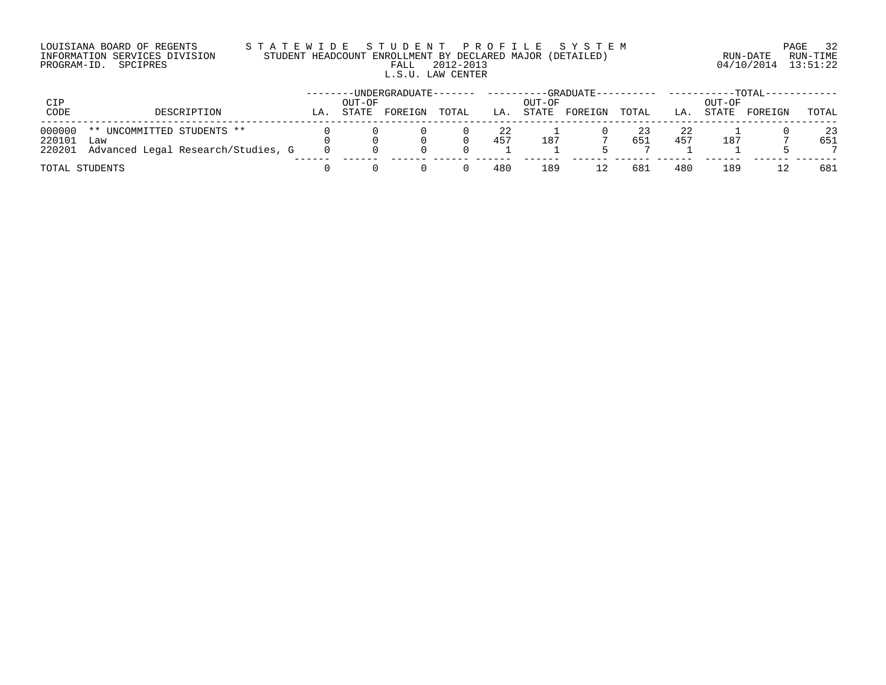# LOUISIANA BOARD OF REGENTS S T A T E W I D E S T U D E N T P R O F I L E S Y S T E M PAGE 32 INFORMATION SERVICES DIVISION STUDENT HEADCOUNT ENROLLMENT BY DECLARED MAJOR (DETAILED) RUN-DATE RUN-TIME PROGRAM-ID. SPCIPRES FALL 2012-2013 04/10/2014 13:51:22 L.S.U. LAW CENTER

| CIP<br>CODE      | DESCRIPTION                               |     | OUT-OF<br>STATE | -UNDERGRADUATE- | TOTAL |           | OUT-OF | -GRADUATE-- |           |           | OUT-OF | $-TOTAL-$ |           |
|------------------|-------------------------------------------|-----|-----------------|-----------------|-------|-----------|--------|-------------|-----------|-----------|--------|-----------|-----------|
|                  |                                           | LA. |                 | FOREIGN         |       | LA.       | STATE  | FOREIGN     | TOTAL     | LA.       | STATE  | FOREIGN   | TOTAL     |
| 000000<br>220101 | UNCOMMITTED STUDENTS **<br>$***$<br>Law   |     |                 |                 |       | 22<br>457 | 187    |             | 23<br>651 | 22<br>457 | 187    |           | 23<br>651 |
|                  | 220201 Advanced Legal Research/Studies, G |     |                 |                 |       |           |        |             |           |           |        |           |           |
|                  | TOTAL STUDENTS                            |     |                 |                 |       | 480       | 189    |             | 681       | 480       | 189    |           | 681       |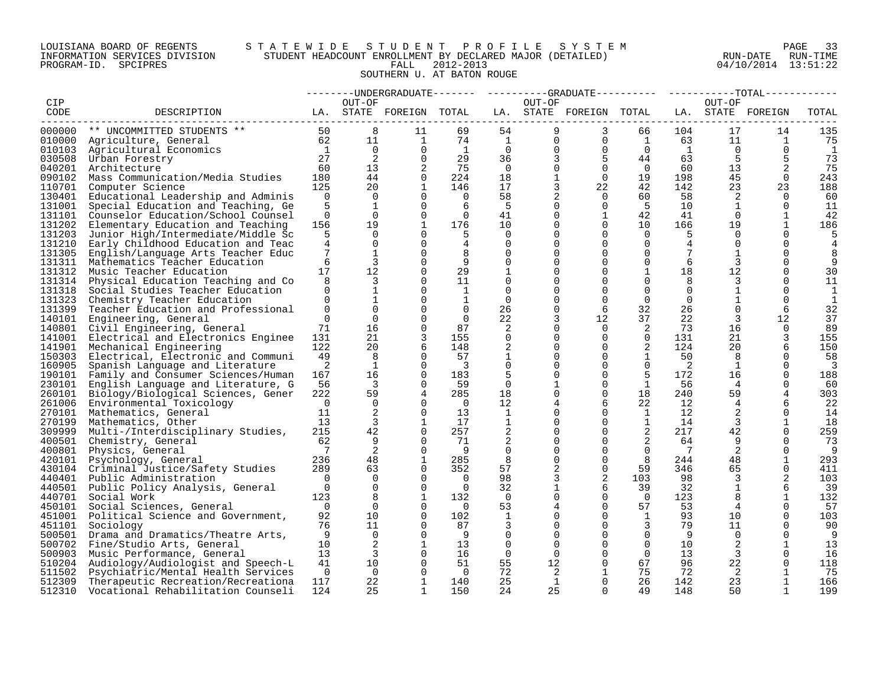# LOUISIANA BOARD OF REGENTS S T A T E W I D E S T U D E N T P R O F I L E S Y S T E M PAGE 33 INFORMATION SERVICES DIVISION STUDENT HEADCOUNT ENROLLMENT BY DECLARED MAJOR (DETAILED) RUN-DATE RUN-TIME PROGRAM-ID. SPCIPRES FALL 2012-2013 04/10/2014 13:51:22 SOUTHERN U. AT BATON ROUGE

|                  |                                                                          |                      |                                   |                          |                         |                      |                      | --------UNDERGRADUATE------- ---------GRADUATE---------- -----------TOTAL----------- |                      |                |                      |                   |              |
|------------------|--------------------------------------------------------------------------|----------------------|-----------------------------------|--------------------------|-------------------------|----------------------|----------------------|--------------------------------------------------------------------------------------|----------------------|----------------|----------------------|-------------------|--------------|
| CIP              |                                                                          |                      | OUT-OF                            |                          |                         |                      | OUT-OF               |                                                                                      |                      |                | OUT-OF               |                   |              |
| CODE             | DESCRIPTION<br>LA. STATE FOREIGN TOTAL                                   |                      |                                   |                          |                         |                      |                      | LA. STATE FOREIGN TOTAL                                                              |                      |                |                      | LA. STATE FOREIGN | TOTAL        |
| 000000           | ** UNCOMMITTED STUDENTS **<br>$50$<br>$62$<br>$1$<br>$27$                |                      | 8                                 | 11                       | 69                      | 54                   | 9                    | 3                                                                                    | 66                   | 104            | 17                   | 14                | 135          |
|                  | 010000 Agriculture, General                                              |                      | 11                                | $\overline{1}$           | 74                      | $\mathbf{1}$         | $\overline{0}$       | $\overline{0}$                                                                       | $\mathbf{1}$         | 63             | 11                   | $\mathbf{1}$      | 75           |
|                  | 010103 Agricultural Economics                                            |                      | $\Omega$                          | $\Omega$                 | $\overline{1}$          | $\overline{0}$       | $\overline{0}$       | $\overline{0}$                                                                       | $\Omega$             | $\overline{1}$ | $\Omega$             | $\Omega$          | -1           |
|                  | 030508 Urban Forestry                                                    | 27                   | 2                                 | $\mathbf 0$              | 29                      | 36                   | 3                    | 5                                                                                    | 44                   | 63             | 5                    |                   | 73           |
| 040201           | Architecture                                                             | 60                   | 13                                | 2                        | 75                      | $\overline{0}$       | $\Omega$             | $\overline{0}$                                                                       | $\Omega$             | 60             | 13                   | 2                 | 75           |
| 090102           | Mass Communication/Media Studies                                         | 180                  | 44                                | $\Omega$                 | 224                     | 18                   | $\mathbf{1}$         | $\overline{0}$                                                                       | 19                   | 198            | 45                   | $\Omega$          | 243          |
|                  | 110701 Computer Science                                                  | 125                  | 20                                | 1                        | 146                     | 17                   | 3                    | 22                                                                                   | 42                   | 142            | 23                   | 23                | 188          |
| 130401           | Educational Leadership and Adminis                                       | $\Omega$             | $\overline{0}$                    | $\Omega$                 | $\overline{0}$          | 58                   | $\overline{2}$       | $\Omega$                                                                             | 60                   | 58             | 2                    | $\Omega$          | 60           |
| 131001           | Special Education and Teaching, Ge                                       | 5                    | 1                                 | $\Omega$                 | -6                      | - 5                  | $\Omega$             | $\Omega$                                                                             | $-5$                 | 10             | 1                    | $\Omega$          | 11           |
|                  | 131101 Counselor Education/School Counsel                                | $\Omega$             | $\Omega$                          | $\Omega$                 | $\overline{0}$          | 41                   | $\Omega$             | $\mathbf{1}$                                                                         | 42                   | 41             | $\Omega$             | 1                 | 42           |
| 131202           | Elementary Education and Teaching                                        | 156                  | 19                                | $\overline{1}$           | 176                     | 10                   | $\Omega$             | $\Omega$                                                                             | 10                   | 166            | 19                   | 1                 | 186          |
| 131203           | Junior High/Intermediate/Middle Sc                                       | 5                    | $\Omega$                          | $\Omega$                 |                         | $\mathbf 0$          | $\Omega$             | $\Omega$                                                                             | $\overline{0}$       | 5              | $\Omega$             | $\Omega$          |              |
| 131210           | Early Childhood Education and Teac                                       | 4                    | $\overline{0}$                    | $\Omega$                 | 4                       | $\Omega$             | $\Omega$             | $\Omega$                                                                             | $\Omega$             | 4              | $\overline{0}$       | $\Omega$          |              |
|                  | 131305 English/Language Arts Teacher Educ                                | 7                    | 1                                 | $\Omega$                 | 8                       | $\Omega$             | $\Omega$             | $\Omega$                                                                             | $\Omega$             | 7              | 1                    | $\Omega$          |              |
|                  | 131311 Mathematics Teacher Education                                     | 6                    | 3                                 | $\Omega$                 | 9                       | $\Omega$             | $\Omega$             | $\Omega$                                                                             | $\Omega$             | 6              | 3                    | $\Omega$          |              |
| 131312           | Music Teacher Education                                                  | 17                   | 12                                | $\Omega$                 | 29                      | $\mathbf{1}$         | $\Omega$             | $\Omega$                                                                             | $\mathbf{1}$         | 18             | 12                   | $\Omega$          | 30           |
|                  | 131314 Physical Education Teaching and Co                                | 8                    | 3                                 | $\Omega$                 | 11                      | $\Omega$             | $\Omega$             | $\Omega$                                                                             | $\Omega$             | 8              | 3                    | $\Omega$          | 11           |
| 131318           | Social Studies Teacher Education                                         | $\Omega$             | $\mathbf{1}$                      | $\Omega$                 | $\mathbf{1}$            | $\Omega$             |                      | $\Omega$                                                                             | $\Omega$             | $\Omega$       | $\mathbf{1}$         | $\Omega$          | 1            |
| 131323           | Chemistry Teacher Education                                              | $\Omega$             | $\mathbf{1}$                      | $\Omega$                 | $\mathbf{1}$            | $\Omega$             | $\Omega$             | $\Omega$                                                                             | $\Omega$             | $\Omega$       | $\mathbf{1}$         | $\Omega$          | $\mathbf{1}$ |
|                  | 131399 Teacher Education and Professional                                | $\overline{0}$       | $\Omega$                          | $\Omega$                 | $\overline{0}$          | 26                   | $\Omega$             | 6                                                                                    | 32                   | 26             | $\Omega$             | 6                 | 32           |
| 140101           | Engineering, General                                                     | $\Omega$             | $\overline{0}$                    | $\Omega$                 | $\Omega$                | 22                   | 3                    | 12                                                                                   | 37                   | 22             | 3                    | 12                | 37           |
|                  | 140801 Civil Engineering, General                                        | 71                   | 16                                | $\Omega$                 | 87                      | 2                    | $\Omega$             | $\Omega$                                                                             | 2                    | 73             | 16                   | $\Omega$          | 89           |
|                  | 141001 Electrical and Electronics Enginee                                | 131                  | 21                                | 3                        | 155                     | $\Omega$             | $\Omega$             | $\Omega$                                                                             | $\Omega$             | 131            | 21                   | 3                 | 155          |
| 141901           | Mechanical Engineering                                                   | 122                  | 20                                | 6                        | 148                     | 2                    | $\overline{0}$       | $\mathbf 0$                                                                          | 2                    | 124            | 20                   | 6                 | 150          |
| 150303           | Electrical, Electronic and Communi                                       | 49                   | 8                                 | $\Omega$                 | 57                      | 1                    | $\Omega$             | $\Omega$                                                                             | 1                    | 50             | 8                    | $\Omega$          | 58           |
| 160905           | Spanish Language and Literature                                          | 2                    | 1                                 | $\Omega$                 | $\overline{\mathbf{3}}$ | $\Omega$             | $\Omega$             | $\Omega$                                                                             | $\Omega$             | 2              | 1                    | $\Omega$          | 3            |
|                  | 190101 Family and Consumer Sciences/Human                                | 167                  | 16                                | $\mathbf 0$              | 183                     | 5                    | $\Omega$             | $\mathbf 0$                                                                          | 5                    | 172            | 16                   | $\Omega$          | 188          |
| 230101           | English Language and Literature, G                                       | 56                   | $\overline{\phantom{a}}$          | $\Omega$                 | 59                      | $\mathbf 0$          | $\mathbf{1}$         | $\mathbf 0$                                                                          | <sup>1</sup>         | 56             | 4                    | $\Omega$          | 60           |
| 260101           | Biology/Biological Sciences, Gener                                       | 222                  | 59                                | $\overline{4}$           | 285                     | 18                   | $\Omega$             | $\Omega$                                                                             | 18                   | 240            | 59                   | 4                 | 303          |
|                  | 261006 Environmental Toxicology                                          | $\bigcap$            | $\Omega$                          | $\Omega$                 | $\overline{0}$          | 12                   | 4                    | 6                                                                                    | 22                   | 12             | $4\overline{ }$      | 6                 | 22           |
|                  | 270101 Mathematics, General                                              | 11                   | 2                                 | $\Omega$                 | 13                      | $\mathbf{1}$         | $\Omega$             | $\Omega$                                                                             | 1                    | 12             | 2                    | $\Omega$          | 14           |
| 270199           | Mathematics, Other                                                       | 13                   | $\overline{3}$                    | 1                        | 17                      | $\mathbf{1}$         | $\Omega$             | $\mathbf 0$                                                                          | 1                    | 14             | $\overline{3}$       | 1                 | 18           |
|                  | 309999 Multi-/Interdisciplinary Studies,                                 | 215                  | 42                                | $\Omega$                 | 257                     | 2                    | $\Omega$             | $\Omega$                                                                             | 2                    | 217            | 42                   | $\Omega$          | 259          |
| 400501           | Chemistry, General                                                       | 62                   | 9                                 | $\Omega$                 | 71                      | 2                    | $\Omega$             | $\Omega$                                                                             | 2                    | 64             | 9                    | $\Omega$          | 73           |
| 400801           | Physics, General                                                         | $\overline{7}$       | 2                                 | $\Omega$                 | - 9                     | $\Omega$             | $\Omega$             | $\Omega$                                                                             | $\overline{0}$       | $\overline{7}$ | 2                    | $\Omega$          | - 9          |
| 420101           | Psychology, General                                                      | 236                  | 48                                | $\mathbf{1}$             | 285                     | 8                    | $\Omega$             | $\mathbf 0$                                                                          | 8                    | 244            | 48                   | 1                 | 293          |
|                  | 430104 Criminal Justice/Safety Studies                                   | 289                  | 63                                | $\Omega$                 | 352                     | 57                   | 2                    | $\mathbf 0$                                                                          | 59                   | 346            | 65                   | $\Omega$          | 411          |
|                  | 440401 Public Administration                                             | $\bigcap$            | $\Omega$                          | $\Omega$                 | $\overline{0}$          | 98                   | 3                    | 2                                                                                    | 103                  | 98             | 3                    | 2                 | 103          |
|                  | 440501 Public Policy Analysis, General                                   | $\overline{0}$       | $\overline{0}$                    | $\mathbf 0$              | $\overline{0}$          | 32                   | 1                    | 6                                                                                    | 39                   | 32             | $\mathbf{1}$         | 6                 | 39           |
|                  | 440701 Social Work                                                       | 123                  | 8                                 | $\mathbf{1}$             | 132                     | $\overline{0}$       | $\Omega$             | $\Omega$                                                                             | $\overline{0}$       | 123            | 8                    | 1                 | 132          |
|                  | 450101 Social Sciences, General                                          | $\overline{0}$       | $\Omega$                          | $\Omega$                 | $\overline{0}$          | 53                   | 4                    | $\mathbf 0$                                                                          | 57                   | 53             |                      | $\Omega$          | 57           |
|                  | 451001 Political Science and Government,                                 | 92                   | 10 <sup>°</sup>                   | $\Omega$                 | 102                     | 1                    | $\Omega$             | $\Omega$                                                                             | $\mathbf{1}$         | 93             | 10                   | $\Omega$          | 103          |
| 451101           | Sociology                                                                | 76                   | 11                                | $\Omega$                 | 87                      | 3                    | $\Omega$             | $\mathbf 0$                                                                          | 3                    | 79             | 11                   | $\Omega$          | 90           |
| 500501           | Drama and Dramatics/Theatre Arts,                                        | - 9                  | $\Omega$                          | $\Omega$                 | - 9                     | $\Omega$             | $\Omega$             | $\Omega$                                                                             | $\Omega$             | 9              | $\Omega$             | $\Omega$          | - 9          |
| 500702           | Fine/Studio Arts, General                                                | 10 <sup>1</sup>      | 2<br>$\overline{3}$               | $\mathbf{1}$<br>$\Omega$ | 13                      | $\Omega$<br>$\Omega$ | $\Omega$<br>$\Omega$ | $\Omega$                                                                             | $\Omega$<br>$\Omega$ | 10             | 2                    | 1<br>$\Omega$     | 13           |
| 500903           | Music Performance, General                                               | 13 <sup>°</sup>      |                                   |                          | 16                      |                      |                      | $\Omega$<br>$\mathbf 0$                                                              |                      | 13             | $\overline{3}$       | $\Omega$          | 16           |
| 510204           | Audiology/Audiologist and Speech-L                                       | 41<br>$\overline{0}$ | 10 <sup>°</sup><br>$\overline{0}$ | $\mathbf 0$<br>$\Omega$  | 51                      | 55                   | 12                   |                                                                                      | 67                   | 96             | 22                   |                   | 118          |
| 511502<br>512309 | Psychiatric/Mental Health Services                                       | 117                  | 22                                | 1                        | $\overline{0}$<br>140   | 72<br>25             | 2<br>$\mathbf{1}$    | $\mathbf{1}$<br>$\Omega$                                                             | 75<br>26             | 72<br>142      | $\overline{2}$<br>23 | 1                 | -75<br>166   |
| 512310           | Therapeutic Recreation/Recreationa<br>Vocational Rehabilitation Counseli | 124                  | 25                                | $\mathbf{1}$             | 150                     | 24                   | 25                   | $\cap$                                                                               | 49                   | 148            | 50                   |                   | 199          |
|                  |                                                                          |                      |                                   |                          |                         |                      |                      |                                                                                      |                      |                |                      |                   |              |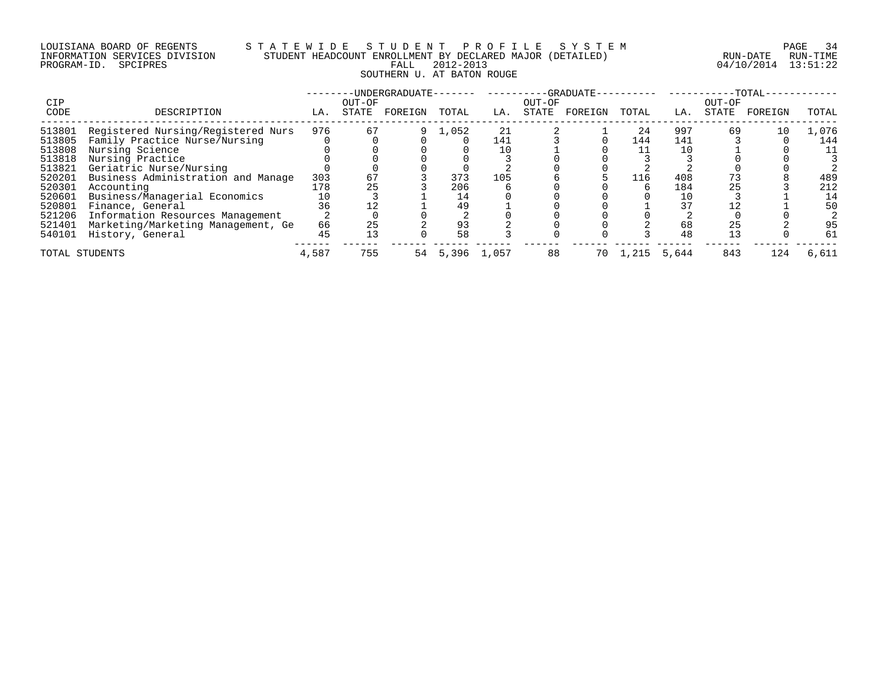# LOUISIANA BOARD OF REGENTS S T A T E W I D E S T U D E N T P R O F I L E S Y S T E M PAGE 34 INFORMATION SERVICES DIVISION STUDENT HEADCOUNT ENROLLMENT BY DECLARED MAJOR (DETAILED) RUN-DATE RUN-TIME PROGRAM-ID. SPCIPRES FALL 2012-2013 04/10/2014 13:51:22 SOUTHERN U. AT BATON ROUGE

| <b>CIP</b> |                                    |       | OUT-OF | -UNDERGRADUATE- |       |       | OUT-OF | -GRADUATE- |       |       | OUT-OF | -TOTAL- |       |
|------------|------------------------------------|-------|--------|-----------------|-------|-------|--------|------------|-------|-------|--------|---------|-------|
| CODE       | DESCRIPTION                        | LA.   | STATE  | FOREIGN         | TOTAL | LA.   | STATE  | FOREIGN    | TOTAL | LA.   | STATE  | FOREIGN | TOTAL |
| 513801     | Registered Nursing/Registered Nurs | 976   | 67     |                 | 1,052 | 21    |        |            | 24    | 997   | 69     | 10      | 1,076 |
| 513805     | Family Practice Nurse/Nursing      |       |        |                 |       | 141   |        |            | 144   | 141   |        |         | 144   |
| 513808     | Nursing Science                    |       |        |                 |       |       |        |            |       |       |        |         | 11    |
| 513818     | Nursing Practice                   |       |        |                 |       |       |        |            |       |       |        |         |       |
| 513821     | Geriatric Nurse/Nursing            |       |        |                 |       |       |        |            |       |       |        |         |       |
| 520201     | Business Administration and Manage | 303   | 67     |                 | 373   | 105   |        |            | 116   | 408   |        |         | 489   |
| 520301     | Accounting                         | 178   | 25     |                 | 206   |       |        |            |       | 184   | 25     |         | 212   |
| 520601     | Business/Managerial Economics      |       |        |                 | 14    |       |        |            |       |       |        |         | 14    |
| 520801     | Finance, General                   | 36    |        |                 | 49    |       |        |            |       | 37    |        |         | 50    |
| 521206     | Information Resources Management   |       |        |                 |       |       |        |            |       |       |        |         |       |
| 521401     | Marketing/Marketing Management, Ge | 66    | 25     |                 | 93    |       |        |            |       | 68    | 25     |         | 95    |
| 540101     | History, General                   | 45    |        |                 | 58    |       |        |            |       | 48    |        |         | 61    |
|            | TOTAL STUDENTS                     | 4,587 | 755    | 54              | 5,396 | 1,057 | 88     | 70         | 1,215 | 5,644 | 843    | 124     | 6,611 |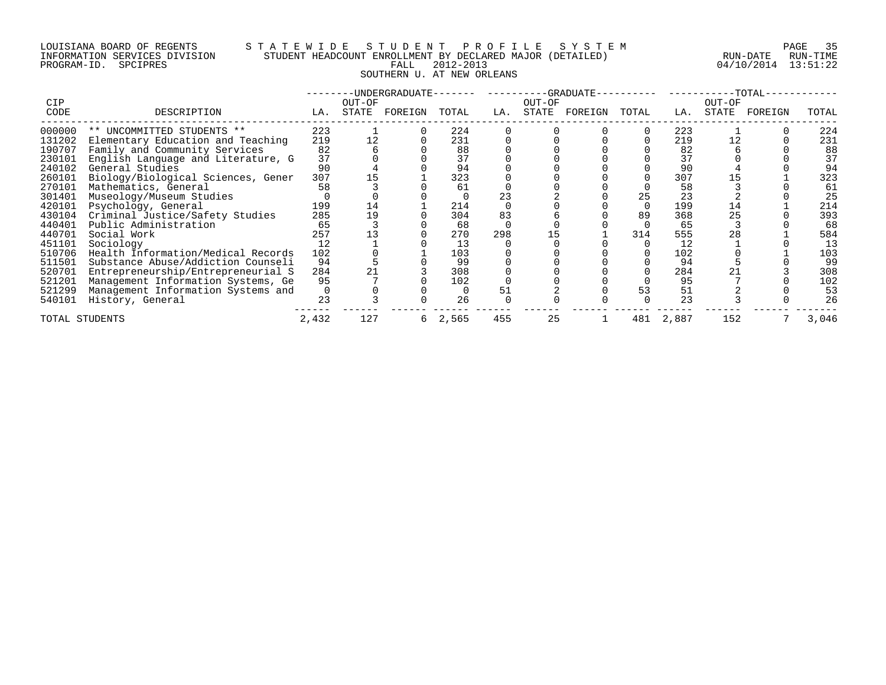# LOUISIANA BOARD OF REGENTS S T A T E W I D E S T U D E N T P R O F I L E S Y S T E M PAGE 35 INFORMATION SERVICES DIVISION STUDENT HEADCOUNT ENROLLMENT BY DECLARED MAJOR (DETAILED) RUN-DATE RUN-TIME PROGRAM-ID. SPCIPRES FALL 2012-2013 04/10/2014 13:51:22 SOUTHERN U. AT NEW ORLEANS

|                |                                    |          |        | -UNDERGRADUATE- |       |     |        | -GRADUATE- |       |       |        | -TOTAL- |       |
|----------------|------------------------------------|----------|--------|-----------------|-------|-----|--------|------------|-------|-------|--------|---------|-------|
| <b>CIP</b>     |                                    |          | OUT-OF |                 |       |     | OUT-OF |            |       |       | OUT-OF |         |       |
| CODE           | DESCRIPTION                        | LA.      | STATE  | FOREIGN         | TOTAL | LA. | STATE  | FOREIGN    | TOTAL | LA.   | STATE  | FOREIGN | TOTAL |
| 000000         | ** UNCOMMITTED STUDENTS **         | 223      |        |                 | 224   |     |        |            |       | 223   |        |         | 224   |
| 131202         | Elementary Education and Teaching  | 219      | 12     |                 | 231   |     |        |            |       | 219   |        |         | 231   |
| 190707         | Family and Community Services      | 82       |        |                 | 88    |     |        |            |       | 82    |        |         | 88    |
| 230101         | English Language and Literature, G | 37       |        |                 | 37    |     |        |            |       | 37    |        |         | 37    |
| 240102         | General Studies                    | 90       |        |                 | 94    |     |        |            |       | 90    |        |         | 94    |
| 260101         | Biology/Biological Sciences, Gener | 307      |        |                 | 323   |     |        |            |       | 307   |        |         | 323   |
| 270101         | Mathematics, General               | 58       |        |                 | 61    |     |        |            |       | 58    |        |         | 61    |
| 301401         | Museology/Museum Studies           |          |        |                 |       |     |        |            | 25    | 23    |        |         | 25    |
| 420101         | Psychology, General                | 199      | 14     |                 | 214   |     |        |            |       | 199   | 14     |         | 214   |
| 430104         | Criminal Justice/Safety Studies    | 285      | 19     |                 | 304   | 83  |        |            | 89    | 368   |        |         | 393   |
| 440401         | Public Administration              | 65       |        |                 | 68    |     |        |            |       | 65    |        |         | 68    |
| 440701         | Social Work                        | 257      |        |                 | 270   | 298 |        |            | 314   | 555   | 28     |         | 584   |
| 451101         | Sociology                          | 12       |        |                 | 13    |     |        |            |       | 12    |        |         | 13    |
| 510706         | Health Information/Medical Records | 102      |        |                 | 103   |     |        |            |       | 102   |        |         | 103   |
| 511501         | Substance Abuse/Addiction Counseli | 94       |        |                 | 99    |     |        |            |       | 94    |        |         | 99    |
| 520701         | Entrepreneurship/Entrepreneurial S | 284      |        |                 | 308   |     |        |            |       | 284   |        |         | 308   |
| 521201         | Management Information Systems, Ge | 95       |        |                 | 102   |     |        |            |       | 95    |        |         | 102   |
| 521299         | Management Information Systems and | $\Omega$ |        |                 |       |     |        |            | 53    | 51    |        |         | 53    |
| 540101         | History, General                   | 23       |        |                 | 26    |     |        |            |       | 23    |        |         | 26    |
| TOTAL STUDENTS |                                    | 2,432    | 127    |                 | 2,565 | 455 | 25     |            | 481   | 2,887 | 152    |         | 3,046 |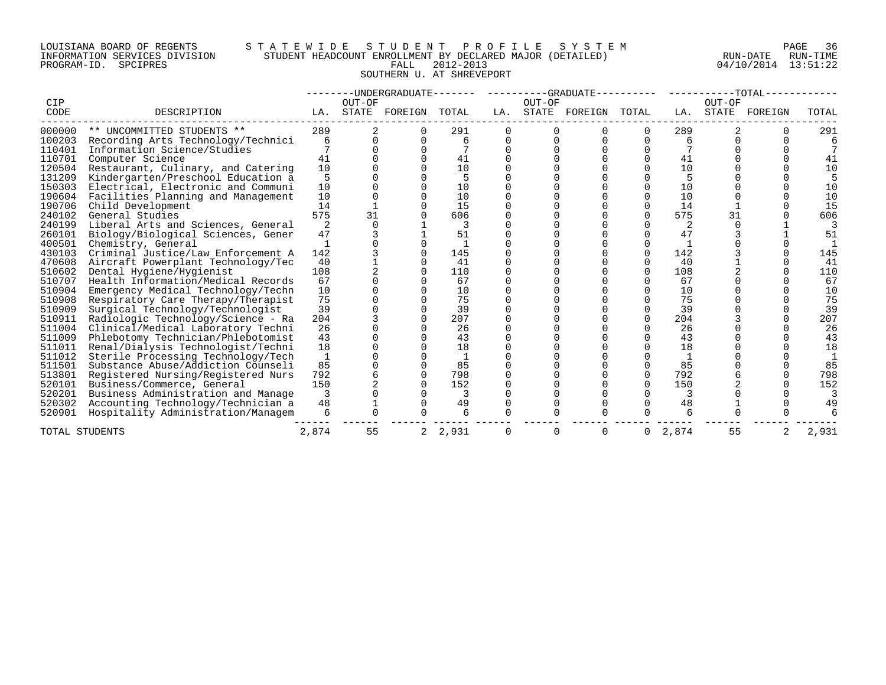# LOUISIANA BOARD OF REGENTS S T A T E W I D E S T U D E N T P R O F I L E S Y S T E M PAGE 36 INFORMATION SERVICES DIVISION STUDENT HEADCOUNT ENROLLMENT BY DECLARED MAJOR (DETAILED) RUN-DATE RUN-TIME PROGRAM-ID. SPCIPRES FALL 2012-2013 04/10/2014 13:51:22 SOUTHERN U. AT SHREVEPORT

|             |                                    |       |                 | --------UNDERGRADUATE------- |       |          |        | ---------GRADUATE---------- |          |       | $------TOTAL---$ |         |       |
|-------------|------------------------------------|-------|-----------------|------------------------------|-------|----------|--------|-----------------------------|----------|-------|------------------|---------|-------|
| CIP<br>CODE | DESCRIPTION                        | LA.   | OUT-OF<br>STATE | FOREIGN                      | TOTAL | LA.      | OUT-OF | STATE FOREIGN TOTAL         |          | LA.   | OUT-OF<br>STATE  | FOREIGN | TOTAL |
|             |                                    |       |                 |                              |       |          |        |                             |          |       |                  |         |       |
| 000000      | ** UNCOMMITTED STUDENTS **         | 289   |                 |                              | 291   |          |        |                             |          | 289   |                  |         | 291   |
| 100203      | Recording Arts Technology/Technici | 6     |                 |                              | 6     | $\Omega$ |        |                             | 0        | 6     |                  |         |       |
| 110401      | Information Science/Studies        |       |                 |                              |       |          |        |                             |          |       |                  |         |       |
| 110701      | Computer Science                   | 41    |                 |                              | 41    |          |        |                             |          | 41    |                  |         | 41    |
| 120504      | Restaurant, Culinary, and Catering | 10    |                 |                              | 10    |          |        |                             |          | 10    |                  |         | 10    |
| 131209      | Kindergarten/Preschool Education a | 5     |                 |                              |       |          |        |                             |          |       |                  |         |       |
| 150303      | Electrical, Electronic and Communi | 10    |                 |                              | 10    |          |        |                             |          | 10    |                  |         | 10    |
| 190604      | Facilities Planning and Management | 10    |                 |                              | 10    |          |        |                             |          | 10    |                  |         | 10    |
| 190706      | Child Development                  | 14    |                 |                              | 15    |          |        |                             |          | 14    |                  |         | 15    |
| 240102      | General Studies                    | 575   | 31              |                              | 606   |          |        |                             |          | 575   | 31               |         | 606   |
| 240199      | Liberal Arts and Sciences, General | 2     |                 |                              |       |          |        |                             |          | 2     |                  |         |       |
| 260101      | Biology/Biological Sciences, Gener | 47    |                 |                              | 51    |          |        |                             |          | 47    |                  |         | 51    |
| 400501      | Chemistry, General                 |       |                 |                              |       |          |        |                             |          |       |                  |         |       |
| 430103      | Criminal Justice/Law Enforcement A | 142   |                 |                              | 145   |          |        |                             | 0        | 142   |                  |         | 145   |
| 470608      | Aircraft Powerplant Technology/Tec | 40    |                 |                              | 41    |          |        |                             |          | 40    |                  |         | 41    |
| 510602      | Dental Hygiene/Hygienist           | 108   |                 |                              | 110   |          |        |                             | $\Omega$ | 108   |                  |         | 110   |
| 510707      | Health Information/Medical Records | 67    |                 |                              | 67    |          |        |                             |          | 67    |                  |         | 67    |
| 510904      | Emergency Medical Technology/Techn | 10    |                 |                              | 10    |          |        |                             |          | 10    |                  |         | 10    |
| 510908      | Respiratory Care Therapy/Therapist | 75    |                 |                              | 75    |          |        |                             |          | 75    |                  |         | 75    |
| 510909      | Surgical Technology/Technologist   | 39    |                 |                              | 39    |          |        |                             |          | 39    |                  |         | 39    |
| 510911      | Radiologic Technology/Science - Ra | 204   |                 |                              | 207   |          |        |                             | $\Omega$ | 204   |                  |         | 207   |
| 511004      | Clinical/Medical Laboratory Techni | 26    |                 |                              | 26    |          |        |                             |          | 26    |                  |         | 26    |
| 511009      | Phlebotomy Technician/Phlebotomist | 43    |                 |                              | 43    |          |        |                             |          | 43    |                  |         | 43    |
| 511011      | Renal/Dialysis Technologist/Techni | 18    |                 |                              | 18    |          |        |                             |          | 18    |                  |         | 18    |
| 511012      | Sterile Processing Technology/Tech |       |                 |                              |       |          |        |                             |          |       |                  |         |       |
| 511501      | Substance Abuse/Addiction Counseli | 85    |                 |                              | 85    |          |        |                             |          | 85    |                  |         | 85    |
| 513801      | Registered Nursing/Registered Nurs | 792   |                 |                              | 798   |          |        |                             | $\Omega$ | 792   |                  |         | 798   |
| 520101      | Business/Commerce, General         | 150   |                 |                              | 152   |          |        |                             | $\Omega$ | 150   |                  |         | 152   |
| 520201      | Business Administration and Manage | 3     |                 |                              |       |          |        |                             |          |       |                  |         |       |
| 520302      | Accounting Technology/Technician a | 48    |                 |                              | 49    | 0        |        |                             |          | 48    |                  |         | 49    |
| 520901      | Hospitality Administration/Managem | 6     |                 |                              |       |          |        |                             |          |       |                  |         |       |
|             | TOTAL STUDENTS                     | 2,874 | 55              | $\overline{2}$               | 2,931 | 0        | 0      | O                           | 0        | 2,874 | 55               | 2       | 2,931 |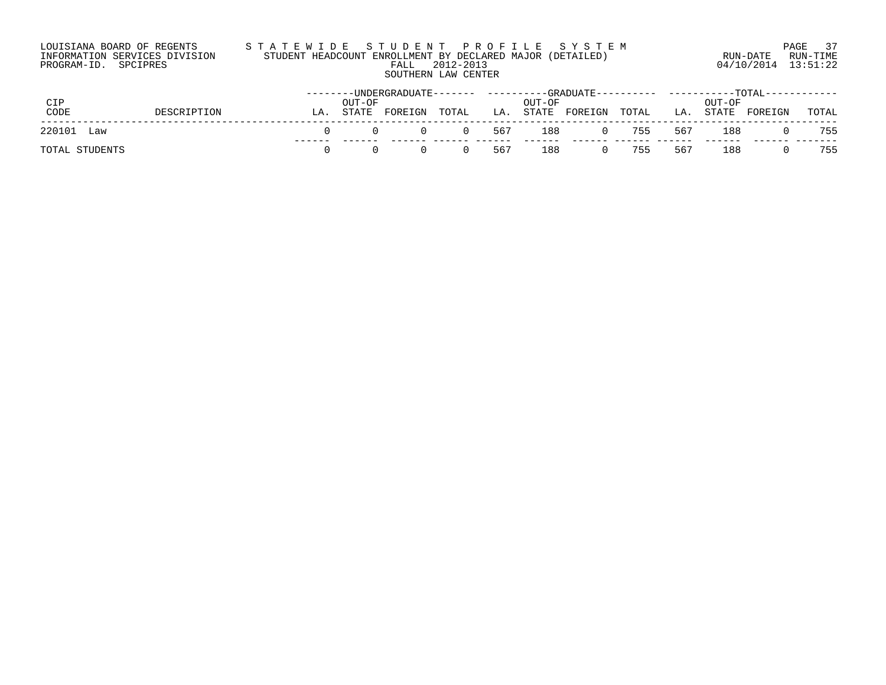# LOUISIANA BOARD OF REGENTS S T A T E W I D E S T U D E N T P R O F I L E S Y S T E M PAGE 37 INFORMATION SERVICES DIVISION STUDENT HEADCOUNT ENROLLMENT BY DECLARED MAJOR (DETAILED) RUN-DATE RUN-TIME PROGRAM-ID. SPCIPRES FALL 2012-2013 04/10/2014 13:51:22 SOUTHERN LAW CENTER

|                |             |    |                 | --------UNDERGRADUATE--------     ----------GRADUATE----------- |             |     |        |               |           |     |                 | -----------TOTAL------------ |       |
|----------------|-------------|----|-----------------|-----------------------------------------------------------------|-------------|-----|--------|---------------|-----------|-----|-----------------|------------------------------|-------|
| CIP<br>CODE    | DESCRIPTION | LA | OUT-OF<br>STATE | FOREIGN                                                         | TOTAL       | LA. | OUT-OF | STATE FOREIGN | TOTAL     | LA. | OUT-OF<br>STATE | FOREIGN                      | TOTAL |
| 220101 Law     |             |    | $\Omega$        |                                                                 | 0 0 567 188 |     |        |               | 0 755 567 |     | 188             |                              | 755   |
| TOTAL STUDENTS |             |    | $\cap$          |                                                                 | $\Omega$    | 567 | 188    |               | 0 755     | 567 | 188             |                              | 755   |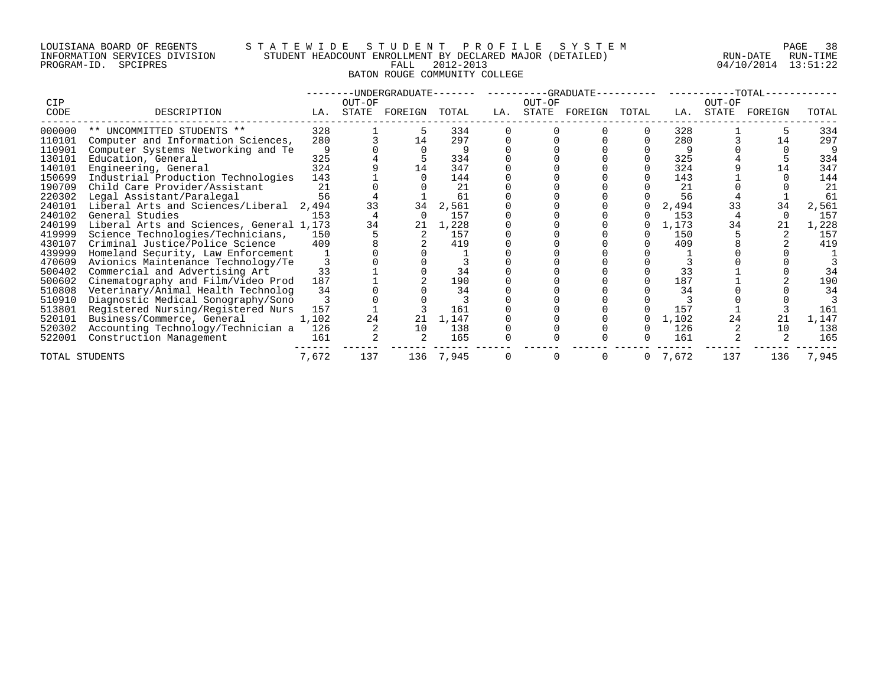PROGRAM-ID. SPCIPRES

# LOUISIANA BOARD OF REGENTS STATEWIDE STUDENT PROFILE SYSTEM NAGE 38 INFORMATION SERVICES DIVISION STUDENT HEADCOUNT ENROLLMENT BY DECLARED MAJOR (DETAILED) RUN-DATE RUN-DATE RUN-TIME<br>PROGRAM-ID. SPCIPRES 13:51:22 BATON ROUGE COMMUNITY COLLEGE

| CIP            |                                          |       | OUT-OF | -UNDERGRADUATE--- |           |     | OUT-OF | ----------GRADUATE-- |       |       | OUT-OF | $-TOTAL-$ |       |
|----------------|------------------------------------------|-------|--------|-------------------|-----------|-----|--------|----------------------|-------|-------|--------|-----------|-------|
| CODE           | DESCRIPTION                              | LA.   | STATE  | FOREIGN           | TOTAL     | LA. | STATE  | FOREIGN              | TOTAL | LA.   | STATE  | FOREIGN   | TOTAL |
| 000000         | ** UNCOMMITTED STUDENTS **               | 328   |        |                   | 334       |     |        |                      |       | 328   |        |           | 334   |
| 110101         | Computer and Information Sciences,       | 280   |        | 14                | 297       |     |        |                      |       | 280   |        | 14        | 297   |
| 110901         | Computer Systems Networking and Te       | 9     |        |                   |           |     |        |                      |       | 9     |        |           |       |
| 130101         | Education, General                       | 325   |        |                   | 334       |     |        |                      |       | 325   |        |           | 334   |
| 140101         | Engineering, General                     | 324   |        | 14                | 347       |     |        |                      |       | 324   |        | 14        | 347   |
| 150699         | Industrial Production Technologies       | 143   |        |                   | 144       |     |        |                      |       | 143   |        |           | 144   |
| 190709         | Child Care Provider/Assistant            | 21    |        |                   | 21        |     |        |                      |       | 21    |        |           | 21    |
| 220302         | Legal Assistant/Paralegal                | 56    |        |                   | 61        |     |        |                      |       | 56    |        |           | 61    |
| 240101         | Liberal Arts and Sciences/Liberal        | 2,494 | 33     | 34                | 2,561     |     |        |                      |       | 2,494 | 33     | 34        | 2,561 |
| 240102         | General Studies                          | 153   |        |                   | 157       |     |        |                      |       | 153   |        |           | 157   |
| 240199         | Liberal Arts and Sciences, General 1,173 |       | 34     | 21                | 1,228     |     |        |                      |       | 1,173 | 34     | 21        | 1,228 |
| 419999         | Science Technologies/Technicians,        | 150   |        |                   | 157       |     |        |                      |       | 150   |        |           | 157   |
| 430107         | Criminal Justice/Police Science          | 409   |        |                   | 419       |     |        |                      |       | 409   |        |           | 419   |
| 439999         | Homeland Security, Law Enforcement       |       |        |                   |           |     |        |                      |       |       |        |           |       |
| 470609         | Avionics Maintenance Technology/Te       |       |        |                   |           |     |        |                      |       |       |        |           |       |
| 500402         | Commercial and Advertising Art           | 33    |        |                   | 34        |     |        |                      |       | 33    |        |           | 34    |
| 500602         | Cinematography and Film/Video Prod       | 187   |        |                   | 190       |     |        |                      |       | 187   |        |           | 190   |
| 510808         | Veterinary/Animal Health Technolog       | 34    |        |                   | 34        |     |        |                      |       | 34    |        |           | 34    |
| 510910         | Diagnostic Medical Sonography/Sono       |       |        |                   |           |     |        |                      |       |       |        |           |       |
| 513801         | Registered Nursing/Registered Nurs       | 157   |        |                   | 161       |     |        |                      |       | 157   |        |           | 161   |
| 520101         | Business/Commerce, General               | 1,102 | 24     | 21                | 1,147     |     |        |                      |       | 1,102 | 24     | 21        | 1,147 |
| 520302         | Accounting Technology/Technician a       | 126   |        | 10                | 138       |     |        |                      |       | 126   |        | 10        | 138   |
| 522001         | Construction Management                  | 161   |        |                   | 165       |     |        |                      |       | 161   |        |           | 165   |
| TOTAL STUDENTS |                                          | 7,672 | 137    |                   | 136 7,945 |     |        |                      | 0     | 7,672 | 137    | 136       | 7,945 |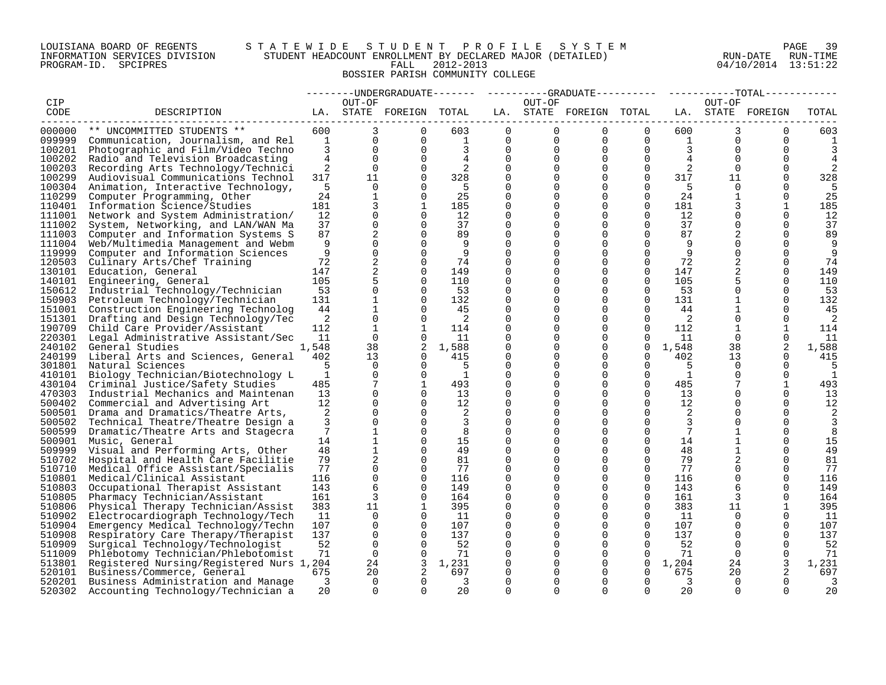# LOUISIANA BOARD OF REGENTS S T A T E W I D E S T U D E N T P R O F I L E S Y S T E M PAGE 39 INFORMATION SERVICES DIVISION STUDENT HEADCOUNT ENROLLMENT BY DECLARED MAJOR (DETAILED) RUN-DATE RUN-TIME PROGRAM-ID. SPCIPRES FALL 2012-2013 04/10/2014 13:51:22 BOSSIER PARISH COMMUNITY COLLEGE

|        |                                          |                |                |                         |                |          |                |                         |                |                |              | -----UNDERGRADUATE------- ---------GRADUATE--------- ------------TOTAL------- |       |
|--------|------------------------------------------|----------------|----------------|-------------------------|----------------|----------|----------------|-------------------------|----------------|----------------|--------------|-------------------------------------------------------------------------------|-------|
| CIP    |                                          |                | OUT-OF         |                         |                |          | OUT-OF         |                         |                |                | OUT-OF       |                                                                               |       |
| CODE   | DESCRIPTION                              |                |                | LA. STATE FOREIGN TOTAL |                |          |                | LA. STATE FOREIGN TOTAL |                |                |              | LA. STATE FOREIGN                                                             | TOTAL |
|        |                                          |                |                |                         |                |          |                |                         |                |                |              |                                                                               |       |
| 000000 | ** UNCOMMITTED STUDENTS **               | 600            | 3              | 0                       | 603            | 0        | $\overline{0}$ | $\overline{0}$          | $\overline{0}$ | 600            | 3            | $\Omega$                                                                      | 603   |
| 099999 | Communication, Journalism, and Rel       | <sup>1</sup>   | $\mathbf 0$    | $\Omega$                | $\mathbf{1}$   | 0        | $\mathbf 0$    | 0                       | $\Omega$       | $\overline{1}$ | $\Omega$     | $\Omega$                                                                      |       |
| 100201 | Photographic and Film/Video Techno       | 3              | $\Omega$       | $\Omega$                | 3              | $\Omega$ | $\Omega$       | $\Omega$                | $\Omega$       | 3              | $\Omega$     | $\Omega$                                                                      |       |
| 100202 | Radio and Television Broadcasting        | $\overline{4}$ | $\Omega$       | $\Omega$                | $\overline{4}$ | $\Omega$ | $\Omega$       | $\Omega$                | $\Omega$       | 4              | $\Omega$     | $\Omega$                                                                      |       |
| 100203 | Recording Arts Technology/Technici       | 2              | $\Omega$       | $\Omega$                | 2              | $\Omega$ | $\Omega$       | $\Omega$                | $\Omega$       | 2              | $\Omega$     | $\Omega$                                                                      |       |
| 100299 | Audiovisual Communications Technol       | 317            | 11             | 0                       | 328            | $\Omega$ | 0              | 0                       | $\mathbf 0$    | 317            | 11           | 0                                                                             | 328   |
| 100304 | Animation, Interactive Technology,       | 5              | $\Omega$       | $\Omega$                | - 5            | $\Omega$ | $\Omega$       | $\Omega$                | $\Omega$       | - 5            | $\Omega$     | ∩                                                                             | 5     |
| 110299 | Computer Programming, Other              | 24             | $\mathbf{1}$   | $\Omega$                | 25             | $\Omega$ | $\Omega$       | $\Omega$                | $\Omega$       | 24             | $\mathbf{1}$ | $\Omega$                                                                      | 25    |
| 110401 | Information Science/Studies              | 181            | 3              | $\mathbf{1}$            | 185            | $\Omega$ | $\Omega$       | $\Omega$                | $\Omega$       | 181            | 3            | $\mathbf{1}$                                                                  | 185   |
| 111001 | Network and System Administration/       | 12             | $\Omega$       | $\Omega$                | 12             | $\Omega$ | $\Omega$       | $\mathbf 0$             | $\Omega$       | 12             |              | $\Omega$                                                                      | 12    |
| 111002 | System, Networking, and LAN/WAN Ma       | 37             | $\mathbf 0$    | $\Omega$                | 37             | $\Omega$ | 0              | $\mathbf 0$             | $\Omega$       | 37             | 0            | $\Omega$                                                                      | 37    |
| 111003 | Computer and Information Systems S       | 87             | 2              | $\Omega$                | 89             | $\Omega$ | $\Omega$       | $\Omega$                | $\Omega$       | 87             | 2            | $\Omega$                                                                      | 89    |
| 111004 | Web/Multimedia Management and Webm       | 9              | $\Omega$       | $\Omega$                | 9              | $\Omega$ | $\Omega$       | $\Omega$                | $\Omega$       | -9             |              | $\Omega$                                                                      | 9     |
| 119999 | Computer and Information Sciences        | 9              | $\mathbf 0$    | $\Omega$                | 9              | $\Omega$ | $\Omega$       | $\Omega$                | $\Omega$       | 9              | $\Omega$     | $\Omega$                                                                      | 9     |
| 120503 | Culinary Arts/Chef Training              | 72             | 2              | $\Omega$                | 74             | $\Omega$ | $\Omega$       | $\Omega$                | 0              | 72             | 2            | $\Omega$                                                                      | 74    |
| 130101 | Education, General                       | 147            | 2              | $\Omega$                | 149            | $\Omega$ | $\Omega$       | $\Omega$                | $\Omega$       | 147            |              | $\Omega$                                                                      | 149   |
| 140101 | Engineering, General                     | 105            | 5              | $\Omega$                | 110            | $\Omega$ | $\Omega$       | $\Omega$                | $\Omega$       | 105            | 5            | $\Omega$                                                                      | 110   |
| 150612 | Industrial Technology/Technician         | 53             | $\mathbf 0$    | $\Omega$                | 53             | $\Omega$ | $\Omega$       | $\Omega$                | $\Omega$       | 53             | $\Omega$     | $\Omega$                                                                      | 53    |
| 150903 | Petroleum Technology/Technician          | 131            | $\mathbf{1}$   | $\mathbf 0$             | 132            | $\Omega$ | 0              | $\mathbf 0$             | $\mathbf 0$    | 131            |              | $\mathbf 0$                                                                   | 132   |
| 151001 | Construction Engineering Technolog       | 44             | $\mathbf 1$    | $\Omega$                | 45             | $\Omega$ | $\Omega$       | $\Omega$                | $\Omega$       | 44             |              | $\Omega$                                                                      | 45    |
| 151301 | Drafting and Design Technology/Tec       | 2              | $\Omega$       | $\Omega$                | 2              | $\Omega$ | $\Omega$       | $\Omega$                | $\Omega$       | 2              | $\Omega$     | $\Omega$                                                                      | 2     |
| 190709 | Child Care Provider/Assistant            | 112            | 1              | 1                       | 114            | $\Omega$ | $\Omega$       | $\Omega$                | $\Omega$       | 112            | $\mathbf{1}$ | 1                                                                             | 114   |
| 220301 | Legal Administrative Assistant/Sec       | 11             | $\Omega$       | $\Omega$                | 11             | $\Omega$ | $\Omega$       | $\Omega$                | $\Omega$       | 11             | $\Omega$     | $\Omega$                                                                      | 11    |
| 240102 | General Studies                          | 1,548          | 38             | 2                       | 1,588          | $\Omega$ | 0              | 0                       | $\mathbf 0$    | 1,548          | 38           | 2                                                                             | 1,588 |
| 240199 | Liberal Arts and Sciences, General       | 402            | 13             | $\Omega$                | 415            | $\Omega$ | $\Omega$       | $\Omega$                | $\Omega$       | 402            | 13           | $\Omega$                                                                      | 415   |
| 301801 | Natural Sciences                         | 5              | $\Omega$       | $\Omega$                | 5              | $\Omega$ | $\Omega$       | $\Omega$                | $\Omega$       | 5              | $\Omega$     | $\Omega$                                                                      | 5     |
| 410101 | Biology Technician/Biotechnology L       | 1              | $\Omega$       | $\Omega$                | $\mathbf{1}$   | $\Omega$ | $\Omega$       | $\Omega$                | 0              | 1              | $\Omega$     | $\Omega$                                                                      | 1     |
| 430104 | Criminal Justice/Safety Studies          | 485            | 7              | $\mathbf{1}$            | 493            | $\Omega$ | $\Omega$       | $\mathbf 0$             | $\mathbf{0}$   | 485            |              |                                                                               | 493   |
| 470303 | Industrial Mechanics and Maintenan       | 13             | 0              | $\Omega$                | 13             | $\Omega$ | $\Omega$       | $\Omega$                | $\Omega$       | 13             |              | $\Omega$                                                                      | 13    |
| 500402 | Commercial and Advertising Art           | 12             | $\Omega$       | $\Omega$                | $12 \,$        | $\Omega$ | $\Omega$       | $\Omega$                | $\Omega$       | 12             | 0            | $\Omega$                                                                      | 12    |
| 500501 | Drama and Dramatics/Theatre Arts,        | 2              | $\Omega$       | $\Omega$                | 2              | $\Omega$ | $\Omega$       | $\Omega$                | $\Omega$       | 2              |              | $\Omega$                                                                      | 2     |
| 500502 | Technical Theatre/Theatre Design a       | 3              | $\Omega$       | $\Omega$                | 3              | $\Omega$ | $\Omega$       | $\Omega$                | $\Omega$       | 3              | $\Omega$     | $\Omega$                                                                      | 3     |
| 500599 | Dramatic/Theatre Arts and Stagecra       | 7              | 1              | $\Omega$                | 8              | $\Omega$ | $\Omega$       | $\Omega$                | $\Omega$       | 7              |              | $\Omega$                                                                      | 8     |
| 500901 | Music, General                           | 14             | 1              | $\Omega$                | 15             | $\Omega$ | $\Omega$       | $\Omega$                | $\Omega$       | 14             | 1            | $\Omega$                                                                      | 15    |
| 509999 | Visual and Performing Arts, Other        | 48             | $\mathbf{1}$   | 0                       | 49             | $\Omega$ | $\Omega$       | $\Omega$                | $\Omega$       | 48             | 1            | $\Omega$                                                                      | 49    |
| 510702 | Hospital and Health Care Facilitie       | 79             | $\overline{a}$ | $\Omega$                | 81             | $\Omega$ | $\Omega$       | $\Omega$                | $\Omega$       | 79             | 2            | $\Omega$                                                                      | 81    |
| 510710 | Medical Office Assistant/Specialis       | 77             | 0              | $\mathbf 0$             | 77             | $\Omega$ | 0              | $\mathbf 0$             | 0              | 77             | $\mathbf 0$  | $\Omega$                                                                      | 77    |
| 510801 | Medical/Clinical Assistant               | 116            | 0              | $\Omega$                | 116            | $\Omega$ | $\Omega$       | $\Omega$                | $\Omega$       | 116            | $\Omega$     | $\Omega$                                                                      | 116   |
| 510803 | Occupational Therapist Assistant         | 143            | 6              | $\Omega$                | 149            | $\Omega$ | $\Omega$       | $\mathbf 0$             | $\Omega$       | 143            | 6            | $\Omega$                                                                      | 149   |
| 510805 | Pharmacy Technician/Assistant            | 161            | 3              | $\Omega$                | 164            | $\Omega$ | $\Omega$       | $\Omega$                | $\Omega$       | 161            | 3            | $\Omega$                                                                      | 164   |
| 510806 | Physical Therapy Technician/Assist       | 383            | 11             | $\mathbf{1}$            | 395            | $\Omega$ | $\Omega$       | $\Omega$                | $\Omega$       | 383            | 11           |                                                                               | 395   |
| 510902 | Electrocardiograph Technology/Tech       | 11             | 0              | $\Omega$                | 11             | $\Omega$ | 0              | $\mathbf 0$             | $\Omega$       | 11             | $\Omega$     | 0                                                                             | -11   |
| 510904 | Emergency Medical Technology/Techn       | 107            | $\Omega$       | $\Omega$                | 107            | $\Omega$ | $\Omega$       | $\Omega$                | $\Omega$       | 107            | $\Omega$     | $\Omega$                                                                      | 107   |
| 510908 | Respiratory Care Therapy/Therapist       | 137            | $\mathbf 0$    | $\Omega$                | 137            | $\Omega$ | $\Omega$       | $\mathbf 0$             | $\Omega$       | 137            | $\Omega$     | $\Omega$                                                                      | 137   |
| 510909 | Surgical Technology/Technologist         | 52             | $\Omega$       | $\Omega$                | 52             | $\Omega$ | $\Omega$       | $\Omega$                | $\Omega$       | 52             | $\Omega$     | $\Omega$                                                                      | 52    |
| 511009 | Phlebotomy Technician/Phlebotomist       | 71             | $\mathbf{0}$   | $\Omega$                | 71             | $\Omega$ | $\Omega$       | $\mathbf 0$             | $\Omega$       | 71             | $\Omega$     | $\Omega$                                                                      | 71    |
| 513801 | Registered Nursing/Registered Nurs 1,204 |                | 24             | 3                       | 1,231          | $\Omega$ | 0              | $\mathbf 0$             | $\mathbf 0$    | 1,204          | 24           | 3                                                                             | 1,231 |
| 520101 | Business/Commerce, General               | 675            | 20             | 2                       | 697            | $\Omega$ | $\Omega$       | $\Omega$                | $\Omega$       | 675            | 20           | 2                                                                             | 697   |
| 520201 | Business Administration and Manage       | 3              | $\Omega$       | $\Omega$                | 3              | $\Omega$ | $\Omega$       | $\Omega$                | $\Omega$       | 3              | $\Omega$     | $\Omega$                                                                      | 3     |
| 520302 | Accounting Technology/Technician a       | 20             | $\Omega$       | $\Omega$                | 20             | $\Omega$ | $\Omega$       | $\Omega$                | $\Omega$       | 20             | $\Omega$     | $\Omega$                                                                      | 20    |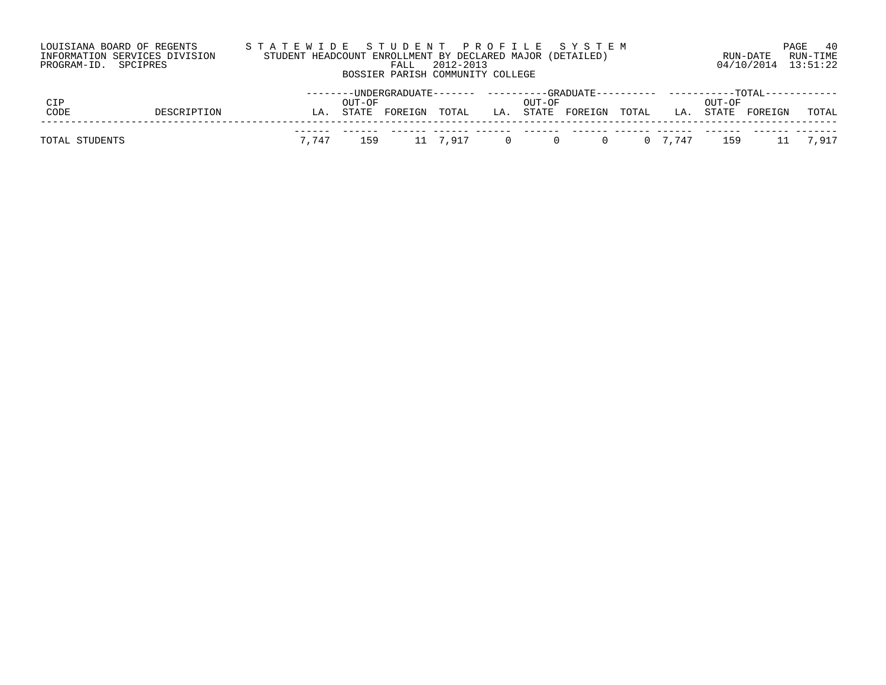| LOUISIANA BOARD OF REGENTS    |        |                                  | STATEWIDE STUDENT PROFILE SYSTEM                          |                                           | 40<br>PAGE            |
|-------------------------------|--------|----------------------------------|-----------------------------------------------------------|-------------------------------------------|-----------------------|
| INFORMATION SERVICES DIVISION |        |                                  | STUDENT HEADCOUNT ENROLLMENT BY DECLARED MAJOR (DETAILED) | RUN-DATE                                  | RUN-TIME              |
| PROGRAM-ID. SPCIPRES          |        | 2012-2013<br>FALL                |                                                           | 04/10/2014 13:51:22                       |                       |
|                               |        | BOSSIER PARISH COMMUNITY COLLEGE |                                                           |                                           |                       |
|                               |        |                                  |                                                           |                                           |                       |
| CIP                           | OUT-OF |                                  | OUT-OF                                                    | OUT-OF                                    |                       |
| $\sim$<br><b>DRAGERMEAN</b>   |        |                                  | $\alpha$ mamm                                             | $CDDEDE = DCDEZ$<br>$m \wedge m \wedge r$ | $m \wedge m \wedge r$ |

| CODE           | DESCRIPTION |  |  |  | LA. STATE FOREIGN TOTAL  LA. STATE FOREIGN TOTAL  LA. STATE FOREIGN |  |  | TOTAL |
|----------------|-------------|--|--|--|---------------------------------------------------------------------|--|--|-------|
| TOTAL STUDENTS |             |  |  |  | 7,747 159 11 7,917 0 0 0 0 7,747 159 11 7,917                       |  |  |       |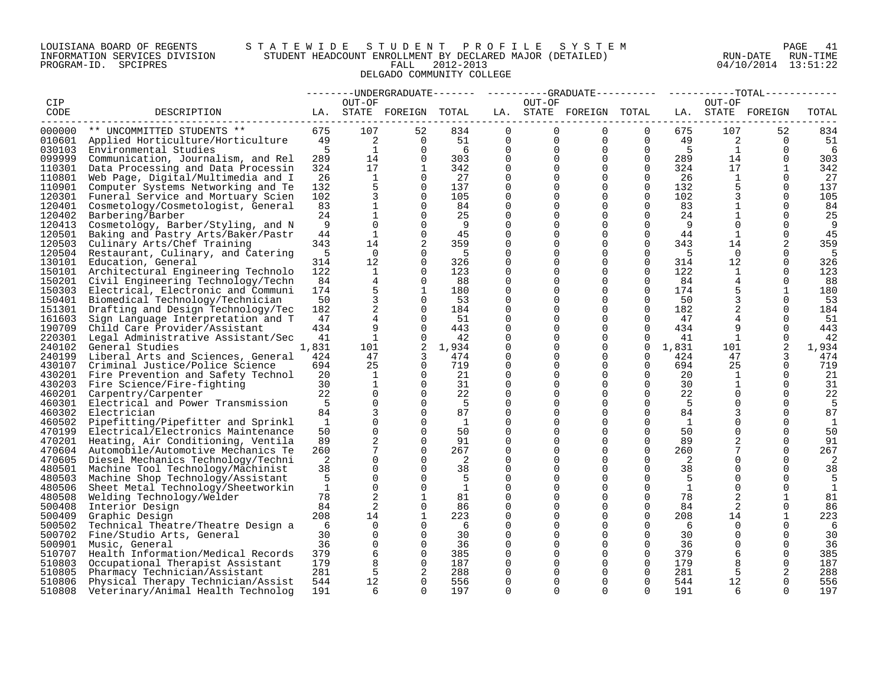# LOUISIANA BOARD OF REGENTS S T A T E W I D E S T U D E N T P R O F I L E S Y S T E M PAGE 41 INFORMATION SERVICES DIVISION STUDENT HEADCOUNT ENROLLMENT BY DECLARED MAJOR (DETAILED) RUN-DATE RUN-TIME PROGRAM-ID. SPCIPRES FALL 2012-2013 04/10/2014 13:51:22 DELGADO COMMUNITY COLLEGE

|                  |                                                                            |              |                |                         |              |                      |                         | --------UNDERGRADUATE------- ---------GRADUATE---------- -----------TOTAL----------- |                      |              |                |                      |              |
|------------------|----------------------------------------------------------------------------|--------------|----------------|-------------------------|--------------|----------------------|-------------------------|--------------------------------------------------------------------------------------|----------------------|--------------|----------------|----------------------|--------------|
| CIP              |                                                                            |              | OUT-OF         |                         |              |                      | OUT-OF                  |                                                                                      |                      |              | OUT-OF         |                      |              |
| CODE             | DESCRIPTION                                                                |              |                | LA. STATE FOREIGN TOTAL |              |                      |                         | LA. STATE FOREIGN TOTAL                                                              |                      |              |                | LA. STATE FOREIGN    | TOTAL        |
|                  |                                                                            |              |                |                         |              |                      |                         |                                                                                      |                      |              |                |                      |              |
| 000000           | ** UNCOMMITTED STUDENTS **                                                 | 675          | 107            | 52<br>$\Omega$          | 834          | $\mathbf{0}$         | $\overline{0}$          | $\overline{0}$                                                                       | $\Omega$             | 675          | 107            | 52                   | 834          |
|                  | 010601 Applied Horticulture/Horticulture                                   | 49           | 2              |                         | 51           | $\mathbf{0}$         | $\overline{0}$          | $\overline{0}$                                                                       | $\overline{0}$       | 49           | $\overline{2}$ | $\Omega$             | - 51         |
| 030103           | Environmental Studies                                                      | 5            | $\mathbf{1}$   | $\Omega$                | 6            | $\mathbf 0$          | $\mathbf 0$<br>$\Omega$ | $\overline{0}$                                                                       | $\overline{0}$       | $5^{\circ}$  | $\overline{1}$ | $\Omega$             | 6            |
| 099999           | Communication, Journalism, and Rel                                         | 289          | 14             | $\Omega$                | 303          | $\Omega$             |                         | $\Omega$                                                                             | $\Omega$             | 289          | 14             | $\Omega$             | 303          |
| 110301           | Data Processing and Data Processin                                         | 324          | 17             | $\overline{1}$          | 342          | $\Omega$             | $\Omega$                | $\Omega$                                                                             | $\Omega$             | 324          | 17             | $\mathbf{1}$         | 342          |
| 110801           | Web Page, Digital/Multimedia and I                                         | 26           | 1              | $\Omega$                | 27           | 0                    | $\Omega$                | $\Omega$                                                                             | $\overline{0}$       | 26           | 1              | 0                    | 27           |
| 110901           | Computer Systems Networking and Te                                         | 132          | 5              | $\Omega$                | 137          | $\mathbf 0$          | 0                       | $\Omega$                                                                             | $\Omega$             | 132          | 5              | $\Omega$             | 137          |
| 120301           | Funeral Service and Mortuary Scien                                         | 102          | 3              | $\Omega$                | 105          | $\Omega$             | 0                       | $\Omega$                                                                             | $\Omega$             | 102          | 3              | $\Omega$             | 105          |
| 120401           | Cosmetology/Cosmetologist, General                                         | 83           | $\mathbf{1}$   | $\Omega$                | 84           | $\Omega$             | $\Omega$                | $\Omega$                                                                             | $\Omega$             | 83           | $\mathbf{1}$   | $\Omega$             | 84           |
| 120402           | Barbering/Barber                                                           | 24           | $\mathbf{1}$   | $\mathbf 0$             | 25           | $\mathbf 0$          | $\Omega$                | $\mathbf 0$                                                                          | $\mathbf 0$          | 24           | $\mathbf{1}$   | $\mathbf 0$          | 25           |
| 120413           | Cosmetology, Barber/Styling, and N                                         | 9            | $\mathbf 0$    | $\Omega$                | - 9          | 0                    | 0                       | $\Omega$                                                                             | $\Omega$             | 9            | $\Omega$       | $\Omega$             | - 9          |
| 120501           | Baking and Pastry Arts/Baker/Pastr                                         | 44           | $\mathbf{1}$   | $\Omega$                | 45           | $\Omega$             |                         | $\Omega$                                                                             | $\Omega$             | 44           | 1              | $\Omega$             | 45           |
| 120503           | Culinary Arts/Chef Training                                                | 343          | 14             | 2                       | 359          | $\Omega$             |                         | $\Omega$                                                                             | $\Omega$             | 343          | 14             | 2                    | 359          |
| 120504           | Restaurant, Culinary, and Catering                                         | 5            | $\Omega$       | $\Omega$                | - 5          | $\Omega$             | 0                       | $\Omega$                                                                             | $\Omega$             | - 5          | $\Omega$       | $\Omega$             | 5            |
| 130101           | Education, General                                                         | 314          | 12             | $\Omega$                | 326          | $\Omega$             |                         | $\Omega$                                                                             | 0                    | 314          | 12             | $\Omega$             | 326          |
| 150101           | Architectural Engineering Technolo                                         | 122          | 1              | $\Omega$                | 123          | 0                    | 0                       | $\Omega$                                                                             | $\mathbf 0$          | 122          | 1              | 0                    | 123          |
|                  | 150201 Civil Engineering Technology/Techn                                  | 84           | $\overline{4}$ | $\Omega$                | 88           | $\Omega$             | 0                       | $\Omega$                                                                             | $\Omega$             | 84           | 4              | $\Omega$             | - 88         |
| 150303           | Electrical, Electronic and Communi                                         | 174          | 5              | $\mathbf{1}$            | 180          | $\Omega$             |                         | $\Omega$                                                                             | $\Omega$             | 174          | 5              | $\mathbf{1}$         | 180          |
| 150401           | Biomedical Technology/Technician                                           | 50           | $\mathbf{3}$   | $\mathbf 0$             | 53           | $\mathbf 0$          | $\Omega$                | $\mathbf 0$                                                                          | $\mathbf 0$          | 50           | 3              | 0                    | 53           |
| 151301           | Drafting and Design Technology/Tec                                         | 182          | 2              | $\Omega$                | 184          | $\mathbf 0$          |                         | $\Omega$                                                                             | $\Omega$             | 182          | 2              | $\Omega$             | 184          |
| 161603<br>190709 | Sign Language Interpretation and T                                         | 47<br>434    | 4<br>9         | $\Omega$<br>$\Omega$    | 51<br>443    | $\Omega$<br>$\Omega$ | 0<br>0                  | $\Omega$<br>$\Omega$                                                                 | $\Omega$<br>$\Omega$ | 47<br>434    | 9              | $\Omega$<br>$\Omega$ | 51           |
|                  | Child Care Provider/Assistant<br>220301 Legal Administrative Assistant/Sec | 41           | $\mathbf{1}$   | $\Omega$                | 42           | $\Omega$             |                         | $\Omega$                                                                             | $\Omega$             | 41           | 1              | $\Omega$             | 443<br>42    |
| 240102           | General Studies                                                            | 1,831        | 101            | 2                       | 1,934        | 0                    | $\Omega$                | $\mathbf 0$                                                                          | $\mathbf 0$          | 1,831        | 101            | 2                    | 1,934        |
| 240199           | Liberal Arts and Sciences, General                                         | 424          | 47             | 3                       | 474          | 0                    |                         | $\Omega$                                                                             | $\mathbf 0$          | 424          | 47             |                      | 474          |
| 430107           | Criminal Justice/Police Science                                            | 694          | 25             | $\Omega$                | 719          | $\Omega$             | 0                       | $\Omega$                                                                             | $\Omega$             | 694          | 25             | $\Omega$             | 719          |
|                  | 430201 Fire Prevention and Safety Technol                                  | 20           | 1              | $\Omega$                | 21           | $\Omega$             | 0                       | $\Omega$                                                                             | $\Omega$             | 20           | 1              | $\Omega$             | 21           |
|                  | 430203 Fire Science/Fire-fighting                                          | 30           | $\mathbf{1}$   | $\mathbf 0$             | 31           | $\mathbf 0$          |                         | $\mathbf 0$                                                                          | $\mathbf 0$          | 30           | $\mathbf{1}$   | $\Omega$             | 31           |
|                  | 460201 Carpentry/Carpenter                                                 | 22           | $\mathbf 0$    | $\Omega$                | 22           | 0                    | 0                       | $\Omega$                                                                             | 0                    | 22           | 0              | 0                    | 22           |
| 460301           | Electrical and Power Transmission                                          | - 5          | $\Omega$       | $\Omega$                | - 5          | $\Omega$             |                         | $\Omega$                                                                             | $\Omega$             | - 5          | $\Omega$       | $\Omega$             | -5           |
| 460302           | Electrician                                                                | 84           | 3              | $\Omega$                | 87           | $\Omega$             |                         | $\Omega$                                                                             | $\Omega$             | 84           |                | $\Omega$             | 87           |
| 460502           | Pipefitting/Pipefitter and Sprinkl                                         | <sup>1</sup> | $\Omega$       | $\Omega$                | $\mathbf{1}$ | $\Omega$             | 0                       | $\Omega$                                                                             | $\Omega$             | <sup>1</sup> |                | $\Omega$             | 1            |
| 470199           | Electrical/Electronics Maintenance                                         | 50           | $\Omega$       | $\Omega$                | 50           | $\Omega$             |                         | $\Omega$                                                                             | $\Omega$             | 50           | $\Omega$       | $\Omega$             | 50           |
| 470201           | Heating, Air Conditioning, Ventila                                         | 89           | 2              | $\Omega$                | 91           | 0                    | 0                       | $\Omega$                                                                             | $\mathbf 0$          | 89           |                | $\Omega$             | 91           |
| 470604           | Automobile/Automotive Mechanics Te                                         | 260          | 7              | $\Omega$                | 267          | $\Omega$             |                         | $\Omega$                                                                             | $\Omega$             | 260          |                | $\Omega$             | 267          |
| 470605           | Diesel Mechanics Technology/Techni                                         | 2            | $\Omega$       | $\Omega$                | 2            | $\Omega$             | 0                       | $\Omega$                                                                             | $\Omega$             | 2            |                | $\Omega$             | 2            |
| 480501           | Machine Tool Technology/Machinist                                          | 38           | $\mathbf 0$    | $\Omega$                | 38           | $\mathbf 0$          | $\Omega$                | $\Omega$                                                                             | 0                    | 38           | $\Omega$       | $\Omega$             | 38           |
| 480503           | Machine Shop Technology/Assistant                                          | 5            | $\Omega$       | $\Omega$                | 5            | 0                    |                         | $\Omega$                                                                             | $\Omega$             | - 5          | $\Omega$       | $\Omega$             | 5            |
| 480506           | Sheet Metal Technology/Sheetworkin                                         | $\mathbf{1}$ | $\Omega$       | $\Omega$                | $\mathbf{1}$ | $\mathbf 0$          | 0                       | $\Omega$                                                                             | $\Omega$             | $\mathbf{1}$ | $\Omega$       | $\Omega$             | $\mathbf{1}$ |
| 480508           | Welding Technology/Welder                                                  | 78           | 2              | $\mathbf{1}$            | 81           | $\Omega$             | 0                       | $\Omega$                                                                             | $\Omega$             | 78           | 2              | 1                    | 81           |
| 500408           | Interior Design                                                            | 84           | 2              | $\Omega$                | 86           | $\Omega$             |                         | $\Omega$                                                                             | $\Omega$             | 84           | 2              | $\Omega$             | 86           |
| 500409           | Graphic Design                                                             | 208          | 14             | 1                       | 223          | 0                    | 0                       | $\Omega$                                                                             | 0                    | 208          | 14             | 1                    | 223          |
| 500502           | Technical Theatre/Theatre Design a                                         | -6           | $\Omega$       | $\Omega$                | - 6          | $\Omega$             |                         | $\Omega$                                                                             | $\Omega$             | - 6          | $\Omega$       | $\Omega$             | 6            |
| 500702           | Fine/Studio Arts, General                                                  | 30           | $\Omega$       | $\Omega$                | 30           | $\Omega$             |                         | $\Omega$                                                                             | $\Omega$             | 30           | $\Omega$       | $\Omega$             | 30           |
| 500901           | Music, General                                                             | 36           | $\mathbf 0$    | $\Omega$                | 36           | $\Omega$             | 0                       | $\Omega$                                                                             | $\Omega$             | 36           | $\Omega$       | $\Omega$             | 36           |
| 510707           | Health Information/Medical Records                                         | 379          | 6              | $\Omega$                | 385          | $\mathbf 0$          |                         | $\Omega$                                                                             | $\mathbf 0$          | 379          | 6              | $\Omega$             | 385          |
| 510803           | Occupational Therapist Assistant                                           | 179          | 8              | 0                       | 187          | 0                    |                         | $\Omega$                                                                             | 0                    | 179          | 8              | 0                    | 187          |
| 510805           | Pharmacy Technician/Assistant                                              | 281          | 5              | 2                       | 288          | $\Omega$             |                         | $\Omega$                                                                             | $\Omega$             | 281          | -5             | 2                    | 288          |
| 510806           | Physical Therapy Technician/Assist                                         | 544          | 12             | $\Omega$                | 556          | $\Omega$             | $\Omega$                | $\Omega$                                                                             | $\Omega$             | 544          | 12             | $\Omega$             | 556          |
| 510808           | Veterinary/Animal Health Technolog                                         | 191          | 6              | $\cap$                  | 197          | $\cap$               | $\Omega$                | $\cap$                                                                               | $\cap$               | 191          | 6              | $\cap$               | 197          |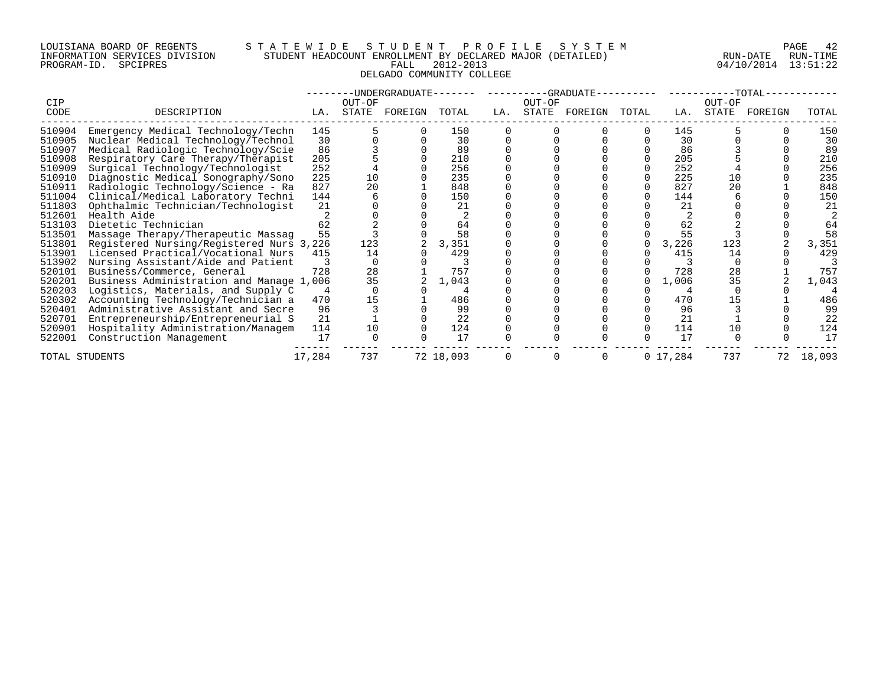# LOUISIANA BOARD OF REGENTS S T A T E W I D E S T U D E N T P R O F I L E S Y S T E M PAGE 42 INFORMATION SERVICES DIVISION STUDENT HEADCOUNT ENROLLMENT BY DECLARED MAJOR (DETAILED) RUN-DATE RUN-TIME PROGRAM-ID. SPCIPRES FALL 2012-2013 04/10/2014 13:51:22 DELGADO COMMUNITY COLLEGE

|                |                                          |        |                 | -UNDERGRADUATE-- |           |     |        | -GRADUATE--   |       |           |                 | $-TOTAL-$ |        |
|----------------|------------------------------------------|--------|-----------------|------------------|-----------|-----|--------|---------------|-------|-----------|-----------------|-----------|--------|
| CIP<br>CODE    | DESCRIPTION                              | LA.    | OUT-OF<br>STATE | FOREIGN          | TOTAL     | LA. | OUT-OF | STATE FOREIGN | TOTAL | LA.       | OUT-OF<br>STATE | FOREIGN   | TOTAL  |
| 510904         | Emergency Medical Technology/Techn       | 145    |                 |                  | 150       |     |        |               |       | 145       |                 |           | 150    |
| 510905         | Nuclear Medical Technology/Technol       | 30     |                 |                  | 30        |     |        |               |       | 30        |                 |           | 30     |
| 510907         | Medical Radiologic Technology/Scie       | 86     |                 |                  | 89        |     |        |               |       | 86        |                 |           | 89     |
| 510908         | Respiratory Care Therapy/Therapist       | 205    |                 |                  | 210       |     |        |               |       | 205       |                 |           | 210    |
| 510909         | Surgical Technology/Technologist         | 252    |                 |                  | 256       |     |        |               |       | 252       |                 |           | 256    |
| 510910         | Diagnostic Medical Sonography/Sono       | 225    | 10              |                  | 235       |     |        |               |       | 225       | 10              |           | 235    |
| 510911         | Radiologic Technology/Science - Ra       | 827    | 20              |                  | 848       |     |        |               |       | 827       | 20              |           | 848    |
| 511004         | Clinical/Medical Laboratory Techni       | 144    |                 |                  | 150       |     |        |               |       | 144       |                 |           | 150    |
| 511803         | Ophthalmic Technician/Technologist       | 21     |                 |                  | 21        |     |        |               |       | 21        |                 |           | 21     |
| 512601         | Health Aide                              |        |                 |                  |           |     |        |               |       |           |                 |           |        |
| 513103         | Dietetic Technician                      | 62     |                 |                  | 64        |     |        |               |       | 62        |                 |           | 64     |
| 513501         | Massage Therapy/Therapeutic Massag       | 55     |                 |                  | 58        |     |        |               |       | 55        |                 |           | 58     |
| 513801         | Registered Nursing/Registered Nurs 3,226 |        | 123             |                  | 3,351     |     |        |               |       | 3,226     | 123             |           | 3,351  |
| 513901         | Licensed Practical/Vocational Nurs       | 415    | 14              |                  | 429       |     |        |               |       | 415       | 14              |           | 429    |
| 513902         | Nursing Assistant/Aide and Patient       |        |                 |                  |           |     |        |               |       |           |                 |           |        |
| 520101         | Business/Commerce, General               | 728    | 28              |                  | 757       |     |        |               |       | 728       | 28              |           | 757    |
| 520201         | Business Administration and Manage 1,006 |        | 35              |                  | 1,043     |     |        |               |       | 1,006     | 35              |           | 1,043  |
| 520203         | Logistics, Materials, and Supply C       |        |                 |                  |           |     |        |               |       |           |                 |           |        |
| 520302         | Accounting Technology/Technician a       | 470    | 15              |                  | 486       |     |        |               |       | 470       | 15              |           | 486    |
| 520401         | Administrative Assistant and Secre       | 96     |                 |                  | 99        |     |        |               |       | 96        |                 |           | 99     |
| 520701         | Entrepreneurship/Entrepreneurial S       | 21     |                 |                  | 22        |     |        |               |       | 21        |                 |           | 22     |
| 520901         | Hospitality Administration/Managem       | 114    | 10              |                  | 124       |     |        |               |       | 114       | 10              |           | 124    |
| 522001         | Construction Management                  | 17     |                 |                  | 17        |     |        |               |       | 17        |                 |           | 17     |
| TOTAL STUDENTS |                                          | 17,284 | 737             |                  | 72 18,093 |     | 0      |               |       | 0 17, 284 | 737             |           | 18,093 |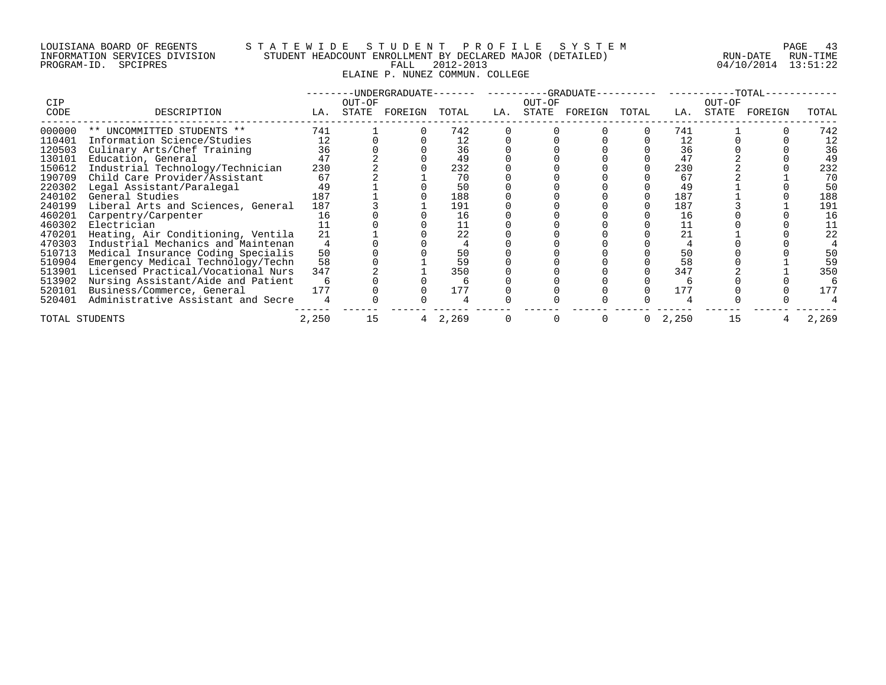# LOUISIANA BOARD OF REGENTS STATEWIDE STUDESTUDENT PROFILE SYSTEM PAGE 43<br>INFORMATION SERVICES DIVISION STUDENT HEADCOUNT ENROLLMENT BY DECLARED MAJOR (DETAILED) RUN-DATE RUN-TIME INFORMATION SERVICES DIVISION STUDENT HEADCOUNT ENROLLMENT BY DECLARED MAJOR (DETAILED)<br>PROGRAM-ID. SPCIPRES ELAINE P. NUNEZ COMMUN. COLLEGE

04/10/2014 13:51:22

|                |                                    | -UNDERGRADUATE- |        |         |       |     |          | -GRADUATE- |       |       |        | -TOTAL- |       |
|----------------|------------------------------------|-----------------|--------|---------|-------|-----|----------|------------|-------|-------|--------|---------|-------|
| <b>CIP</b>     |                                    |                 | OUT-OF |         |       |     | OUT-OF   |            |       |       | OUT-OF |         |       |
| CODE           | DESCRIPTION                        | LA.             | STATE  | FOREIGN | TOTAL | LA. | STATE    | FOREIGN    | TOTAL | LA.   | STATE  | FOREIGN | TOTAL |
| 000000         | ** UNCOMMITTED STUDENTS **         | 741             |        |         | 742   |     |          |            |       | 741   |        |         | 742   |
| 110401         | Information Science/Studies        | 12              |        |         | 12    |     |          |            |       | 12    |        |         | 12    |
| 120503         | Culinary Arts/Chef Training        | 36              |        |         | 36    |     |          |            |       | 36    |        |         | 36    |
| 130101         | Education, General                 | 47              |        |         | 49    |     |          |            |       | 47    |        |         | 49    |
| 150612         | Industrial Technology/Technician   | 230             |        |         | 232   |     |          |            |       | 230   |        |         | 232   |
| 190709         | Child Care Provider/Assistant      | 67              |        |         | 70    |     |          |            |       | 67    |        |         | 70    |
| 220302         | Legal Assistant/Paralegal          | 49              |        |         | 50    |     |          |            |       | 49    |        |         | 50    |
| 240102         | General Studies                    | 187             |        |         | 188   |     |          |            |       | 187   |        |         | 188   |
| 240199         | Liberal Arts and Sciences, General | 187             |        |         | 191   |     |          |            |       | 187   |        |         | 191   |
| 460201         | Carpentry/Carpenter                | 16              |        |         | 16    |     |          |            |       | 16    |        |         | 16    |
| 460302         | Electrician                        |                 |        |         |       |     |          |            |       | 11    |        |         |       |
| 470201         | Heating, Air Conditioning, Ventila | 21              |        |         | 22    |     |          |            |       | 21    |        |         | 22    |
| 470303         | Industrial Mechanics and Maintenan |                 |        |         |       |     |          |            |       |       |        |         |       |
| 510713         | Medical Insurance Coding Specialis | 50              |        |         | 50    |     |          |            |       | 50    |        |         | 50    |
| 510904         | Emergency Medical Technology/Techn | 58              |        |         | 59    |     |          |            |       | 58    |        |         | 59    |
| 513901         | Licensed Practical/Vocational Nurs | 347             |        |         | 350   |     |          |            |       | 347   |        |         | 350   |
| 513902         | Nursing Assistant/Aide and Patient |                 |        |         |       |     |          |            |       |       |        |         |       |
| 520101         | Business/Commerce, General         | 177             |        |         | 177   |     |          |            |       | 177   |        |         | 177   |
| 520401         | Administrative Assistant and Secre |                 |        |         |       |     |          |            |       |       |        |         |       |
| TOTAL STUDENTS |                                    | 2,250           | 15     |         | 2,269 |     | $\Omega$ |            |       | 2,250 | 15     |         | 2,269 |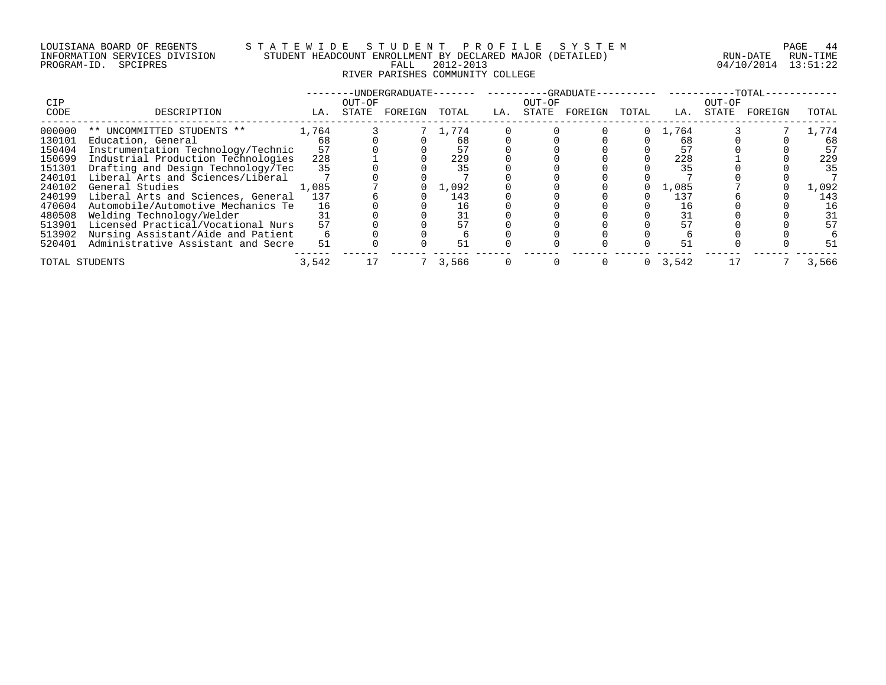# LOUISIANA BOARD OF REGENTS S T A T E W I D E S T U D E N T P R O F I L E S Y S T E M PAGE 44 INFORMATION SERVICES DIVISION STUDENT HEADCOUNT ENROLLMENT BY DECLARED MAJOR (DETAILED) RUN-DATE RUN-TIME PROGRAM-ID. SPCIPRES FALL 2012-2013 04/10/2014 13:51:22 RIVER PARISHES COMMUNITY COLLEGE

| <b>CIP</b>     |                                    |       | OUT-OF | -UNDERGRADUATE- |       |     | OUT-OF |         |       |           | OUT-OF | $--TOTAL-$ |       |
|----------------|------------------------------------|-------|--------|-----------------|-------|-----|--------|---------|-------|-----------|--------|------------|-------|
| CODE           | DESCRIPTION                        | LA.   | STATE  | FOREIGN         | TOTAL | LA. | STATE  | FOREIGN | TOTAL | LA.       | STATE  | FOREIGN    | TOTAL |
| 000000         | ** UNCOMMITTED STUDENTS **         | 1,764 |        |                 | 1,774 |     |        |         |       | 1,764     |        |            | 1,774 |
| 130101         | Education, General                 | 68    |        |                 | 68    |     |        |         |       | 68        |        |            | 68    |
| 150404         | Instrumentation Technology/Technic | 57    |        |                 |       |     |        |         |       | 57        |        |            | 57    |
| 150699         | Industrial Production Technologies | 228   |        |                 | 229   |     |        |         |       | 228       |        |            | 229   |
| 151301         | Drafting and Design Technology/Tec | 35    |        |                 | 35    |     |        |         |       | 35        |        |            | 35    |
| 240101         | Liberal Arts and Sciences/Liberal  |       |        |                 |       |     |        |         |       |           |        |            |       |
| 240102         | General Studies                    | 1,085 |        |                 | 1,092 |     |        |         |       | 1,085     |        |            | 1,092 |
| 240199         | Liberal Arts and Sciences, General | 137   |        |                 | 143   |     |        |         |       | 137       |        |            | 143   |
| 470604         | Automobile/Automotive Mechanics Te | 16    |        |                 | 16    |     |        |         |       | 16        |        |            | 16    |
| 480508         | Welding Technology/Welder          | 31    |        |                 | 31    |     |        |         |       | 31        |        |            | 31    |
| 513901         | Licensed Practical/Vocational Nurs | 57    |        |                 |       |     |        |         |       |           |        |            | 57    |
| 513902         | Nursing Assistant/Aide and Patient |       |        |                 |       |     |        |         |       |           |        |            |       |
| 520401         | Administrative Assistant and Secre | 51    |        |                 | 51    |     |        |         |       | 51        |        |            | 51    |
| TOTAL STUDENTS |                                    | 3,542 |        |                 | 3,566 |     |        |         |       | 0, 3, 542 |        |            | 3,566 |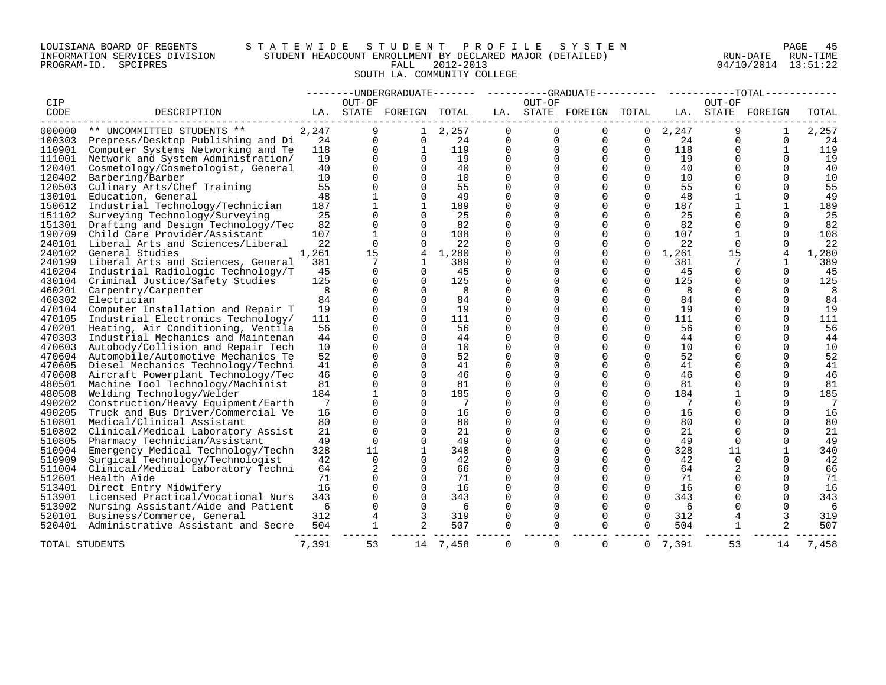# LOUISIANA BOARD OF REGENTS S T A T E W I D E S T U D E N T P R O F I L E S Y S T E M PAGE 45 INFORMATION SERVICES DIVISION STUDENT HEADCOUNT ENROLLMENT BY DECLARED MAJOR (DETAILED) RUN-DATE RUN-TIME PROGRAM-ID. SPCIPRES FALL 2012-2013 04/10/2014 13:51:22 SOUTH LA. COMMUNITY COLLEGE

|        |                                    |       |             |                         |          |             |             |                         |                      |       |                      | --------UNDERGRADUATE------- ---------GRADUATE---------- ----------TOTAL----------- |       |
|--------|------------------------------------|-------|-------------|-------------------------|----------|-------------|-------------|-------------------------|----------------------|-------|----------------------|-------------------------------------------------------------------------------------|-------|
| CIP    |                                    |       | OUT-OF      |                         |          |             | OUT-OF      |                         |                      |       | OUT-OF               |                                                                                     |       |
| CODE   | DESCRIPTION                        |       |             | LA. STATE FOREIGN TOTAL |          |             |             | LA. STATE FOREIGN TOTAL |                      |       |                      | LA. STATE FOREIGN                                                                   | TOTAL |
| 000000 | ** UNCOMMITTED STUDENTS **         | 2,247 | 9           | $\mathbf{1}$            | 2,257    | $\mathbf 0$ | $\Omega$    | $\Omega$                | 0                    | 2,247 | 9                    | 1                                                                                   | 2,257 |
| 100303 | Prepress/Desktop Publishing and Di | 24    | $\Omega$    | $\Omega$                | 24       | 0           | $\mathbf 0$ | 0                       | 0                    | 24    | $\Omega$             | $\mathbf 0$                                                                         | 24    |
| 110901 | Computer Systems Networking and Te | 118   | $\Omega$    | $\mathbf{1}$            | 119      | $\mathbf 0$ | $\Omega$    | $\mathbf 0$             | $\mathbf 0$          | 118   | $\Omega$             | $\mathbf{1}$                                                                        | 119   |
| 111001 | Network and System Administration/ | 19    | $\Omega$    | $\Omega$                | 19       | $\Omega$    | $\Omega$    | $\Omega$                | $\Omega$             | 19    | $\Omega$             | $\Omega$                                                                            | 19    |
| 120401 | Cosmetology/Cosmetologist, General | 40    | $\Omega$    | $\Omega$                | 40       | $\Omega$    | $\Omega$    | $\Omega$                | $\Omega$             | 40    | $\Omega$             | $\Omega$                                                                            | 40    |
| 120402 | Barbering/Barber                   | 10    |             |                         | 10       | $\Omega$    | 0           | $\Omega$                | $\Omega$             | 10    | $\Omega$             | $\Omega$                                                                            | 10    |
| 120503 | Culinary Arts/Chef Training        | 55    | $\Omega$    |                         | 55       | $\Omega$    | $\Omega$    | $\Omega$                | $\Omega$             | 55    | $\Omega$             | $\Omega$                                                                            | 55    |
| 130101 | Education, General                 | 48    |             |                         | 49       | $\Omega$    |             | $\Omega$                | $\Omega$             | 48    | $\mathbf{1}$         | $\Omega$                                                                            | 49    |
| 150612 | Industrial Technology/Technician   | 187   |             | $\mathbf{1}$            | 189      | 0           | $\Omega$    | 0                       | $\mathbf 0$          | 187   | 1                    | $\mathbf 1$                                                                         | 189   |
| 151102 | Surveying Technology/Surveying     | 25    |             |                         | 25       | $\mathbf 0$ | $\Omega$    | $\mathbf 0$             | $\Omega$             | 25    | $\Omega$             | $\Omega$                                                                            | 25    |
| 151301 | Drafting and Design Technology/Tec | 82    | 0           | $\Omega$                | 82       | 0           | $\Omega$    | $\mathbf 0$             | $\mathbf 0$          | 82    | $\mathbf 0$          | $\Omega$                                                                            | 82    |
| 190709 | Child Care Provider/Assistant      | 107   |             |                         | 108      | $\mathbf 0$ | 0           | $\Omega$                | $\Omega$             | 107   | $\mathbf{1}$         | $\Omega$                                                                            | 108   |
| 240101 | Liberal Arts and Sciences/Liberal  | 22    | $\Omega$    |                         | 22       | $\mathbf 0$ | $\Omega$    | $\mathbf 0$             | $\mathbf 0$          | 22    | $\Omega$             | $\Omega$                                                                            | 22    |
| 240102 | General Studies                    | 1,261 | 15          | 4                       | 1,280    | $\mathbf 0$ | $\Omega$    | $\mathbf 0$             | $\mathbf 0$          | 1,261 | 15                   | 4                                                                                   | 1,280 |
| 240199 | Liberal Arts and Sciences, General | 381   | 7           | 1                       | 389      | $\Omega$    | $\Omega$    | $\Omega$                | $\Omega$             | 381   | 7                    | 1                                                                                   | 389   |
| 410204 | Industrial Radiologic Technology/T | 45    | $\Omega$    | $\Omega$                | 45       | $\mathbf 0$ | 0           | $\Omega$                | $\Omega$             | 45    | $\Omega$             | $\Omega$                                                                            | 45    |
| 430104 | Criminal Justice/Safety Studies    | 125   | $\Omega$    | $\Omega$                | 125      | $\Omega$    | 0           | $\Omega$                | $\Omega$             | 125   | $\Omega$             | $\Omega$                                                                            | 125   |
| 460201 | Carpentry/Carpenter                | 8     |             | $\Omega$                | -8       | $\Omega$    |             | $\Omega$                | $\Omega$             | -8    | $\Omega$             | $\Omega$                                                                            | 8     |
| 460302 | Electrician                        | 84    | $\Omega$    | $\Omega$                | 84       | $\Omega$    | 0           | $\Omega$                | $\Omega$             | 84    | $\Omega$             | $\Omega$                                                                            | 84    |
| 470104 | Computer Installation and Repair T | 19    |             | $\Omega$                | 19       | $\Omega$    |             | $\Omega$                | $\Omega$             | 19    | $\Omega$             | $\Omega$                                                                            | 19    |
| 470105 | Industrial Electronics Technology/ | 111   | $\Omega$    | $\Omega$                | 111      | $\Omega$    | 0           | $\Omega$                | $\Omega$             | 111   | $\Omega$             | $\Omega$                                                                            | 111   |
| 470201 | Heating, Air Conditioning, Ventila | 56    |             | $\Omega$                | 56       | $\mathbf 0$ | $\Omega$    | $\Omega$                | $\Omega$             | 56    | $\Omega$             | $\Omega$                                                                            | 56    |
| 470303 | Industrial Mechanics and Maintenan | 44    |             | $\Omega$                | 44       | $\mathbf 0$ | 0           | $\Omega$                | $\Omega$             | 44    | $\Omega$             | $\Omega$                                                                            | 44    |
| 470603 | Autobody/Collision and Repair Tech | 10    | $\Omega$    | $\Omega$                | 10       | 0           | 0           | $\Omega$                | $\mathbf 0$          | 10    | $\Omega$             | $\Omega$                                                                            | 10    |
| 470604 | Automobile/Automotive Mechanics Te | 52    | $\Omega$    |                         | 52       | $\mathbf 0$ | 0           | $\Omega$                | $\Omega$             | 52    | $\Omega$             | $\Omega$                                                                            | 52    |
| 470605 | Diesel Mechanics Technology/Techni | 41    | $\Omega$    | $\Omega$                | 41       | $\mathbf 0$ | $\Omega$    | $\Omega$                | 0                    | 41    | $\Omega$             | $\mathbf 0$                                                                         | 41    |
| 470608 | Aircraft Powerplant Technology/Tec | 46    |             |                         | 46       | 0           | 0           | $\Omega$                | $\Omega$             | 46    | $\Omega$             | $\Omega$                                                                            | 46    |
| 480501 | Machine Tool Technology/Machinist  | 81    | $\mathbf 0$ | $\Omega$                | 81       | $\mathbf 0$ | $\Omega$    | $\Omega$                | $\mathbf 0$          | 81    | $\Omega$             | $\Omega$                                                                            | 81    |
| 480508 | Welding Technology/Welder          | 184   |             |                         | 185      | $\Omega$    |             | $\Omega$                | $\Omega$             | 184   | $\mathbf{1}$         | $\Omega$                                                                            | 185   |
| 490202 | Construction/Heavy Equipment/Earth | 7     |             | $\Omega$                | 7        | $\Omega$    | 0           | $\Omega$                | $\Omega$             | 7     | $\Omega$             | $\Omega$                                                                            | 7     |
| 490205 | Truck and Bus Driver/Commercial Ve | 16    |             |                         | 16       | $\Omega$    | 0           | $\Omega$                | $\Omega$             | 16    | $\Omega$             | $\Omega$                                                                            | 16    |
| 510801 | Medical/Clinical Assistant         | 80    | $\Omega$    |                         | 80       | 0           | 0           | $\Omega$                | $\Omega$             | 80    | $\Omega$             | $\Omega$                                                                            | 80    |
| 510802 | Clinical/Medical Laboratory Assist | 21    |             |                         | 21       | $\Omega$    |             | $\Omega$                | $\Omega$             | 21    | $\Omega$             | $\Omega$                                                                            | 21    |
| 510805 | Pharmacy Technician/Assistant      | 49    | $\Omega$    | $\Omega$                | 49       | $\Omega$    | $\Omega$    | $\Omega$                | $\Omega$             | 49    | $\Omega$             | $\Omega$                                                                            | 49    |
| 510904 | Emergency Medical Technology/Techn | 328   | 11          |                         | 340      | $\Omega$    |             | $\Omega$                | $\Omega$             | 328   | 11                   | 1                                                                                   | 340   |
| 510909 | Surgical Technology/Technologist   | 42    | $\Omega$    |                         | 42       | 0           | 0           | $\Omega$                | 0                    | 42    | $\Omega$             | $\Omega$                                                                            | 42    |
| 511004 | Clinical/Medical Laboratory Techni | 64    | 2           |                         | 66       | $\mathbf 0$ |             | $\Omega$                | $\Omega$             | 64    | 2                    | $\Omega$                                                                            | 66    |
| 512601 | Health Aide                        | 71    | $\Omega$    |                         | 71       | $\mathbf 0$ | $\Omega$    | $\Omega$                | $\mathbf 0$          | 71    | $\Omega$             | $\Omega$                                                                            | 71    |
| 513401 | Direct Entry Midwifery             | 16    |             |                         | 16       | $\mathbf 0$ |             | $\Omega$                | $\Omega$             | 16    | $\Omega$             | $\Omega$                                                                            | 16    |
| 513901 | Licensed Practical/Vocational Nurs | 343   | $\Omega$    | $\Omega$                | 343      | $\mathbf 0$ | $\Omega$    | $\Omega$                | $\Omega$             | 343   | $\Omega$<br>$\Omega$ | $\Omega$                                                                            | 343   |
| 513902 | Nursing Assistant/Aide and Patient | 6     |             | 3                       | - 6      | $\Omega$    | 0           | $\Omega$                | $\Omega$<br>$\Omega$ | 6     |                      | $\Omega$                                                                            | 6     |
| 520101 | Business/Commerce, General         | 312   |             |                         | 319      | $\Omega$    |             | $\Omega$<br>$\Omega$    | $\Omega$             | 312   |                      | 3                                                                                   | 319   |
| 520401 | Administrative Assistant and Secre | 504   |             |                         | 507      | $\Omega$    | 0           |                         |                      | 504   | $\mathbf{1}$         |                                                                                     | 507   |
|        | TOTAL STUDENTS                     | 7,391 | 53          |                         | 14 7,458 | $\Omega$    | $\mathbf 0$ | $\Omega$                | $\Omega$             | 7,391 | 53                   | 14                                                                                  | 7,458 |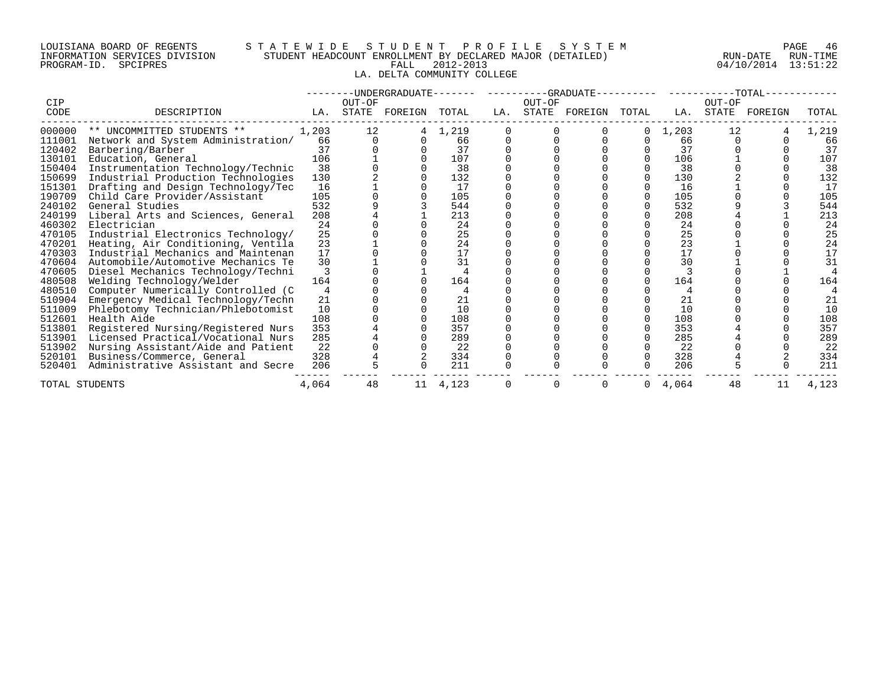# LOUISIANA BOARD OF REGENTS S T A T E W I D E S T U D E N T P R O F I L E S Y S T E M PAGE 46 INFORMATION SERVICES DIVISION STUDENT HEADCOUNT ENROLLMENT BY DECLARED MAJOR (DETAILED) RUN-DATE RUN-TIME PROGRAM-ID. SPCIPRES FALL 2012-2013 04/10/2014 13:51:22 LA. DELTA COMMUNITY COLLEGE

|                    |                                    |       |                 |         |       |     |                 | --UNDERGRADUATE-------    ---------GRADUATE---------    ---------TOTAL-- |       |       |                 |         |       |
|--------------------|------------------------------------|-------|-----------------|---------|-------|-----|-----------------|--------------------------------------------------------------------------|-------|-------|-----------------|---------|-------|
| <b>CIP</b><br>CODE | DESCRIPTION                        | LA.   | OUT-OF<br>STATE | FOREIGN | TOTAL | LA. | OUT-OF<br>STATE | FOREIGN                                                                  | TOTAL | LA.   | OUT-OF<br>STATE | FOREIGN | TOTAL |
| 000000             | ** UNCOMMITTED STUDENTS **         | 1,203 | 12              |         | 1,219 |     |                 |                                                                          |       | 1,203 | 12              |         | 1,219 |
| 111001             | Network and System Administration/ | 66    |                 |         | 66    |     |                 |                                                                          |       | 66    |                 |         | 66    |
| 120402             | Barbering/Barber                   | 37    |                 |         | 37    |     |                 |                                                                          |       | 37    |                 |         | 37    |
| 130101             | Education, General                 | 106   |                 |         | 107   |     |                 |                                                                          |       | 106   |                 |         | 107   |
| 150404             | Instrumentation Technology/Technic | 38    |                 |         | 38    |     |                 |                                                                          |       | 38    |                 |         | 38    |
| 150699             | Industrial Production Technologies | 130   |                 |         | 132   |     |                 |                                                                          |       | 130   |                 |         | 132   |
| 151301             | Drafting and Design Technology/Tec | 16    |                 |         | 17    |     |                 |                                                                          |       | 16    |                 |         | 17    |
| 190709             | Child Care Provider/Assistant      | 105   |                 |         | 105   |     |                 |                                                                          |       | 105   |                 |         | 105   |
| 240102             | General Studies                    | 532   |                 |         | 544   |     |                 |                                                                          |       | 532   |                 |         | 544   |
| 240199             | Liberal Arts and Sciences, General | 208   |                 |         | 213   |     |                 |                                                                          |       | 208   |                 |         | 213   |
| 460302             | Electrician                        | 24    |                 |         | 24    |     |                 |                                                                          |       | 24    |                 |         | 24    |
| 470105             | Industrial Electronics Technology/ | 25    |                 |         | 25    |     |                 |                                                                          |       | 25    |                 |         | 25    |
| 470201             | Heating, Air Conditioning, Ventila | 23    |                 |         | 24    |     |                 |                                                                          |       | 23    |                 |         | 24    |
| 470303             | Industrial Mechanics and Maintenan | 17    |                 |         | 17    |     |                 |                                                                          |       | 17    |                 |         | 17    |
| 470604             | Automobile/Automotive Mechanics Te | 30    |                 |         | 31    |     |                 |                                                                          |       | 30    |                 |         | 31    |
| 470605             | Diesel Mechanics Technology/Techni |       |                 |         |       |     |                 |                                                                          |       |       |                 |         |       |
| 480508             | Welding Technology/Welder          | 164   |                 |         | 164   |     |                 |                                                                          |       | 164   |                 |         | 164   |
| 480510             | Computer Numerically Controlled (C |       |                 |         |       |     |                 |                                                                          |       |       |                 |         |       |
| 510904             | Emergency Medical Technology/Techn | 21    |                 |         | 21    |     |                 |                                                                          |       | 21    |                 |         | 21    |
| 511009             | Phlebotomy Technician/Phlebotomist | 10    |                 |         | 10    |     |                 |                                                                          |       | 10    |                 |         | 10    |
| 512601             | Health Aide                        | 108   |                 |         | 108   |     |                 |                                                                          |       | 108   |                 |         | 108   |
| 513801             | Registered Nursing/Registered Nurs | 353   |                 |         | 357   |     |                 |                                                                          |       | 353   |                 |         | 357   |
| 513901             | Licensed Practical/Vocational Nurs | 285   |                 |         | 289   |     |                 |                                                                          |       | 285   |                 |         | 289   |
| 513902             | Nursing Assistant/Aide and Patient | 22    |                 |         | 22    |     |                 |                                                                          |       | 22    |                 |         | 22    |
| 520101             | Business/Commerce, General         | 328   |                 |         | 334   |     |                 |                                                                          |       | 328   |                 |         | 334   |
| 520401             | Administrative Assistant and Secre | 206   |                 |         | 211   |     |                 |                                                                          |       | 206   |                 |         | 211   |
| TOTAL STUDENTS     |                                    | 4,064 | 48              | 11      | 4,123 |     |                 |                                                                          | 0     | 4,064 | 48              | 11      | 4,123 |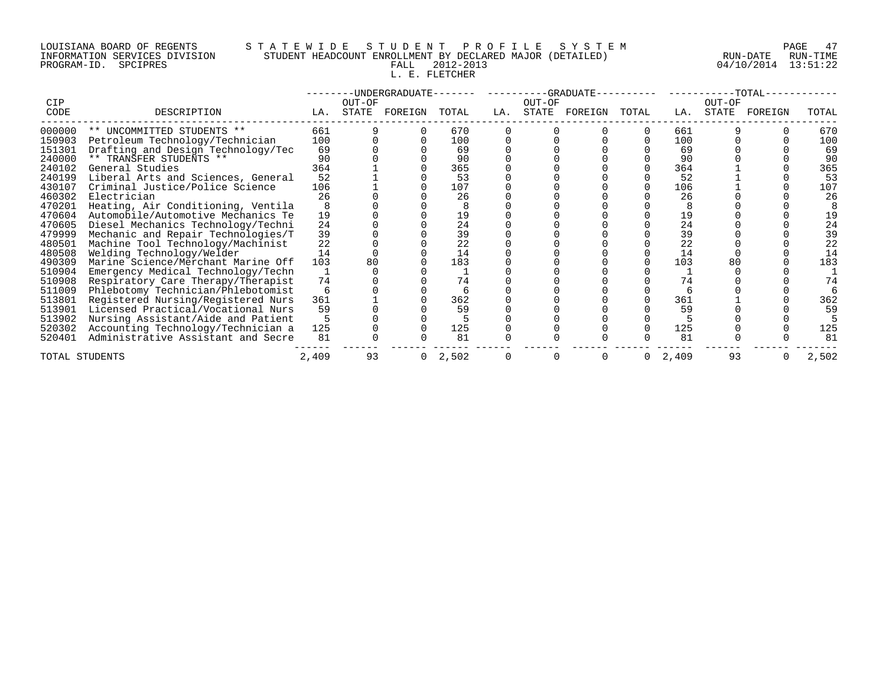# LOUISIANA BOARD OF REGENTS S T A T E W I D E S T U D E N T P R O F I L E S Y S T E M PAGE 47 INFORMATION SERVICES DIVISION STUDENT HEADCOUNT ENROLLMENT BY DECLARED MAJOR (DETAILED) RUN-DATE RUN-TIME PROGRAM-ID. SPCIPRES FALL 2012-2013 04/10/2014 13:51:22

# L. E. FLETCHER

|                |                                    |       |        | -UNDERGRADUATE- |       |     |        | -GRADUATE- |       |       |        | $-TOTAL-$ |       |
|----------------|------------------------------------|-------|--------|-----------------|-------|-----|--------|------------|-------|-------|--------|-----------|-------|
| CIP            |                                    |       | OUT-OF |                 |       |     | OUT-OF |            |       |       | OUT-OF |           |       |
| CODE           | DESCRIPTION                        | LA.   |        | STATE FOREIGN   | TOTAL | LA. | STATE  | FOREIGN    | TOTAL | LA.   | STATE  | FOREIGN   | TOTAL |
| 000000         | ** UNCOMMITTED STUDENTS **         | 661   |        |                 | 670   |     |        |            |       | 661   |        |           | 670   |
| 150903         | Petroleum Technology/Technician    | 100   |        |                 | 100   |     |        |            |       | 100   |        |           | 100   |
| 151301         | Drafting and Design Technology/Tec | 69    |        |                 | 69    |     |        |            |       | 69    |        |           | 69    |
| 240000         | ** TRANSFER STUDENTS **            | 90    |        |                 | 90    |     |        |            |       | 90    |        |           | 90    |
| 240102         | General Studies                    | 364   |        |                 | 365   |     |        |            |       | 364   |        |           | 365   |
| 240199         | Liberal Arts and Sciences, General | 52    |        |                 | 53    |     |        |            |       | 52    |        |           | 53    |
| 430107         | Criminal Justice/Police Science    | 106   |        |                 | 107   |     |        |            |       | 106   |        |           | 107   |
| 460302         | Electrician                        | 26    |        |                 | 26    |     |        |            |       | 26    |        |           | 26    |
| 470201         | Heating, Air Conditioning, Ventila |       |        |                 |       |     |        |            |       |       |        |           |       |
| 470604         | Automobile/Automotive Mechanics Te | 19    |        |                 | 19    |     |        |            |       | 19    |        |           | 19    |
| 470605         | Diesel Mechanics Technology/Techni | 24    |        |                 | 24    |     |        |            |       | 24    |        |           | 24    |
| 479999         | Mechanic and Repair Technologies/T | 39    |        |                 | 39    |     |        |            |       | 39    |        |           | 39    |
| 480501         | Machine Tool Technology/Machinist  | 22    |        |                 | 22    |     |        |            |       | 22    |        |           | 22    |
| 480508         | Welding Technology/Welder          | 14    |        |                 | 14    |     |        |            |       | 14    |        |           | 14    |
| 490309         | Marine Science/Merchant Marine Off | 103   |        |                 | 183   |     |        |            |       | 103   |        |           | 183   |
| 510904         | Emergency Medical Technology/Techn |       |        |                 |       |     |        |            |       |       |        |           |       |
| 510908         | Respiratory Care Therapy/Therapist | 74    |        |                 | 74    |     |        |            |       | 74    |        |           | 74    |
| 511009         | Phlebotomy Technician/Phlebotomist |       |        |                 |       |     |        |            |       |       |        |           |       |
| 513801         | Registered Nursing/Registered Nurs | 361   |        |                 | 362   |     |        |            |       | 361   |        |           | 362   |
| 513901         | Licensed Practical/Vocational Nurs | 59    |        |                 | 59    |     |        |            |       | 59    |        |           | 59    |
| 513902         | Nursing Assistant/Aide and Patient |       |        |                 |       |     |        |            |       |       |        |           |       |
| 520302         | Accounting Technology/Technician a | 125   |        |                 | 125   |     |        |            |       | 125   |        |           | 125   |
| 520401         | Administrative Assistant and Secre | 81    |        |                 | 81    |     |        |            |       | 81    |        |           | 81    |
| TOTAL STUDENTS |                                    | 2,409 | 93     | 0               | 2,502 |     |        |            |       | 2,409 | 93     |           | 2,502 |